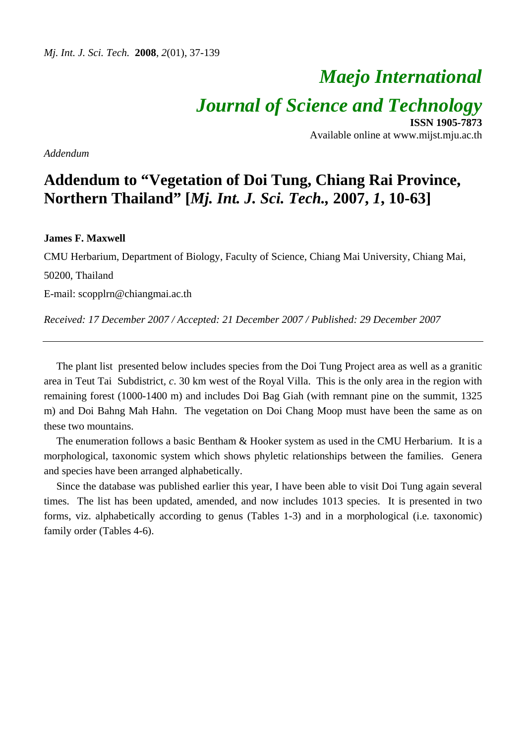# *Maejo International Journal of Science and Technology* **ISSN 1905-7873**

Available online at www.mijst.mju.ac.th

*Addendum* 

## **Addendum to "Vegetation of Doi Tung, Chiang Rai Province, Northern Thailand" [***Mj. Int. J. Sci. Tech.,* **2007,** *1***, 10-63]**

#### **James F. Maxwell**

CMU Herbarium, Department of Biology, Faculty of Science, Chiang Mai University, Chiang Mai, 50200, Thailand

E-mail: scopplrn@chiangmai.ac.th

*Received: 17 December 2007 / Accepted: 21 December 2007 / Published: 29 December 2007* 

The plant list presented below includes species from the Doi Tung Project area as well as a granitic area in Teut Tai Subdistrict*, c*. 30 km west of the Royal Villa. This is the only area in the region with remaining forest (1000-1400 m) and includes Doi Bag Giah (with remnant pine on the summit, 1325 m) and Doi Bahng Mah Hahn. The vegetation on Doi Chang Moop must have been the same as on these two mountains.

The enumeration follows a basic Bentham & Hooker system as used in the CMU Herbarium. It is a morphological, taxonomic system which shows phyletic relationships between the families. Genera and species have been arranged alphabetically.

Since the database was published earlier this year, I have been able to visit Doi Tung again several times. The list has been updated, amended, and now includes 1013 species. It is presented in two forms, viz. alphabetically according to genus (Tables 1-3) and in a morphological (i.e*.* taxonomic) family order (Tables 4-6).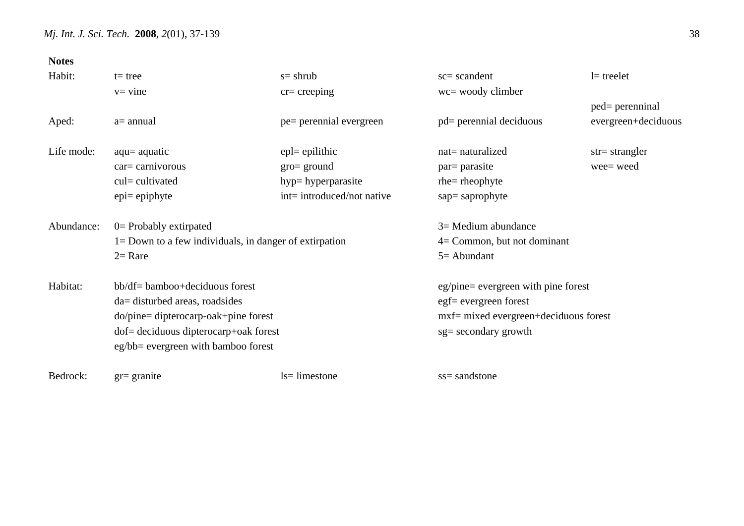| <b>Notes</b> |                                                           |                            |                                        |                          |
|--------------|-----------------------------------------------------------|----------------------------|----------------------------------------|--------------------------|
| Habit:       | $t = tree$                                                | $s=$ shrub                 | $sc = scandent$                        | $l$ = treelet            |
|              | $v =$ vine                                                | $cr = creeping$            | wc= woody climber                      |                          |
|              |                                                           |                            |                                        | ped= perenninal          |
| Aped:        | $a=$ annual                                               | pe= perennial evergreen    | pd= perennial deciduous                | evergreen+deciduous      |
| Life mode:   | $aqu = aquatic$                                           | $epl = epilithic$          | nat= naturalized                       | $str = \text{strangler}$ |
|              | $car =$ carnivorous                                       | $gro = ground$             | par = parasite                         | wee= weed                |
|              | cul= cultivated                                           | hyp=hyperparasite          | $r$ he = rheophyte                     |                          |
|              | $epi = epiphyte$                                          | int= introduced/not native | sap=saprophyte                         |                          |
| Abundance:   | $0$ = Probably extirpated                                 |                            | $3=$ Medium abundance                  |                          |
|              | $1 =$ Down to a few individuals, in danger of extirpation |                            | $4=$ Common, but not dominant          |                          |
|              | $2=$ Rare                                                 |                            | $5 =$ Abundant                         |                          |
| Habitat:     | bb/df= bamboo+deciduous forest                            |                            | $eg/pine = evergreen$ with pine forest |                          |
|              | da= disturbed areas, roadsides                            |                            | egf= evergreen forest                  |                          |
|              | do/pine= dipterocarp-oak+pine forest                      |                            | mxf= mixed evergreen+deciduous forest  |                          |
|              | dof= deciduous dipterocarp+oak forest                     |                            | sg= secondary growth                   |                          |
|              | eg/bb= evergreen with bamboo forest                       |                            |                                        |                          |
| Bedrock:     | $gr =$ granite                                            | $ls = limestone$           | ss= sandstone                          |                          |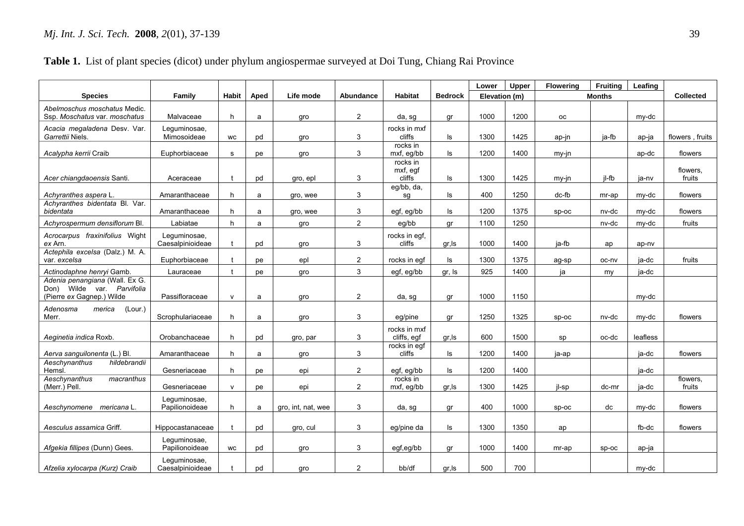### **Table 1.** List of plant species (dicot) under phylum angiospermae surveyed at Doi Tung, Chiang Rai Province

|                                                                                           |                                  |              |      |                    |                |                                |                | Lower         | Upper | <b>Flowering</b> | <b>Fruiting</b> | Leafing  |                    |
|-------------------------------------------------------------------------------------------|----------------------------------|--------------|------|--------------------|----------------|--------------------------------|----------------|---------------|-------|------------------|-----------------|----------|--------------------|
| <b>Species</b>                                                                            | Family                           | <b>Habit</b> | Aped | Life mode          | Abundance      | <b>Habitat</b>                 | <b>Bedrock</b> | Elevation (m) |       |                  | <b>Months</b>   |          | <b>Collected</b>   |
| Abelmoschus moschatus Medic.<br>Ssp. Moschatus var. moschatus                             | Malvaceae                        | h            | a    | gro                | $\overline{2}$ | da, sg                         | qr             | 1000          | 1200  | oс               |                 | my-dc    |                    |
| Acacia megaladena Desv. Var.<br>Garrettii Niels.                                          | Lequminosae,<br>Mimosoideae      | <b>WC</b>    | pd   | gro                | 3              | rocks in mxf<br>cliffs         | ls             | 1300          | 1425  | ap-jn            | ja-fb           | ap-ja    | flowers, fruits    |
| Acalypha kerrii Craib                                                                     | Euphorbiaceae                    | s            | pe   | qro                | 3              | rocks in<br>mxf, eg/bb         | ls             | 1200          | 1400  | my-jn            |                 | ap-dc    | flowers            |
| Acer chiangdaoensis Santi.                                                                | Aceraceae                        | $\mathbf{f}$ | pd   | gro, epl           | 3              | rocks in<br>mxf, egf<br>cliffs | Is             | 1300          | 1425  | my-in            | il-fb           | ia-nv    | flowers,<br>fruits |
| Achyranthes aspera L.                                                                     | Amaranthaceae                    | h            | a    | gro, wee           | 3              | eg/bb, da,<br>sq               | ls.            | 400           | 1250  | dc-fb            | mr-ap           | my-dc    | flowers            |
| Achyranthes bidentata Bl. Var.<br>bidentata                                               | Amaranthaceae                    | h            | a    | gro, wee           | 3              | egf, eg/bb                     | ls             | 1200          | 1375  | $SD-OC$          | nv-dc           | my-dc    | flowers            |
| Achyrospermum densiflorum Bl.                                                             | Labiatae                         | h            | a    | gro                | $\overline{2}$ | eg/bb                          | gr             | 1100          | 1250  |                  | nv-dc           | my-dc    | fruits             |
| Acrocarpus fraxinifolius Wight<br>ex Arn.                                                 | Leguminosae,<br>Caesalpinioideae |              | pd   | gro                | 3              | rocks in egf,<br>cliffs        | gr, Is         | 1000          | 1400  | ja-fb            | ap              | ap-nv    |                    |
| Actephila excelsa (Dalz.) M. A.<br>var. excelsa                                           | Euphorbiaceae                    |              | рe   | epl                | $\overline{2}$ | rocks in eqf                   | ls             | 1300          | 1375  | ag-sp            | oc-nv           | ja-dc    | fruits             |
| Actinodaphne henryi Gamb.                                                                 | Lauraceae                        | t            | pe   | gro                | 3              | egf, eg/bb                     | gr, Is         | 925           | 1400  | ja               | my              | ja-dc    |                    |
| Adenia penangiana (Wall. Ex G.<br>Don) Wilde var. Parvifolia<br>(Pierre ex Gagnep.) Wilde | Passifloraceae                   | $\mathsf{V}$ | a    | gro                | $\overline{2}$ | da, sq                         | qr             | 1000          | 1150  |                  |                 | my-dc    |                    |
| Adenosma<br>(Lour.)<br>merica<br>Merr.                                                    | Scrophulariaceae                 | h            | a    | gro                | 3              | eg/pine                        | gr             | 1250          | 1325  | SD-OC            | nv-dc           | my-dc    | flowers            |
| Aeginetia indica Roxb.                                                                    | Orobanchaceae                    | h            | pd   | gro, par           | 3              | rocks in mxf<br>cliffs, egf    | gr, Is         | 600           | 1500  | sp               | oc-dc           | leafless |                    |
| Aerva sanguilonenta (L.) Bl.                                                              | Amaranthaceae                    | h            | a    | gro                | 3              | rocks in eqf<br>cliffs         | ls             | 1200          | 1400  | ja-ap            |                 | ja-dc    | flowers            |
| hildebrandii<br>Aeschynanthus<br>Hemsl.                                                   | Gesneriaceae                     | h.           | рe   | epi                | $\overline{2}$ | egf, eg/bb                     | ls             | 1200          | 1400  |                  |                 | ja-dc    |                    |
| Aeschynanthus<br>macranthus<br>(Merr.) Pell.                                              | Gesneriaceae                     | $\mathsf{v}$ | рe   | epi                | $\overline{2}$ | rocks in<br>mxf, eg/bb         | gr, Is         | 1300          | 1425  | il-sp            | dc-mr           | ja-dc    | flowers.<br>fruits |
| Aeschynomene mericana L.                                                                  | Lequminosae,<br>Papilionoideae   | h            | a    | gro, int, nat, wee | 3              | da, sg                         | gr             | 400           | 1000  | SD-OC            | dc              | my-dc    | flowers            |
| Aesculus assamica Griff.                                                                  | Hippocastanaceae                 | t            | pd   | gro, cul           | 3              | eg/pine da                     | ls             | 1300          | 1350  | ap               |                 | fb-dc    | flowers            |
| Afgekia fillipes (Dunn) Gees.                                                             | Leguminosae,<br>Papilionoideae   | <b>WC</b>    | pd   | qro                | 3              | egf,eg/bb                      | qr             | 1000          | 1400  | mr-ap            | $sp-oc$         | ap-ja    |                    |
| Afzelia xylocarpa (Kurz) Craib                                                            | Leguminosae,<br>Caesalpinioideae |              | pd   | gro                | $\overline{2}$ | bb/df                          | gr, Is         | 500           | 700   |                  |                 | my-dc    |                    |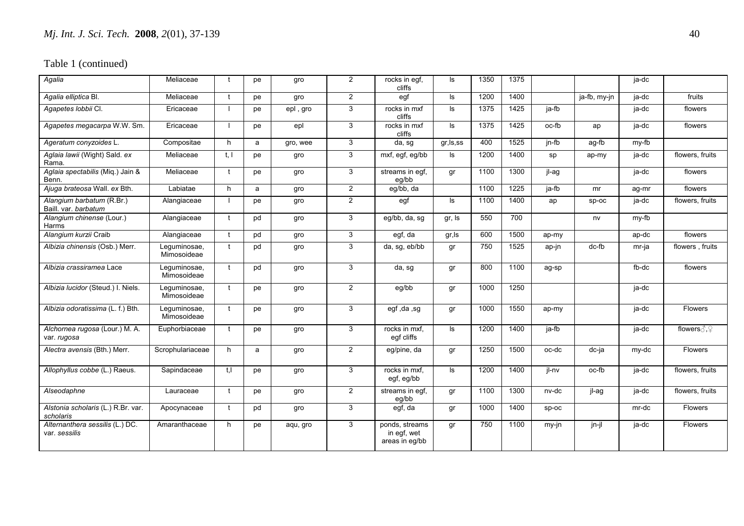| Agalia                                            | Meliaceae                   |              | pe | gro      | $\overline{2}$ | rocks in egf,<br>cliffs                         | ls.        | 1350 | 1375 |       |              | ja-dc |                                    |
|---------------------------------------------------|-----------------------------|--------------|----|----------|----------------|-------------------------------------------------|------------|------|------|-------|--------------|-------|------------------------------------|
| Agalia elliptica Bl.                              | Meliaceae                   | - †          | pe | gro      | $\overline{2}$ | egf                                             | ls.        | 1200 | 1400 |       | ja-fb, my-jn | ja-dc | fruits                             |
| Agapetes lobbii Cl.                               | Ericaceae                   |              | pe | epl, gro | 3              | rocks in mxf<br>cliffs                          | ls         | 1375 | 1425 | ja-fb |              | ja-dc | flowers                            |
| Agapetes megacarpa W.W. Sm.                       | Ericaceae                   |              | pe | epl      | 3              | rocks in mxf<br>cliffs                          | ls.        | 1375 | 1425 | oc-fb | ap           | ja-dc | flowers                            |
| Ageratum conyzoides L.                            | Compositae                  | h            | a  | gro, wee | 3              | da, sg                                          | gr, ls, ss | 400  | 1525 | jn-fb | ag-fb        | my-fb |                                    |
| Aglaia lawii (Wight) Sald. ex<br>Rama.            | Meliaceae                   | t. I         | pe | gro      | 3              | mxf, egf, eg/bb                                 | ls         | 1200 | 1400 | sp    | ap-my        | ja-dc | flowers, fruits                    |
| Aglaia spectabilis (Miq.) Jain &<br>Benn.         | Meliaceae                   | $\mathbf{f}$ | pe | gro      | 3              | streams in eqf.<br>eg/bb                        | qr         | 1100 | 1300 | jl-ag |              | ja-dc | flowers                            |
| Ajuga brateosa Wall. ex Bth.                      | Labiatae                    | h            | a  | gro      | $\overline{2}$ | eg/bb, da                                       |            | 1100 | 1225 | ja-fb | mr           | ag-mr | flowers                            |
| Alangium barbatum (R.Br.)<br>Baill. var. barbatum | Alangiaceae                 |              | pe | gro      | $\overline{2}$ | egf                                             | ls.        | 1100 | 1400 | ap    | $sp-oc$      | ja-dc | flowers, fruits                    |
| Alangium chinense (Lour.)<br>Harms                | Alangiaceae                 | $\mathbf{f}$ | pd | gro      | 3              | eq/bb, da, sq                                   | gr, Is     | 550  | 700  |       | nv           | my-fb |                                    |
| Alangium kurzii Craib                             | Alangiaceae                 | $\mathbf{f}$ | pd | gro      | 3              | egf, da                                         | gr,ls      | 600  | 1500 | ap-my |              | ap-dc | flowers                            |
| Albizia chinensis (Osb.) Merr.                    | Leguminosae,<br>Mimosoideae |              | pd | gro      | 3              | da, sg, eb/bb                                   | gr         | 750  | 1525 | ap-jn | dc-fb        | mr-ja | flowers, fruits                    |
| Albizia crassiramea Lace                          | Leguminosae,<br>Mimosoideae |              | pd | gro      | 3              | da, sg                                          | gr         | 800  | 1100 | ag-sp |              | fb-dc | flowers                            |
| Albizia lucidor (Steud.) I. Niels.                | Leguminosae,<br>Mimosoideae |              | pe | gro      | $\overline{2}$ | eg/bb                                           | gr         | 1000 | 1250 |       |              | ja-dc |                                    |
| Albizia odoratissima (L. f.) Bth.                 | Leguminosae,<br>Mimosoideae |              | pe | gro      | 3              | egf, da, sg                                     | gr         | 1000 | 1550 | ap-my |              | ja-dc | Flowers                            |
| Alchornea rugosa (Lour.) M. A.<br>var. rugosa     | Euphorbiaceae               |              | pe | gro      | 3              | rocks in mxf,<br>egf cliffs                     | ls.        | 1200 | 1400 | ja-fb |              | ja-dc | flowers $\mathcal{S}, \mathcal{Q}$ |
| Alectra avensis (Bth.) Merr.                      | Scrophulariaceae            | h            | a  | gro      | $\overline{2}$ | eg/pine, da                                     | qr         | 1250 | 1500 | oc-dc | dc-ja        | my-dc | <b>Flowers</b>                     |
| Allophyllus cobbe (L.) Raeus.                     | Sapindaceae                 | t.I          | pe | gro      | 3              | rocks in mxf.<br>egf, eg/bb                     | ls.        | 1200 | 1400 | jl-nv | oc-fb        | ja-dc | flowers, fruits                    |
| Alseodaphne                                       | Lauraceae                   |              | pe | gro      | $\overline{2}$ | streams in egf,<br>eq/bb                        | gr         | 1100 | 1300 | nv-dc | jl-ag        | ja-dc | flowers, fruits                    |
| Alstonia scholaris (L.) R.Br. var.<br>scholaris   | Apocynaceae                 | $\mathbf{f}$ | pd | gro      | 3              | egf, da                                         | gr         | 1000 | 1400 | sp-oc |              | mr-dc | Flowers                            |
| Alternanthera sessilis (L.) DC.<br>var. sessilis  | Amaranthaceae               | h            | pe | aqu, gro | 3              | ponds, streams<br>in egf, wet<br>areas in eg/bb | gr         | 750  | 1100 | my-jn | jn-jl        | ja-dc | <b>Flowers</b>                     |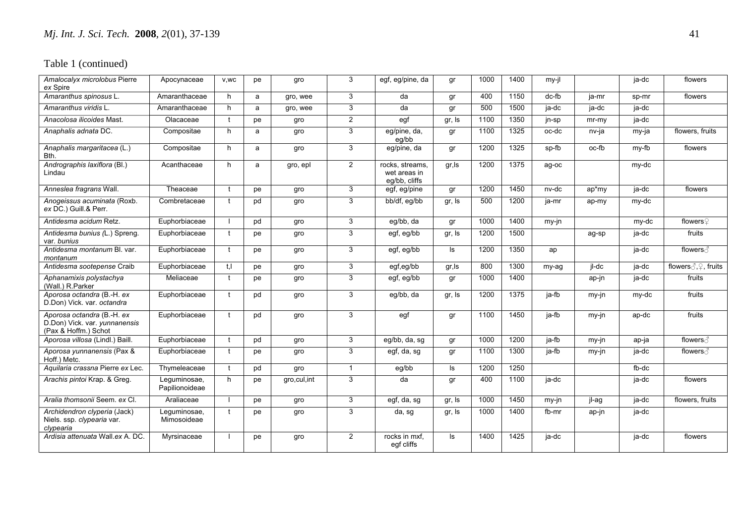| Amalocalyx microlobus Pierre<br>ex Spire                                            | Apocynaceae                    | V,WC         | pe | gro           | 3              | egf, eg/pine, da                                 | gr     | 1000 | 1400 | my-jl |         | ja-dc | flowers                               |
|-------------------------------------------------------------------------------------|--------------------------------|--------------|----|---------------|----------------|--------------------------------------------------|--------|------|------|-------|---------|-------|---------------------------------------|
| Amaranthus spinosus L.                                                              | Amaranthaceae                  | h            | a  | gro, wee      | 3              | da                                               | gr     | 400  | 1150 | dc-fb | ja-mr   | sp-mr | flowers                               |
| Amaranthus viridis L.                                                               | Amaranthaceae                  | h            | a  | gro, wee      | 3              | da                                               | gr     | 500  | 1500 | ja-dc | ja-dc   | ja-dc |                                       |
| Anacolosa ilicoides Mast.                                                           | Olacaceae                      | $\mathbf{f}$ | рe | gro           | $\overline{2}$ | egf                                              | gr, Is | 1100 | 1350 | jn-sp | $mr-mv$ | ja-dc |                                       |
| Anaphalis adnata DC.                                                                | Compositae                     | h            | a  | gro           | 3              | eq/pine, da,<br>eq/bb                            | qr     | 1100 | 1325 | oc-dc | nv-ja   | my-ja | flowers, fruits                       |
| Anaphalis margaritacea (L.)<br>Bth.                                                 | Compositae                     | h            | a  | gro           | 3              | eg/pine, da                                      | gr     | 1200 | 1325 | sp-fb | oc-fb   | my-fb | flowers                               |
| Andrographis laxiflora (Bl.)<br>Lindau                                              | Acanthaceae                    | h            | a  | gro, epl      | $\overline{2}$ | rocks, streams,<br>wet areas in<br>eq/bb, cliffs | gr,ls  | 1200 | 1375 | ag-oc |         | my-dc |                                       |
| Anneslea fragrans Wall.                                                             | Theaceae                       | t            | рe | gro           | 3              | egf, eg/pine                                     | gr     | 1200 | 1450 | nv-dc | ap*my   | ja-dc | flowers                               |
| Anogeissus acuminata (Roxb.<br>ex DC.) Guill & Perr.                                | Combretaceae                   | $\mathbf{f}$ | pd | gro           | 3              | bb/df, eg/bb                                     | gr, Is | 500  | 1200 | ja-mr | ap-my   | my-dc |                                       |
| Antidesma acidum Retz.                                                              | Euphorbiaceae                  |              | pd | gro           | 3              | eg/bb, da                                        | gr     | 1000 | 1400 | my-jn |         | my-dc | flowers♀                              |
| Antidesma bunius (L.) Spreng.<br>var. bunius                                        | Euphorbiaceae                  | t            | pe | gro           | 3              | egf, eg/bb                                       | gr, Is | 1200 | 1500 |       | ag-sp   | ja-dc | fruits                                |
| Antidesma montanum Bl. var.<br>montanum                                             | Euphorbiaceae                  | $\mathbf{f}$ | pe | gro           | 3              | egf, eg/bb                                       | ls     | 1200 | 1350 | ap    |         | ja-dc | flowers ∂                             |
| Antidesma sootepense Craib                                                          | Euphorbiaceae                  | t.l          | pe | gro           | 3              | egf,eg/bb                                        | gr, Is | 800  | 1300 | my-ag | jl-dc   | ja-dc | flowers $\text{C}, \text{C}$ , fruits |
| Aphanamixis polystachya<br>(Wall.) R.Parker                                         | Meliaceae                      | $\mathbf{f}$ | pe | gro           | 3              | egf, eg/bb                                       | gr     | 1000 | 1400 |       | ap-jn   | ja-dc | fruits                                |
| Aporosa octandra (B.-H. ex<br>D.Don) Vick. var. octandra                            | Euphorbiaceae                  |              | pd | gro           | $\overline{3}$ | eq/bb, da                                        | gr, Is | 1200 | 1375 | ja-fb | $my-in$ | my-dc | fruits                                |
| Aporosa octandra (B.-H. ex<br>D.Don) Vick. var. yunnanensis<br>(Pax & Hoffm.) Schot | Euphorbiaceae                  |              | pd | gro           | 3              | egf                                              | gr     | 1100 | 1450 | ja-fb | my-jn   | ap-dc | fruits                                |
| Aporosa villosa (Lindl.) Baill.                                                     | Euphorbiaceae                  | $\mathbf{f}$ | pd | gro           | 3              | eg/bb, da, sg                                    | gr     | 1000 | 1200 | ja-fb | $my-in$ | ap-ja | flowers ∂                             |
| Aporosa yunnanensis (Pax &<br>Hoff.) Metc.                                          | Euphorbiaceae                  | t            | pe | gro           | 3              | egf, da, sg                                      | gr     | 1100 | 1300 | ja-fb | my-jn   | ja-dc | flowers ∂                             |
| Aquilaria crassna Pierre ex Lec.                                                    | Thymeleaceae                   | $\mathbf{f}$ | pd | gro           | $\mathbf 1$    | eg/bb                                            | ls     | 1200 | 1250 |       |         | fb-dc |                                       |
| Arachis pintoi Krap. & Greg.                                                        | Leguminosae,<br>Papilionoideae | h            | рe | gro, cul, int | 3              | da                                               | gr     | 400  | 1100 | ja-dc |         | ja-dc | flowers                               |
| Aralia thomsonii Seem. ex Cl.                                                       | Araliaceae                     |              | pe | gro           | 3              | egf, da, sg                                      | gr, Is | 1000 | 1450 | my-jn | jl-ag   | ja-dc | flowers, fruits                       |
| Archidendron clyperia (Jack)<br>Niels. ssp. clypearia var.<br>clypearia             | Leguminosae,<br>Mimosoideae    | $\mathbf t$  | pe | gro           | 3              | da, sg                                           | gr, Is | 1000 | 1400 | fb-mr | ap-jn   | ja-dc |                                       |
| Ardisia attenuata Wall ex A. DC.                                                    | Myrsinaceae                    |              | pe | gro           | $\overline{2}$ | rocks in mxf.<br>egf cliffs                      | ls     | 1400 | 1425 | ja-dc |         | ja-dc | flowers                               |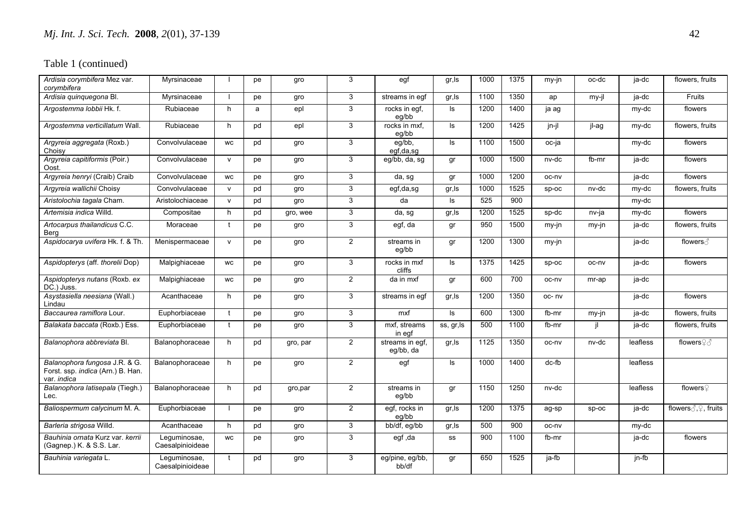| Ardisia corymbifera Mez var.<br>corymbifera                                       | Myrsinaceae                      |              | pe | gro      | 3              | egf                          | gr, Is     | 1000 | 1375 | my-jn    | oc-dc | ja-dc    | flowers, fruits                       |
|-----------------------------------------------------------------------------------|----------------------------------|--------------|----|----------|----------------|------------------------------|------------|------|------|----------|-------|----------|---------------------------------------|
| Ardisia quinquegona Bl.                                                           | Myrsinaceae                      |              | pe | gro      | 3              | streams in eqf               | gr, Is     | 1100 | 1350 | ap       | my-jl | ja-dc    | Fruits                                |
| Argostemma lobbii Hk. f.                                                          | Rubiaceae                        | h            | a  | epl      | 3              | rocks in egf.<br>eg/bb       | ls.        | 1200 | 1400 | ja ag    |       | my-dc    | flowers                               |
| Argostemma verticillatum Wall.                                                    | Rubiaceae                        | h            | pd | epl      | 3              | rocks in mxf.<br>eg/bb       | ls         | 1200 | 1425 | jn-jl    | jl-ag | my-dc    | flowers, fruits                       |
| Argyreia aggregata (Roxb.)<br>Choisy                                              | Convolvulaceae                   | WC           | pd | gro      | 3              | $eg/bb$ ,<br>egf,da,sg       | ls         | 1100 | 1500 | oc-ja    |       | my-dc    | flowers                               |
| Argyreia capitiformis (Poir.)<br>Oost.                                            | Convolvulaceae                   | $\mathsf{v}$ | pe | gro      | $\mathbf{3}$   | eg/bb, da, sg                | gr         | 1000 | 1500 | nv-dc    | fb-mr | ja-dc    | flowers                               |
| Argyreia henryi (Craib) Craib                                                     | Convolvulaceae                   | WC           | рe | gro      | 3              | da, sg                       | gr         | 1000 | 1200 | oc-nv    |       | ja-dc    | flowers                               |
| Argyreia wallichii Choisy                                                         | Convolvulaceae                   | $\mathsf{v}$ | pd | gro      | $\overline{3}$ | egf,da,sg                    | gr, Is     | 1000 | 1525 | sp-oc    | nv-dc | my-dc    | flowers, fruits                       |
| Aristolochia tagala Cham.                                                         | Aristolochiaceae                 | $\mathsf{v}$ | pd | gro      | 3              | da                           | ls         | 525  | 900  |          |       | my-dc    |                                       |
| Artemisia indica Willd.                                                           | Compositae                       | h            | pd | gro, wee | 3              | da, sg                       | gr, Is     | 1200 | 1525 | sp-dc    | nv-ja | my-dc    | flowers                               |
| Artocarpus thailandicus C.C.<br>Berg                                              | Moraceae                         | t            | pe | gro      | $\mathbf{3}$   | egf, da                      | gr         | 950  | 1500 | my-jn    | my-jn | ja-dc    | flowers, fruits                       |
| Aspidocarya uvifera Hk. f. & Th.                                                  | Menispermaceae                   | $\mathsf{v}$ | pe | gro      | $\overline{2}$ | streams in<br>eg/bb          | gr         | 1200 | 1300 | my-jn    |       | ja-dc    | flowers ∂                             |
| Aspidopterys (aff. thorelii Dop)                                                  | Malpighiaceae                    | WC           | pe | gro      | 3              | rocks in mxf<br>cliffs       | ls         | 1375 | 1425 | sp-oc    | oc-nv | ja-dc    | flowers                               |
| Aspidopterys nutans (Roxb. ex<br>DC.) Juss.                                       | Malpighiaceae                    | WC           | pe | gro      | $\overline{2}$ | da in mxf                    | gr         | 600  | 700  | oc-nv    | mr-ap | ja-dc    |                                       |
| Asystasiella neesiana (Wall.)<br>Lindau                                           | Acanthaceae                      | h            | pe | gro      | 3              | streams in eqf               | gr, Is     | 1200 | 1350 | oc-nv    |       | ja-dc    | flowers                               |
| Baccaurea ramiflora Lour.                                                         | Euphorbiaceae                    | $\mathbf{t}$ | pe | gro      | 3              | mxf                          | ls.        | 600  | 1300 | fb-mr    | my-jn | ja-dc    | flowers, fruits                       |
| Balakata baccata (Roxb.) Ess.                                                     | Euphorbiaceae                    | $\mathbf{f}$ | pe | gro      | 3              | mxf, streams<br>in egf       | ss, gr, ls | 500  | 1100 | fb-mr    | il    | ja-dc    | flowers, fruits                       |
| Balanophora abbreviata Bl.                                                        | Balanophoraceae                  | h            | pd | gro, par | $\overline{a}$ | streams in egf,<br>eg/bb, da | gr, Is     | 1125 | 1350 | oc-nv    | nv-dc | leafless | flowers♀                              |
| Balanophora fungosa J.R. & G.<br>Forst. ssp. indica (Arn.) B. Han.<br>var. indica | Balanophoraceae                  | h            | pe | gro      | $\overline{2}$ | egf                          | ls         | 1000 | 1400 | $dc$ -fb |       | leafless |                                       |
| Balanophora latisepala (Tiegh.)<br>Lec.                                           | Balanophoraceae                  | h            | pd | gro, par | $\overline{2}$ | streams in<br>eg/bb          | gr         | 1150 | 1250 | nv-dc    |       | leafless | flowers $\sqrt{ }$                    |
| Baliospermum calycinum M. A.                                                      | Euphorbiaceae                    |              | pe | gro      | $\overline{2}$ | eqf, rocks in<br>eg/bb       | gr, Is     | 1200 | 1375 | ag-sp    | Sp-oc | ja-dc    | flowers $\text{C}, \text{C}$ , fruits |
| Barleria strigosa Willd.                                                          | Acanthaceae                      | h            | pd | gro      | $\overline{3}$ | bb/df, eg/bb                 | gr, Is     | 500  | 900  | oc-nv    |       | my-dc    |                                       |
| Bauhinia ornata Kurz var. kerrii<br>(Gagnep.) K. & S.S. Lar.                      | Lequminosae,<br>Caesalpinioideae | <b>WC</b>    | pe | gro      | $\mathbf{3}$   | egf, da                      | SS         | 900  | 1100 | fb-mr    |       | ja-dc    | flowers                               |
| Bauhinia variegata L.                                                             | Lequminosae,<br>Caesalpinioideae | $\mathbf{f}$ | pd | gro      | 3              | eg/pine, eg/bb,<br>bb/df     | gr         | 650  | 1525 | ja-fb    |       | jn-fb    |                                       |
|                                                                                   |                                  |              |    |          |                |                              |            |      |      |          |       |          |                                       |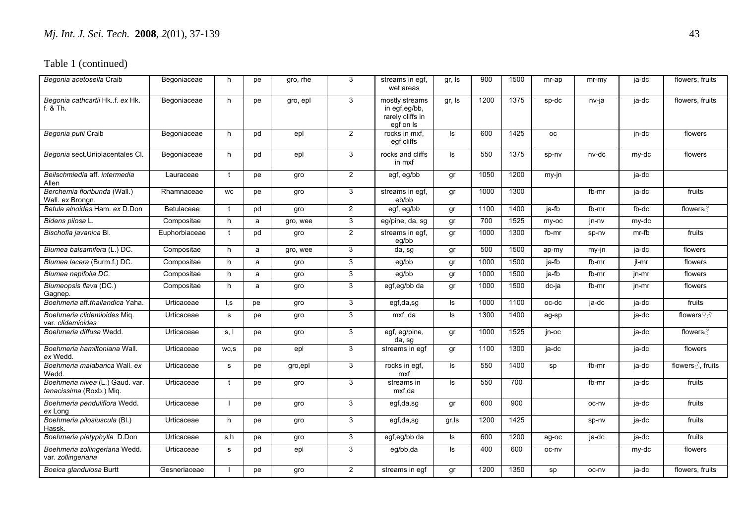| Begonia acetosella Craib                                    | Begoniaceae   | h            | pe | gro, rhe | 3              | streams in egf,<br>wet areas                                     | gr, Is   | 900  | 1500 | mr-ap     | $mr-my$ | ja-dc | flowers, fruits   |
|-------------------------------------------------------------|---------------|--------------|----|----------|----------------|------------------------------------------------------------------|----------|------|------|-----------|---------|-------|-------------------|
| Begonia cathcartii Hk. f. ex Hk.<br>f. & Th.                | Begoniaceae   | h            | pe | gro, epl | 3              | mostly streams<br>in egf,eg/bb,<br>rarely cliffs in<br>egf on Is | gr, Is   | 1200 | 1375 | sp-dc     | nv-ja   | ja-dc | flowers, fruits   |
| Begonia putii Craib                                         | Begoniaceae   | h            | pd | epl      | $\overline{2}$ | rocks in mxf,<br>eqf cliffs                                      | ls       | 600  | 1425 | <b>OC</b> |         | jn-dc | flowers           |
| Begonia sect. Uniplacentales Cl.                            | Begoniaceae   | h            | pd | epl      | 3              | rocks and cliffs<br>in mxf                                       | ls       | 550  | 1375 | sp-nv     | nv-dc   | my-dc | flowers           |
| Beilschmiedia aff. intermedia<br>Allen                      | Lauraceae     | $\mathbf{f}$ | pe | gro      | $\overline{2}$ | egf, eg/bb                                                       | gr       | 1050 | 1200 | my-jn     |         | ja-dc |                   |
| Berchemia floribunda (Wall.)<br>Wall. ex Brongn.            | Rhamnaceae    | <b>WC</b>    | pe | gro      | 3              | streams in eqf.<br>eb/bb                                         | gr       | 1000 | 1300 |           | fb-mr   | ja-dc | fruits            |
| Betula alnoides Ham. ex D.Don                               | Betulaceae    | $\mathbf{t}$ | pd | gro      | $\overline{2}$ | egf, eg/bb                                                       | gr       | 1100 | 1400 | ja-fb     | fb-mr   | fb-dc | flowers ∂         |
| Bidens pilosa L.                                            | Compositae    | h            | a  | gro, wee | 3              | eg/pine, da, sg                                                  | gr       | 700  | 1525 | my-oc     | jn-nv   | my-dc |                   |
| Bischofia javanica Bl.                                      | Euphorbiaceae | $\mathbf{f}$ | pd | gro      | 2              | streams in egf,<br>eg/bb                                         | gr       | 1000 | 1300 | fb-mr     | sp-nv   | mr-fb | fruits            |
| Blumea balsamifera (L.) DC.                                 | Compositae    | h            | a  | gro, wee | $\mathbf{3}$   | da, sg                                                           | gr       | 500  | 1500 | ap-my     | my-jn   | ja-dc | flowers           |
| Blumea lacera (Burm.f.) DC.                                 | Compositae    | h            | a  | gro      | 3              | eg/bb                                                            | gr       | 1000 | 1500 | ja-fb     | fb-mr   | jl-mr | flowers           |
| Blumea napifolia DC.                                        | Compositae    | h            | a  | gro      | 3              | eg/bb                                                            | gr       | 1000 | 1500 | ja-fb     | fb-mr   | jn-mr | flowers           |
| Blumeopsis flava (DC.)<br>Gagnep.                           | Compositae    | h            | a  | gro      | 3              | egf,eg/bb da                                                     | gr       | 1000 | 1500 | dc-ja     | fb-mr   | jn-mr | flowers           |
| Boehmeria aff.thailandica Yaha.                             | Urticaceae    | I, S         | pe | gro      | 3              | egf,da,sg                                                        | Is       | 1000 | 1100 | oc-dc     | ja-dc   | ja-dc | fruits            |
| Boehmeria clidemioides Miq.<br>var. clidemioides            | Urticaceae    | $\mathbf s$  | pe | gro      | $\overline{3}$ | mxf, da                                                          | $\sf ls$ | 1300 | 1400 | ag-sp     |         | ja-dc | flowers♀ 3        |
| Boehmeria diffusa Wedd.                                     | Urticaceae    | s, I         | pe | gro      | $\mathbf{3}$   | egf, eg/pine,<br>da, sg                                          | gr       | 1000 | 1525 | jn-oc     |         | ja-dc | flowers ∂         |
| Boehmeria hamiltoniana Wall.<br>ex Wedd.                    | Urticaceae    | WC,S         | pe | epl      | 3              | streams in eqf                                                   | gr       | 1100 | 1300 | ja-dc     |         | ja-dc | flowers           |
| Boehmeria malabarica Wall. ex<br>Wedd.                      | Urticaceae    | $\mathbf s$  | pe | gro,epl  | 3              | rocks in egf,<br>mxf                                             | ls       | 550  | 1400 | sp        | fb-mr   | ja-dc | flowers ∂, fruits |
| Boehmeria nivea (L.) Gaud. var.<br>tenacissima (Roxb.) Miq. | Urticaceae    | t            | pe | gro      | 3              | streams in<br>mxf.da                                             | ls       | 550  | 700  |           | fb-mr   | ja-dc | fruits            |
| Boehmeria penduliflora Wedd.<br>ex Long                     | Urticaceae    |              | pe | gro      | 3              | egf,da,sg                                                        | gr       | 600  | 900  |           | oc-nv   | ja-dc | fruits            |
| Boehmeria pilosiuscula (Bl.)<br>Hassk.                      | Urticaceae    | h            | pe | gro      | 3              | egf,da,sg                                                        | gr, Is   | 1200 | 1425 |           | sp-nv   | ja-dc | fruits            |
| Boehmeria platyphylla D.Don                                 | Urticaceae    | s,h          | pe | gro      | 3              | egf,eg/bb da                                                     | ls.      | 600  | 1200 | ag-oc     | ja-dc   | ja-dc | fruits            |
| Boehmeria zollingeriana Wedd.<br>var. zollingeriana         | Urticaceae    | s            | pd | epl      | 3              | eg/bb,da                                                         | ls.      | 400  | 600  | oc-nv     |         | my-dc | flowers           |
| Boeica glandulosa Burtt                                     | Gesneriaceae  |              | pe | gro      | $\overline{2}$ | streams in eqf                                                   | gr       | 1200 | 1350 | sp        | oc-nv   | ja-dc | flowers, fruits   |
|                                                             |               |              |    |          |                |                                                                  |          |      |      |           |         |       |                   |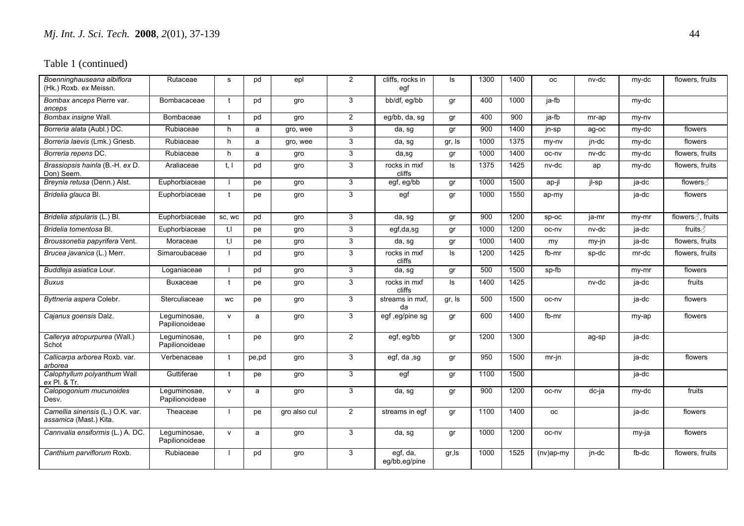| Boenninghauseana albiflora<br>(Hk.) Roxb. ex Meissn.       | Rutaceae                       | s            | pd    | epl          | 2              | cliffs, rocks in<br>egf   | ls     | 1300 | 1400 | <b>OC</b>    | nv-dc | my-dc   | flowers, fruits   |
|------------------------------------------------------------|--------------------------------|--------------|-------|--------------|----------------|---------------------------|--------|------|------|--------------|-------|---------|-------------------|
| Bombax anceps Pierre var.<br>anceps                        | Bombacaceae                    | $\mathbf{f}$ | pd    | gro          | 3              | bb/df, eg/bb              | gr     | 400  | 1000 | ja-fb        |       | my-dc   |                   |
| Bombax insigne Wall.                                       | Bombaceae                      |              | pd    | gro          | $\overline{2}$ | eq/bb, da, sq             | gr     | 400  | 900  | ja-fb        | mr-ap | my-ny   |                   |
| Borreria alata (Aubl.) DC.                                 | Rubiaceae                      | h            | a     | gro, wee     | 3              | da, sg                    | gr     | 900  | 1400 | jn-sp        | ag-oc | my-dc   | flowers           |
| Borreria laevis (Lmk.) Griesb.                             | Rubiaceae                      | h            | a     | gro, wee     | 3              | da, sg                    | gr, Is | 1000 | 1375 | my-ny        | jn-dc | my-dc   | flowers           |
| Borreria repens DC.                                        | Rubiaceae                      | h            | a     | gro          | $\mathbf{3}$   | da,sg                     | gr     | 1000 | 1400 | oc-nv        | nv-dc | my-dc   | flowers, fruits   |
| Brassiopsis hainla (B.-H. ex D.<br>Don) Seem.              | Araliaceae                     | t, l         | pd    | gro          | 3              | rocks in mxf<br>cliffs    | ls.    | 1375 | 1425 | nv-dc        | ap    | my-dc   | flowers, fruits   |
| Breynia retusa (Denn.) Alst.                               | Euphorbiaceae                  |              | pe    | gro          | 3              | egf, eg/bb                | gr     | 1000 | 1500 | ap-jl        | jl-sp | ja-dc   | flowers ∂         |
| Bridelia glauca Bl.                                        | Euphorbiaceae                  | $\mathbf{f}$ | pe    | gro          | 3              | egf                       | gr     | 1000 | 1550 | ap-my        |       | ja-dc   | flowers           |
| Bridelia stipularis (L.) Bl.                               | Euphorbiaceae                  | SC, WC       | pd    | gro          | 3              | da, sg                    | gr     | 900  | 1200 | Sp-oc        | ja-mr | my-mr   | flowers ∂, fruits |
| Bridelia tomentosa Bl.                                     | Euphorbiaceae                  | t.I          | pe    | gro          | 3              | $\overline{egf}, da, sg$  | gr     | 1000 | 1200 | oc-nv        | nv-dc | ja-dc   | fruits ∂          |
| Broussonetia papyrifera Vent.                              | Moraceae                       | t, l         | pe    | gro          | 3              | da, sg                    | gr     | 1000 | 1400 | my           | my-jn | ja-dc   | flowers, fruits   |
| Brucea javanica (L.) Merr.                                 | Simaroubaceae                  |              | pd    | gro          | 3              | rocks in mxf<br>cliffs    | ls.    | 1200 | 1425 | fb-mr        | sp-dc | mr-dc   | flowers, fruits   |
| Buddleja asiatica Lour.                                    | Loganiaceae                    |              | pd    | gro          | 3              | da, sg                    | gr     | 500  | 1500 | sp-fb        |       | my-mr   | flowers           |
| <b>Buxus</b>                                               | Buxaceae                       | $\mathbf{t}$ | pe    | gro          | 3              | rocks in mxf<br>cliffs    | ls.    | 1400 | 1425 |              | nv-dc | ja-dc   | fruits            |
| Byttneria aspera Colebr.                                   | Sterculiaceae                  | <b>WC</b>    | pe    | gro          | 3              | streams in mxf,<br>da     | gr, Is | 500  | 1500 | oc-nv        |       | ja-dc   | flowers           |
| Cajanus goensis Dalz.                                      | Leguminosae,<br>Papilionoideae | $\mathsf{v}$ | a     | gro          | 3              | egf, eg/pine sg           | gr     | 600  | 1400 | fb-mr        |       | my-ap   | flowers           |
| Callerya atropurpurea (Wall.)<br>Schot                     | Leguminosae,<br>Papilionoideae | $^{\dagger}$ | pe    | gro          | $\overline{2}$ | egf, eg/bb                | gr     | 1200 | 1300 |              | ag-sp | $ja-dc$ |                   |
| Callicarpa arborea Roxb. var.<br>arborea                   | Verbenaceae                    | - †          | pe,pd | gro          | 3              | egf, da ,sg               | gr     | 950  | 1500 | $mr-in$      |       | ja-dc   | flowers           |
| Calophyllum polyanthum Wall<br>ex Pl. & Tr.                | Guttiferae                     | $^{\rm t}$   | pe    | gro          | 3              | egf                       | gr     | 1100 | 1500 |              |       | ja-dc   |                   |
| Calopogonium mucunoides<br>Desv.                           | Leguminosae,<br>Papilionoideae | $\mathsf{v}$ | a     | gro          | 3              | da, sg                    | gr     | 900  | 1200 | oc-nv        | dc-ja | my-dc   | fruits            |
| Camellia sinensis (L.) O.K. var.<br>assamica (Mast.) Kita. | Theaceae                       |              | pe    | gro also cul | $\overline{2}$ | streams in egf            | gr     | 1100 | 1400 | оc           |       | ja-dc   | flowers           |
| Cannvalia ensiformis (L.) A. DC.                           | Leguminosae,<br>Papilionoideae | $\mathsf{v}$ | a     | gro          | 3              | da, sg                    | gr     | 1000 | 1200 | oc-nv        |       | my-ja   | flowers           |
| Canthium parviflorum Roxb.                                 | Rubiaceae                      |              | pd    | gro          | 3              | egf, da,<br>eg/bb,eg/pine | gr, Is | 1000 | 1525 | $(nv)$ ap-my | jn-dc | fb-dc   | flowers, fruits   |
|                                                            |                                |              |       |              |                |                           |        |      |      |              |       |         |                   |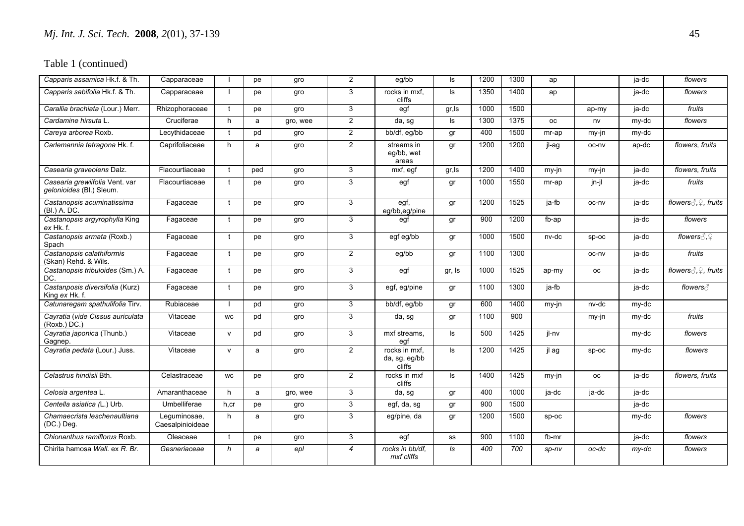| Capparis assamica Hk.f. & Th.                              | Capparaceae                      |              | pe             | gro      | $\overline{2}$ | eg/bb                                    | ls.    | 1200 | 1300 | ap                  |           | ja-dc   | flowers                                  |
|------------------------------------------------------------|----------------------------------|--------------|----------------|----------|----------------|------------------------------------------|--------|------|------|---------------------|-----------|---------|------------------------------------------|
| Capparis sabifolia Hk.f. & Th.                             | Capparaceae                      |              | pe             | gro      | 3              | rocks in mxf,<br>cliffs                  | ls.    | 1350 | 1400 | ap                  |           | ja-dc   | flowers                                  |
| Carallia brachiata (Lour.) Merr.                           | Rhizophoraceae                   |              | pe             | gro      | 3              | egf                                      | gr, Is | 1000 | 1500 |                     | ap-my     | ja-dc   | fruits                                   |
| Cardamine hirsuta L.                                       | Cruciferae                       | h            | a              | gro, wee | $\overline{2}$ | da, sg                                   | ls     | 1300 | 1375 | оc                  | nv        | my-dc   | flowers                                  |
| Careya arborea Roxb.                                       | Lecythidaceae                    | +            | pd             | gro      | $\overline{2}$ | bb/df, eg/bb                             | gr     | 400  | 1500 | mr-ap               | my-jn     | my-dc   |                                          |
| Carlemannia tetragona Hk. f.                               | Caprifoliaceae                   | h            | a              | gro      | $\overline{2}$ | streams in<br>eg/bb, wet<br>areas        | qr     | 1200 | 1200 | il-ag               | oc-nv     | ap-dc   | flowers, fruits                          |
| Casearia graveolens Dalz.                                  | Flacourtiaceae                   | $\mathbf{f}$ | ped            | gro      | 3              | mxf, egf                                 | gr, Is | 1200 | 1400 | $my-in$             | $my-in$   | ja-dc   | flowers, fruits                          |
| Casearia grewiifolia Vent. var<br>gelonioides (Bl.) Sleum. | Flacourtiaceae                   |              | pe             | gro      | 3              | egf                                      | gr     | 1000 | 1550 | mr-ap               | jn-jl     | ja-dc   | fruits                                   |
| Castanopsis acuminatissima<br>(Bl.) A. DC.                 | Fagaceae                         |              | pe             | gro      | 3              | egf,<br>eg/bb,eg/pine                    | gr     | 1200 | 1525 | ja-fb               | oc-nv     | $ja-dc$ |                                          |
| Castanopsis argyrophylla King<br>ex Hk. f.                 | Fagaceae                         |              | pe             | gro      | 3              | egf                                      | gr     | 900  | 1200 | $\overline{f}$ b-ap |           | ja-dc   | flowers                                  |
| Castanopsis armata (Roxb.)<br>Spach                        | Fagaceae                         |              | рe             | gro      | 3              | egf eg/bb                                | gr     | 1000 | 1500 | nv-dc               | $SD-OC$   | ja-dc   | flowers $\beta$ , $\mathcal{Q}$          |
| Castanopsis calathiformis<br>(Skan) Rehd. & Wils.          | Fagaceae                         |              | pe             | gro      | $\overline{2}$ | eg/bb                                    | gr     | 1100 | 1300 |                     | oc-nv     | ja-dc   | fruits                                   |
| Castanopsis tribuloides (Sm.) A.<br>DC.                    | Fagaceae                         |              | рe             | gro      | 3              | egf                                      | gr, Is | 1000 | 1525 | ap-my               | <b>OC</b> | ja-dc   | flowers $\Diamond$ , $\Diamond$ , fruits |
| Castanposis diversifolia (Kurz)<br>King ex Hk. f.          | Fagaceae                         | $\mathbf{f}$ | pe             | gro      | 3              | egf, eg/pine                             | gr     | 1100 | 1300 | ja-fb               |           | ja-dc   | flowers ∂                                |
| Catunaregam spathulifolia Tirv.                            | Rubiaceae                        |              | pd             | gro      | 3              | bb/df, eg/bb                             | gr     | 600  | 1400 | my-jn               | nv-dc     | my-dc   |                                          |
| Cayratia (vide Cissus auriculata<br>(Roxb.)DC.)            | Vitaceae                         | <b>WC</b>    | pd             | gro      | 3              | da, sg                                   | gr     | 1100 | 900  |                     | my-jn     | my-dc   | fruits                                   |
| Cayratia japonica (Thunb.)<br>Gagnep.                      | Vitaceae                         | $\mathsf{v}$ | pd             | gro      | 3              | mxf streams.<br>egf                      | ls.    | 500  | 1425 | jl-nv               |           | my-dc   | flowers                                  |
| Cayratia pedata (Lour.) Juss.                              | Vitaceae                         | $\mathsf{v}$ | a              | gro      | $\overline{2}$ | rocks in mxf,<br>da, sg, eg/bb<br>cliffs | ls.    | 1200 | 1425 | jl ag               | sp-oc     | my-dc   | flowers                                  |
| Celastrus hindisii Bth.                                    | Celastraceae                     | <b>WC</b>    | pe             | gro      | $\overline{2}$ | rocks in mxf<br>cliffs                   | ls.    | 1400 | 1425 | my-jn               | <b>OC</b> | ja-dc   | flowers, fruits                          |
| Celosia argentea L.                                        | Amaranthaceae                    | h            | a              | gro, wee | 3              | da, sg                                   | gr     | 400  | 1000 | ja-dc               | ja-dc     | ja-dc   |                                          |
| Centella asiatica (L.) Urb.                                | Umbelliferae                     | h.cr         | pe             | gro      | 3              | egf, da, sg                              | gr     | 900  | 1500 |                     |           | ja-dc   |                                          |
| Chamaecrista leschenaultiana<br>(DC.) Deg.                 | Leguminosae,<br>Caesalpinioideae | h            | a              | gro      | 3              | eg/pine, da                              | gr     | 1200 | 1500 | sp-oc               |           | my-dc   | flowers                                  |
| Chionanthus ramiflorus Roxb.                               | Oleaceae                         |              | pe             | gro      | 3              | egf                                      | SS     | 900  | 1100 | fb-mr               |           | ja-dc   | flowers                                  |
| Chirita hamosa Wall, ex R. Br.                             | Gesneriaceae                     | $\mathsf{h}$ | $\overline{a}$ | epl      | $\overline{4}$ | rocks in bb/df.<br>mxf cliffs            | Is     | 400  | 700  | $sp-nv$             | oc-dc     | $my-dc$ | flowers                                  |
|                                                            |                                  |              |                |          |                |                                          |        |      |      |                     |           |         |                                          |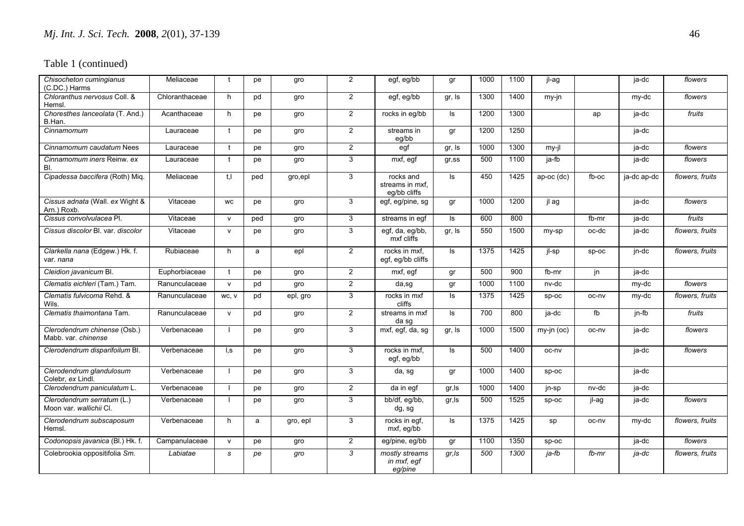| Chisocheton cumingianus<br>(C.DC.) Harms              | Meliaceae      | t                       | pe  | gro      | $\overline{2}$ | egf, eg/bb                                   | gr        | 1000 | 1100 | jl-ag      |         | ja-dc              | flowers         |
|-------------------------------------------------------|----------------|-------------------------|-----|----------|----------------|----------------------------------------------|-----------|------|------|------------|---------|--------------------|-----------------|
| Chloranthus nervosus Coll. &<br>Hemsl.                | Chloranthaceae | h                       | pd  | gro      | $\overline{2}$ | egf, eg/bb                                   | gr, Is    | 1300 | 1400 | my-jn      |         | my-dc              | flowers         |
| Choresthes lanceolata (T. And.)<br>B.Han.             | Acanthaceae    | h                       | pe  | gro      | $\overline{2}$ | rocks in eg/bb                               | ls.       | 1200 | 1300 |            | ap      | ja-dc              | fruits          |
| Cinnamomum                                            | Lauraceae      | $\mathbf{f}$            | pe  | gro      | $\overline{2}$ | streams in<br>eg/bb                          | gr        | 1200 | 1250 |            |         | ja-dc              |                 |
| Cinnamomum caudatum Nees                              | Lauraceae      | t                       | pe  | gro      | $\overline{2}$ | egf                                          | gr, Is    | 1000 | 1300 | my-jl      |         | ja-dc              | flowers         |
| Cinnamomum iners Reinw. ex<br>BI.                     | Lauraceae      | $\mathbf{f}$            | рe  | gro      | 3              | mxf, egf                                     | $gr$ , ss | 500  | 1100 | ja-fb      |         | ja-dc              | flowers         |
| Cipadessa baccifera (Roth) Miq.                       | Meliaceae      | t.I                     | ped | gro,epl  | 3              | rocks and<br>streams in mxf.<br>eq/bb cliffs | ls.       | 450  | 1425 | ap-oc (dc) | fb-oc   | ja-dc ap-dc        | flowers, fruits |
| Cissus adnata (Wall. ex Wight &<br>Arn.) Roxb.        | Vitaceae       | <b>WC</b>               | pe  | gro      | 3              | egf, eg/pine, sg                             | gr        | 1000 | 1200 | jl ag      |         | ja-dc              | flowers         |
| Cissus convolvulacea Pl.                              | Vitaceae       | $\mathsf{v}$            | ped | gro      | 3              | streams in egf                               | ls.       | 600  | 800  |            | fb-mr   | ja-dc              | fruits          |
| Cissus discolor BI, var. discolor                     | Vitaceae       | $\mathsf{V}$            | pe  | gro      | 3              | egf, da, eg/bb,<br>mxf cliffs                | gr, Is    | 550  | 1500 | my-sp      | oc-dc   | ja-dc              | flowers, fruits |
| Clarkella nana (Edgew.) Hk. f.<br>var. nana           | Rubiaceae      | h                       | a   | epl      | $\overline{2}$ | rocks in mxf.<br>eqf, eq/bb cliffs           | ls.       | 1375 | 1425 | jl-sp      | $sp-oc$ | jn-dc              | flowers, fruits |
| Cleidion javanicum Bl.                                | Euphorbiaceae  | t                       | pe  | gro      | $\overline{2}$ | mxf, eqf                                     | gr        | 500  | 900  | fb-mr      | jn      | $\overline{a}$ -dc |                 |
| Clematis eichleri (Tam.) Tam.                         | Ranunculaceae  | $\mathsf{v}$            | pd  | gro      | $\overline{2}$ | da,sg                                        | gr        | 1000 | 1100 | nv-dc      |         | my-dc              | flowers         |
| Clematis fulvicoma Rehd. &<br>Wils.                   | Ranunculaceae  | WC, V                   | pd  | epl, gro | 3              | rocks in mxf<br>cliffs                       | ls        | 1375 | 1425 | $sp-oc$    | oc-nv   | my-dc              | flowers, fruits |
| Clematis thaimontana Tam.                             | Ranunculaceae  | $\mathsf{V}$            | pd  | gro      | $\overline{2}$ | streams in mxf<br>da sg                      | ls.       | 700  | 800  | ja-dc      | fb      | jn-fb              | fruits          |
| Clerodendrum chinense (Osb.)<br>Mabb. var. chinense   | Verbenaceae    |                         | pe  | gro      | 3              | mxf, egf, da, sg                             | gr, Is    | 1000 | 1500 | my-jn (oc) | oc-nv   | ja-dc              | flowers         |
| Clerodendrum disparifoilum Bl.                        | Verbenaceae    | $\mathsf{I}.\mathsf{s}$ | pe  | gro      | 3              | rocks in mxf.<br>egf, eg/bb                  | ls.       | 500  | 1400 | oc-nv      |         | ja-dc              | flowers         |
| Clerodendrum glandulosum<br>Colebr, ex Lindl.         | Verbenaceae    |                         | pe  | gro      | 3              | da, sg                                       | gr        | 1000 | 1400 | $sp-oc$    |         | ja-dc              |                 |
| Clerodendrum paniculatum L.                           | Verbenaceae    | - I                     | pe  | gro      | $\overline{2}$ | da in eqf                                    | gr, Is    | 1000 | 1400 | jn-sp      | nv-dc   | ja-dc              |                 |
| Clerodendrum serratum (L.)<br>Moon var. wallichii Cl. | Verbenaceae    |                         | pe  | gro      | 3              | bb/df, eg/bb,<br>dg, sg                      | gr, Is    | 500  | 1525 | sp-oc      | jl-ag   | ja-dc              | flowers         |
| Clerodendrum subscaposum<br>Hemsl.                    | Verbenaceae    | h                       | a   | gro, epl | 3              | rocks in eqf.<br>mxf, eg/bb                  | ls.       | 1375 | 1425 | sp         | oc-nv   | my-dc              | flowers, fruits |
| Codonopsis javanica (Bl.) Hk. f.                      | Campanulaceae  | $\mathsf{V}$            | pe  | gro      | $\overline{2}$ | eg/pine, eg/bb                               | gr        | 1100 | 1350 | $sp-oc$    |         | ja-dc              | flowers         |
| Colebrookia oppositifolia Sm.                         | Labiatae       | s                       | рe  | gro      | 3              | mostly streams<br>in mxf, egf<br>eg/pine     | gr,Is     | 500  | 1300 | ja-fb      | fb-mr   | ja-dc              | flowers, fruits |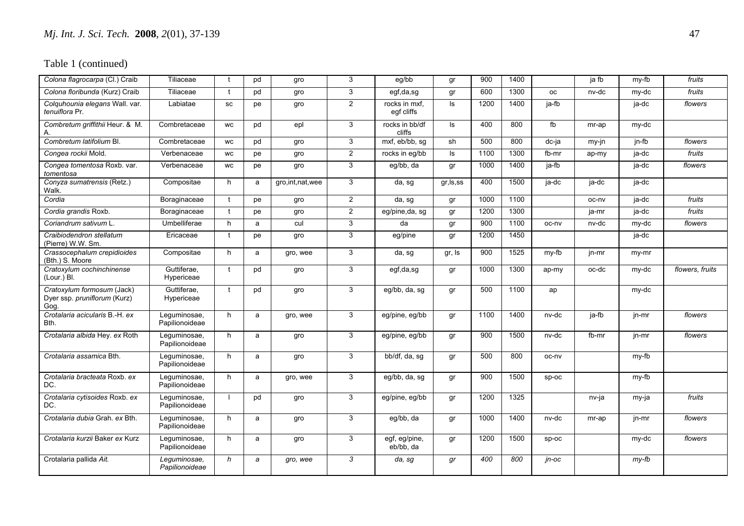| Colona flagrocarpa (Cl.) Craib                                     | Tiliaceae                      | $\mathbf{f}$ | pd | gro                | 3              | eg/bb                       | gr         | 900  | 1400 |           | ja fb | my-fb       | fruits          |
|--------------------------------------------------------------------|--------------------------------|--------------|----|--------------------|----------------|-----------------------------|------------|------|------|-----------|-------|-------------|-----------------|
| Colona floribunda (Kurz) Craib                                     | Tiliaceae                      | $\mathbf{f}$ | pd | gro                | 3              | egf,da,sg                   | gr         | 600  | 1300 | <b>OC</b> | nv-dc | my-dc       | fruits          |
| Colquhounia elegans Wall. var.<br>tenuiflora Pr.                   | Labiatae                       | <b>SC</b>    | pe | gro                | $\overline{2}$ | rocks in mxf.<br>egf cliffs | ls.        | 1200 | 1400 | ja-fb     |       | ja-dc       | flowers         |
| Combretum griffithii Heur. & M.                                    | Combretaceae                   | WC           | pd | epl                | 3              | rocks in bb/df<br>cliffs    | ls.        | 400  | 800  | fb        | mr-ap | my-dc       |                 |
| Combretum latifolium Bl.                                           | Combretaceae                   | WC           | pd | gro                | 3              | mxf, eb/bb, sg              | sh         | 500  | 800  | $dc-ja$   | my-jn | $jn-fb$     | flowers         |
| Congea rockii Mold.                                                | Verbenaceae                    | <b>WC</b>    | pe | gro                | $\overline{2}$ | rocks in eq/bb              | ls.        | 1100 | 1300 | fb-mr     | ap-my | ja-dc       | fruits          |
| Congea tomentosa Roxb. var.<br>tomentosa                           | Verbenaceae                    | WC           | рe | gro                | 3              | eg/bb, da                   | gr         | 1000 | 1400 | ja-fb     |       | ja-dc       | flowers         |
| Conyza sumatrensis (Retz.)<br>Walk.                                | Compositae                     | h            | a  | gro, int, nat, wee | 3              | da, sg                      | gr, ls, ss | 400  | 1500 | ja-dc     | ja-dc | ja-dc       |                 |
| Cordia                                                             | Boraginaceae                   |              | pe | gro                | $\overline{2}$ | da, sg                      | gr         | 1000 | 1100 |           | oc-nv | $ja$ -d $c$ | fruits          |
| Cordia grandis Roxb.                                               | Boraginaceae                   | $\mathbf{f}$ | pe | gro                | $\overline{2}$ | eg/pine,da, sg              | gr         | 1200 | 1300 |           | ja-mr | ja-dc       | fruits          |
| Coriandrum sativum L.                                              | Umbelliferae                   | h            | a  | cul                | 3              | da                          | gr         | 900  | 1100 | oc-nv     | nv-dc | my-dc       | flowers         |
| Craibiodendron stellatum<br>(Pierre) W.W. Sm.                      | Ericaceae                      | $\mathbf{f}$ | рe | gro                | 3              | eg/pine                     | gr         | 1200 | 1450 |           |       | ja-dc       |                 |
| Crassocephalum crepidioides<br>(Bth.) S. Moore                     | Compositae                     | h            | a  | gro, wee           | 3              | da, sg                      | gr, Is     | 900  | 1525 | my-fb     | jn-mr | my-mr       |                 |
| Cratoxylum cochinchinense<br>(Lour.) Bl.                           | Guttiferae.<br>Hypericeae      |              | pd | gro                | 3              | egf,da,sg                   | gr         | 1000 | 1300 | ap-my     | oc-dc | my-dc       | flowers, fruits |
| Cratoxylum formosum (Jack)<br>Dyer ssp. pruniflorum (Kurz)<br>Gog. | Guttiferae.<br>Hypericeae      |              | pd | gro                | 3              | eg/bb, da, sg               | gr         | 500  | 1100 | ap        |       | my-dc       |                 |
| Crotalaria acicularis B.-H. ex<br>Bth.                             | Leguminosae,<br>Papilionoideae | h            | a  | gro, wee           | 3              | eg/pine, eg/bb              | gr         | 1100 | 1400 | nv-dc     | ja-fb | jn-mr       | flowers         |
| Crotalaria albida Hey. ex Roth                                     | Lequminosae,<br>Papilionoideae | h            | a  | gro                | 3              | eg/pine, eg/bb              | gr         | 900  | 1500 | nv-dc     | fb-mr | jn-mr       | flowers         |
| Crotalaria assamica Bth.                                           | Lequminosae,<br>Papilionoideae | h            | a  | gro                | 3              | bb/df, da, sg               | gr         | 500  | 800  | oc-nv     |       | my-fb       |                 |
| Crotalaria bracteata Roxb. ex<br>DC.                               | Leguminosae,<br>Papilionoideae | h            | a  | gro, wee           | 3              | eg/bb, da, sg               | gr         | 900  | 1500 | sp-oc     |       | my-fb       |                 |
| Crotalaria cytisoides Roxb. ex<br>DC.                              | Lequminosae,<br>Papilionoideae |              | pd | gro                | 3              | eg/pine, eg/bb              | gr         | 1200 | 1325 |           | nv-ja | my-ja       | fruits          |
| Crotalaria dubia Grah, ex Bth.                                     | Lequminosae,<br>Papilionoideae | h            | a  | gro                | 3              | eg/bb, da                   | gr         | 1000 | 1400 | nv-dc     | mr-ap | jn-mr       | flowers         |
| Crotalaria kurzii Baker ex Kurz                                    | Leguminosae,<br>Papilionoideae | h            | a  | gro                | 3              | egf, eg/pine,<br>eb/bb, da  | gr         | 1200 | 1500 | $sp-oc$   |       | my-dc       | flowers         |
| Crotalaria pallida Ait.                                            | Leguminosae,<br>Papilionoideae | h            | a  | gro, wee           | 3              | da, sg                      | gr         | 400  | 800  | in-oc     |       | $my-fb$     |                 |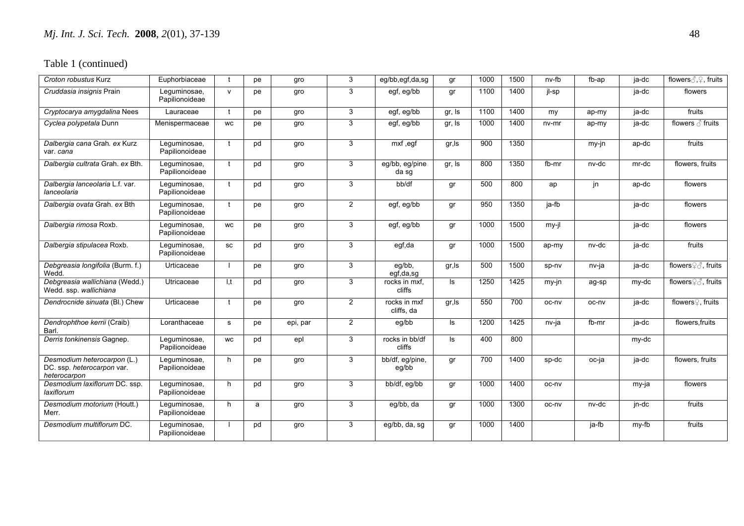| Croton robustus Kurz                                                      | Euphorbiaceae                  | $\mathbf{f}$ | pe | gro      | 3              | eg/bb,egf,da,sg            | gr     | 1000 | 1500 | nv-fb | fb-ap | ja-dc | flowers $\text{C}, \text{C}$ , fruits |
|---------------------------------------------------------------------------|--------------------------------|--------------|----|----------|----------------|----------------------------|--------|------|------|-------|-------|-------|---------------------------------------|
| Cruddasia insignis Prain                                                  | Lequminosae,<br>Papilionoideae | $\mathsf{v}$ | pe | gro      | 3              | egf, eg/bb                 | gr     | 1100 | 1400 | jl-sp |       | ja-dc | flowers                               |
| Cryptocarya amygdalina Nees                                               | Lauraceae                      | $\mathbf{f}$ | pe | gro      | 3              | egf, eg/bb                 | gr, Is | 1100 | 1400 | my    | ap-my | ja-dc | fruits                                |
| Cyclea polypetala Dunn                                                    | Menispermaceae                 | <b>WC</b>    | pe | gro      | 3              | egf, eg/bb                 | gr, Is | 1000 | 1400 | nv-mr | ap-my | ja-dc | flowers $\delta$ fruits               |
| Dalbergia cana Grah. ex Kurz<br>var. cana                                 | Leguminosae,<br>Papilionoideae | $\mathbf{f}$ | pd | gro      | 3              | $\overline{mxf}$ , egf     | gr, Is | 900  | 1350 |       | my-jn | ap-dc | fruits                                |
| Dalbergia cultrata Grah. ex Bth.                                          | Leguminosae,<br>Papilionoideae | $\mathbf{f}$ | pd | gro      | 3              | eg/bb, eg/pine<br>da sg    | gr, Is | 800  | 1350 | fb-mr | nv-dc | mr-dc | flowers, fruits                       |
| Dalbergia lanceolaria L.f. var.<br>lanceolaria                            | Leguminosae,<br>Papilionoideae |              | pd | gro      | 3              | bb/df                      | gr     | 500  | 800  | ap    | jn    | ap-dc | flowers                               |
| Dalbergia ovata Grah. ex Bth                                              | Lequminosae,<br>Papilionoideae | $\mathbf{f}$ | pe | gro      | $\overline{2}$ | egf, eg/bb                 | gr     | 950  | 1350 | ja-fb |       | ja-dc | flowers                               |
| Dalbergia rimosa Roxb.                                                    | Leguminosae,<br>Papilionoideae | <b>WC</b>    | pe | gro      | 3              | egf, eg/bb                 | gr     | 1000 | 1500 | my-jl |       | ja-dc | flowers                               |
| Dalbergia stipulacea Roxb.                                                | Lequminosae,<br>Papilionoideae | SC           | pd | gro      | 3              | egf,da                     | gr     | 1000 | 1500 | ap-my | nv-dc | ja-dc | fruits                                |
| Debgreasia longifolia (Burm. f.)<br>Wedd.                                 | Urticaceae                     |              | рe | gro      | 3              | eg/bb,<br>egf,da,sg        | gr, ls | 500  | 1500 | sp-nv | nv-ja | ja-dc | flowers <sup>2</sup> ∂, fruits        |
| Debgreasia wallichiana (Wedd.)<br>Wedd. ssp. wallichiana                  | Utricaceae                     | 1.t          | pd | gro      | 3              | rocks in mxf.<br>cliffs    | Is     | 1250 | 1425 | my-jn | ag-sp | my-dc | flowers <b>Ω</b> fruits               |
| Dendrocnide sinuata (Bl.) Chew                                            | Urticaceae                     | $\mathbf{f}$ | pe | gro      | $\overline{2}$ | rocks in mxf<br>cliffs, da | gr, Is | 550  | 700  | oc-ny | oc-nv | ja-dc | flowers <sup>2</sup> , fruits         |
| Dendrophthoe kerrii (Craib)<br>Barl.                                      | Loranthaceae                   | s            | pe | epi, par | $\overline{2}$ | eg/bb                      | ls.    | 1200 | 1425 | nv-ja | fb-mr | ja-dc | flowers.fruits                        |
| Derris tonkinensis Gagnep.                                                | Lequminosae,<br>Papilionoideae | <b>WC</b>    | pd | epl      | 3              | rocks in bb/df<br>cliffs   | ls.    | 400  | 800  |       |       | my-dc |                                       |
| Desmodium heterocarpon (L.)<br>DC. ssp. heterocarpon var.<br>heterocarpon | Lequminosae,<br>Papilionoideae | h            | pe | gro      | 3              | bb/df, eg/pine,<br>eg/bb   | gr     | 700  | 1400 | sp-dc | oc-ja | ja-dc | flowers, fruits                       |
| Desmodium laxiflorum DC. ssp.<br>laxiflorum                               | Lequminosae,<br>Papilionoideae | h            | pd | gro      | 3              | bb/df, eg/bb               | gr     | 1000 | 1400 | oc-nv |       | my-ja | flowers                               |
| Desmodium motorium (Houtt.)<br>Merr.                                      | Leguminosae,<br>Papilionoideae | h            | a  | gro      | 3              | eg/bb, da                  | gr     | 1000 | 1300 | oc-nv | nv-dc | jn-dc | fruits                                |
| Desmodium multiflorum DC.                                                 | Leguminosae,<br>Papilionoideae |              | pd | gro      | 3              | eg/bb, da, sg              | gr     | 1000 | 1400 |       | ja-fb | my-fb | fruits                                |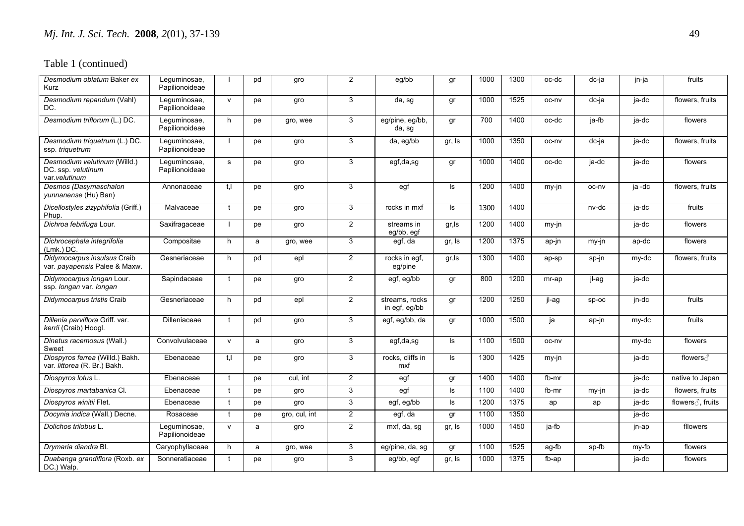| Desmodium oblatum Baker ex<br>Kurz                                  | Leguminosae,<br>Papilionoideae |              | pd | gro           | $\overline{2}$ | eg/bb                           | gr     | 1000 | 1300 | oc-dc | dc-ja | jn-ja  | fruits            |
|---------------------------------------------------------------------|--------------------------------|--------------|----|---------------|----------------|---------------------------------|--------|------|------|-------|-------|--------|-------------------|
| Desmodium repandum (Vahl)<br>DC.                                    | Leguminosae,<br>Papilionoideae | $\mathsf{v}$ | pe | gro           | 3              | $\overline{da}$ , sg            | gr     | 1000 | 1525 | oc-nv | dc-ja | ja-dc  | flowers, fruits   |
| Desmodium triflorum (L.) DC.                                        | Lequminosae,<br>Papilionoideae | h            | pe | gro, wee      | 3              | eg/pine, eg/bb,<br>da, sg       | gr     | 700  | 1400 | oc-dc | ja-fb | ja-dc  | flowers           |
| Desmodium triquetrum (L.) DC.<br>ssp. triquetrum                    | Leguminosae,<br>Papilionoideae |              | pe | gro           | 3              | da, eg/bb                       | gr, Is | 1000 | 1350 | oc-nv | dc-ja | ja-dc  | flowers, fruits   |
| Desmodium velutinum (Willd.)<br>DC. ssp. velutinum<br>var.velutinum | Leguminosae,<br>Papilionoideae | $\mathbf s$  | pe | gro           | 3              | egf,da,sg                       | gr     | 1000 | 1400 | oc-dc | ja-dc | ja-dc  | flowers           |
| Desmos (Dasymaschalon<br>yunnanense (Hu) Ban)                       | Annonaceae                     | $t$ , $l$    | pe | gro           | 3              | egf                             | Is     | 1200 | 1400 | my-jn | oc-nv | ja -dc | flowers, fruits   |
| Dicellostyles zizyphifolia (Griff.)<br>Phup.                        | Malvaceae                      | $\mathbf{t}$ | pe | gro           | 3              | rocks in mxf                    | ls.    | 1300 | 1400 |       | nv-dc | ja-dc  | fruits            |
| Dichroa febrifuga Lour.                                             | Saxifragaceae                  |              | pe | gro           | $\overline{2}$ | streams in<br>eg/bb, egf        | gr, Is | 1200 | 1400 | my-jn |       | ja-dc  | flowers           |
| Dichrocephala integrifolia<br>$(Lmk.)$ DC.                          | Compositae                     | h            | a  | gro, wee      | 3              | egf, da                         | gr, Is | 1200 | 1375 | ap-jn | my-jn | ap-dc  | flowers           |
| Didymocarpus insulsus Craib<br>var. payapensis Palee & Maxw.        | Gesneriaceae                   | h            | pd | epl           | $\overline{2}$ | rocks in egf,<br>eg/pine        | gr, Is | 1300 | 1400 | ap-sp | sp-jn | my-dc  | flowers, fruits   |
| Didymocarpus longan Lour.<br>ssp. longan var. longan                | Sapindaceae                    | $\mathbf{f}$ | pe | gro           | $\overline{2}$ | egf, eg/bb                      | gr     | 800  | 1200 | mr-ap | jl-ag | ja-dc  |                   |
| Didymocarpus tristis Craib                                          | Gesneriaceae                   | h            | pd | epl           | $\overline{2}$ | streams, rocks<br>in egf, eg/bb | gr     | 1200 | 1250 | jl-ag | sp-oc | jn-dc  | fruits            |
| Dillenia parviflora Griff. var.<br>kerrii (Craib) Hoogl.            | Dilleniaceae                   | $\mathbf{f}$ | pd | gro           | 3              | egf, eg/bb, da                  | gr     | 1000 | 1500 | ја    | ap-jn | my-dc  | fruits            |
| Dinetus racemosus (Wall.)<br>Sweet                                  | Convolvulaceae                 | $\mathsf{v}$ | a  | gro           | 3              | egf,da,sg                       | ls     | 1100 | 1500 | oc-nv |       | my-dc  | flowers           |
| Diospyros ferrea (Willd.) Bakh.<br>var. littorea (R. Br.) Bakh.     | Ebenaceae                      | $t_{\cdot}$  | pe | gro           | 3              | rocks, cliffs in<br>mxf         | ls.    | 1300 | 1425 | my-jn |       | ja-dc  | flowers ∂         |
| Diospyros lotus L.                                                  | Ebenaceae                      | $\mathbf{f}$ | pe | cul, int      | $\overline{2}$ | egf                             | gr     | 1400 | 1400 | fb-mr |       | ja-dc  | native to Japan   |
| Diospyros martabanica CI.                                           | Ebenaceae                      | $\mathbf{f}$ | pe | gro           | 3              | $\overline{egf}$                | ls     | 1100 | 1400 | fb-mr | my-jn | ja-dc  | flowers, fruits   |
| Diospyros winitii Flet.                                             | Ebenaceae                      | $\mathbf{f}$ | pe | gro           | 3              | egf, eg/bb                      | ls.    | 1200 | 1375 | ap    | ap    | ja-dc  | flowers ∂, fruits |
| Docynia indica (Wall.) Decne.                                       | Rosaceae                       | $\mathbf{t}$ | pe | gro, cul, int | $\overline{2}$ | egf, da                         | gr     | 1100 | 1350 |       |       | ja-dc  |                   |
| Dolichos trilobus L.                                                | Leguminosae,<br>Papilionoideae | $\mathsf{v}$ | a  | gro           | $\overline{2}$ | mxf, da, sg                     | gr, Is | 1000 | 1450 | ja-fb |       | jn-ap  | fllowers          |
| Drymaria diandra Bl.                                                | Caryophyllaceae                | h            | a  | gro, wee      | 3              | eg/pine, da, sg                 | gr     | 1100 | 1525 | ag-fb | sp-fb | my-fb  | flowers           |
| Duabanga grandiflora (Roxb. ex<br>DC.) Walp.                        | Sonneratiaceae                 | t            | pe | gro           | 3              | eg/bb, egf                      | gr, Is | 1000 | 1375 | fb-ap |       | ja-dc  | flowers           |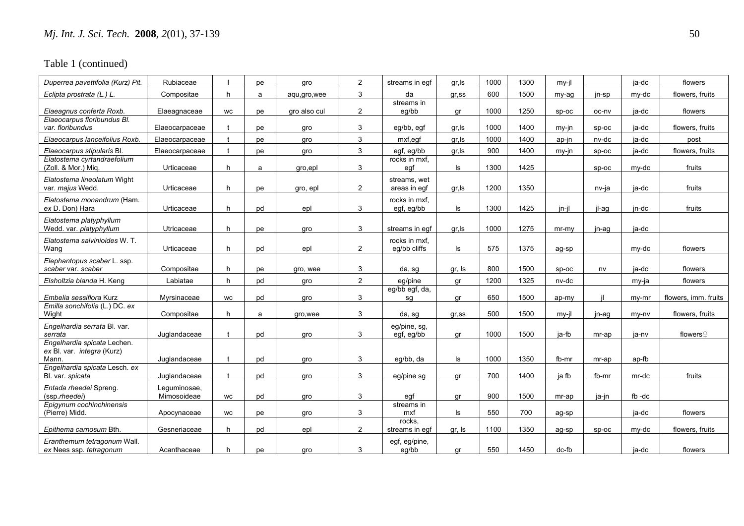| Duperrea pavettifolia (Kurz) Pit.                                  | Rubiaceae                   |           | рe | gro           | $\overline{2}$ | streams in eqf                | gr, Is | 1000 | 1300 | $mv-il$  |         | ja-dc   | flowers              |
|--------------------------------------------------------------------|-----------------------------|-----------|----|---------------|----------------|-------------------------------|--------|------|------|----------|---------|---------|----------------------|
| Eclipta prostrata (L.) L.                                          | Compositae                  | h         | a  | agu, gro, wee | 3              | da                            | gr,ss  | 600  | 1500 | my-ag    | jn-sp   | my-dc   | flowers, fruits      |
| Elaeagnus conferta Roxb.                                           | Elaeagnaceae                | <b>WC</b> | pe | gro also cul  | $\overline{2}$ | streams in<br>eq/bb           | ar     | 1000 | 1250 | SD-OC    | oc-nv   | ia-dc   | flowers              |
| Elaeocarpus floribundus Bl.<br>var, floribundus                    | Elaeocarpaceae              |           | рe | qro           | 3              | eg/bb, egf                    | gr, Is | 1000 | 1400 | $mv-in$  | SD-OC   | ia-dc   | flowers, fruits      |
| Elaeocarpus lanceifolius Roxb.                                     | Elaeocarpaceae              |           | pe | gro           | 3              | mxf,egf                       | gr, Is | 1000 | 1400 | ap-jn    | nv-dc   | ja-dc   | post                 |
| Elaeocarpus stipularis Bl.                                         | Elaeocarpaceae              |           | рe | qro           | 3              | eqf, eq/bb                    | gr,ls  | 900  | 1400 | $my-in$  | $SD-OC$ | ia-dc   | flowers, fruits      |
| Elatostema cyrtandraefolium<br>(Zoll. & Mor.) Miq.                 | Urticaceae                  | h         | a  | gro,epl       | 3              | rocks in mxf.<br>egf          | ls     | 1300 | 1425 |          | $SD-OC$ | my-dc   | fruits               |
| Elatostema lineolatum Wight<br>var. majus Wedd.                    | Urticaceae                  | h         | pe | gro, epl      | $\overline{2}$ | streams, wet<br>areas in egf  | gr, Is | 1200 | 1350 |          | nv-ja   | ia-dc   | fruits               |
| Elatostema monandrum (Ham.<br>ex D. Don) Hara                      | Urticaceae                  | h         | pd | epl           | 3              | rocks in mxf.<br>egf, eg/bb   | ls     | 1300 | 1425 | jn-jl    | il-ag   | jn-dc   | fruits               |
| Elatostema platyphyllum<br>Wedd. var. platyphyllum                 | Utricaceae                  | h         | pe | gro           | 3              | streams in eqf                | gr, Is | 1000 | 1275 | $mr-mv$  | jn-ag   | ja-dc   |                      |
| Elatostema salvinioides W. T.<br>Wang                              | Urticaceae                  | h         | pd | epl           | $\overline{2}$ | rocks in mxf.<br>eg/bb cliffs | ls.    | 575  | 1375 | ag-sp    |         | my-dc   | flowers              |
| Elephantopus scaber L. ssp.<br>scaber var. scaber                  | Compositae                  | h         | рe | gro, wee      | 3              | da, sg                        | gr, Is | 800  | 1500 | sp-oc    | nv      | ja-dc   | flowers              |
| Elsholtzia blanda H. Keng                                          | Labiatae                    | h         | pd | qro           | $\overline{2}$ | eq/pine                       | qr     | 1200 | 1325 | nv-dc    |         | my-ja   | flowers              |
| Embelia sessiflora Kurz                                            | Myrsinaceae                 | <b>WC</b> | pd | qro           | 3              | eg/bb egf, da,<br>sg          | gr     | 650  | 1500 | ap-my    |         | $my-mr$ | flowers, imm. fruits |
| Emilla sonchifolia (L.) DC. ex<br>Wight                            | Compositae                  | h         | a  | gro, wee      | 3              | da, sg                        | gr,ss  | 500  | 1500 | $mv-il$  | jn-ag   | my-ny   | flowers, fruits      |
| Engelhardia serrata Bl. var.<br>serrata                            | Juglandaceae                |           | pd | qro           | 3              | eg/pine, sg,<br>egf, eg/bb    | ar     | 1000 | 1500 | ia-fb    | mr-ap   | ia-nv   | flowersହ             |
| Engelhardia spicata Lechen.<br>ex Bl. var. integra (Kurz)<br>Mann. | Juglandaceae                |           | pd | qro           | 3              | eq/bb, da                     | ls     | 1000 | 1350 | fb-mr    | mr-ap   | ap-fb   |                      |
| Engelhardia spicata Lesch. ex<br>Bl. var. spicata                  | Juglandaceae                |           | pd | gro           | 3              | eg/pine sg                    | gr     | 700  | 1400 | ja fb    | fb-mr   | mr-dc   | fruits               |
| Entada rheedei Spreng.<br>(ssp.rheedei)                            | Leguminosae,<br>Mimosoideae | <b>WC</b> | pd | gro           | 3              | egf                           | gr     | 900  | 1500 | mr-ap    | ja-jn   | fb-dc   |                      |
| Epigynum cochinchinensis<br>(Pierre) Midd.                         | Apocynaceae                 | WC        | рe | gro           | 3              | streams in<br>mxf             | ls     | 550  | 700  | ag-sp    |         | ja-dc   | flowers              |
| Epithema carnosum Bth.                                             | Gesneriaceae                | h         | pd | epl           | $\overline{2}$ | rocks.<br>streams in egf      | gr, Is | 1100 | 1350 | ag-sp    | sp-oc   | my-dc   | flowers, fruits      |
| Eranthemum tetragonum Wall.<br>ex Nees ssp. tetragonum             | Acanthaceae                 | h         | рe | qro           | 3              | egf, eg/pine,<br>eg/bb        | gr     | 550  | 1450 | $dc$ -fb |         | ja-dc   | flowers              |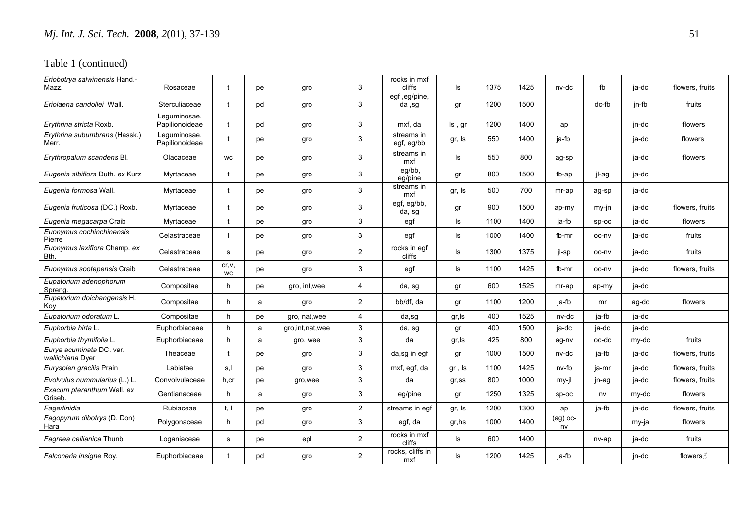| Eriobotrya salwinensis Hand.-<br>Mazz.       | Rosaceae                       |                     | pe | gro                | 3              | rocks in mxf<br>cliffs   | ls        | 1375 | 1425 | nv-dc            | fb      | ja-dc | flowers, fruits |
|----------------------------------------------|--------------------------------|---------------------|----|--------------------|----------------|--------------------------|-----------|------|------|------------------|---------|-------|-----------------|
| Eriolaena candollei Wall.                    | Sterculiaceae                  |                     | pd | qro                | 3              | egf, eg/pine,<br>da, sg  | ar        | 1200 | 1500 |                  | dc-fb   | in-fb | fruits          |
| <i>Ervthrina stricta</i> Roxb.               | Leguminosae,<br>Papilionoideae |                     | pd | qro                | 3              | mxf. da                  | Is, gr    | 1200 | 1400 | ap               |         | in-dc | flowers         |
| Erythrina subumbrans (Hassk.)<br>Merr.       | Leguminosae,<br>Papilionoideae |                     | pe | gro                | 3              | streams in<br>egf, eg/bb | gr, Is    | 550  | 1400 | ja-fb            |         | ja-dc | flowers         |
| Erythropalum scandens Bl.                    | Olacaceae                      | <b>WC</b>           | pe | gro                | 3              | streams in<br>mxf        | $\sf ls$  | 550  | 800  | ag-sp            |         | ja-dc | flowers         |
| Eugenia albiflora Duth. ex Kurz              | Myrtaceae                      |                     | pe | gro                | 3              | eg/bb,<br>eg/pine        | gr        | 800  | 1500 | fb-ap            | jl-ag   | ja-dc |                 |
| Eugenia formosa Wall.                        | Myrtaceae                      |                     | рe | gro                | 3              | streams in<br>mxf        | gr, Is    | 500  | 700  | mr-ap            | ag-sp   | ja-dc |                 |
| Eugenia fruticosa (DC.) Roxb.                | Myrtaceae                      |                     | рe | gro                | 3              | egf, eg/bb,<br>da, sg    | gr        | 900  | 1500 | ap-my            | $my-in$ | ia-dc | flowers, fruits |
| Eugenia megacarpa Craib                      | Myrtaceae                      |                     | рe | gro                | 3              | egf                      | ls.       | 1100 | 1400 | ja-fb            | $SD-OC$ | ia-dc | flowers         |
| Euonymus cochinchinensis<br>Pierre           | Celastraceae                   |                     | рe | gro                | 3              | egf                      | ls        | 1000 | 1400 | fb-mr            | oc-nv   | ja-dc | fruits          |
| Euonymus laxiflora Champ. ex<br>Bth.         | Celastraceae                   | s                   | pe | gro                | $\overline{2}$ | rocks in eqf<br>cliffs   | ls        | 1300 | 1375 | jl-sp            | oc-nv   | ja-dc | fruits          |
| Euonymus sootepensis Craib                   | Celastraceae                   | cr, v,<br><b>WC</b> | рe | gro                | 3              | egf                      | ls        | 1100 | 1425 | fb-mr            | oc-nv   | ja-dc | flowers, fruits |
| Eupatorium adenophorum<br>Spreng.            | Compositae                     | h                   | рe | gro, int, wee      | 4              | da, sg                   | gr        | 600  | 1525 | mr-ap            | ap-my   | ja-dc |                 |
| Eupatorium doichangensis H.<br>Koy           | Compositae                     | h                   | a  | gro                | $\overline{2}$ | bb/df, da                | gr        | 1100 | 1200 | ja-fb            | mr      | ag-dc | flowers         |
| Eupatorium odoratum L.                       | Compositae                     | h                   | рe | gro, nat, wee      | 4              | da,sg                    | gr,ls     | 400  | 1525 | nv-dc            | ja-fb   | ja-dc |                 |
| Euphorbia hirta L                            | Euphorbiaceae                  | h                   | a  | gro, int, nat, wee | 3              | da, sg                   | gr        | 400  | 1500 | ja-dc            | ja-dc   | ja-dc |                 |
| Euphorbia thymifolia L.                      | Euphorbiaceae                  | h                   | a  | gro, wee           | 3              | da                       | gr, Is    | 425  | 800  | ag-nv            | oc-dc   | my-dc | fruits          |
| Eurya acuminata DC. var.<br>wallichiana Dyer | Theaceae                       | $\mathbf t$         | рe | gro                | 3              | da,sg in egf             | gr        | 1000 | 1500 | nv-dc            | ja-fb   | ja-dc | flowers, fruits |
| Eurysolen gracilis Prain                     | Labiatae                       | s,l                 | рe | gro                | 3              | mxf, egf, da             | gr, ls    | 1100 | 1425 | nv-fb            | ja-mr   | ja-dc | flowers, fruits |
| Evolvulus nummularius (L.) L.                | Convolvulaceae                 | h,cr                | рe | gro, wee           | 3              | da                       | $gr$ , ss | 800  | 1000 | my-jl            | jn-ag   | ja-dc | flowers, fruits |
| Exacum pteranthum Wall. ex<br>Griseb.        | Gentianaceae                   | h                   | a  | gro                | 3              | eg/pine                  | gr        | 1250 | 1325 | sp-oc            | nv      | my-dc | flowers         |
| Fagerlinidia                                 | Rubiaceae                      | t, l                | рe | gro                | $\overline{2}$ | streams in egf           | gr, Is    | 1200 | 1300 | ap               | ja-fb   | ja-dc | flowers, fruits |
| Fagopyrum dibotrys (D. Don)<br>Hara          | Polygonaceae                   | h                   | pd | gro                | 3              | egf, da                  | gr, hs    | 1000 | 1400 | $(ag)$ oc-<br>nv |         | my-ja | flowers         |
| Fagraea ceilianica Thunb.                    | Loganiaceae                    | s                   | рe | epl                | $\overline{2}$ | rocks in mxf<br>cliffs   | ls        | 600  | 1400 |                  | nv-ap   | ja-dc | fruits          |
| Falconeria insigne Roy.                      | Euphorbiaceae                  | t                   | pd | gro                | $\overline{2}$ | rocks, cliffs in<br>mxf  | ls        | 1200 | 1425 | ja-fb            |         | jn-dc | flowers ∂       |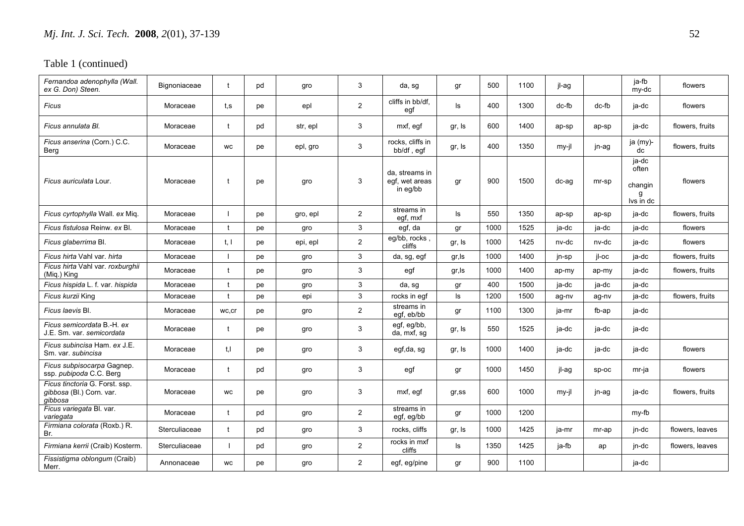| Fernandoa adenophylla (Wall.<br>ex G. Don) Steen.                     | Bignoniaceae  | $\mathbf t$  | pd | gro      | 3              | da, sg                                       | gr        | 500  | 1100 | jl-ag |         | ja-fb<br>my-dc                              | flowers         |
|-----------------------------------------------------------------------|---------------|--------------|----|----------|----------------|----------------------------------------------|-----------|------|------|-------|---------|---------------------------------------------|-----------------|
| Ficus                                                                 | Moraceae      | t,s          | pe | epl      | $\overline{2}$ | cliffs in bb/df,<br>egf                      | ls        | 400  | 1300 | dc-fb | dc-fb   | ja-dc                                       | flowers         |
| Ficus annulata Bl.                                                    | Moraceae      | $\mathbf{r}$ | pd | str, epl | 3              | mxf, egf                                     | gr, Is    | 600  | 1400 | ap-sp | ap-sp   | ja-dc                                       | flowers, fruits |
| Ficus anserina (Corn.) C.C.<br>Berg                                   | Moraceae      | WC           | pe | epl, gro | 3              | rocks, cliffs in<br>bb/df, egf               | gr, Is    | 400  | 1350 | my-jl | jn-ag   | ja (my)-<br>dc                              | flowers, fruits |
| <i>Ficus auriculata</i> Lour.                                         | Moraceae      | t            | pe | gro      | 3              | da, streams in<br>egf, wet areas<br>in eg/bb | gr        | 900  | 1500 | dc-ag | mr-sp   | ja-dc<br>often<br>changin<br>g<br>lvs in dc | flowers         |
| Ficus cyrtophylla Wall. ex Miq.                                       | Moraceae      |              | pe | gro, epl | $\overline{2}$ | streams in<br>egf, mxf                       | ls.       | 550  | 1350 | ap-sp | ap-sp   | ja-dc                                       | flowers, fruits |
| Ficus fistulosa Reinw, ex Bl.                                         | Moraceae      | $\mathbf t$  | pe | gro      | 3              | egf, da                                      | gr        | 1000 | 1525 | ja-dc | ja-dc   | ja-dc                                       | flowers         |
| Ficus glaberrima Bl.                                                  | Moraceae      | t, l         | pe | epi, epl | $\overline{2}$ | eg/bb, rocks,<br>cliffs                      | gr, Is    | 1000 | 1425 | nv-dc | nv-dc   | ja-dc                                       | flowers         |
| Ficus hirta Vahl var, hirta                                           | Moraceae      |              | pe | gro      | 3              | da, sg, egf                                  | gr, Is    | 1000 | 1400 | jn-sp | il-oc   | ja-dc                                       | flowers, fruits |
| Ficus hirta Vahl var. roxburghii<br>(Mig.) King                       | Moraceae      | $\mathbf t$  | pe | gro      | 3              | egf                                          | gr, Is    | 1000 | 1400 | ap-my | ap-my   | ja-dc                                       | flowers, fruits |
| Ficus hispida L. f. var. hispida                                      | Moraceae      |              | pe | gro      | 3              | da, sg                                       | gr        | 400  | 1500 | ja-dc | ja-dc   | ja-dc                                       |                 |
| Ficus kurzii King                                                     | Moraceae      |              | pe | epi      | 3              | rocks in eqf                                 | ls        | 1200 | 1500 | ag-nv | ag-nv   | ja-dc                                       | flowers, fruits |
| Ficus Iaevis Bl.                                                      | Moraceae      | wc,cr        | pe | gro      | $\overline{c}$ | streams in<br>egf, eb/bb                     | gr        | 1100 | 1300 | ja-mr | fb-ap   | ja-dc                                       |                 |
| Ficus semicordata B.-H. ex<br>J.E. Sm. var. semicordata               | Moraceae      |              | pe | gro      | 3              | egf, eg/bb,<br>da, mxf, sq                   | gr, Is    | 550  | 1525 | ja-dc | ja-dc   | ja-dc                                       |                 |
| Ficus subincisa Ham. ex J.E.<br>Sm. var. subincisa                    | Moraceae      | t.l          | pe | gro      | 3              | egf,da, sg                                   | gr, Is    | 1000 | 1400 | ja-dc | ja-dc   | ja-dc                                       | flowers         |
| Ficus subpisocarpa Gagnep.<br>ssp. pubipoda C.C. Berg                 | Moraceae      |              | pd | gro      | 3              | egf                                          | gr        | 1000 | 1450 | il-ag | $SD-OC$ | mr-ja                                       | flowers         |
| Ficus tinctoria G. Forst. ssp.<br>gibbosa (Bl.) Corn. var.<br>qibbosa | Moraceae      | WC           | pe | gro      | 3              | mxf, eqf                                     | $qr$ , ss | 600  | 1000 | my-jl | jn-ag   | ja-dc                                       | flowers, fruits |
| Ficus variegata Bl. var.<br>variegata                                 | Moraceae      | t            | pd | gro      | $\overline{2}$ | streams in<br>egf, eg/bb                     | gr        | 1000 | 1200 |       |         | my-fb                                       |                 |
| Firmiana colorata (Roxb.) R.<br>Br.                                   | Sterculiaceae | $\mathbf{f}$ | pd | gro      | 3              | rocks, cliffs                                | gr, Is    | 1000 | 1425 | ja-mr | mr-ap   | jn-dc                                       | flowers, leaves |
| Firmiana kerrii (Craib) Kosterm.                                      | Sterculiaceae |              | pd | gro      | $\overline{2}$ | rocks in mxf<br>cliffs                       | ls        | 1350 | 1425 | ja-fb | ap      | jn-dc                                       | flowers, leaves |
| Fissistigma oblongum (Craib)<br>Merr.                                 | Annonaceae    | <b>WC</b>    | pe | gro      | $\overline{2}$ | egf, eg/pine                                 | gr        | 900  | 1100 |       |         | ia-dc                                       |                 |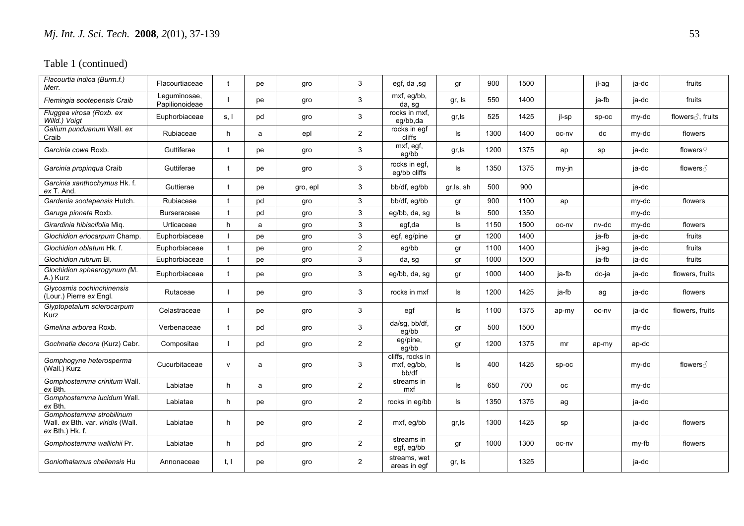| Flacourtia indica (Burm.f.)<br>Merr.                                               | Flacourtiaceae                 | $\mathbf t$  | рe | gro      | 3              | egf, da ,sg                              | gr        | 900  | 1500 |           | jl-ag | ja-dc | fruits               |
|------------------------------------------------------------------------------------|--------------------------------|--------------|----|----------|----------------|------------------------------------------|-----------|------|------|-----------|-------|-------|----------------------|
| Flemingia sootepensis Craib                                                        | Lequminosae,<br>Papilionoideae |              | pe | gro      | 3              | mxf, eg/bb,<br>da, sg                    | gr, Is    | 550  | 1400 |           | ja-fb | ja-dc | fruits               |
| Fluggea virosa (Roxb. ex<br>Willd.) Voigt                                          | Euphorbiaceae                  | s. I         | pd | gro      | 3              | rocks in mxf.<br>eq/bb.da                | gr, Is    | 525  | 1425 | il-sp     | SD-OC | my-dc | flowers ∂, fruits    |
| Galium punduanum Wall. ex<br>Craib                                                 | Rubiaceae                      | h            | a  | epl      | $\overline{2}$ | rocks in egf<br>cliffs                   | ls.       | 1300 | 1400 | oc-nv     | dc    | my-dc | flowers              |
| Garcinia cowa Roxb.                                                                | Guttiferae                     | $\mathbf t$  | pe | gro      | 3              | mxf, egf,<br>eq/bb                       | gr, Is    | 1200 | 1375 | ap        | sp    | ja-dc | flowers $\mathcal Q$ |
| Garcinia propingua Craib                                                           | Guttiferae                     | $\mathbf t$  | pe | gro      | 3              | rocks in egf,<br>eq/bb cliffs            | ls        | 1350 | 1375 | my-jn     |       | ja-dc | flowers ∂            |
| Garcinia xanthochymus Hk. f.<br>ex T. And.                                         | Guttierae                      |              | pe | gro, epl | 3              | bb/df, eg/bb                             | gr,ls, sh | 500  | 900  |           |       | ja-dc |                      |
| Gardenia sootepensis Hutch.                                                        | Rubiaceae                      |              | pd | gro      | 3              | bb/df, eg/bb                             | gr        | 900  | 1100 | ap        |       | my-dc | flowers              |
| Garuga pinnata Roxb.                                                               | Burseraceae                    |              | pd | gro      | 3              | eg/bb, da, sg                            | ls        | 500  | 1350 |           |       | my-dc |                      |
| Girardinia hibiscifolia Miq.                                                       | Urticaceae                     | h            | a  | gro      | 3              | egf,da                                   | ls        | 1150 | 1500 | oc-nv     | nv-dc | my-dc | flowers              |
| Glochidion eriocarpum Champ.                                                       | Euphorbiaceae                  |              | pe | gro      | 3              | egf, eg/pine                             | gr        | 1200 | 1400 |           | ja-fb | ja-dc | fruits               |
| Glochidion oblatum Hk. f.                                                          | Euphorbiaceae                  | $\mathbf t$  | pe | gro      | $\overline{2}$ | eg/bb                                    | gr        | 1100 | 1400 |           | jl-ag | ja-dc | fruits               |
| Glochidion rubrum Bl.                                                              | Euphorbiaceae                  |              | pe | gro      | 3              | da, sg                                   | gr        | 1000 | 1500 |           | ja-fb | ja-dc | fruits               |
| Glochidion sphaerogynum (M.<br>A.) Kurz                                            | Euphorbiaceae                  | $\mathbf t$  | pe | gro      | 3              | eg/bb, da, sg                            | gr        | 1000 | 1400 | ja-fb     | dc-ja | ja-dc | flowers, fruits      |
| Glycosmis cochinchinensis<br>(Lour.) Pierre ex Engl.                               | Rutaceae                       |              | pe | gro      | 3              | rocks in mxf                             | ls        | 1200 | 1425 | ja-fb     | ag    | ja-dc | flowers              |
| Glyptopetalum sclerocarpum<br>Kurz                                                 | Celastraceae                   |              | pe | gro      | 3              | egf                                      | ls        | 1100 | 1375 | ap-my     | oc-nv | ja-dc | flowers, fruits      |
| Gmelina arborea Roxb.                                                              | Verbenaceae                    | $\mathbf{f}$ | pd | gro      | 3              | da/sg, bb/df,<br>ea/bb                   | gr        | 500  | 1500 |           |       | my-dc |                      |
| Gochnatia decora (Kurz) Cabr.                                                      | Compositae                     |              | pd | gro      | $\overline{2}$ | eg/pine,<br>eg/bb                        | gr        | 1200 | 1375 | mr        | ap-my | ap-dc |                      |
| Gomphogyne heterosperma<br>(Wall.) Kurz                                            | Cucurbitaceae                  | $\mathsf{v}$ | a  | gro      | 3              | cliffs, rocks in<br>mxf, eg/bb,<br>bb/df | ls        | 400  | 1425 | sp-oc     |       | my-dc | flowers ∂            |
| Gomphostemma crinitum Wall.<br>ex Bth.                                             | Labiatae                       | h.           | a  | gro      | $\overline{2}$ | streams in<br>mxf                        | ls        | 650  | 700  | <b>OC</b> |       | my-dc |                      |
| Gomphostemma lucidum Wall.<br>ex Bth.                                              | Labiatae                       | h            | pe | gro      | 2              | rocks in eq/bb                           | ls        | 1350 | 1375 | ag        |       | ja-dc |                      |
| Gomphostemma strobilinum<br>Wall. ex Bth. var. viridis (Wall.<br>$ex$ Bth.) Hk. f. | Labiatae                       | h            | pe | gro      | $\overline{2}$ | mxf, eg/bb                               | gr, Is    | 1300 | 1425 | sp        |       | ja-dc | flowers              |
| Gomphostemma wallichii Pr.                                                         | Labiatae                       | h.           | pd | gro      | $\overline{2}$ | streams in<br>egf, eg/bb                 | gr        | 1000 | 1300 | oc-nv     |       | my-fb | flowers              |
| Goniothalamus cheliensis Hu                                                        | Annonaceae                     | t, l         | pe | gro      | $\overline{2}$ | streams, wet<br>areas in eqf             | gr, Is    |      | 1325 |           |       | ja-dc |                      |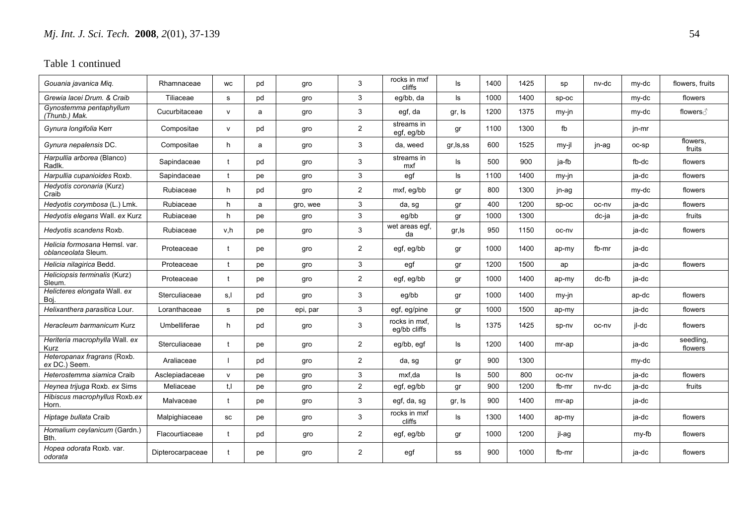| Gouania javanica Mig.                                | Rhamnaceae       | WC           | pd | qro      | 3              | rocks in mxf<br>cliffs        | Is         | 1400 | 1425 | sp      | nv-dc | my-dc | flowers, fruits      |
|------------------------------------------------------|------------------|--------------|----|----------|----------------|-------------------------------|------------|------|------|---------|-------|-------|----------------------|
| Grewia lacei Drum, & Craib                           | Tiliaceae        | s            | pd | gro      | 3              | eg/bb, da                     | ls         | 1000 | 1400 | SD-OC   |       | my-dc | flowers              |
| Gynostemma pentaphyllum<br>(Thunb.) Mak.             | Cucurbitaceae    | $\mathsf{v}$ | a  | gro      | 3              | egf, da                       | gr, Is     | 1200 | 1375 | my-jn   |       | my-dc | flowers ∂            |
| Gynura longifolia Kerr                               | Compositae       | v            | pd | gro      | $\overline{2}$ | streams in<br>egf, eg/bb      | gr         | 1100 | 1300 | fb      |       | jn-mr |                      |
| Gynura nepalensis DC.                                | Compositae       | h            | a  | gro      | 3              | da, weed                      | gr, Is, ss | 600  | 1525 | $my-il$ | jn-ag | oc-sp | flowers,<br>fruits   |
| Harpullia arborea (Blanco)<br>Radlk.                 | Sapindaceae      | t            | pd | gro      | 3              | streams in<br>mxf             | Is         | 500  | 900  | ja-fb   |       | fb-dc | flowers              |
| Harpullia cupanioides Roxb.                          | Sapindaceae      |              | pe | gro      | 3              | egf                           | $\sf ls$   | 1100 | 1400 | my-jn   |       | ja-dc | flowers              |
| Hedyotis coronaria (Kurz)<br>Craib                   | Rubiaceae        | h            | pd | gro      | $\overline{2}$ | mxf, eg/bb                    | gr         | 800  | 1300 | jn-ag   |       | my-dc | flowers              |
| Hedyotis corymbosa (L.) Lmk.                         | Rubiaceae        | h            | a  | gro, wee | 3              | da, sg                        | gr         | 400  | 1200 | sp-oc   | oc-nv | ja-dc | flowers              |
| Hedyotis elegans Wall. ex Kurz                       | Rubiaceae        | h            | pe | gro      | 3              | eg/bb                         | gr         | 1000 | 1300 |         | dc-ja | ja-dc | fruits               |
| Hedyotis scandens Roxb.                              | Rubiaceae        | v.h          | рe | gro      | 3              | wet areas egf,<br>da          | gr, Is     | 950  | 1150 | oc-ny   |       | ja-dc | flowers              |
| Helicia formosana Hemsl. var.<br>oblanceolata Sleum. | Proteaceae       | t            | pe | qro      | $\overline{2}$ | egf, eg/bb                    | gr         | 1000 | 1400 | ap-my   | fb-mr | ja-dc |                      |
| Helicia nilagirica Bedd.                             | Proteaceae       |              | рe | gro      | 3              | egf                           | gr         | 1200 | 1500 | ap      |       | ja-dc | flowers              |
| Heliciopsis terminalis (Kurz)<br>Sleum.              | Proteaceae       | t            | рe | gro      | $\overline{2}$ | egf, eg/bb                    | gr         | 1000 | 1400 | ap-my   | dc-fb | ja-dc |                      |
| Helicteres elongata Wall. ex<br>Boj                  | Sterculiaceae    | s,l          | pd | gro      | 3              | eg/bb                         | gr         | 1000 | 1400 | my-jn   |       | ap-dc | flowers              |
| Helixanthera parasitica Lour.                        | Loranthaceae     | s            | рe | epi, par | 3              | egf, eg/pine                  | gr         | 1000 | 1500 | ap-my   |       | ja-dc | flowers              |
| Heracleum barmanicum Kurz                            | Umbelliferae     | h            | pd | gro      | 3              | rocks in mxf.<br>eg/bb cliffs | ls         | 1375 | 1425 | sp-nv   | oc-nv | jl-dc | flowers              |
| Heriteria macrophylla Wall. ex<br>Kurz               | Sterculiaceae    |              | рe | gro      | $\overline{2}$ | eg/bb, egf                    | Is         | 1200 | 1400 | mr-ap   |       | ja-dc | seedling,<br>flowers |
| Heteropanax fragrans (Roxb.<br>ex DC.) Seem.         | Araliaceae       |              | pd | gro      | $\overline{2}$ | da, sg                        | gr         | 900  | 1300 |         |       | my-dc |                      |
| Heterostemma siamica Craib                           | Asclepiadaceae   | $\mathsf{v}$ | рe | gro      | $\mathbf{3}$   | mxf.da                        | ls.        | 500  | 800  | oc-nv   |       | ia-dc | flowers              |
| Heynea trijuga Roxb. ex Sims                         | Meliaceae        | t.I          | рe | gro      | $\mathbf{2}$   | egf, eg/bb                    | gr         | 900  | 1200 | fb-mr   | nv-dc | ja-dc | fruits               |
| Hibiscus macrophyllus Roxb.ex<br>Horn.               | Malvaceae        | t            | рe | gro      | 3              | egf, da, sg                   | gr, Is     | 900  | 1400 | mr-ap   |       | ja-dc |                      |
| Hiptage bullata Craib                                | Malpighiaceae    | SC           | рe | gro      | 3              | rocks in mxf<br>cliffs        | ls         | 1300 | 1400 | ap-my   |       | ja-dc | flowers              |
| Homalium ceylanicum (Gardn.)<br>Bth.                 | Flacourtiaceae   | $\mathbf t$  | pd | gro      | $\overline{2}$ | egf, eg/bb                    | gr         | 1000 | 1200 | jl-ag   |       | my-fb | flowers              |
| Hopea odorata Roxb, var.<br>odorata                  | Dipterocarpaceae | $\mathbf{f}$ | рe | gro      | $\overline{2}$ | egf                           | SS         | 900  | 1000 | fb-mr   |       | ja-dc | flowers              |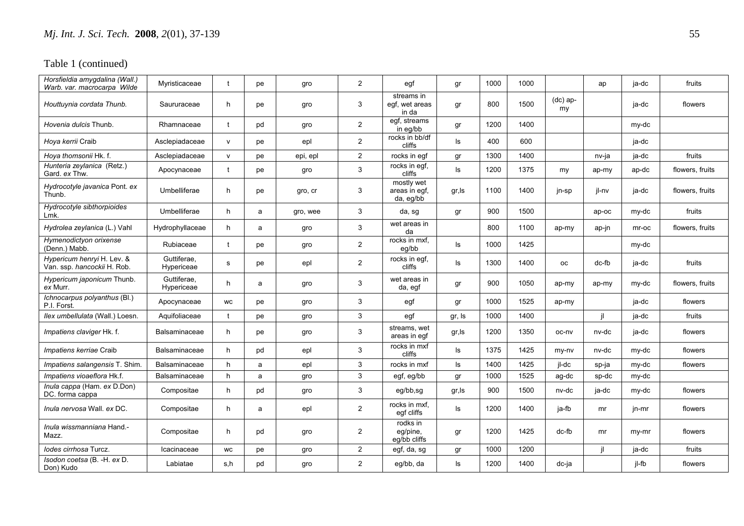| Horsfieldia amygdalina (Wall.)<br>Warb. var. macrocarpa Wilde | Myristicaceae             | t           | рe | gro      | $\overline{2}$ | egf                                      | gr     | 1000 | 1000 |                  | ap    | ja-dc | fruits          |
|---------------------------------------------------------------|---------------------------|-------------|----|----------|----------------|------------------------------------------|--------|------|------|------------------|-------|-------|-----------------|
| Houttuynia cordata Thunb.                                     | Saururaceae               | h           | pe | gro      | 3              | streams in<br>egf, wet areas<br>in da    | gr     | 800  | 1500 | $(dc)$ ap-<br>my |       | ja-dc | flowers         |
| Hovenia dulcis Thunb.                                         | Rhamnaceae                | t           | pd | gro      | $\overline{2}$ | egf, streams<br>in eg/bb                 | gr     | 1200 | 1400 |                  |       | my-dc |                 |
| Hoya kerrii Craib                                             | Asclepiadaceae            | V           | рe | epl      | $\overline{2}$ | rocks in bb/df<br>cliffs                 | ls     | 400  | 600  |                  |       | ja-dc |                 |
| Hoya thomsonii Hk. f.                                         | Asclepiadaceae            | v           | pe | epi, epl | $\overline{2}$ | rocks in egf                             | gr     | 1300 | 1400 |                  | nv-ja | ja-dc | fruits          |
| Hunteria zeylanica (Retz.)<br>Gard. ex Thw.                   | Apocynaceae               | $\mathbf t$ | рe | gro      | 3              | rocks in egf,<br>cliffs                  | ls     | 1200 | 1375 | my               | ap-my | ap-dc | flowers, fruits |
| Hydrocotyle javanica Pont. ex<br>Thunb.                       | Umbelliferae              | h           | pe | gro, cr  | 3              | mostly wet<br>areas in egf,<br>da, eg/bb | gr, Is | 1100 | 1400 | jn-sp            | jl-nv | ja-dc | flowers, fruits |
| Hydrocotyle sibthorpioides<br>Lmk.                            | Umbelliferae              | h           | a  | gro, wee | 3              | da, sg                                   | gr     | 900  | 1500 |                  | ap-oc | my-dc | fruits          |
| Hydrolea zeylanica (L.) Vahl                                  | Hydrophyllaceae           | h           | a  | gro      | 3              | wet areas in<br>da                       |        | 800  | 1100 | ap-my            | ap-jn | mr-oc | flowers, fruits |
| Hymenodictyon orixense<br>(Denn.) Mabb.                       | Rubiaceae                 | $\ddagger$  | pe | gro      | $\overline{2}$ | rocks in mxf,<br>eg/bb                   | ls     | 1000 | 1425 |                  |       | my-dc |                 |
| Hypericum henryi H. Lev. &<br>Van. ssp. hancockii H. Rob.     | Guttiferae.<br>Hypericeae | s           | pe | epl      | $\overline{2}$ | rocks in egf,<br>cliffs                  | ls     | 1300 | 1400 | oc               | dc-fb | ja-dc | fruits          |
| Hypericum japonicum Thunb.<br>ex Murr.                        | Guttiferae.<br>Hypericeae | h           | a  | gro      | 3              | wet areas in<br>da, egf                  | gr     | 900  | 1050 | ap-my            | ap-my | my-dc | flowers, fruits |
| Ichnocarpus polyanthus (Bl.)<br>P.I. Forst.                   | Apocynaceae               | WC          | pe | gro      | 3              | egf                                      | gr     | 1000 | 1525 | ap-my            |       | ja-dc | flowers         |
| Ilex umbellulata (Wall.) Loesn.                               | Aquifoliaceae             | t           | рe | gro      | 3              | egf                                      | gr, Is | 1000 | 1400 |                  | -il   | ja-dc | fruits          |
| Impatiens claviger Hk. f.                                     | Balsaminaceae             | h           | рe | gro      | 3              | streams, wet<br>areas in egf             | gr, Is | 1200 | 1350 | oc-nv            | nv-dc | ja-dc | flowers         |
| Impatiens kerriae Craib                                       | Balsaminaceae             | h           | pd | epl      | 3              | rocks in mxf<br>cliffs                   | ls     | 1375 | 1425 | my-ny            | nv-dc | my-dc | flowers         |
| Impatiens salangensis T. Shim.                                | Balsaminaceae             | h           | a  | epl      | 3              | rocks in mxf                             | Is     | 1400 | 1425 | jl-dc            | sp-ja | my-dc | flowers         |
| Impatiens vioaeflora Hk.f.                                    | Balsaminaceae             | h           | a  | gro      | 3              | egf, eg/bb                               | gr     | 1000 | 1525 | ag-dc            | sp-dc | my-dc |                 |
| Inula cappa (Ham. ex D.Don)<br>DC. forma cappa                | Compositae                | h           | pd | gro      | 3              | eg/bb,sg                                 | gr, Is | 900  | 1500 | nv-dc            | ja-dc | my-dc | flowers         |
| <i>Inula nervosa Wall, ex DC.</i>                             | Compositae                | h           | a  | epl      | $\overline{2}$ | rocks in mxf.<br>egf cliffs              | ls     | 1200 | 1400 | ja-fb            | mr    | in-mr | flowers         |
| Inula wissmanniana Hand.-<br>Mazz.                            | Compositae                | h           | pd | gro      | $\overline{2}$ | rodks in<br>eg/pine,<br>eg/bb cliffs     | gr     | 1200 | 1425 | dc-fb            | mr    | my-mr | flowers         |
| lodes cirrhosa Turcz.                                         | Icacinaceae               | <b>WC</b>   | pe | gro      | $\overline{2}$ | egf, da, sg                              | gr     | 1000 | 1200 |                  | -il   | ja-dc | fruits          |
| Isodon coetsa (B. -H. ex D.<br>Don) Kudo                      | Labiatae                  | s.h         | pd | gro      | $\overline{2}$ | eq/bb, da                                | ls.    | 1200 | 1400 | dc-ja            |       | il-fb | flowers         |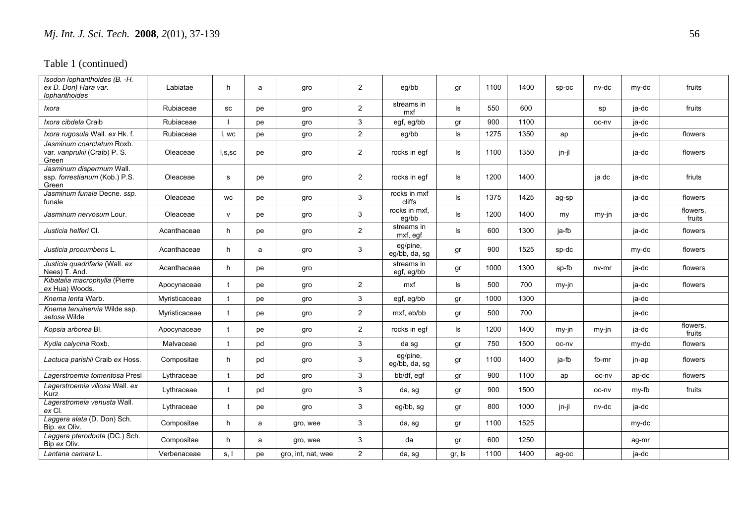| Isodon lophanthoides (B. -H.<br>ex D. Don) Hara var.<br>lophanthoides | Labiatae      | h            | a  | gro                | $\overline{2}$ | eg/bb                     | gr     | 1100 | 1400 | $SD-OC$ | nv-dc   | my-dc | fruits             |
|-----------------------------------------------------------------------|---------------|--------------|----|--------------------|----------------|---------------------------|--------|------|------|---------|---------|-------|--------------------|
| Ixora                                                                 | Rubiaceae     | SC           | pe | gro                | $\overline{2}$ | streams in<br>mxf         | ls     | 550  | 600  |         | sp      | ja-dc | fruits             |
| Ixora cibdela Craib                                                   | Rubiaceae     |              | рe | gro                | 3              | egf, eg/bb                | gr     | 900  | 1100 |         | oc-nv   | ja-dc |                    |
| Ixora rugosula Wall. ex Hk. f.                                        | Rubiaceae     | I, wc        | рe | gro                | $\overline{2}$ | eg/bb                     | ls     | 1275 | 1350 | ap      |         | ja-dc | flowers            |
| Jasminum coarctatum Roxb.<br>var. vanprukii (Craib) P. S.<br>Green    | Oleaceae      | I, S, SC     | pe | gro                | $\overline{2}$ | rocks in egf              | ls     | 1100 | 1350 | jn-jl   |         | ja-dc | flowers            |
| Jasminum dispermum Wall.<br>ssp. forrestianum (Kob.) P.S.<br>Green    | Oleaceae      | s            | pe | gro                | $\overline{2}$ | rocks in egf              | ls.    | 1200 | 1400 |         | ja dc   | ia-dc | friuts             |
| Jasminum funale Decne. ssp.<br>funale                                 | Oleaceae      | WC           | pe | gro                | 3              | rocks in mxf<br>cliffs    | ls     | 1375 | 1425 | ag-sp   |         | ja-dc | flowers            |
| Jasminum nervosum Lour.                                               | Oleaceae      | $\mathsf{V}$ | рe | gro                | 3              | rocks in mxf,<br>eg/bb    | ls     | 1200 | 1400 | my      | my-jn   | ja-dc | flowers,<br>fruits |
| Justicia helferi CI.                                                  | Acanthaceae   | h            | рe | gro                | $\overline{2}$ | streams in<br>mxf, egf    | ls     | 600  | 1300 | ja-fb   |         | ja-dc | flowers            |
| Justicia procumbens L.                                                | Acanthaceae   | h            | a  | gro                | 3              | eg/pine,<br>eg/bb, da, sg | gr     | 900  | 1525 | sp-dc   |         | my-dc | flowers            |
| Justicia quadrifaria (Wall. ex<br>Nees) T. And.                       | Acanthaceae   | h.           | рe | gro                |                | streams in<br>egf, eg/bb  | gr     | 1000 | 1300 | sp-fb   | nv-mr   | ja-dc | flowers            |
| Kibatalia macrophylla (Pierre<br>ex Hua) Woods.                       | Apocynaceae   | t            | рe | gro                | $\overline{2}$ | mxf                       | ls     | 500  | 700  | $my-in$ |         | ja-dc | flowers            |
| Knema lenta Warb.                                                     | Myristicaceae | $\mathbf t$  | pe | gro                | 3              | egf, eg/bb                | gr     | 1000 | 1300 |         |         | ja-dc |                    |
| Knema tenuinervia Wilde ssp.<br>setosa Wilde                          | Myristicaceae | $\mathbf t$  | рe | gro                | $\overline{2}$ | mxf, eb/bb                | gr     | 500  | 700  |         |         | ja-dc |                    |
| Kopsia arborea Bl.                                                    | Apocynaceae   |              | pe | gro                | $\overline{2}$ | rocks in eqf              | ls     | 1200 | 1400 | $my-in$ | $my-in$ | ja-dc | flowers,<br>fruits |
| Kydia calycina Roxb.                                                  | Malvaceae     |              | pd | gro                | 3              | da sg                     | gr     | 750  | 1500 | oc-nv   |         | my-dc | flowers            |
| Lactuca parishii Craib ex Hoss.                                       | Compositae    | h            | pd | gro                | 3              | eg/pine,<br>eg/bb, da, sg | gr     | 1100 | 1400 | ja-fb   | fb-mr   | jn-ap | flowers            |
| Lagerstroemia tomentosa Presl                                         | Lythraceae    | $\mathbf t$  | pd | gro                | 3              | bb/df, egf                | gr     | 900  | 1100 | ap      | oc-nv   | ap-dc | flowers            |
| Lagerstroemia villosa Wall. ex<br>Kurz                                | Lythraceae    | t            | pd | gro                | 3              | da, sg                    | gr     | 900  | 1500 |         | oc-nv   | my-fb | fruits             |
| Lagerstromeia venusta Wall.<br>ex CI.                                 | Lythraceae    | t            | рe | gro                | 3              | eg/bb, sg                 | gr     | 800  | 1000 | jn-jl   | nv-dc   | ja-dc |                    |
| Laggera alata (D. Don) Sch.<br>Bip. ex Oliv.                          | Compositae    | h            | a  | gro, wee           | 3              | da, sg                    | gr     | 1100 | 1525 |         |         | my-dc |                    |
| Laggera pterodonta (DC.) Sch.<br>Bip ex Oliv.                         | Compositae    | h            | a  | gro, wee           | 3              | da                        | gr     | 600  | 1250 |         |         | ag-mr |                    |
| Lantana camara L.                                                     | Verbenaceae   | s, I         | рe | gro, int, nat, wee | $\overline{2}$ | da, sg                    | gr, Is | 1100 | 1400 | ag-oc   |         | ja-dc |                    |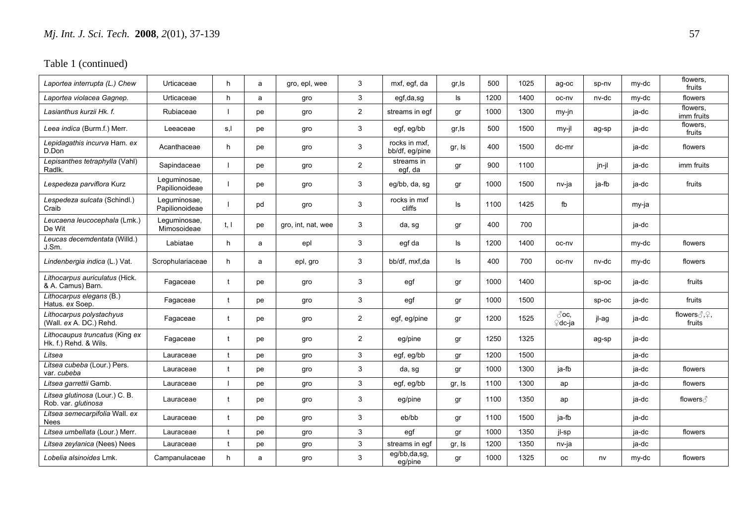| Laportea interrupta (L.) Chew                           | Urticaceae                     | h            | a  | gro, epl, wee      | 3              | mxf, egf, da                    | gr, Is | 500  | 1025 | ag-oc                    | sp-nv   | my-dc | flowers,<br>fruits      |
|---------------------------------------------------------|--------------------------------|--------------|----|--------------------|----------------|---------------------------------|--------|------|------|--------------------------|---------|-------|-------------------------|
| Laportea violacea Gagnep.                               | Urticaceae                     | h            | a  | gro                | 3              | egf,da,sg                       | ls     | 1200 | 1400 | oc-nv                    | nv-dc   | my-dc | flowers                 |
| Lasianthus kurzii Hk. f.                                | Rubiaceae                      |              | pe | gro                | $\overline{2}$ | streams in eqf                  | gr     | 1000 | 1300 | my-jn                    |         | ja-dc | flowers,<br>imm fruits  |
| Leea indica (Burm.f.) Merr.                             | Leeaceae                       | s,l          | pe | gro                | 3              | egf, eg/bb                      | gr, Is | 500  | 1500 | my-jl                    | ag-sp   | ja-dc | flowers,<br>fruits      |
| Lepidagathis incurva Ham. ex<br>D.Don                   | Acanthaceae                    | h            | рe | gro                | 3              | rocks in mxf,<br>bb/df, eg/pine | gr, Is | 400  | 1500 | dc-mr                    |         | ja-dc | flowers                 |
| Lepisanthes tetraphylla (Vahl)<br>Radlk.                | Sapindaceae                    |              | pe | gro                | $\overline{2}$ | streams in<br>egf, da           | gr     | 900  | 1100 |                          | jn-jl   | ja-dc | imm fruits              |
| Lespedeza parviflora Kurz                               | Leguminosae,<br>Papilionoideae |              | pe | gro                | 3              | eg/bb, da, sg                   | gr     | 1000 | 1500 | nv-ja                    | ja-fb   | ja-dc | fruits                  |
| Lespedeza sulcata (Schindl.)<br>Craib                   | Leguminosae,<br>Papilionoideae |              | pd | gro                | 3              | rocks in mxf<br>cliffs          | ls     | 1100 | 1425 | fb                       |         | my-ja |                         |
| Leucaena leucocephala (Lmk.)<br>De Wit                  | Leguminosae,<br>Mimosoideae    | t. I         | pe | gro, int, nat, wee | 3              | da, sg                          | gr     | 400  | 700  |                          |         | ja-dc |                         |
| Leucas decemdentata (Willd.)<br>J.Sm.                   | Labiatae                       | h            | a  | epl                | 3              | egf da                          | ls     | 1200 | 1400 | oc-nv                    |         | my-dc | flowers                 |
| Lindenbergia indica (L.) Vat.                           | Scrophulariaceae               | h            | a  | epl, gro           | 3              | bb/df. mxf.da                   | ls     | 400  | 700  | oc-nv                    | nv-dc   | my-dc | flowers                 |
| Lithocarpus auriculatus (Hick.<br>& A. Camus) Barn.     | Fagaceae                       | t            | pe | gro                | 3              | egf                             | gr     | 1000 | 1400 |                          | $SD-OC$ | ia-dc | fruits                  |
| Lithocarpus elegans (B.)<br>Hatus. ex Soep.             | Fagaceae                       | $\mathbf t$  | pe | gro                | 3              | egf                             | gr     | 1000 | 1500 |                          | $SD-OC$ | ja-dc | fruits                  |
| Lithocarpus polystachyus<br>(Wall. ex A. DC.) Rehd.     | Fagaceae                       |              | pe | gro                | $\overline{2}$ | egf, eg/pine                    | gr     | 1200 | 1525 | $\partial$ oc.<br>⊊dc-ja | jl-ag   | ja-dc | flowers ∂, ?,<br>fruits |
| Lithocaupus truncatus (King ex<br>Hk. f.) Rehd. & Wils. | Fagaceae                       |              | pe | gro                | $\overline{2}$ | eg/pine                         | gr     | 1250 | 1325 |                          | ag-sp   | ja-dc |                         |
| Litsea                                                  | Lauraceae                      |              | pe | gro                | 3              | egf, eg/bb                      | gr     | 1200 | 1500 |                          |         | ja-dc |                         |
| Litsea cubeba (Lour.) Pers.<br>var. cubeba              | Lauraceae                      | $\mathbf{f}$ | pe | gro                | 3              | da, sg                          | gr     | 1000 | 1300 | ja-fb                    |         | ja-dc | flowers                 |
| Litsea garrettii Gamb.                                  | Lauraceae                      |              | pe | gro                | 3              | egf, eg/bb                      | gr, Is | 1100 | 1300 | ap                       |         | ja-dc | flowers                 |
| Litsea glutinosa (Lour.) C. B.<br>Rob. var. glutinosa   | Lauraceae                      | $\mathbf t$  | pe | gro                | 3              | eg/pine                         | gr     | 1100 | 1350 | ap                       |         | ja-dc | flowers ∂               |
| Litsea semecarpifolia Wall. ex<br>Nees                  | Lauraceae                      | $\mathbf t$  | pe | gro                | 3              | eb/bb                           | gr     | 1100 | 1500 | ia-fb                    |         | ja-dc |                         |
| Litsea umbellata (Lour.) Merr.                          | Lauraceae                      |              | pe | gro                | 3              | egf                             | gr     | 1000 | 1350 | jl-sp                    |         | ja-dc | flowers                 |
| Litsea zeylanica (Nees) Nees                            | Lauraceae                      | $\mathbf t$  | pe | gro                | 3              | streams in eqf                  | gr, Is | 1200 | 1350 | nv-ja                    |         | ja-dc |                         |
| Lobelia alsinoides Lmk.                                 | Campanulaceae                  | h            | a  | gro                | 3              | eg/bb,da,sg,<br>eg/pine         | gr     | 1000 | 1325 | <b>OC</b>                | nv      | my-dc | flowers                 |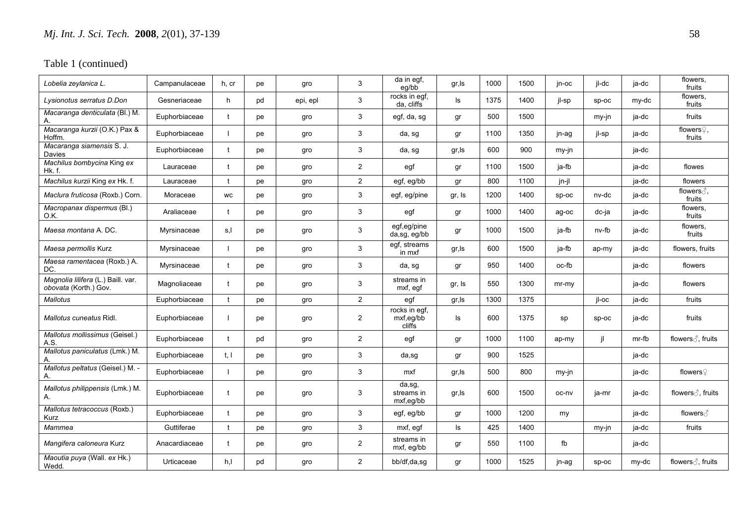| Lobelia zeylanica L.                                        | Campanulaceae | h, cr        | рe | gro      | 3              | da in egf,<br>eg/bb                  | gr, Is   | 1000 | 1500 | jn-oc   | jl-dc   | ja-dc | flowers,<br>fruits                |
|-------------------------------------------------------------|---------------|--------------|----|----------|----------------|--------------------------------------|----------|------|------|---------|---------|-------|-----------------------------------|
| Lysionotus serratus D.Don                                   | Gesneriaceae  | h            | pd | epi, epl | 3              | rocks in egf,<br>da, cliffs          | Is       | 1375 | 1400 | jl-sp   | $sp-oc$ | my-dc | flowers,<br>fruits                |
| Macaranga denticulata (Bl.) M.<br>A.                        | Euphorbiaceae | t            | pe | gro      | 3              | egf, da, sg                          | gr       | 500  | 1500 |         | my-jn   | ja-dc | fruits                            |
| Macaranga kurzii (O.K.) Pax &<br>Hoffm.                     | Euphorbiaceae |              | рe | gro      | 3              | da, sg                               | gr       | 1100 | 1350 | jn-ag   | jl-sp   | ja-dc | flowers $\mathcal{Q}$ ,<br>fruits |
| Macaranga siamensis S. J.<br>Davies                         | Euphorbiaceae | $\mathbf{f}$ | рe | gro      | 3              | da, sg                               | gr, Is   | 600  | 900  | my-jn   |         | ja-dc |                                   |
| Machilus bombycina King ex<br>Hk. f.                        | Lauraceae     | t            | рe | gro      | $\overline{2}$ | egf                                  | gr       | 1100 | 1500 | ja-fb   |         | ja-dc | flowes                            |
| Machilus kurzii King ex Hk. f.                              | Lauraceae     | t            | рe | gro      | $\overline{2}$ | egf, eg/bb                           | gr       | 800  | 1100 | jn-jl   |         | ja-dc | flowers                           |
| Maclura fruticosa (Roxb.) Corn.                             | Moraceae      | WC           | рe | gro      | 3              | egf, eg/pine                         | gr, Is   | 1200 | 1400 | sp-oc   | nv-dc   | ja-dc | flowers ∂,<br>fruits              |
| Macropanax dispermus (Bl.)<br>O.K.                          | Araliaceae    | t            | рe | gro      | 3              | egf                                  | gr       | 1000 | 1400 | ag-oc   | dc-ja   | ja-dc | flowers,<br>fruits                |
| Maesa montana A. DC.                                        | Myrsinaceae   | s,l          | рe | gro      | 3              | egf,eg/pine<br>da,sg, eg/bb          | gr       | 1000 | 1500 | ja-fb   | nv-fb   | ja-dc | flowers,<br>fruits                |
| Maesa permollis Kurz                                        | Myrsinaceae   |              | рe | gro      | 3              | egf, streams<br>in mxf               | gr,ls    | 600  | 1500 | ja-fb   | ap-my   | ja-dc | flowers, fruits                   |
| Maesa ramentacea (Roxb.) A.<br>DC.                          | Myrsinaceae   | t            | pe | gro      | 3              | da, sg                               | gr       | 950  | 1400 | oc-fb   |         | ja-dc | flowers                           |
| Magnolia lilifera (L.) Baill. var.<br>obovata (Korth.) Gov. | Magnoliaceae  | t            | pe | gro      | 3              | streams in<br>mxf, egf               | gr, Is   | 550  | 1300 | $mr-mv$ |         | ja-dc | flowers                           |
| <b>Mallotus</b>                                             | Euphorbiaceae | t            | рe | gro      | $\overline{2}$ | egf                                  | gr,ls    | 1300 | 1375 |         | il-oc   | ja-dc | fruits                            |
| Mallotus cuneatus Ridl.                                     | Euphorbiaceae |              | pe | gro      | $\overline{2}$ | rocks in egf,<br>mxf,eg/bb<br>cliffs | Is       | 600  | 1375 | sp      | $sp-oc$ | ja-dc | fruits                            |
| Mallotus mollissimus (Geisel.)<br>A.S.                      | Euphorbiaceae | $\ddagger$   | pd | gro      | $\overline{2}$ | egf                                  | gr       | 1000 | 1100 | ap-my   | jl      | mr-fb | flowers ∂, fruits                 |
| Mallotus paniculatus (Lmk.) M.<br>A                         | Euphorbiaceae | t, l         | pe | gro      | 3              | da,sg                                | gr       | 900  | 1525 |         |         | ja-dc |                                   |
| Mallotus peltatus (Geisel.) M. -<br>A.                      | Euphorbiaceae |              | рe | gro      | 3              | mxf                                  | gr, Is   | 500  | 800  | my-jn   |         | ja-dc | flowers $\mathcal Q$              |
| Mallotus philippensis (Lmk.) M.<br>Α.                       | Euphorbiaceae | $\mathbf t$  | pe | gro      | 3              | $da$ ,sg,<br>streams in<br>mxf,eg/bb | gr, Is   | 600  | 1500 | oc-nv   | ja-mr   | ja-dc | flowers ∂, fruits                 |
| Mallotus tetracoccus (Roxb.)<br>Kurz                        | Euphorbiaceae | $\mathbf{f}$ | pe | gro      | 3              | egf, eg/bb                           | gr       | 1000 | 1200 | my      |         | ja-dc | flowers ∂                         |
| Mammea                                                      | Guttiferae    | t            | рe | gro      | 3              | mxf, egf                             | $\sf ls$ | 425  | 1400 |         | $my-in$ | ja-dc | fruits                            |
| Mangifera caloneura Kurz                                    | Anacardiaceae | $\ddot{}$    | pe | gro      | $\overline{2}$ | streams in<br>mxf, eg/bb             | gr       | 550  | 1100 | fb      |         | ja-dc |                                   |
| Maoutia puya (Wall. ex Hk.)<br>Wedd.                        | Urticaceae    | h,           | pd | gro      | $\overline{2}$ | bb/df,da,sq                          | gr       | 1000 | 1525 | jn-ag   | $SD-OC$ | my-dc | flowers ∂, fruits                 |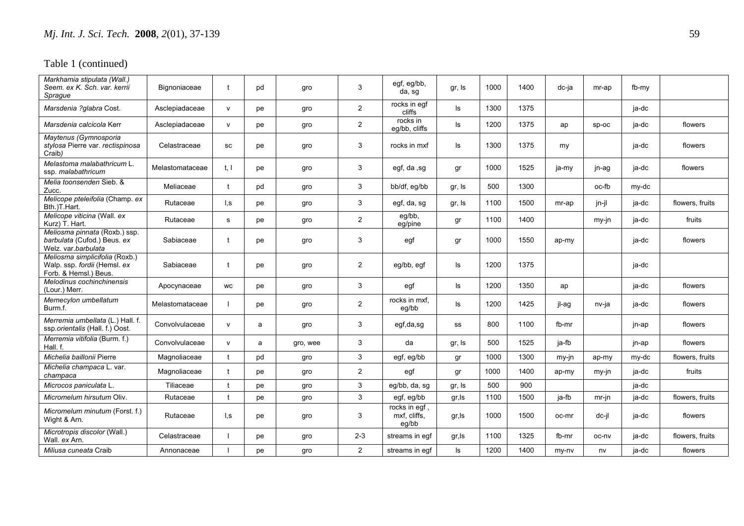| Markhamia stipulata (Wall.)<br>Seem. ex K. Sch. var. kerrii<br>Sprague                  | Bignoniaceae    |              | pd | gro      | 3              | egf, eg/bb,<br>da, sg                  | gr, Is | 1000 | 1400 | dc-ja | mr-ap   | fb-my |                 |
|-----------------------------------------------------------------------------------------|-----------------|--------------|----|----------|----------------|----------------------------------------|--------|------|------|-------|---------|-------|-----------------|
| Marsdenia ?glabra Cost.                                                                 | Asclepiadaceae  | $\mathsf{V}$ | pe | gro      | $\overline{2}$ | rocks in eqf<br>cliffs                 | ls     | 1300 | 1375 |       |         | ja-dc |                 |
| Marsdenia calcicola Kerr                                                                | Asclepiadaceae  | v            | рe | gro      | $\overline{a}$ | rocks in<br>eq/bb, cliffs              | ls     | 1200 | 1375 | ap    | sp-oc   | ja-dc | flowers         |
| Maytenus (Gymnosporia<br>stylosa Pierre var. rectispinosa<br>Craib)                     | Celastraceae    | SC           | pe | gro      | 3              | rocks in mxf                           | ls     | 1300 | 1375 | my    |         | ja-dc | flowers         |
| Melastoma malabathricum L.<br>ssp. malabathricum                                        | Melastomataceae | t, l         | рe | gro      | 3              | egf, da, sg                            | gr     | 1000 | 1525 | ja-my | jn-ag   | ja-dc | flowers         |
| Melia toonsenden Sieb. &<br>Zucc.                                                       | Meliaceae       | $\mathsf{f}$ | pd | gro      | 3              | bb/df, eg/bb                           | gr, Is | 500  | 1300 |       | oc-fb   | my-dc |                 |
| Melicope pteleifolia (Champ. ex<br>Bth.)T.Hart.                                         | Rutaceae        | l,s          | рe | gro      | 3              | egf, da, sg                            | gr, Is | 1100 | 1500 | mr-ap | jn-jl   | ja-dc | flowers, fruits |
| Melicope viticina (Wall. ex<br>Kurz) T. Hart.                                           | Rutaceae        | s            | pe | gro      | $\overline{a}$ | eg/bb,<br>eg/pine                      | gr     | 1100 | 1400 |       | my-jn   | ja-dc | fruits          |
| Meliosma pinnata (Roxb.) ssp.<br>barbulata (Cufod.) Beus. ex<br>Welz. var.barbulata     | Sabiaceae       | t            | pe | gro      | 3              | egf                                    | gr     | 1000 | 1550 | ap-my |         | ja-dc | flowers         |
| Meliosma simplicifolia (Roxb.)<br>Walp. ssp. fordii (Hemsl. ex<br>Forb. & Hemsl.) Beus. | Sabiaceae       |              | pe | gro      | $\overline{2}$ | eg/bb, egf                             | ls     | 1200 | 1375 |       |         | ja-dc |                 |
| Melodinus cochinchinensis<br>(Lour.) Merr.                                              | Apocynaceae     | <b>WC</b>    | рe | gro      | 3              | egf                                    | ls     | 1200 | 1350 | ap    |         | ja-dc | flowers         |
| Memecylon umbellatum<br>Burm.f.                                                         | Melastomataceae |              | рe | gro      | $\overline{a}$ | rocks in mxf,<br>eg/bb                 | ls     | 1200 | 1425 | il-ag | nv-ja   | ja-dc | flowers         |
| Merremia umbellata (L.) Hall. f.<br>ssp.orientalis (Hall. f.) Oost.                     | Convolvulaceae  | $\mathsf{v}$ | a  | gro      | 3              | egf,da,sg                              | SS     | 800  | 1100 | fb-mr |         | jn-ap | flowers         |
| Merremia vitifolia (Burm. f.)<br>Hall, f.                                               | Convolvulaceae  | $\mathsf{v}$ | a  | gro, wee | 3              | da                                     | gr, Is | 500  | 1525 | ia-fb |         | jn-ap | flowers         |
| Michelia baillonii Pierre                                                               | Magnoliaceae    |              | pd | gro      | 3              | egf, eg/bb                             | gr     | 1000 | 1300 | my-jn | ap-my   | my-dc | flowers, fruits |
| Michelia champaca L. var.<br>champaca                                                   | Magnoliaceae    |              | pe | gro      | $\overline{2}$ | egf                                    | gr     | 1000 | 1400 | ap-my | $my-in$ | ia-dc | fruits          |
| Microcos paniculata L.                                                                  | Tiliaceae       |              | рe | gro      | 3              | eg/bb, da, sg                          | gr, Is | 500  | 900  |       |         | ja-dc |                 |
| Micromelum hirsutum Oliv.                                                               | Rutaceae        |              | рe | gro      | 3              | egf, eg/bb                             | gr, ls | 1100 | 1500 | ja-fb | $mr-in$ | ja-dc | flowers, fruits |
| Micromelum minutum (Forst. f.)<br>Wight & Arn.                                          | Rutaceae        | I, S         | рe | gro      | 3              | rocks in egf,<br>mxf, cliffs,<br>eq/bb | gr, Is | 1000 | 1500 | oc-mr | dc-il   | ja-dc | flowers         |
| Microtropis discolor (Wall.)<br>Wall, ex Arn.                                           | Celastraceae    |              | рe | gro      | $2 - 3$        | streams in egf                         | gr, Is | 1100 | 1325 | fb-mr | oc-nv   | ja-dc | flowers, fruits |
| Miliusa cuneata Craib                                                                   | Annonaceae      |              | рe | gro      | $\overline{2}$ | streams in eqf                         | ls     | 1200 | 1400 | my-ny | nv      | ja-dc | flowers         |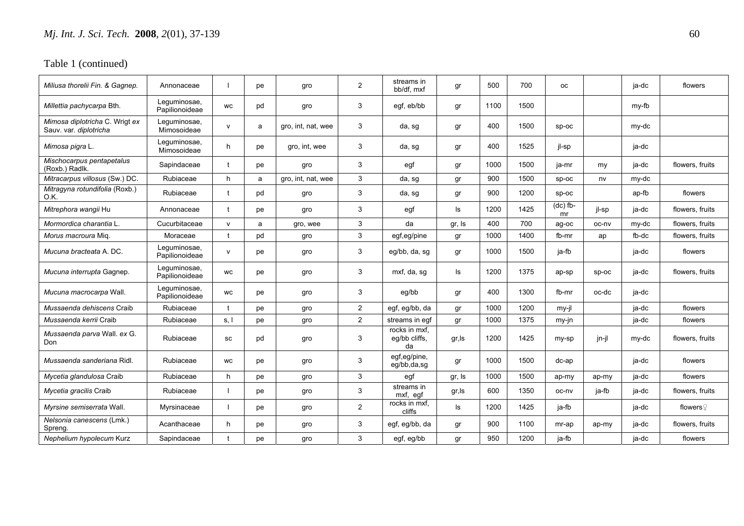| Miliusa thorelii Fin. & Gagnep.                          | Annonaceae                     |              | pe | gro                | $\overline{2}$ | streams in<br>bb/df. mxf             | gr     | 500  | 700  | <b>OC</b>        |         | ja-dc | flowers              |
|----------------------------------------------------------|--------------------------------|--------------|----|--------------------|----------------|--------------------------------------|--------|------|------|------------------|---------|-------|----------------------|
| Millettia pachycarpa Bth.                                | Lequminosae,<br>Papilionoideae | <b>WC</b>    | pd | gro                | 3              | egf, eb/bb                           | gr     | 1100 | 1500 |                  |         | my-fb |                      |
| Mimosa diplotricha C. Wrigt ex<br>Sauv. var. diplotricha | Leguminosae,<br>Mimosoideae    | $\mathsf{v}$ | a  | gro, int, nat, wee | 3              | da, sg                               | gr     | 400  | 1500 | $sp-oc$          |         | my-dc |                      |
| Mimosa pigra L.                                          | Lequminosae,<br>Mimosoideae    | h            | pe | gro, int, wee      | 3              | da, sg                               | gr     | 400  | 1525 | jl-sp            |         | ja-dc |                      |
| Mischocarpus pentapetalus<br>(Roxb.) Radlk.              | Sapindaceae                    | $\mathbf t$  | рe | gro                | 3              | egf                                  | gr     | 1000 | 1500 | ja-mr            | my      | ia-dc | flowers, fruits      |
| Mitracarpus villosus (Sw.) DC.                           | Rubiaceae                      | h            | a  | gro, int, nat, wee | 3              | da, sg                               | gr     | 900  | 1500 | SD-OC            | nv      | my-dc |                      |
| Mitragyna rotundifolia (Roxb.)<br>O.K.                   | Rubiaceae                      | $\mathbf{f}$ | pd | gro                | 3              | da, sg                               | gr     | 900  | 1200 | SD-OC            |         | ap-fb | flowers              |
| Mitrephora wangii Hu                                     | Annonaceae                     | t            | pe | qro                | 3              | egf                                  | ls     | 1200 | 1425 | $(dc)$ fb-<br>mr | il-sp   | ja-dc | flowers, fruits      |
| Mormordica charantia L.                                  | Cucurbitaceae                  | $\mathsf{v}$ | a  | gro, wee           | 3              | da                                   | gr, Is | 400  | 700  | ag-oc            | oc-nv   | my-dc | flowers, fruits      |
| Morus macroura Mig.                                      | Moraceae                       |              | pd | gro                | 3              | egf,eg/pine                          | gr     | 1000 | 1400 | fb-mr            | ap      | fb-dc | flowers, fruits      |
| <i>Mucuna bracteata</i> A. DC.                           | Lequminosae,<br>Papilionoideae | $\mathsf{v}$ | pe | gro                | 3              | eq/bb, da, sq                        | gr     | 1000 | 1500 | ja-fb            |         | ja-dc | flowers              |
| Mucuna interrupta Gagnep.                                | Leguminosae,<br>Papilionoideae | <b>WC</b>    | pe | gro                | 3              | mxf, da, sq                          | ls     | 1200 | 1375 | ap-sp            | $SD-OC$ | ja-dc | flowers, fruits      |
| Mucuna macrocarpa Wall.                                  | Lequminosae,<br>Papilionoideae | <b>WC</b>    | pe | gro                | 3              | eg/bb                                | gr     | 400  | 1300 | fb-mr            | oc-dc   | ja-dc |                      |
| Mussaenda dehiscens Craib                                | Rubiaceae                      |              | pe | gro                | $\overline{2}$ | egf, eg/bb, da                       | gr     | 1000 | 1200 | my-jl            |         | ja-dc | flowers              |
| Mussaenda kerrii Craib                                   | Rubiaceae                      | s.l          | pe | gro                | 2              | streams in eqf                       | gr     | 1000 | 1375 | $my-in$          |         | ja-dc | flowers              |
| Mussaenda parva Wall. ex G.<br>Don                       | Rubiaceae                      | SC           | pd | gro                | 3              | rocks in mxf,<br>eq/bb cliffs,<br>da | gr, Is | 1200 | 1425 | my-sp            | jn-jl   | my-dc | flowers, fruits      |
| <i>Mussaenda sanderiana</i> Ridl.                        | Rubiaceae                      | <b>WC</b>    | pe | gro                | 3              | egf,eg/pine,<br>eg/bb,da,sg          | gr     | 1000 | 1500 | dc-ap            |         | ia-dc | flowers              |
| Mycetia glandulosa Craib                                 | Rubiaceae                      | h            | pe | gro                | 3              | egf                                  | gr, Is | 1000 | 1500 | ap-my            | ap-my   | ja-dc | flowers              |
| Mycetia gracilis Craib                                   | Rubiaceae                      |              | pe | gro                | 3              | streams in<br>mxf, egf               | gr, ls | 600  | 1350 | oc-nv            | ja-fb   | ja-dc | flowers, fruits      |
| Myrsine semiserrata Wall.                                | Myrsinaceae                    |              | рe | gro                | $\overline{2}$ | rocks in mxf,<br>cliffs              | ls     | 1200 | 1425 | ja-fb            |         | ja-dc | flowers $\mathcal Q$ |
| Nelsonia canescens (Lmk.)<br>Spreng.                     | Acanthaceae                    | h            | рe | gro                | 3              | egf, eg/bb, da                       | gr     | 900  | 1100 | mr-ap            | ap-my   | ja-dc | flowers, fruits      |
| Nephelium hypolecum Kurz                                 | Sapindaceae                    |              | pe | gro                | 3              | egf, eg/bb                           | gr     | 950  | 1200 | ja-fb            |         | ja-dc | flowers              |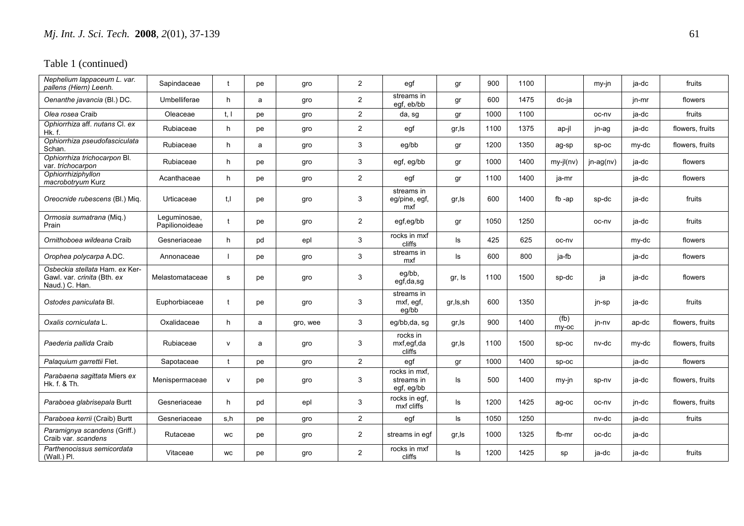| Nephelium lappaceum L. var.<br>pallens (Hiern) Leenh.                           | Sapindaceae                    | t            | pe | gro      | $\overline{2}$          | egf                                       | gr         | 900  | 1100 |               | my-jn     | ja-dc | fruits          |
|---------------------------------------------------------------------------------|--------------------------------|--------------|----|----------|-------------------------|-------------------------------------------|------------|------|------|---------------|-----------|-------|-----------------|
| Oenanthe javancia (BI.) DC.                                                     | Umbelliferae                   | h            | a  | gro      | $\overline{\mathbf{c}}$ | streams in<br>eqf, eb/bb                  | gr         | 600  | 1475 | dc-ja         |           | jn-mr | flowers         |
| Olea rosea Craib                                                                | Oleaceae                       | t, l         | pe | gro      | $\overline{2}$          | da, sg                                    | gr         | 1000 | 1100 |               | oc-nv     | ia-dc | fruits          |
| Ophiorrhiza aff. nutans Cl. ex<br>Hk. f.                                        | Rubiaceae                      | h            | рe | gro      | $\overline{2}$          | egf                                       | gr, Is     | 1100 | 1375 | ap-il         | jn-ag     | ja-dc | flowers, fruits |
| Ophiorrhiza pseudofasciculata<br>Schan                                          | Rubiaceae                      | h.           | a  | gro      | 3                       | eg/bb                                     | gr         | 1200 | 1350 | ag-sp         | $SD-OC$   | my-dc | flowers, fruits |
| Ophiorrhiza trichocarpon Bl.<br>var. trichocarpon                               | Rubiaceae                      | h            | рe | gro      | 3                       | egf, eg/bb                                | gr         | 1000 | 1400 | my-jl(nv)     | jn-ag(nv) | ja-dc | flowers         |
| Ophiorrhiziphyllon<br>macrobotryum Kurz                                         | Acanthaceae                    | h            | рe | gro      | $\overline{2}$          | egf                                       | gr         | 1100 | 1400 | ja-mr         |           | ja-dc | flowers         |
| Oreocnide rubescens (Bl.) Mig.                                                  | Urticaceae                     | t, l         | pe | gro      | 3                       | streams in<br>eg/pine, egf,<br>mxf        | gr, Is     | 600  | 1400 | $fb$ -ap      | sp-dc     | ja-dc | fruits          |
| Ormosia sumatrana (Miq.)<br>Prain                                               | Lequminosae,<br>Papilionoideae | $\mathbf t$  | pe | gro      | $\overline{2}$          | egf,eg/bb                                 | gr         | 1050 | 1250 |               | oc-nv     | ja-dc | fruits          |
| Ornithoboea wildeana Craib                                                      | Gesneriaceae                   | h            | pd | epl      | 3                       | rocks in mxf<br>cliffs                    | ls.        | 425  | 625  | oc-nv         |           | my-dc | flowers         |
| Orophea polycarpa A.DC.                                                         | Annonaceae                     |              | рe | gro      | 3                       | streams in<br>mxf                         | ls.        | 600  | 800  | ja-fb         |           | ja-dc | flowers         |
| Osbeckia stellata Ham. ex Ker-<br>Gawl. var. crinita (Bth. ex<br>Naud.) C. Han. | Melastomataceae                | s            | pe | gro      | 3                       | eg/bb,<br>egf,da,sg                       | gr, Is     | 1100 | 1500 | sp-dc         | ja        | ja-dc | flowers         |
| Ostodes paniculata Bl.                                                          | Euphorbiaceae                  | $\ddagger$   | pe | gro      | 3                       | streams in<br>mxf, egf,<br>eg/bb          | gr, ls, sh | 600  | 1350 |               | jn-sp     | ja-dc | fruits          |
| Oxalis corniculata L.                                                           | Oxalidaceae                    | h            | a  | gro, wee | 3                       | eg/bb,da, sg                              | gr, Is     | 900  | 1400 | (fb)<br>my-oc | jn-nv     | ap-dc | flowers, fruits |
| Paederia pallida Craib                                                          | Rubiaceae                      | $\mathsf{v}$ | a  | gro      | 3                       | rocks in<br>mxf,egf,da<br>cliffs          | gr, Is     | 1100 | 1500 | Sp-oc         | nv-dc     | my-dc | flowers, fruits |
| Palaquium garrettii Flet.                                                       | Sapotaceae                     | t            | рe | gro      | $\overline{a}$          | egf                                       | gr         | 1000 | 1400 | sp-oc         |           | ja-dc | flowers         |
| Parabaena sagittata Miers ex<br>Hk. f. & Th.                                    | Menispermaceae                 | $\mathsf{v}$ | рe | gro      | 3                       | rocks in mxf.<br>streams in<br>egf, eg/bb | Is         | 500  | 1400 | my-jn         | sp-nv     | ja-dc | flowers, fruits |
| Paraboea glabrisepala Burtt                                                     | Gesneriaceae                   | h            | pd | epl      | 3                       | rocks in egf,<br>mxf cliffs               | Is         | 1200 | 1425 | ag-oc         | oc-nv     | jn-dc | flowers, fruits |
| Paraboea kerrii (Craib) Burtt                                                   | Gesneriaceae                   | s,h          | pe | gro      | $\overline{2}$          | egf                                       | ls         | 1050 | 1250 |               | nv-dc     | ja-dc | fruits          |
| Paramignya scandens (Griff.)<br>Craib var. scandens                             | Rutaceae                       | WC           | pe | gro      | $\overline{2}$          | streams in eqf                            | gr,ls      | 1000 | 1325 | fb-mr         | oc-dc     | ja-dc |                 |
| Parthenocissus semicordata<br>(Wall.) Pl.                                       | Vitaceae                       | <b>WC</b>    | pe | gro      | $\overline{2}$          | rocks in mxf<br>cliffs                    | Is         | 1200 | 1425 | sp            | ja-dc     | ja-dc | fruits          |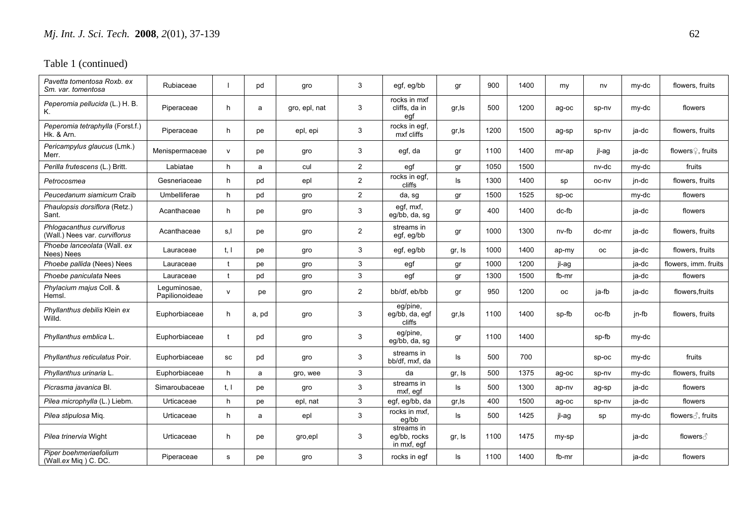| Pavetta tomentosa Roxb. ex<br>Sm. var. tomentosa           | Rubiaceae                      |              | pd    | gro           | 3              | egf, eg/bb                                | gr     | 900  | 1400 | my      | nv        | my-dc | flowers, fruits               |
|------------------------------------------------------------|--------------------------------|--------------|-------|---------------|----------------|-------------------------------------------|--------|------|------|---------|-----------|-------|-------------------------------|
| Peperomia pellucida (L.) H. B.<br>Κ.                       | Piperaceae                     | h            | a     | gro, epl, nat | 3              | rocks in mxf<br>cliffs, da in<br>egf      | gr, ls | 500  | 1200 | ag-oc   | sp-nv     | my-dc | flowers                       |
| Peperomia tetraphylla (Forst.f.)<br>Hk. & Arn.             | Piperaceae                     | h            | pe    | epl, epi      | 3              | rocks in egf,<br>mxf cliffs               | gr, Is | 1200 | 1500 | ag-sp   | sp-nv     | ja-dc | flowers, fruits               |
| Pericampylus glaucus (Lmk.)<br>Merr.                       | Menispermaceae                 | $\mathsf{v}$ | рe    | gro           | 3              | egf, da                                   | gr     | 1100 | 1400 | mr-ap   | jl-ag     | ja-dc | flowers <sup>2</sup> , fruits |
| Perilla frutescens (L.) Britt.                             | Labiatae                       | h            | a     | cul           | $\overline{2}$ | egf                                       | gr     | 1050 | 1500 |         | nv-dc     | my-dc | fruits                        |
| Petrocosmea                                                | Gesneriaceae                   | h            | pd    | epl           | $\overline{2}$ | rocks in egf,<br>cliffs                   | ls     | 1300 | 1400 | sp      | oc-ny     | jn-dc | flowers, fruits               |
| Peucedanum siamicum Craib                                  | Umbelliferae                   | h            | pd    | gro           | $\overline{2}$ | da, sg                                    | gr     | 1500 | 1525 | sp-oc   |           | my-dc | flowers                       |
| Phaulopsis dorsiflora (Retz.)<br>Sant.                     | Acanthaceae                    | h            | pe    | gro           | 3              | eqf, mxf,<br>eg/bb, da, sg                | gr     | 400  | 1400 | $dc-fb$ |           | ja-dc | flowers                       |
| Phlogacanthus curviflorus<br>(Wall.) Nees var. curviflorus | Acanthaceae                    | s,l          | рe    | gro           | $\overline{2}$ | streams in<br>egf, eg/bb                  | gr     | 1000 | 1300 | nv-fb   | dc-mr     | ja-dc | flowers, fruits               |
| Phoebe lanceolata (Wall. ex<br>Nees) Nees                  | Lauraceae                      | t, I         | pe    | gro           | 3              | egf, eg/bb                                | gr, Is | 1000 | 1400 | ap-my   | <b>OC</b> | ja-dc | flowers, fruits               |
| Phoebe pallida (Nees) Nees                                 | Lauraceae                      |              | pe    | gro           | 3              | egf                                       | gr     | 1000 | 1200 | jl-ag   |           | ja-dc | flowers, imm. fruits          |
| Phoebe paniculata Nees                                     | Lauraceae                      | $\mathbf t$  | pd    | gro           | $\mathbf{3}$   | egf                                       | gr     | 1300 | 1500 | fb-mr   |           | ja-dc | flowers                       |
| Phylacium majus Coll. &<br>Hemsl.                          | Leguminosae,<br>Papilionoideae | v            | рe    | gro           | $\overline{2}$ | bb/df, eb/bb                              | gr     | 950  | 1200 | 0C      | ia-fb     | ja-dc | flowers, fruits               |
| Phyllanthus debilis Klein ex<br>Willd.                     | Euphorbiaceae                  | h            | a, pd | gro           | 3              | eg/pine,<br>eg/bb, da, egf<br>cliffs      | gr,ls  | 1100 | 1400 | sp-fb   | oc-fb     | jn-fb | flowers, fruits               |
| Phyllanthus emblica L.                                     | Euphorbiaceae                  | $\mathbf t$  | pd    | gro           | 3              | eg/pine,<br>eg/bb, da, sg                 | gr     | 1100 | 1400 |         | sp-fb     | my-dc |                               |
| <i>Phyllanthus reticulatus Poir.</i>                       | Euphorbiaceae                  | SC           | pd    | qro           | 3              | streams in<br>bb/df, mxf, da              | ls     | 500  | 700  |         | $SD-OC$   | my-dc | fruits                        |
| Phyllanthus urinaria L.                                    | Euphorbiaceae                  | h            | a     | gro, wee      | 3              | da                                        | gr, Is | 500  | 1375 | ag-oc   | sp-nv     | my-dc | flowers, fruits               |
| Picrasma javanica Bl.                                      | Simaroubaceae                  | t, l         | pe    | gro           | 3              | streams in<br>mxf, eqf                    | ls     | 500  | 1300 | ap-nv   | ag-sp     | ja-dc | flowers                       |
| Pilea microphylla (L.) Liebm.                              | Urticaceae                     | h            | рe    | epl, nat      | 3              | egf, eg/bb, da                            | gr, ls | 400  | 1500 | ag-oc   | sp-nv     | ja-dc | flowers                       |
| <i>Pilea stipulosa Mig.</i>                                | Urticaceae                     | h            | a     | epl           | 3              | rocks in mxf,<br>eg/bb                    | ls     | 500  | 1425 | jl-ag   | sp        | my-dc | flowers ∂, fruits             |
| <i>Pilea trinervia</i> Wight                               | Urticaceae                     | h            | pe    | gro,epl       | 3              | streams in<br>eg/bb, rocks<br>in mxf, egf | gr, Is | 1100 | 1475 | my-sp   |           | ja-dc | flowers ∂                     |
| Piper boehmeriaefolium<br>(Wall.ex Miq) C. DC.             | Piperaceae                     | s            | рe    | gro           | 3              | rocks in egf                              | ls     | 1100 | 1400 | fb-mr   |           | ja-dc | flowers                       |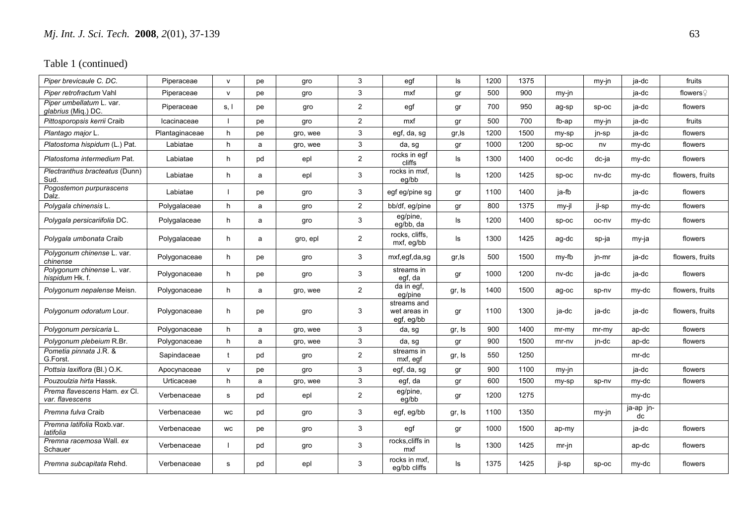| Piper brevicaule C. DC.                         | Piperaceae     | $\mathsf{V}$ | pe | gro      | 3              | egf                                       | ls     | 1200 | 1375 |          | my-jn   | ja-dc           | fruits          |
|-------------------------------------------------|----------------|--------------|----|----------|----------------|-------------------------------------------|--------|------|------|----------|---------|-----------------|-----------------|
| Piper retrofractum Vahl                         | Piperaceae     | $\mathsf{v}$ | pe | gro      | 3              | mxf                                       | gr     | 500  | 900  | $my-in$  |         | ja-dc           | flowers $Q$     |
| Piper umbellatum L. var.<br>glabrius (Miq.) DC. | Piperaceae     | s, I         | pe | gro      | $\overline{2}$ | egf                                       | gr     | 700  | 950  | ag-sp    | SD-OC   | ja-dc           | flowers         |
| Pittosporopsis kerrii Craib                     | Icacinaceae    |              | рe | gro      | $\overline{2}$ | mxf                                       | gr     | 500  | 700  | fb-ap    | my-jn   | ja-dc           | fruits          |
| Plantago major L.                               | Plantaginaceae | h            | pe | gro, wee | 3              | egf, da, sg                               | gr, Is | 1200 | 1500 | my-sp    | jn-sp   | ja-dc           | flowers         |
| Platostoma hispidum (L.) Pat.                   | Labiatae       | h            | a  | gro, wee | 3              | da, sg                                    | gr     | 1000 | 1200 | $sp-oc$  | nv      | my-dc           | flowers         |
| Platostoma intermedium Pat.                     | Labiatae       | h            | pd | epl      | $\overline{2}$ | rocks in egf<br>cliffs                    | ls     | 1300 | 1400 | oc-dc    | dc-ja   | my-dc           | flowers         |
| Plectranthus bracteatus (Dunn)<br>Sud.          | Labiatae       | h            | a  | epl      | 3              | rocks in mxf.<br>eg/bb                    | ls     | 1200 | 1425 | sp-oc    | nv-dc   | my-dc           | flowers, fruits |
| Pogostemon purpurascens<br>Dalz.                | Labiatae       |              | pe | gro      | 3              | egf eg/pine sg                            | gr     | 1100 | 1400 | ja-fb    |         | ja-dc           | flowers         |
| Polygala chinensis L.                           | Polygalaceae   | h            | a  | gro      | $\overline{2}$ | bb/df, eg/pine                            | gr     | 800  | 1375 | my-jl    | jl-sp   | my-dc           | flowers         |
| Polygala persicariifolia DC.                    | Polygalaceae   | h            | a  | gro      | 3              | eg/pine,<br>eg/bb, da                     | ls     | 1200 | 1400 | sp-oc    | oc-nv   | my-dc           | flowers         |
| Polygala umbonata Craib                         | Polygalaceae   | h            | a  | gro, epl | $\overline{2}$ | rocks. cliffs.<br>mxf, eg/bb              | ls     | 1300 | 1425 | ag-dc    | sp-ja   | my-ja           | flowers         |
| Polygonum chinense L. var.<br>chinense          | Polygonaceae   | h            | pe | gro      | 3              | mxf,egf,da,sg                             | gr, Is | 500  | 1500 | my-fb    | jn-mr   | ja-dc           | flowers, fruits |
| Polygonum chinense L. var.<br>hispidum Hk. f.   | Polygonaceae   | h            | pe | gro      | 3              | streams in<br>egf, da                     | gr     | 1000 | 1200 | nv-dc    | ja-dc   | ja-dc           | flowers         |
| Polygonum nepalense Meisn.                      | Polygonaceae   | h            | a  | gro, wee | $\overline{2}$ | $\overline{da}$ in egf,<br>eg/pine        | gr, Is | 1400 | 1500 | ag-oc    | sp-nv   | my-dc           | flowers, fruits |
| Polygonum odoratum Lour.                        | Polygonaceae   | h            | pe | gro      | 3              | streams and<br>wet areas in<br>egf, eg/bb | gr     | 1100 | 1300 | ja-dc    | ja-dc   | ja-dc           | flowers, fruits |
| Polygonum persicaria L.                         | Polygonaceae   | h            | a  | gro, wee | 3              | da, sg                                    | gr, Is | 900  | 1400 | $mr-mv$  | $mr-mv$ | ap-dc           | flowers         |
| Polygonum plebeium R.Br.                        | Polygonaceae   | h            | a  | gro, wee | 3              | da, sg                                    | gr     | 900  | 1500 | $mr-nv$  | jn-dc   | ap-dc           | flowers         |
| Pometia pinnata J.R. &<br>G.Forst.              | Sapindaceae    | t            | pd | gro      | $\overline{2}$ | streams in<br>mxf, egf                    | gr, Is | 550  | 1250 |          |         | mr-dc           |                 |
| Pottsia laxiflora (Bl.) O.K.                    | Apocynaceae    | $\mathsf{v}$ | pe | qro      | 3              | egf, da, sg                               | gr     | 900  | 1100 | my-jn    |         | ja-dc           | flowers         |
| Pouzoulzia hirta Hassk.                         | Urticaceae     | h            | a  | gro, wee | 3              | egf, da                                   | gr     | 600  | 1500 | my-sp    | sp-nv   | my-dc           | flowers         |
| Prema flavescens Ham. ex Cl.<br>var. flavescens | Verbenaceae    | s            | pd | epl      | $\overline{2}$ | eg/pine,<br>eg/bb                         | gr     | 1200 | 1275 |          |         | my-dc           |                 |
| Premna fulva Craib                              | Verbenaceae    | <b>WC</b>    | pd | gro      | 3              | egf, eg/bb                                | gr, Is | 1100 | 1350 |          | my-jn   | ja-ap jn-<br>dc |                 |
| Premna latifolia Roxb.var.<br>latifolia         | Verbenaceae    | <b>WC</b>    | pe | gro      | 3              | egf                                       | gr     | 1000 | 1500 | ap-my    |         | ja-dc           | flowers         |
| Premna racemosa Wall. ex<br>Schauer             | Verbenaceae    |              | pd | gro      | $\mathbf{3}$   | rocks, cliffs in<br>mxf                   | ls     | 1300 | 1425 | $mr$ -jn |         | ap-dc           | flowers         |
| Premna subcapitata Rehd.                        | Verbenaceae    | s            | pd | epl      | 3              | rocks in mxf,<br>eg/bb cliffs             | ls     | 1375 | 1425 | il-sp    | $SD-OC$ | my-dc           | flowers         |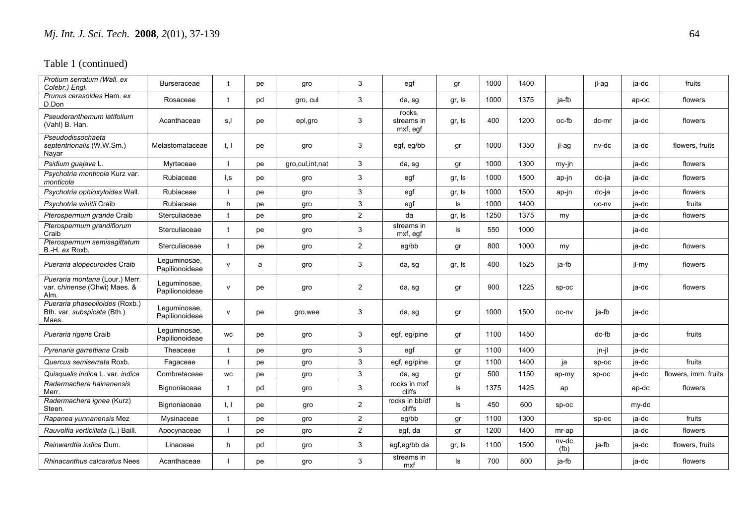| Protium serratum (Wall. ex<br>Colebr.) Enal.                           | <b>Burseraceae</b>             | t            | pe | gro             | 3              | egf                              | gr     | 1000 | 1400 |                                         | jl-aq   | ja-dc | fruits               |
|------------------------------------------------------------------------|--------------------------------|--------------|----|-----------------|----------------|----------------------------------|--------|------|------|-----------------------------------------|---------|-------|----------------------|
| Prunus cerasoides Ham. ex<br>D.Don                                     | Rosaceae                       | $\ddagger$   | pd | gro, cul        | 3              | da, sg                           | gr, Is | 1000 | 1375 | ja-fb                                   |         | ap-oc | flowers              |
| Pseuderanthemum latifolium<br>(Vahl) B. Han.                           | Acanthaceae                    | s,l          | pe | epl,gro         | 3              | rocks,<br>streams in<br>mxf, eqf | gr, Is | 400  | 1200 | oc-fb                                   | dc-mr   | ja-dc | flowers              |
| Pseudodissochaeta<br>septentrionalis (W.W.Sm.)<br>Nayar                | Melastomataceae                | t, l         | pe | gro             | 3              | egf, eg/bb                       | gr     | 1000 | 1350 | il-ag                                   | nv-dc   | ja-dc | flowers, fruits      |
| Psidium guajava L.                                                     | Myrtaceae                      |              | рe | gro.cul.int.nat | 3              | da, sg                           | gr     | 1000 | 1300 | my-jn                                   |         | ja-dc | flowers              |
| Psychotria monticola Kurz var.<br>monticola                            | Rubiaceae                      | l,s          | pe | gro             | 3              | egf                              | gr, Is | 1000 | 1500 | ap-jn                                   | dc-ja   | ja-dc | flowers              |
| Psychotria ophioxyloides Wall.                                         | Rubiaceae                      |              | рe | gro             | 3              | egf                              | gr, Is | 1000 | 1500 | ap-jn                                   | dc-ja   | ja-dc | flowers              |
| Psychotria winitii Craib                                               | Rubiaceae                      | h            | рe | gro             | 3              | egf                              | ls     | 1000 | 1400 |                                         | oc-nv   | ja-dc | fruits               |
| Pterospermum grande Craib                                              | Sterculiaceae                  |              | рe | gro             | $\overline{2}$ | da                               | gr, Is | 1250 | 1375 | my                                      |         | ja-dc | flowers              |
| Pterospermum grandiflorum<br>Craib                                     | Sterculiaceae                  | $\mathbf t$  | pe | gro             | 3              | streams in<br>mxf, egf           | ls     | 550  | 1000 |                                         |         | ja-dc |                      |
| Pterospermum semisagittatum<br>B.-H. ex Roxb.                          | Sterculiaceae                  |              | рe | gro             | $\overline{2}$ | eg/bb                            | gr     | 800  | 1000 | my                                      |         | ja-dc | flowers              |
| Pueraria alopecuroides Craib                                           | Leguminosae,<br>Papilionoideae | v            | a  | gro             | 3              | da, sg                           | gr, Is | 400  | 1525 | ja-fb                                   |         | jl-my | flowers              |
| Pueraria montana (Lour.) Merr.<br>var. chinense (Ohwi) Maes. &<br>Alm. | Leguminosae,<br>Papilionoideae | v            | pe | gro             | $\overline{2}$ | da, sg                           | gr     | 900  | 1225 | SD-OC                                   |         | ja-dc | flowers              |
| Pueraria phaseolioides (Roxb.)<br>Bth. var. subspicata (Bth.)<br>Maes. | Leguminosae,<br>Papilionoideae | $\mathsf{v}$ | рe | gro, wee        | 3              | da, sg                           | gr     | 1000 | 1500 | oc-nv                                   | ja-fb   | ia-dc |                      |
| Pueraria rigens Craib                                                  | Leguminosae,<br>Papilionoideae | <b>WC</b>    | pe | gro             | 3              | egf, eg/pine                     | gr     | 1100 | 1450 |                                         | dc-fb   | ja-dc | fruits               |
| Pyrenaria garrettiana Craib                                            | Theaceae                       |              | рe | gro             | 3              | egf                              | gr     | 1100 | 1400 |                                         | jn-jl   | ja-dc |                      |
| Quercus semiserrata Roxb.                                              | Fagaceae                       | t            | рe | gro             | 3              | egf, eg/pine                     | gr     | 1100 | 1400 | ja                                      | sp-oc   | ja-dc | fruits               |
| Quisqualis indica L. var. indica                                       | Combretaceae                   | WC           | рe | gro             | $\mathbf{3}$   | da, sg                           | gr     | 500  | 1150 | ap-my                                   | sp-oc   | ja-dc | flowers, imm, fruits |
| Radermachera hainanensis<br>Merr.                                      | Bignoniaceae                   |              | pd | gro             | 3              | rocks in mxf<br>cliffs           | ls     | 1375 | 1425 | ap                                      |         | ap-dc | flowers              |
| Radermachera ignea (Kurz)<br>Steen.                                    | Bignoniaceae                   | t, l         | рe | gro             | $\overline{2}$ | rocks in bb/df<br>cliffs         | ls     | 450  | 600  | $sp-oc$                                 |         | my-dc |                      |
| Rapanea yunnanensis Mez                                                | Mysinaceae                     |              | рe | gro             | $\overline{2}$ | eg/bb                            | gr     | 1100 | 1300 |                                         | $sp-oc$ | ja-dc | fruits               |
| Rauvolfia verticillata (L.) Baill.                                     | Apocynaceae                    |              | pe | gro             | $\overline{2}$ | egf, da                          | gr     | 1200 | 1400 | mr-ap                                   |         | ja-dc | flowers              |
| Reinwardtia indica Dum.                                                | Linaceae                       | h            | pd | gro             | 3              | egf,eg/bb da                     | gr, Is | 1100 | 1500 | $nv-d\overline{c}$<br>(f <sub>b</sub> ) | ja-fb   | ja-dc | flowers, fruits      |
| <b>Rhinacanthus calcaratus Nees</b>                                    | Acanthaceae                    |              | рe | gro             | 3              | streams in<br>mxf                | ls     | 700  | 800  | ja-fb                                   |         | ja-dc | flowers              |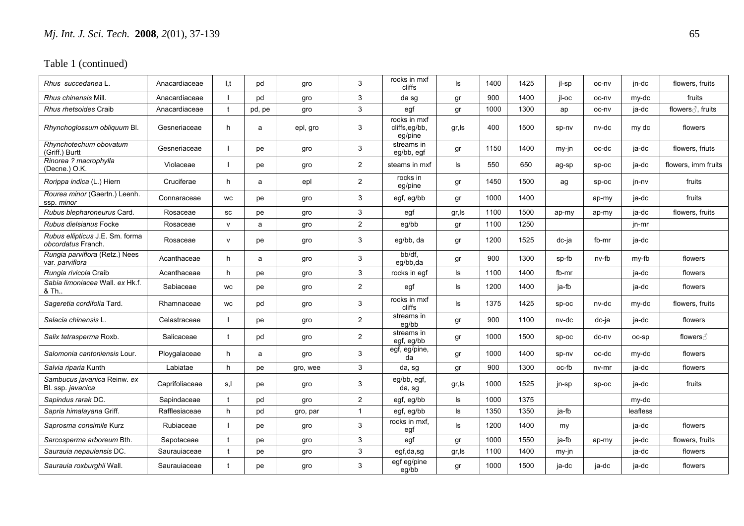| Rhus succedanea L.                                    | Anacardiaceae  | I,t          | pd     | gro      | 3              | rocks in mxf<br>cliffs                   | ls     | 1400 | 1425 | jl-sp    | oc-nv   | jn-dc    | flowers, fruits     |
|-------------------------------------------------------|----------------|--------------|--------|----------|----------------|------------------------------------------|--------|------|------|----------|---------|----------|---------------------|
| Rhus chinensis Mill                                   | Anacardiaceae  |              | pd     | gro      | 3              | da sg                                    | gr     | 900  | 1400 | il-oc    | oc-nv   | my-dc    | fruits              |
| Rhus rhetsoides Craib                                 | Anacardiaceae  | $\mathbf t$  | pd, pe | gro      | 3              | egf                                      | gr     | 1000 | 1300 | ap       | oc-nv   | ja-dc    | flowers ∂, fruits   |
| Rhynchoglossum obliquum Bl.                           | Gesneriaceae   | h            | a      | epl, gro | 3              | rocks in mxf<br>cliffs,eg/bb,<br>eg/pine | gr, ls | 400  | 1500 | sp-nv    | nv-dc   | my dc    | flowers             |
| Rhynchotechum obovatum<br>(Griff.) Burtt              | Gesneriaceae   |              | pe     | gro      | 3              | streams in<br>eg/bb, egf                 | gr     | 1150 | 1400 | my-in    | oc-dc   | ja-dc    | flowers, friuts     |
| Rinorea ? macrophylla<br>(Decne.) O.K.                | Violaceae      |              | pe     | gro      | $\overline{2}$ | steams in mxf                            | ls     | 550  | 650  | ag-sp    | $SD-OC$ | ja-dc    | flowers, imm fruits |
| Rorippa indica (L.) Hiern                             | Cruciferae     | h            | a      | epl      | $\overline{2}$ | rocks in<br>eg/pine                      | gr     | 1450 | 1500 | ag       | $SD-OC$ | jn-nv    | fruits              |
| Rourea minor (Gaertn.) Leenh.<br>ssp. minor           | Connaraceae    | <b>WC</b>    | pe     | gro      | 3              | egf, eg/bb                               | gr     | 1000 | 1400 |          | ap-my   | ja-dc    | fruits              |
| Rubus blepharoneurus Card.                            | Rosaceae       | SC           | pe     | gro      | 3              | egf                                      | gr, Is | 1100 | 1500 | ap-my    | ap-my   | ja-dc    | flowers, fruits     |
| Rubus dielsianus Focke                                | Rosaceae       | $\mathsf{v}$ | a      | gro      | $\overline{2}$ | eg/bb                                    | gr     | 1100 | 1250 |          |         | jn-mr    |                     |
| Rubus ellipticus J.E. Sm. forma<br>obcordatus Franch. | Rosaceae       | $\mathsf{V}$ | pe     | gro      | 3              | eg/bb, da                                | gr     | 1200 | 1525 | dc-ja    | fb-mr   | ja-dc    |                     |
| Rungia parviflora (Retz.) Nees<br>var. parviflora     | Acanthaceae    | h            | a      | gro      | 3              | bb/df.<br>eq/bb.da                       | gr     | 900  | 1300 | sp-fb    | nv-fb   | my-fb    | flowers             |
| Rungia rivicola Craib                                 | Acanthaceae    | h            | pe     | gro      | 3              | rocks in egf                             | ls     | 1100 | 1400 | fb-mr    |         | ja-dc    | flowers             |
| Sabia limoniacea Wall, ex Hk.f.<br>& Th               | Sabiaceae      | <b>WC</b>    | pe     | gro      | $\overline{2}$ | egf                                      | ls     | 1200 | 1400 | ja-fb    |         | ja-dc    | flowers             |
| Sageretia cordifolia Tard.                            | Rhamnaceae     | <b>WC</b>    | pd     | gro      | 3              | rocks in mxf<br>cliffs                   | ls     | 1375 | 1425 | SD-OC    | nv-dc   | my-dc    | flowers, fruits     |
| Salacia chinensis L.                                  | Celastraceae   |              | pe     | gro      | $\overline{2}$ | streams in<br>eg/bb                      | gr     | 900  | 1100 | nv-dc    | dc-ja   | ia-dc    | flowers             |
| Salix tetrasperma Roxb.                               | Salicaceae     | t            | pd     | gro      | $\overline{2}$ | streams in<br>egf, eg/bb                 | gr     | 1000 | 1500 | $sp-oc$  | dc-nv   | OC-SD    | flowers ∂           |
| Salomonia cantoniensis Lour.                          | Ploygalaceae   | h            | a      | qro      | 3              | egf, eg/pine,<br>da                      | gr     | 1000 | 1400 | sp-nv    | oc-dc   | my-dc    | flowers             |
| Salvia riparia Kunth                                  | Labiatae       | h            | pe     | gro, wee | 3              | da, sg                                   | gr     | 900  | 1300 | $oc$ -fb | $nv-mr$ | ja-dc    | flowers             |
| Sambucus javanica Reinw. ex<br>Bl. ssp. javanica      | Caprifoliaceae | s,l          | рe     | gro      | 3              | eg/bb, egf,<br>da, sg                    | gr, ls | 1000 | 1525 | jn-sp    | $sp-oc$ | ja-dc    | fruits              |
| Sapindus rarak DC.                                    | Sapindaceae    | $\mathbf{f}$ | pd     | gro      | $\overline{2}$ | egf, eg/bb                               | ls     | 1000 | 1375 |          |         | my-dc    |                     |
| Sapria himalayana Griff.                              | Rafflesiaceae  | h            | pd     | gro, par | $\mathbf{1}$   | egf, eg/bb                               | ls     | 1350 | 1350 | ia-fb    |         | leafless |                     |
| Saprosma consimile Kurz                               | Rubiaceae      |              | pe     | gro      | 3              | rocks in mxf,<br>egf                     | ls     | 1200 | 1400 | my       |         | ja-dc    | flowers             |
| Sarcosperma arboreum Bth.                             | Sapotaceae     | $\mathbf t$  | pe     | gro      | 3              | egf                                      | gr     | 1000 | 1550 | ja-fb    | ap-my   | ja-dc    | flowers, fruits     |
| Saurauia nepaulensis DC.                              | Saurauiaceae   | t            | pe     | gro      | 3              | egf,da,sg                                | gr, ls | 1100 | 1400 | my-jn    |         | ja-dc    | flowers             |
| Saurauia roxburghii Wall.                             | Saurauiaceae   | $\mathbf{f}$ | pe     | gro      | 3              | egf eg/pine<br>eq/bb                     | gr     | 1000 | 1500 | ja-dc    | ja-dc   | ja-dc    | flowers             |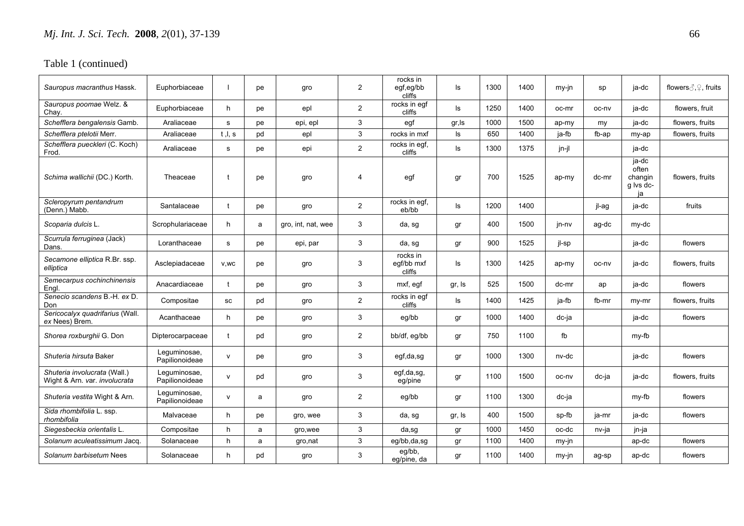| Sauropus macranthus Hassk.                                    | Euphorbiaceae                  |              | pe | gro                | $\overline{2}$ | rocks in<br>egf,eg/bb<br>cliffs  | ls     | 1300 | 1400 | my-jn | sp    | ja-dc                                        | flowers $\text{C}, \text{C}$ , fruits |
|---------------------------------------------------------------|--------------------------------|--------------|----|--------------------|----------------|----------------------------------|--------|------|------|-------|-------|----------------------------------------------|---------------------------------------|
| Sauropus poomae Welz. &<br>Chay.                              | Euphorbiaceae                  | h            | рe | epl                | $\overline{2}$ | rocks in egf<br>cliffs           | ls     | 1250 | 1400 | oc-mr | oc-ny | ja-dc                                        | flowers, fruit                        |
| Schefflera bengalensis Gamb.                                  | Araliaceae                     | s            | рe | epi, epl           | 3              | egf                              | gr, Is | 1000 | 1500 | ap-my | my    | ja-dc                                        | flowers, fruits                       |
| Schefflera ptelotii Merr.                                     | Araliaceae                     | t, l, s      | pd | epl                | 3              | rocks in mxf                     | ls     | 650  | 1400 | ja-fb | fb-ap | my-ap                                        | flowers, fruits                       |
| Schefflera pueckleri (C. Koch)<br>Frod.                       | Araliaceae                     | s            | pe | epi                | $\overline{2}$ | rocks in egf.<br>cliffs          | ls     | 1300 | 1375 | jn-jl |       | ja-dc                                        |                                       |
| Schima wallichii (DC.) Korth.                                 | Theaceae                       |              | pe | gro                | 4              | egf                              | gr     | 700  | 1525 | ap-my | dc-mr | ja-dc<br>often<br>changin<br>g lvs dc-<br>ja | flowers, fruits                       |
| Scleropyrum pentandrum<br>(Denn.) Mabb.                       | Santalaceae                    | t            | pe | gro                | $\overline{2}$ | rocks in egf,<br>eb/bb           | ls     | 1200 | 1400 |       | jl-ag | ja-dc                                        | fruits                                |
| Scoparia dulcis L.                                            | Scrophulariaceae               | h            | a  | gro, int, nat, wee | 3              | da, sg                           | gr     | 400  | 1500 | jn-nv | ag-dc | my-dc                                        |                                       |
| Scurrula ferruginea (Jack)<br>Dans.                           | Loranthaceae                   | s            | рe | epi, par           | 3              | da, sg                           | gr     | 900  | 1525 | jl-sp |       | ja-dc                                        | flowers                               |
| Secamone elliptica R.Br. ssp.<br>elliptica                    | Asclepiadaceae                 | V, WC        | рe | gro                | 3              | rocks in<br>egf/bb mxf<br>cliffs | ls     | 1300 | 1425 | ap-my | oc-nv | ja-dc                                        | flowers, fruits                       |
| Semecarpus cochinchinensis<br>Engl.                           | Anacardiaceae                  |              | рe | gro                | 3              | mxf, egf                         | gr, Is | 525  | 1500 | dc-mr | ap    | ja-dc                                        | flowers                               |
| Senecio scandens B.-H. ex D.<br>Don                           | Compositae                     | SC           | pd | gro                | $\overline{2}$ | rocks in egf<br>cliffs           | ls     | 1400 | 1425 | ja-fb | fb-mr | my-mr                                        | flowers, fruits                       |
| Sericocalyx quadrifarius (Wall.<br>ex Nees) Brem.             | Acanthaceae                    | h            | рe | gro                | 3              | eg/bb                            | gr     | 1000 | 1400 | dc-ja |       | ja-dc                                        | flowers                               |
| Shorea roxburghii G. Don                                      | Dipterocarpaceae               | t            | pd | gro                | $\overline{2}$ | bb/df, eg/bb                     | gr     | 750  | 1100 | fb    |       | my-fb                                        |                                       |
| Shuteria hirsuta Baker                                        | Leguminosae,<br>Papilionoideae | $\mathsf{v}$ | рe | gro                | 3              | egf,da,sg                        | gr     | 1000 | 1300 | nv-dc |       | ja-dc                                        | flowers                               |
| Shuteria involucrata (Wall.)<br>Wight & Arn. var. involucrata | Leguminosae,<br>Papilionoideae | $\mathsf{v}$ | pd | gro                | 3              | egf,da,sg,<br>eg/pine            | gr     | 1100 | 1500 | oc-nv | dc-ja | ja-dc                                        | flowers, fruits                       |
| Shuteria vestita Wight & Arn.                                 | Leguminosae,<br>Papilionoideae | $\mathsf{v}$ | a  | gro                | $\overline{2}$ | eg/bb                            | gr     | 1100 | 1300 | dc-ja |       | my-fb                                        | flowers                               |
| Sida rhombifolia L. ssp.<br>rhombifolia                       | Malvaceae                      | h            | рe | gro, wee           | 3              | da, sg                           | gr, Is | 400  | 1500 | sp-fb | ja-mr | ja-dc                                        | flowers                               |
| Siegesbeckia orientalis L.                                    | Compositae                     | h            | a  | gro, wee           | 3              | da,sg                            | gr     | 1000 | 1450 | oc-dc | nv-ja | jn-ja                                        |                                       |
| Solanum aculeatissimum Jacq.                                  | Solanaceae                     | h            | a  | gro, nat           | 3              | eg/bb,da,sg                      | gr     | 1100 | 1400 | my-jn |       | ap-dc                                        | flowers                               |
| Solanum barbisetum Nees                                       | Solanaceae                     | h            | pd | gro                | 3              | eg/bb,<br>eg/pine, da            | gr     | 1100 | 1400 | my-jn | ag-sp | ap-dc                                        | flowers                               |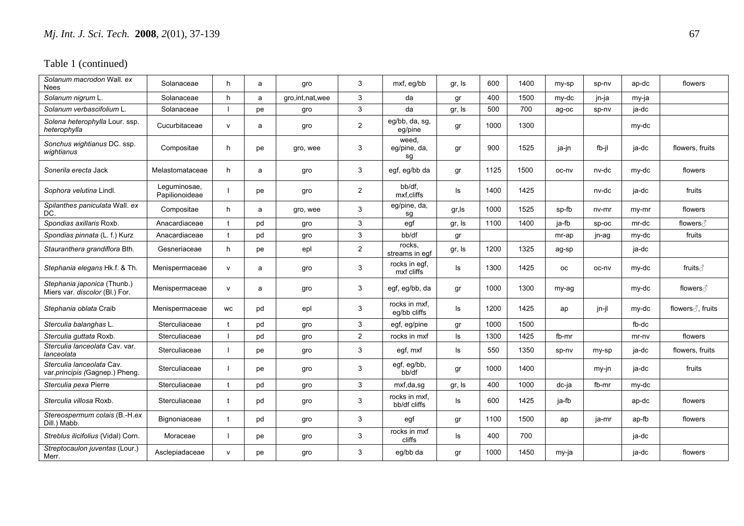| Solanum macrodon Wall, ex<br><b>Nees</b>                      | Solanaceae                     | h            | a  | gro                | 3              | mxf, eg/bb                    | gr, Is | 600  | 1400 | my-sp     | sp-nv   | ap-dc   | flowers           |
|---------------------------------------------------------------|--------------------------------|--------------|----|--------------------|----------------|-------------------------------|--------|------|------|-----------|---------|---------|-------------------|
| Solanum nigrum L.                                             | Solanaceae                     | h            | a  | gro, int, nat, wee | 3              | da                            | gr     | 400  | 1500 | my-dc     | jn-ja   | my-ja   |                   |
| Solanum verbascifolium L                                      | Solanaceae                     |              | pe | gro                | 3              | da                            | gr, Is | 500  | 700  | ag-oc     | sp-nv   | ja-dc   |                   |
| Solena heterophylla Lour. ssp.<br>heterophylla                | Cucurbitaceae                  | $\mathsf{v}$ | a  | gro                | $\overline{2}$ | eg/bb, da, sg,<br>eg/pine     | gr     | 1000 | 1300 |           |         | my-dc   |                   |
| Sonchus wightianus DC. ssp.<br>wightianus                     | Compositae                     | h            | pe | gro, wee           | 3              | weed,<br>eg/pine, da,<br>sg   | gr     | 900  | 1525 | ja-jn     | fb-il   | ja-dc   | flowers, fruits   |
| Sonerila erecta Jack                                          | Melastomataceae                | h            | a  | gro                | 3              | egf, eg/bb da                 | gr     | 1125 | 1500 | oc-ny     | nv-dc   | my-dc   | flowers           |
| Sophora velutina Lindl.                                       | Leguminosae,<br>Papilionoideae |              | pe | gro                | $\overline{2}$ | bb/df.<br>mxf,cliffs          | ls     | 1400 | 1425 |           | nv-dc   | ja-dc   | fruits            |
| Spilanthes paniculata Wall. ex<br>DC.                         | Compositae                     | h            | a  | gro, wee           | 3              | eg/pine, da,<br>sg            | gr, Is | 1000 | 1525 | sp-fb     | nv-mr   | my-mr   | flowers           |
| Spondias axillaris Roxb.                                      | Anacardiaceae                  | t            | pd | gro                | 3              | egf                           | gr, Is | 1100 | 1400 | ja-fb     | $sp-oc$ | mr-dc   | flowers ∂         |
| Spondias pinnata (L. f.) Kurz                                 | Anacardiaceae                  |              | pd | gro                | 3              | bb/df                         | gr     |      |      | mr-ap     | jn-ag   | my-dc   | fruits            |
| Stauranthera grandiflora Bth.                                 | Gesneriaceae                   | h            | рe | epl                | $\overline{2}$ | rocks.<br>streams in eqf      | gr, Is | 1200 | 1325 | ag-sp     |         | ja-dc   |                   |
| Stephania elegans Hk.f. & Th.                                 | Menispermaceae                 | $\mathsf{v}$ | a  | gro                | 3              | rocks in egf,<br>mxf cliffs   | ls     | 1300 | 1425 | <b>OC</b> | oc-nv   | my-dc   | fruits ∂          |
| Stephania japonica (Thunb.)<br>Miers var. discolor (Bl.) For. | Menispermaceae                 | $\mathsf{v}$ | a  | gro                | 3              | egf, eg/bb, da                | gr     | 1000 | 1300 | my-ag     |         | my-dc   | flowers ∂         |
| Stephania oblata Craib                                        | Menispermaceae                 | WC           | pd | epl                | 3              | rocks in mxf,<br>eg/bb cliffs | ls     | 1200 | 1425 | ap        | jn-jl   | my-dc   | flowers ∂, fruits |
| Sterculia balanghas L.                                        | Sterculiaceae                  |              | pd | gro                | 3              | egf, eg/pine                  | gr     | 1000 | 1500 |           |         | fb-dc   |                   |
| Sterculia quttata Roxb.                                       | Sterculiaceae                  |              | pd | gro                | $\overline{2}$ | rocks in mxf                  | ls.    | 1300 | 1425 | fb-mr     |         | $mr-nv$ | flowers           |
| Sterculia lanceolata Cav. var.<br>lanceolata                  | Sterculiaceae                  |              | рe | gro                | 3              | egf, mxf                      | ls     | 550  | 1350 | sp-nv     | my-sp   | ja-dc   | flowers, fruits   |
| Sterculia lanceolata Cav.<br>var.principis (Gagnep.) Pheng.   | Sterculiaceae                  |              | рe | gro                | 3              | egf, eg/bb,<br>bb/df          | gr     | 1000 | 1400 |           | my-jn   | ja-dc   | fruits            |
| Sterculia pexa Pierre                                         | Sterculiaceae                  |              | pd | gro                | 3              | mxf,da,sg                     | gr, Is | 400  | 1000 | dc-ja     | fb-mr   | my-dc   |                   |
| Sterculia villosa Roxb.                                       | Sterculiaceae                  | t            | pd | gro                | 3              | rocks in mxf,<br>bb/df cliffs | Is     | 600  | 1425 | ja-fb     |         | ap-dc   | flowers           |
| Stereospermum colais (B.-H.ex<br>Dill.) Mabb.                 | Bignoniaceae                   |              | pd | gro                | 3              | egf                           | gr     | 1100 | 1500 | ap        | ja-mr   | ap-fb   | flowers           |
| Streblus ilicifolius (Vidal) Corn.                            | Moraceae                       |              | рe | gro                | 3              | rocks in mxf<br>cliffs        | ls     | 400  | 700  |           |         | ja-dc   |                   |
| Streptocaulon juventas (Lour.)<br>Merr.                       | Asclepiadaceae                 | $\mathsf{v}$ | рe | gro                | 3              | eg/bb da                      | gr     | 1000 | 1450 | my-ja     |         | ja-dc   | flowers           |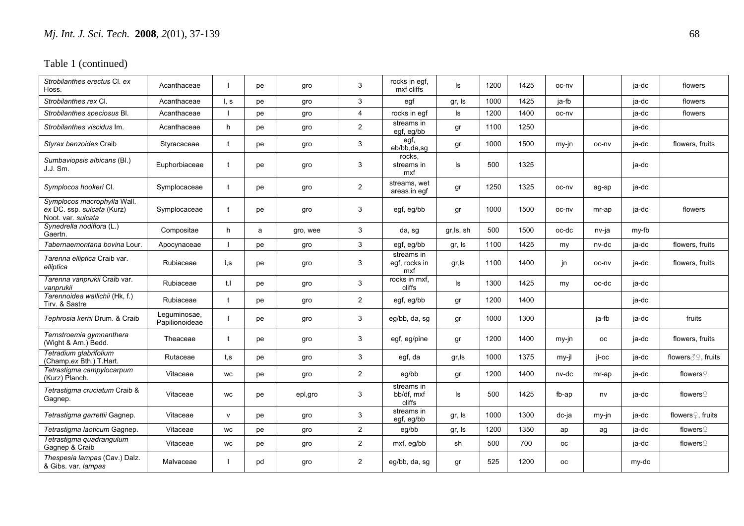| Strobilanthes erectus CI, ex<br>Hoss.                                           | Acanthaceae                    |                  | рe | gro      | 3              | rocks in egf,<br>mxf cliffs        | ls         | 1200 | 1425 | oc-nv     |           | ja-dc | flowers                       |
|---------------------------------------------------------------------------------|--------------------------------|------------------|----|----------|----------------|------------------------------------|------------|------|------|-----------|-----------|-------|-------------------------------|
| Strobilanthes rex Cl.                                                           | Acanthaceae                    | $\mathsf{I}$ , s | рe | gro      | 3              | egf                                | gr, Is     | 1000 | 1425 | ja-fb     |           | ja-dc | flowers                       |
| Strobilanthes speciosus Bl.                                                     | Acanthaceae                    |                  | pe | gro      | 4              | rocks in egf                       | ls.        | 1200 | 1400 | oc-nv     |           | ja-dc | flowers                       |
| Strobilanthes viscidus Im.                                                      | Acanthaceae                    | h                | рe | gro      | $\overline{a}$ | streams in<br>egf, eg/bb           | gr         | 1100 | 1250 |           |           | ja-dc |                               |
| Styrax benzoides Craib                                                          | Styracaceae                    | t                | pe | gro      | 3              | egf,<br>eb/bb.da.sq                | gr         | 1000 | 1500 | my-in     | oc-nv     | ja-dc | flowers, fruits               |
| Sumbaviopsis albicans (Bl.)<br>J.J. Sm.                                         | Euphorbiaceae                  | $\ddagger$       | pe | gro      | 3              | rocks.<br>streams in<br>mxf        | ls.        | 500  | 1325 |           |           | ja-dc |                               |
| Symplocos hookeri CI.                                                           | Symplocaceae                   | t                | рe | gro      | $\overline{2}$ | streams, wet<br>areas in egf       | gr         | 1250 | 1325 | oc-nv     | ag-sp     | ja-dc |                               |
| Symplocos macrophylla Wall.<br>ex DC. ssp. sulcata (Kurz)<br>Noot. var. sulcata | Symplocaceae                   | $\ddagger$       | рe | gro      | 3              | egf, eg/bb                         | gr         | 1000 | 1500 | oc-nv     | mr-ap     | ja-dc | flowers                       |
| Synedrella nodiflora (L.)<br>Gaertn.                                            | Compositae                     | h                | a  | gro, wee | 3              | da, sg                             | gr, ls, sh | 500  | 1500 | oc-dc     | nv-ja     | my-fb |                               |
| Tabernaemontana bovina Lour.                                                    | Apocynaceae                    |                  | рe | gro      | 3              | egf, eg/bb                         | gr, Is     | 1100 | 1425 | my        | nv-dc     | ja-dc | flowers, fruits               |
| Tarenna elliptica Craib var.<br>elliptica                                       | Rubiaceae                      | l.s              | рe | gro      | 3              | streams in<br>egf, rocks in<br>mxf | gr,ls      | 1100 | 1400 | in        | oc-nv     | ja-dc | flowers, fruits               |
| Tarenna vanprukii Craib var.<br>vanprukii                                       | Rubiaceae                      | t.I              | рe | gro      | 3              | rocks in mxf,<br>cliffs            | ls         | 1300 | 1425 | my        | oc-dc     | ja-dc |                               |
| Tarennoidea wallichii (Hk, f.)<br>Tirv. & Sastre                                | Rubiaceae                      | $\mathbf t$      | рe | gro      | $\overline{2}$ | egf, eg/bb                         | gr         | 1200 | 1400 |           |           | ja-dc |                               |
| Tephrosia kerrii Drum. & Craib                                                  | Leguminosae,<br>Papilionoideae |                  | pe | gro      | 3              | eg/bb, da, sq                      | qr         | 1000 | 1300 |           | ja-fb     | ja-dc | fruits                        |
| Ternstroemia gymnanthera<br>(Wight & Arn.) Bedd.                                | Theaceae                       | t                | pe | gro      | 3              | egf, eg/pine                       | gr         | 1200 | 1400 | my-jn     | <b>OC</b> | ja-dc | flowers, fruits               |
| Tetradium glabrifolium<br>(Champ.ex Bth.) T.Hart.                               | Rutaceae                       | t,s              | pe | gro      | 3              | egf, da                            | gr,ls      | 1000 | 1375 | $my-il$   | il-oc     | ja-dc | flowers ∂ ?, fruits           |
| Tetrastigma campylocarpum<br>(Kurz) Planch.                                     | Vitaceae                       | WC               | pe | gro      | $\overline{c}$ | eg/bb                              | gr         | 1200 | 1400 | nv-dc     | mr-ap     | ja-dc | flowers $\mathcal Q$          |
| Tetrastigma cruciatum Craib &<br>Gagnep.                                        | Vitaceae                       | <b>WC</b>        | рe | epl,gro  | 3              | streams in<br>bb/df. mxf<br>cliffs | ls         | 500  | 1425 | fb-ap     | nv        | ja-dc | flowers $\mathcal Q$          |
| Tetrastigma garrettii Gagnep.                                                   | Vitaceae                       | $\mathsf{v}$     | рe | gro      | 3              | streams in<br>egf, eg/bb           | gr, Is     | 1000 | 1300 | dc-ja     | my-jn     | ia-dc | flowers <sup>2</sup> , fruits |
| Tetrastigma laoticum Gagnep.                                                    | Vitaceae                       | WC               | pe | gro      | $\overline{2}$ | eg/bb                              | gr, Is     | 1200 | 1350 | ap        | ag        | ja-dc | flowers $\mathcal Q$          |
| Tetrastigma quadrangulum<br>Gagnep & Craib                                      | Vitaceae                       | WC               | pe | gro      | $\overline{2}$ | mxf, eg/bb                         | sh         | 500  | 700  | <b>OC</b> |           | ja-dc | flowers $\mathcal Q$          |
| Thespesia lampas (Cav.) Dalz.<br>& Gibs. var. lampas                            | Malvaceae                      |                  | pd | gro      | $\overline{2}$ | eq/bb, da, sg                      | gr         | 525  | 1200 | <b>OC</b> |           | my-dc |                               |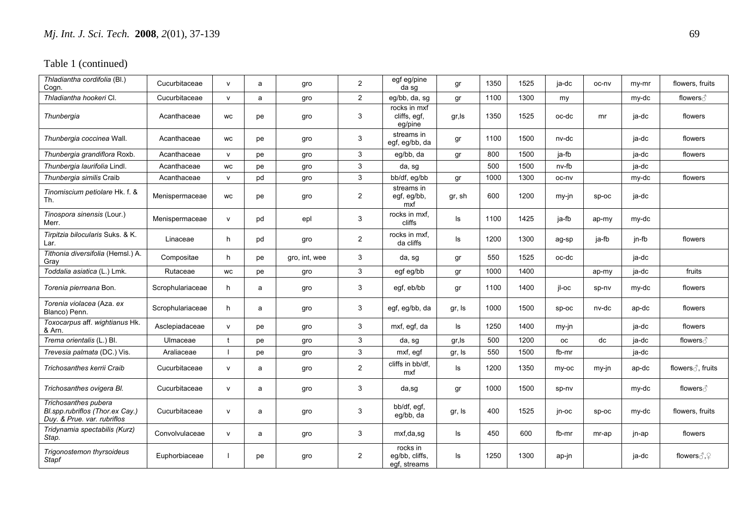| Thladiantha cordifolia (Bl.)<br>Cogn.                                                  | Cucurbitaceae    | $\mathsf{v}$ | a  | gro           | $\overline{2}$ | egf eg/pine<br>da sg                       | qr     | 1350 | 1525 | ia-dc     | oc-nv   | $my-mr$  | flowers, fruits               |
|----------------------------------------------------------------------------------------|------------------|--------------|----|---------------|----------------|--------------------------------------------|--------|------|------|-----------|---------|----------|-------------------------------|
| Thladiantha hookeri Cl.                                                                | Cucurbitaceae    | $\mathsf{v}$ | a  | gro           | $\overline{2}$ | eg/bb, da, sg                              | gr     | 1100 | 1300 | my        |         | my-dc    | flowers ∂                     |
| Thunbergia                                                                             | Acanthaceae      | WC           | pe | gro           | 3              | rocks in mxf<br>cliffs, egf,<br>eg/pine    | gr,ls  | 1350 | 1525 | oc-dc     | mr      | ja-dc    | flowers                       |
| Thunbergia coccinea Wall.                                                              | Acanthaceae      | <b>WC</b>    | pe | gro           | 3              | streams in<br>egf, eg/bb, da               | gr     | 1100 | 1500 | nv-dc     |         | ja-dc    | flowers                       |
| Thunbergia grandiflora Roxb.                                                           | Acanthaceae      | $\mathsf{V}$ | pe | gro           | 3              | eq/bb, da                                  | gr     | 800  | 1500 | ja-fb     |         | ja-dc    | flowers                       |
| Thunbergia laurifolia Lindl.                                                           | Acanthaceae      | <b>WC</b>    | pe | gro           | 3              | da, sg                                     |        | 500  | 1500 | nv-fb     |         | ja-dc    |                               |
| Thunbergia similis Craib                                                               | Acanthaceae      | $\mathsf{v}$ | pd | gro           | $\mathbf{3}$   | bb/df, eg/bb                               | gr     | 1000 | 1300 | oc-nv     |         | my-dc    | flowers                       |
| Tinomiscium petiolare Hk. f. &<br>Th.                                                  | Menispermaceae   | <b>WC</b>    | pe | gro           | $\overline{2}$ | streams in<br>egf, eg/bb,<br>mxf           | gr, sh | 600  | 1200 | my-jn     | $sp-oc$ | ja-dc    |                               |
| Tinospora sinensis (Lour.)<br>Merr.                                                    | Menispermaceae   | V            | pd | epl           | 3              | rocks in mxf,<br>cliffs                    | ls     | 1100 | 1425 | ja-fb     | ap-my   | my-dc    |                               |
| Tirpitzia bilocularis Suks, & K.<br>Lar.                                               | Linaceae         | h            | pd | gro           | $\overline{2}$ | rocks in mxf.<br>da cliffs                 | ls     | 1200 | 1300 | ag-sp     | ja-fb   | $in$ -fb | flowers                       |
| Tithonia diversifolia (Hemsl.) A.<br>Gray                                              | Compositae       | h            | pe | gro, int, wee | 3              | da, sg                                     | gr     | 550  | 1525 | oc-dc     |         | ja-dc    |                               |
| Toddalia asiatica (L.) Lmk.                                                            | Rutaceae         | WC           | pe | gro           | 3              | egf eg/bb                                  | gr     | 1000 | 1400 |           | ap-my   | ja-dc    | fruits                        |
| Torenia pierreana Bon.                                                                 | Scrophulariaceae | h            | a  | gro           | 3              | egf, eb/bb                                 | gr     | 1100 | 1400 | il-oc     | sp-nv   | my-dc    | flowers                       |
| Torenia violacea (Aza. ex<br>Blanco) Penn.                                             | Scrophulariaceae | h            | a  | gro           | 3              | egf, eg/bb, da                             | gr, Is | 1000 | 1500 | $SD-OC$   | nv-dc   | ap-dc    | flowers                       |
| Toxocarpus aff. wightianus Hk.<br>& Arn.                                               | Asclepiadaceae   | $\mathsf{v}$ | pe | gro           | 3              | mxf, egf, da                               | ls     | 1250 | 1400 | $my-in$   |         | ja-dc    | flowers                       |
| Trema orientalis (L.) Bl.                                                              | Ulmaceae         |              | pe | gro           | 3              | da, sg                                     | gr, ls | 500  | 1200 | <b>OC</b> | dc      | ja-dc    | flowers ∂                     |
| <i>Trevesia palmata (</i> DC.) Vis.                                                    | Araliaceae       |              | pe | gro           | 3              | mxf, egf                                   | gr, Is | 550  | 1500 | fb-mr     |         | ja-dc    |                               |
| Trichosanthes kerrii Craib                                                             | Cucurbitaceae    | $\mathsf{v}$ | a  | gro           | $\overline{2}$ | cliffs in bb/df,<br>mxf                    | ls     | 1200 | 1350 | my-oc     | my-jn   | ap-dc    | flowers ∂, fruits             |
| Trichosanthes ovigera Bl.                                                              | Cucurbitaceae    | $\mathsf{v}$ | a  | gro           | 3              | da,sg                                      | gr     | 1000 | 1500 | sp-nv     |         | my-dc    | flowers ∂                     |
| Trichosanthes pubera<br>Bl.spp.rubriflos (Thor.ex Cay.)<br>Duy. & Prue. var. rubriflos | Cucurbitaceae    | $\mathsf{v}$ | a  | gro           | 3              | bb/df, eqf,<br>eg/bb, da                   | gr, Is | 400  | 1525 | jn-oc     | $SD-OC$ | my-dc    | flowers, fruits               |
| Tridynamia spectabilis (Kurz)<br>Stap.                                                 | Convolvulaceae   | $\mathsf{v}$ | a  | gro           | 3              | mxf,da,sg                                  | ls     | 450  | 600  | fb-mr     | mr-ap   | jn-ap    | flowers                       |
| Trigonostemon thyrsoideus<br><b>Stapf</b>                                              | Euphorbiaceae    |              | pe | gro           | $\overline{2}$ | rocks in<br>eq/bb, cliffs,<br>egf, streams | ls     | 1250 | 1300 | ap-jn     |         | ja-dc    | flowers $\partial$ , $\Omega$ |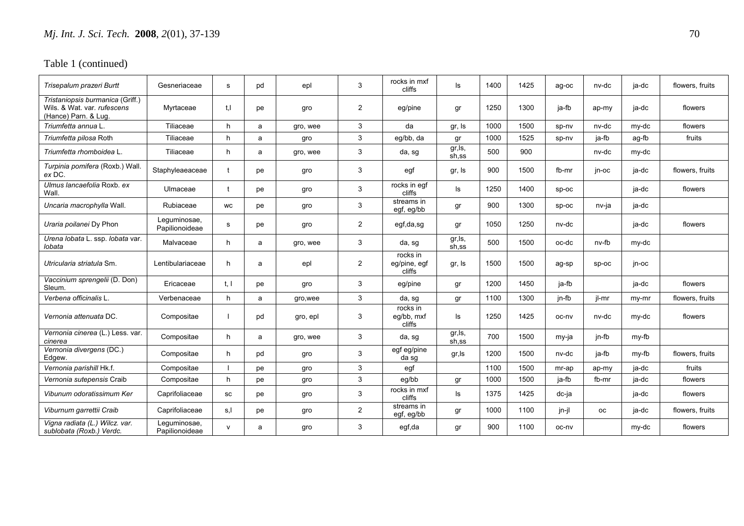| Trisepalum prazeri Burtt                                                                | Gesneriaceae                   | s    | pd | epl      | 3              | rocks in mxf<br>cliffs             | ls               | 1400 | 1425 | ag-oc   | nv-dc     | ja-dc | flowers, fruits |
|-----------------------------------------------------------------------------------------|--------------------------------|------|----|----------|----------------|------------------------------------|------------------|------|------|---------|-----------|-------|-----------------|
| Tristaniopsis burmanica (Griff.)<br>Wils. & Wat. var. rufescens<br>(Hance) Parn. & Lug. | Myrtaceae                      | t.I  | pe | gro      | $\overline{2}$ | eg/pine                            | gr               | 1250 | 1300 | ja-fb   | ap-my     | ja-dc | flowers         |
| Triumfetta annua L.                                                                     | Tiliaceae                      | h    | a  | gro, wee | 3              | da                                 | gr, Is           | 1000 | 1500 | sp-nv   | nv-dc     | my-dc | flowers         |
| Triumfetta pilosa Roth                                                                  | Tiliaceae                      | h    | a  | gro      | 3              | eq/bb, da                          | gr               | 1000 | 1525 | sp-nv   | ja-fb     | ag-fb | fruits          |
| Triumfetta rhomboidea L.                                                                | Tiliaceae                      | h    | a  | gro, wee | 3              | da, sg                             | gr, ls,<br>sh,ss | 500  | 900  |         | nv-dc     | my-dc |                 |
| Turpinia pomifera (Roxb.) Wall.<br>ex DC.                                               | Staphyleaeaceae                |      | рe | gro      | 3              | egf                                | gr, Is           | 900  | 1500 | fb-mr   | in-oc     | ia-dc | flowers, fruits |
| Ulmus lancaefolia Roxb. ex<br>Wall.                                                     | Ulmaceae                       |      | pe | gro      | 3              | rocks in eqf<br>cliffs             | ls               | 1250 | 1400 | SD-OC   |           | ja-dc | flowers         |
| Uncaria macrophylla Wall.                                                               | Rubiaceae                      | WC   | рe | gro      | 3              | streams in<br>egf, eg/bb           | gr               | 900  | 1300 | $sp-oc$ | nv-ja     | ja-dc |                 |
| Uraria poilanei Dy Phon                                                                 | Lequminosae,<br>Papilionoideae | s    | рe | gro      | $\overline{2}$ | egf,da,sg                          | gr               | 1050 | 1250 | nv-dc   |           | ja-dc | flowers         |
| Urena lobata L. ssp. lobata var.<br>lobata                                              | Malvaceae                      | h    | a  | gro, wee | 3              | da, sg                             | gr, ls,<br>sh,ss | 500  | 1500 | oc-dc   | nv-fb     | my-dc |                 |
| Utricularia striatula Sm.                                                               | Lentibulariaceae               | h    | a  | epl      | $\overline{2}$ | rocks in<br>eg/pine, egf<br>cliffs | gr, Is           | 1500 | 1500 | ag-sp   | SD-OC     | jn-oc |                 |
| Vaccinium sprengelii (D. Don)<br>Sleum.                                                 | Ericaceae                      | t, l | pe | gro      | 3              | eg/pine                            | gr               | 1200 | 1450 | ja-fb   |           | ja-dc | flowers         |
| Verbena officinalis L.                                                                  | Verbenaceae                    | h    | a  | gro, wee | 3              | da, sg                             | gr               | 1100 | 1300 | jn-fb   | jl-mr     | my-mr | flowers, fruits |
| Vernonia attenuata DC.                                                                  | Compositae                     |      | pd | gro, epl | 3              | rocks in<br>eg/bb, mxf<br>cliffs   | ls               | 1250 | 1425 | oc-nv   | nv-dc     | my-dc | flowers         |
| Vernonia cinerea (L.) Less. var.<br>cinerea                                             | Compositae                     | h    | a  | gro, wee | 3              | da, sg                             | gr, ls,<br>sh.ss | 700  | 1500 | my-ja   | jn-fb     | my-fb |                 |
| Vernonia divergens (DC.)<br>Edgew.                                                      | Compositae                     | h    | pd | gro      | 3              | egf eg/pine<br>da sg               | gr, Is           | 1200 | 1500 | nv-dc   | ja-fb     | my-fb | flowers, fruits |
| Vernonia parishill Hk.f.                                                                | Compositae                     |      | pe | gro      | 3              | egf                                |                  | 1100 | 1500 | mr-ap   | ap-my     | ja-dc | fruits          |
| Vernonia sutepensis Craib                                                               | Compositae                     | h    | рe | gro      | 3              | eg/bb                              | gr               | 1000 | 1500 | ja-fb   | fb-mr     | ja-dc | flowers         |
| Vibunum odoratissimum Ker                                                               | Caprifoliaceae                 | SC   | рe | gro      | 3              | rocks in mxf<br>cliffs             | ls               | 1375 | 1425 | dc-ja   |           | ja-dc | flowers         |
| Viburnum garrettii Craib                                                                | Caprifoliaceae                 | s.l  | рe | gro      | $\overline{2}$ | streams in<br>egf, eg/bb           | gr               | 1000 | 1100 | jn-jl   | <b>OC</b> | ja-dc | flowers, fruits |
| Vigna radiata (L.) Wilcz. var.<br>sublobata (Roxb.) Verdc.                              | Lequminosae,<br>Papilionoideae | v    | a  | gro      | 3              | egf,da                             | gr               | 900  | 1100 | oc-ny   |           | my-dc | flowers         |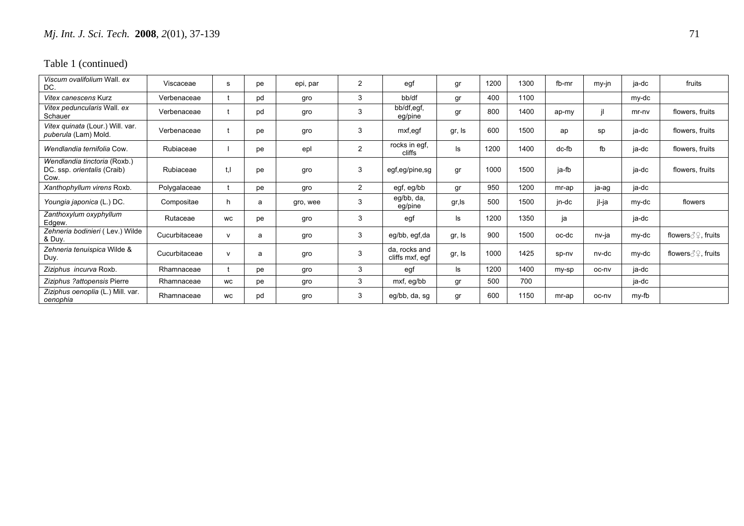| Viscum ovalifolium Wall, ex<br>DC.                                  | Viscaceae     | s         | pe | epi, par | 2              | egf                              | gr     | 1200 | 1300 | fb-mr | my-jn | ja-dc   | fruits              |
|---------------------------------------------------------------------|---------------|-----------|----|----------|----------------|----------------------------------|--------|------|------|-------|-------|---------|---------------------|
| Vitex canescens Kurz                                                | Verbenaceae   |           | pd | gro      | 3              | bb/df                            | gr     | 400  | 1100 |       |       | my-dc   |                     |
| Vitex peduncularis Wall. ex<br>Schauer                              | Verbenaceae   |           | pd | gro      | 3              | bb/df,egf,<br>eg/pine            | gr     | 800  | 1400 | ap-my |       | $mr-nv$ | flowers, fruits     |
| Vitex quinata (Lour.) Will. var.<br>puberula (Lam) Mold.            | Verbenaceae   |           | pe | gro      | 3              | mxf,egf                          | gr, Is | 600  | 1500 | ap    | sp    | ja-dc   | flowers, fruits     |
| Wendlandia ternifolia Cow.                                          | Rubiaceae     |           | рe | epl      | $\overline{2}$ | rocks in egf,<br>cliffs          | ls     | 1200 | 1400 | dc-fb | fb    | ja-dc   | flowers, fruits     |
| Wendlandia tinctoria (Roxb.)<br>DC. ssp. orientalis (Craib)<br>Cow. | Rubiaceae     | t, l      | рe | gro      | 3              | egf,eg/pine,sg                   | gr     | 1000 | 1500 | ja-fb |       | ja-dc   | flowers, fruits     |
| Xanthophyllum virens Roxb.                                          | Polygalaceae  |           | рe | gro      | $\overline{2}$ | egf, eg/bb                       | gr     | 950  | 1200 | mr-ap | ja-ag | ja-dc   |                     |
| Youngia japonica (L.) DC.                                           | Compositae    | h         | a  | gro, wee | 3              | eg/bb, da,<br>eg/pine            | gr,ls  | 500  | 1500 | jn-dc | jl-ja | my-dc   | flowers             |
| Zanthoxylum oxyphyllum<br>Edgew.                                    | Rutaceae      | <b>WC</b> | рe | gro      | 3              | egf                              | ls     | 1200 | 1350 | ja    |       | ja-dc   |                     |
| Zehneria bodinieri (Lev.) Wilde<br>& Duy.                           | Cucurbitaceae | v         | a  | gro      | 3              | eg/bb, egf,da                    | gr, Is | 900  | 1500 | oc-dc | nv-ja | my-dc   | flowers ∂ ?, fruits |
| Zehneria tenuispica Wilde &<br>Duy.                                 | Cucurbitaceae | v         | a  | gro      | 3              | da, rocks and<br>cliffs mxf, egf | gr, Is | 1000 | 1425 | sp-nv | nv-dc | my-dc   | flowers ∂ ?, fruits |
| Ziziphus incurva Roxb.                                              | Rhamnaceae    |           | рe | gro      | 3              | egf                              | ls     | 1200 | 1400 | my-sp | oc-nv | ja-dc   |                     |
| Ziziphus ?attopensis Pierre                                         | Rhamnaceae    | <b>WC</b> | pe | gro      | 3              | mxf, eg/bb                       | gr     | 500  | 700  |       |       | ja-dc   |                     |
| Ziziphus oenoplia (L.) Mill. var.<br>oenophia                       | Rhamnaceae    | WC        | pd | gro      | 3              | eg/bb, da, sg                    | gr     | 600  | 1150 | mr-ap | oc-ny | my-fb   |                     |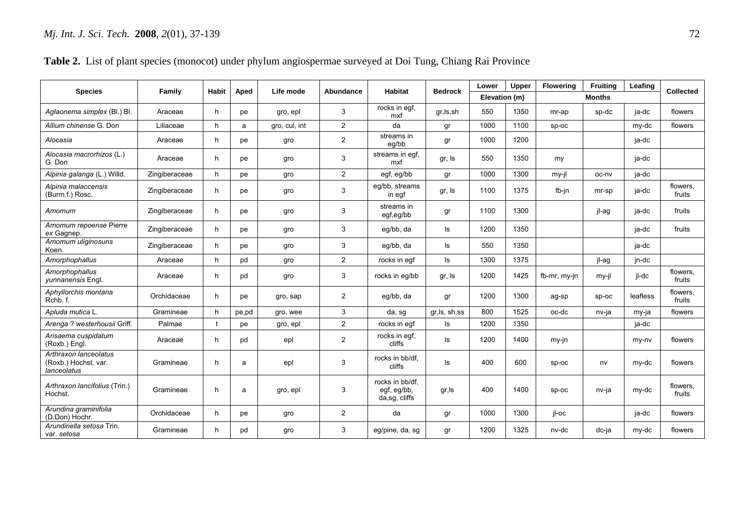| <b>Species</b>                                               | Family        | Habit | Aped  | Life mode     | Abundance      | <b>Habitat</b>                                  | <b>Bedrock</b> | Lower         | Upper | <b>Flowering</b> | <b>Fruiting</b> | Leafing  | <b>Collected</b>   |
|--------------------------------------------------------------|---------------|-------|-------|---------------|----------------|-------------------------------------------------|----------------|---------------|-------|------------------|-----------------|----------|--------------------|
|                                                              |               |       |       |               |                |                                                 |                | Elevation (m) |       |                  | <b>Months</b>   |          |                    |
| Aglaonema simplex (Bl.) Bl.                                  | Araceae       | h.    | pe    | gro, epl      | 3              | rocks in egf,<br>mxf                            | gr, ls, sh     | 550           | 1350  | mr-ap            | sp-dc           | ja-dc    | flowers            |
| Allium chinense G. Don                                       | Liliaceae     | h.    | a     | gro, cul, int | $\overline{2}$ | da                                              | gr             | 1000          | 1100  | sp-oc            |                 | my-dc    | flowers            |
| Alocasia                                                     | Araceae       | h.    | pe    | gro           | $\overline{2}$ | streams in<br>eq/bb                             | gr             | 1000          | 1200  |                  |                 | ja-dc    |                    |
| Alocasia macrorhizos (L.)<br>G. Don                          | Araceae       | h.    | pe    | gro           | 3              | streams in egf,<br>mxf                          | gr, Is         | 550           | 1350  | my               |                 | ja-dc    |                    |
| Alpinia galanga (L.) Willd.                                  | Zingiberaceae | h.    | pe    | gro           | $\overline{2}$ | egf, eg/bb                                      | gr             | 1000          | 1300  | my-jl            | oc-nv           | ja-dc    |                    |
| Alpinia malaccensis<br>(Burm.f.) Rosc.                       | Zingiberaceae | h.    | pe    | gro           | 3              | eg/bb, streams<br>in eqf                        | gr, Is         | 1100          | 1375  | fb-jn            | mr-sp           | ja-dc    | flowers,<br>fruits |
| Amomum                                                       | Zingiberaceae | h.    | pe    | gro           | 3              | streams in<br>egf,eg/bb                         | gr             | 1100          | 1300  |                  | jl-ag           | ja-dc    | fruits             |
| Amomum repoense Pierre<br>ex Gagnep.                         | Zingiberaceae | h.    | pe    | gro           | 3              | eg/bb, da                                       | ls             | 1200          | 1350  |                  |                 | ja-dc    | fruits             |
| Amomum uliginosuns<br>Koen.                                  | Zingiberaceae | h.    | pe    | gro           | 3              | eg/bb, da                                       | ls             | 550           | 1350  |                  |                 | ja-dc    |                    |
| Amorphophallus                                               | Araceae       | h.    | pd    | gro           | $\overline{2}$ | rocks in egf                                    | ls             | 1300          | 1375  |                  | jl-ag           | jn-dc    |                    |
| Amorphophallus<br>yunnanensis Engl.                          | Araceae       | h.    | pd    | gro           | 3              | rocks in eg/bb                                  | gr, Is         | 1200          | 1425  | fb-mr, my-jn     | my-jl           | jl-dc    | flowers,<br>fruits |
| Aphyllorchis montana<br>Rchb.f.                              | Orchidaceae   | h.    | pe    | gro, sap      | $\overline{2}$ | eg/bb, da                                       | gr             | 1200          | 1300  | ag-sp            | $SD-OC$         | leafless | flowers.<br>fruits |
| Apluda mutica L.                                             | Gramineae     | h.    | pe,pd | gro, wee      | $\mathbf{3}$   | da, sg                                          | gr, ls, sh, ss | 800           | 1525  | oc-dc            | nv-ja           | my-ja    | flowers            |
| Arenga ? westerhousii Griff.                                 | Palmae        |       | pe    | gro, epl      | $\overline{2}$ | rocks in egf                                    | ls             | 1200          | 1350  |                  |                 | ja-dc    |                    |
| Arisaema cuspidatum<br>(Roxb.) Engl.                         | Araceae       | h.    | pd    | epl           | $\overline{2}$ | rocks in egf,<br>cliffs                         | ls             | 1200          | 1400  | my-jn            |                 | my-ny    | flowers            |
| Arthraxon lanceolatus<br>(Roxb.) Hochst. var.<br>lanceolatus | Gramineae     | h     | a     | epl           | 3              | rocks in bb/df.<br>cliffs                       | ls             | 400           | 600   | sp-oc            | nv              | my-dc    | flowers            |
| Arthraxon lancifolius (Trin.)<br>Hochst.                     | Gramineae     | h     | a     | gro, epl      | 3              | rocks in bb/df.<br>egf, eg/bb,<br>da,sg, cliffs | gr, Is         | 400           | 1400  | $SD-OC$          | nv-ja           | my-dc    | flowers,<br>fruits |
| Arundina graminifolia<br>(D.Don) Hochr.                      | Orchidaceae   | h.    | pe    | gro           | $\overline{c}$ | da                                              | gr             | 1000          | 1300  | jl-oc            |                 | ja-dc    | flowers            |
| Arundinella setosa Trin.<br>var. setosa                      | Gramineae     | h.    | pd    | gro           | 3              | eg/pine, da, sg                                 | gr             | 1200          | 1325  | nv-dc            | dc-ja           | my-dc    | flowers            |

### **Table 2.** List of plant species (monocot) under phylum angiospermae surveyed at Doi Tung, Chiang Rai Province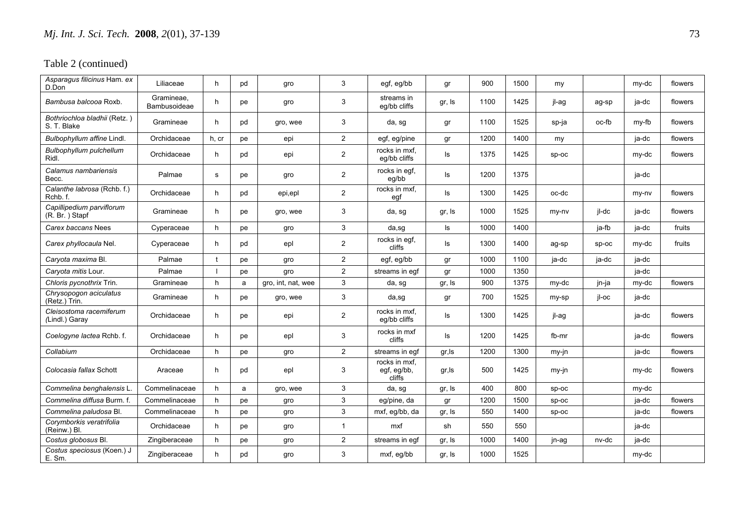| Asparagus filicinus Ham. ex<br>D.Don        | Liliaceae                  | h.    | pd | gro                | 3              | egf, eg/bb                             | gr     | 900  | 1500 | my      |       | my-dc | flowers |
|---------------------------------------------|----------------------------|-------|----|--------------------|----------------|----------------------------------------|--------|------|------|---------|-------|-------|---------|
| Bambusa balcooa Roxb.                       | Gramineae,<br>Bambusoideae | h     | pe | gro                | 3              | streams in<br>eg/bb cliffs             | gr, Is | 1100 | 1425 | jl-ag   | ag-sp | ja-dc | flowers |
| Bothriochloa bladhii (Retz.)<br>S. T. Blake | Gramineae                  | h.    | pd | gro, wee           | 3              | da, sg                                 | gr     | 1100 | 1525 | sp-ja   | oc-fb | my-fb | flowers |
| Bulbophyllum affine Lindl.                  | Orchidaceae                | h, cr | pe | epi                | $\overline{a}$ | egf, eg/pine                           | gr     | 1200 | 1400 | my      |       | ja-dc | flowers |
| Bulbophyllum pulchellum<br>Ridl.            | Orchidaceae                | h.    | pd | epi                | $\overline{c}$ | rocks in mxf,<br>eg/bb cliffs          | Is     | 1375 | 1425 | sp-oc   |       | my-dc | flowers |
| Calamus nambariensis<br>Becc.               | Palmae                     | s     | pe | gro                | $\overline{2}$ | rocks in egf,<br>eg/bb                 | ls.    | 1200 | 1375 |         |       | ja-dc |         |
| Calanthe labrosa (Rchb. f.)<br>Rchb.f.      | Orchidaceae                | h.    | pd | epi,epl            | $\overline{2}$ | rocks in mxf,<br>egf                   | ls     | 1300 | 1425 | oc-dc   |       | my-ny | flowers |
| Capillipedium parviflorum<br>(R. Br.) Stapf | Gramineae                  | h.    | pe | gro, wee           | 3              | da, sg                                 | gr, Is | 1000 | 1525 | my-ny   | jl-dc | ja-dc | flowers |
| Carex baccans Nees                          | Cyperaceae                 | h.    | рe | gro                | 3              | da,sg                                  | Is     | 1000 | 1400 |         | ja-fb | ja-dc | fruits  |
| Carex phyllocaula Nel.                      | Cyperaceae                 | h.    | pd | epl                | $\overline{2}$ | rocks in egf,<br>cliffs                | ls     | 1300 | 1400 | ag-sp   | SD-OC | my-dc | fruits  |
| Caryota maxima Bl.                          | Palmae                     |       | pe | gro                | $\overline{2}$ | egf, eg/bb                             | gr     | 1000 | 1100 | ja-dc   | ja-dc | ja-dc |         |
| Caryota mitis Lour.                         | Palmae                     |       | pe | gro                | $\overline{2}$ | streams in egf                         | gr     | 1000 | 1350 |         |       | ja-dc |         |
| Chloris pycnothrix Trin.                    | Gramineae                  | h     | a  | gro, int, nat, wee | 3              | da, sg                                 | gr, Is | 900  | 1375 | my-dc   | jn-ja | my-dc | flowers |
| Chrysopogon aciculatus<br>(Retz.) Trin.     | Gramineae                  | h.    | рe | gro, wee           | 3              | da,sg                                  | gr     | 700  | 1525 | my-sp   | jl-oc | ja-dc |         |
| Cleisostoma racemiferum<br>(Lindl.) Garay   | Orchidaceae                | h.    | pe | epi                | $\overline{2}$ | rocks in mxf.<br>eg/bb cliffs          | Is     | 1300 | 1425 | jl-ag   |       | ja-dc | flowers |
| Coelogyne lactea Rchb. f.                   | Orchidaceae                | h.    | pe | epl                | 3              | rocks in mxf<br>cliffs                 | ls     | 1200 | 1425 | fb-mr   |       | ja-dc | flowers |
| Collabium                                   | Orchidaceae                | h     | рe | gro                | $\overline{2}$ | streams in egf                         | gr, Is | 1200 | 1300 | my-jn   |       | ja-dc | flowers |
| Colocasia fallax Schott                     | Araceae                    | h.    | pd | epl                | 3              | rocks in mxf.<br>egf, eg/bb,<br>cliffs | gr, Is | 500  | 1425 | my-jn   |       | my-dc | flowers |
| Commelina benghalensis L                    | Commelinaceae              | h     | a  | gro, wee           | $\mathsf 3$    | da, sg                                 | gr, Is | 400  | 800  | sp-oc   |       | my-dc |         |
| Commelina diffusa Burm. f.                  | Commelinaceae              | h     | pe | gro                | $\mathbf{3}$   | eg/pine, da                            | gr     | 1200 | 1500 | sp-oc   |       | ja-dc | flowers |
| Commelina paludosa Bl.                      | Commelinaceae              | h     | pe | gro                | 3              | mxf, eg/bb, da                         | gr, Is | 550  | 1400 | $sp-oc$ |       | ja-dc | flowers |
| Corymborkis veratrifolia<br>(Reinw.) Bl.    | Orchidaceae                | h     | рe | gro                | $\mathbf{1}$   | mxf                                    | sh     | 550  | 550  |         |       | ja-dc |         |
| Costus globosus Bl.                         | Zingiberaceae              | h     | pe | gro                | $\overline{c}$ | streams in egf                         | gr, Is | 1000 | 1400 | jn-ag   | nv-dc | ja-dc |         |
| Costus speciosus (Koen.) J<br>E. Sm.        | Zingiberaceae              | h     | pd | gro                | 3              | mxf, eg/bb                             | gr, Is | 1000 | 1525 |         |       | my-dc |         |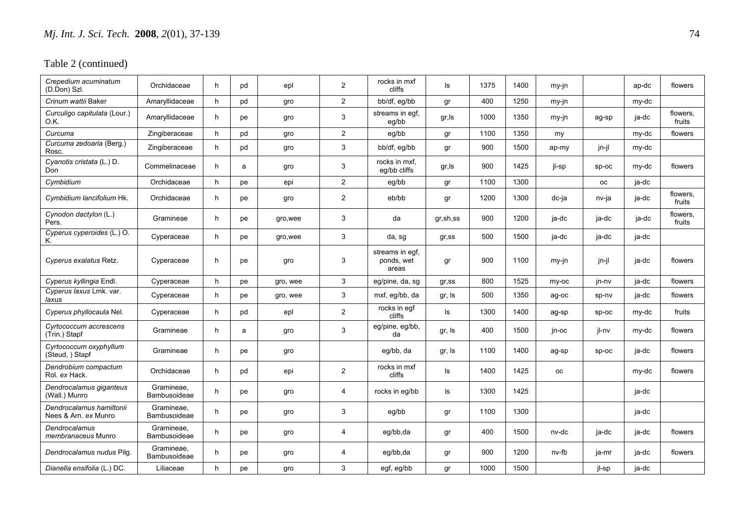| Crepedium acuminatum<br>(D.Don) Szl.             | Orchidaceae                | h. | pd | epl      | $\overline{2}$ | rocks in mxf<br>cliffs                 | ls                           | 1375 | 1400 | my-jn     |         | ap-dc | flowers            |
|--------------------------------------------------|----------------------------|----|----|----------|----------------|----------------------------------------|------------------------------|------|------|-----------|---------|-------|--------------------|
| Crinum wattii Baker                              | Amaryllidaceae             | h. | pd | gro      | $\overline{2}$ | bb/df, eg/bb                           | gr                           | 400  | 1250 | my-jn     |         | my-dc |                    |
| Curculigo capitulata (Lour.)<br>O.K.             | Amaryllidaceae             | h. | pe | gro      | 3              | streams in egf,<br>eg/bb               | gr, Is                       | 1000 | 1350 | my-jn     | ag-sp   | ja-dc | flowers,<br>fruits |
| Curcuma                                          | Zingiberaceae              | h. | pd | gro      | $\overline{2}$ | eg/bb                                  | $\operatorname{\mathsf{gr}}$ | 1100 | 1350 | my        |         | my-dc | flowers            |
| Curcuma zedoaria (Berg.)<br>Rosc.                | Zingiberaceae              | h  | pd | gro      | 3              | bb/df, eg/bb                           | gr                           | 900  | 1500 | ap-my     | jn-jl   | my-dc |                    |
| Cyanotis cristata (L.) D.<br>Don                 | Commelinaceae              | h  | a  | gro      | 3              | rocks in mxf.<br>eg/bb cliffs          | gr, Is                       | 900  | 1425 | jl-sp     | $sp-oc$ | my-dc | flowers            |
| Cymbidium                                        | Orchidaceae                | h  | pe | epi      | $\overline{2}$ | eg/bb                                  | gr                           | 1100 | 1300 |           | оc      | ja-dc |                    |
| Cymbidium Iancifolium Hk.                        | Orchidaceae                | h. | pe | gro      | $\overline{2}$ | eb/bb                                  | gr                           | 1200 | 1300 | dc-ja     | nv-ja   | ja-dc | flowers.<br>fruits |
| Cynodon dactylon (L.)<br>Pers.                   | Gramineae                  | h. | pe | gro, wee | 3              | da                                     | gr,sh,ss                     | 900  | 1200 | ja-dc     | ja-dc   | ja-dc | flowers,<br>fruits |
| Cyperus cyperoides (L.) O.<br>Κ.                 | Cyperaceae                 | h. | рe | gro, wee | 3              | da, sg                                 | $gr$ , ss                    | 500  | 1500 | ja-dc     | ja-dc   | ja-dc |                    |
| Cyperus exalatus Retz.                           | Cyperaceae                 | h  | pe | gro      | 3              | streams in eqf.<br>ponds, wet<br>areas | gr                           | 900  | 1100 | my-jn     | jn-jl   | ja-dc | flowers            |
| Cyperus kyllingia Endl.                          | Cyperaceae                 | h  | pe | gro, wee | 3              | eg/pine, da, sg                        | $gr$ , ss                    | 800  | 1525 | my-oc     | jn-nv   | ja-dc | flowers            |
| Cyperus laxus Lmk. var.<br>laxus                 | Cyperaceae                 | h. | рe | gro, wee | 3              | mxf, eg/bb, da                         | gr, Is                       | 500  | 1350 | ag-oc     | sp-nv   | ja-dc | flowers            |
| Cyperus phyllocaula Nel.                         | Cyperaceae                 | h. | pd | epl      | $\overline{2}$ | rocks in egf<br>cliffs                 | ls                           | 1300 | 1400 | ag-sp     | sp-oc   | my-dc | fruits             |
| Cyrtococcum accrescens<br>(Trin.) Stapf          | Gramineae                  | h. | a  | gro      | 3              | eg/pine, eg/bb,<br>da                  | gr, Is                       | 400  | 1500 | jn-oc     | jl-nv   | my-dc | flowers            |
| Cyrtococcum oxyphyllum<br>(Steud, ) Stapf        | Gramineae                  | h  | pe | gro      |                | eg/bb, da                              | gr, Is                       | 1100 | 1400 | ag-sp     | sp-oc   | ja-dc | flowers            |
| Dendrobium compactum<br>Rol. ex Hack.            | Orchidaceae                | h. | pd | epi      | $\overline{2}$ | rocks in mxf<br>cliffs                 | ls                           | 1400 | 1425 | <b>OC</b> |         | my-dc | flowers            |
| Dendrocalamus giganteus<br>(Wall.) Munro         | Gramineae,<br>Bambusoideae | h  | pe | gro      | 4              | rocks in eg/bb                         | ls                           | 1300 | 1425 |           |         | ja-dc |                    |
| Dendrocalamus hamiltonii<br>Nees & Arn. ex Munro | Gramineae,<br>Bambusoideae | h  | pe | gro      | 3              | eg/bb                                  | gr                           | 1100 | 1300 |           |         | ja-dc |                    |
| Dendrocalamus<br>membranaceus Munro              | Gramineae,<br>Bambusoideae | h  | рe | gro      | 4              | eg/bb,da                               | gr                           | 400  | 1500 | nv-dc     | ja-dc   | ja-dc | flowers            |
| Dendrocalamus nudus Pilg.                        | Gramineae,<br>Bambusoideae | h. | pe | gro      | 4              | eg/bb,da                               | gr                           | 900  | 1200 | nv-fb     | ja-mr   | ja-dc | flowers            |
| Dianella ensifolia (L.) DC.                      | Liliaceae                  | h  | рe | gro      | 3              | egf, eg/bb                             | gr                           | 1000 | 1500 |           | jl-sp   | ja-dc |                    |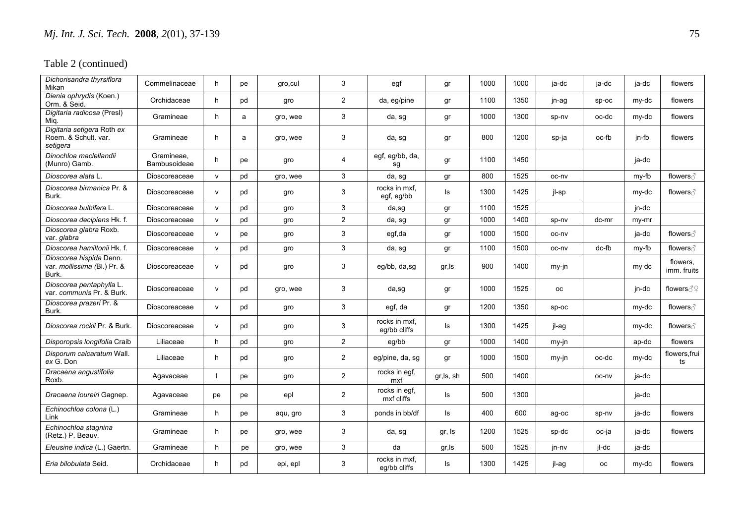| Dichorisandra thyrsiflora<br>Mikan                              | Commelinaceae              | h.           | pe | gro, cul | 3              | egf                           | gr         | 1000 | 1000 | ja-dc     | ja-dc     | ja-dc | flowers                 |
|-----------------------------------------------------------------|----------------------------|--------------|----|----------|----------------|-------------------------------|------------|------|------|-----------|-----------|-------|-------------------------|
| Dienia ophrydis (Koen.)<br>Orm. & Seid.                         | Orchidaceae                | h.           | pd | gro      | $\overline{2}$ | da, eg/pine                   | gr         | 1100 | 1350 | jn-ag     | sp-oc     | my-dc | flowers                 |
| Digitaria radicosa (Presl)<br>Mig.                              | Gramineae                  | h            | a  | gro, wee | $\mathbf{3}$   | da, sg                        | gr         | 1000 | 1300 | sp-nv     | oc-dc     | my-dc | flowers                 |
| Digitaria setigera Roth ex<br>Roem. & Schult. var.<br>setigera  | Gramineae                  | h.           | a  | gro, wee | 3              | da, sg                        | gr         | 800  | 1200 | sp-ja     | oc-fb     | jn-fb | flowers                 |
| Dinochloa maclellandii<br>(Munro) Gamb.                         | Gramineae.<br>Bambusoideae | h.           | pe | gro      | $\overline{4}$ | egf, eg/bb, da,<br>sg         | gr         | 1100 | 1450 |           |           | ja-dc |                         |
| Dioscorea alata L                                               | Dioscoreaceae              | $\mathsf{v}$ | pd | gro, wee | 3              | da, sg                        | gr         | 800  | 1525 | oc-nv     |           | my-fb | flowers $\beta$         |
| Dioscorea birmanica Pr. &<br>Burk.                              | Dioscoreaceae              | $\mathsf{v}$ | pd | gro      | 3              | rocks in mxf,<br>egf, eg/bb   | ls         | 1300 | 1425 | jl-sp     |           | my-dc | flowers ∂               |
| Dioscorea bulbifera L.                                          | Dioscoreaceae              | $\mathsf{v}$ | pd | gro      | $\mathbf{3}$   | da,sg                         | gr         | 1100 | 1525 |           |           | jn-dc |                         |
| Dioscorea decipiens Hk. f.                                      | Dioscoreaceae              | $\mathsf{v}$ | pd | gro      | $\overline{2}$ | da, sg                        | gr         | 1000 | 1400 | sp-nv     | dc-mr     | my-mr |                         |
| Dioscorea glabra Roxb.<br>var. glabra                           | Dioscoreaceae              | $\mathsf{v}$ | pe | gro      | $\mathbf{3}$   | egf,da                        | gr         | 1000 | 1500 | oc-nv     |           | ja-dc | flowers ∂               |
| Dioscorea hamiltonii Hk. f.                                     | Dioscoreaceae              | $\mathsf{v}$ | pd | gro      | 3              | da, sg                        | gr         | 1100 | 1500 | oc-nv     | dc-fb     | my-fb | flowers $\beta$         |
| Dioscorea hispida Denn.<br>var. mollissima (Bl.) Pr. &<br>Burk. | Dioscoreaceae              | $\mathsf{v}$ | pd | gro      | 3              | eg/bb, da,sg                  | gr, Is     | 900  | 1400 | my-jn     |           | my dc | flowers,<br>imm. fruits |
| Dioscorea pentaphylla L.<br>var. communis Pr. & Burk.           | Dioscoreaceae              | $\mathsf{v}$ | pd | gro, wee | 3              | da,sg                         | gr         | 1000 | 1525 | <b>OC</b> |           | jn-dc | flowers ∂ହ              |
| Dioscorea prazeri Pr. &<br>Burk.                                | Dioscoreaceae              | $\mathsf{v}$ | pd | gro      | 3              | egf, da                       | gr         | 1200 | 1350 | $sp-oc$   |           | my-dc | flowers ∂               |
| Dioscorea rockii Pr. & Burk.                                    | Dioscoreaceae              | $\mathsf{v}$ | pd | gro      | 3              | rocks in mxf,<br>eg/bb cliffs | ls         | 1300 | 1425 | jl-ag     |           | my-dc | flowers ∂               |
| Disporopsis longifolia Craib                                    | Liliaceae                  | h            | pd | gro      | $\overline{2}$ | eg/bb                         | gr         | 1000 | 1400 | my-jn     |           | ap-dc | flowers                 |
| Disporum calcaratum Wall.<br>ex G. Don                          | Liliaceae                  | h.           | pd | gro      | $\overline{2}$ | eg/pine, da, sg               | gr         | 1000 | 1500 | my-jn     | oc-dc     | my-dc | flowers, frui<br>ts     |
| Dracaena angustifolia<br>Roxb.                                  | Agavaceae                  |              | pe | gro      | $\overline{2}$ | rocks in egf,<br>mxf          | gr, ls, sh | 500  | 1400 |           | oc-nv     | ja-dc |                         |
| Dracaena loureiri Gagnep.                                       | Agavaceae                  | pe           | pe | epl      | $\overline{2}$ | rocks in egf,<br>mxf cliffs   | ls         | 500  | 1300 |           |           | ja-dc |                         |
| Echinochloa colona (L.)<br>Link                                 | Gramineae                  | h.           | рe | aqu, gro | 3              | ponds in bb/df                | ls.        | 400  | 600  | ag-oc     | sp-nv     | ja-dc | flowers                 |
| Echinochloa stagnina<br>(Retz.) P. Beauv.                       | Gramineae                  | h            | pe | gro, wee | 3              | da, sg                        | gr, Is     | 1200 | 1525 | sp-dc     | oc-ja     | ja-dc | flowers                 |
| Eleusine indica (L.) Gaertn.                                    | Gramineae                  | h            | pe | gro, wee | 3              | da                            | gr, Is     | 500  | 1525 | jn-nv     | jl-dc     | ja-dc |                         |
| Eria bilobulata Seid.                                           | Orchidaceae                | h.           | pd | epi, epl | 3              | rocks in mxf,<br>eg/bb cliffs | ls         | 1300 | 1425 | jl-ag     | <b>OC</b> | my-dc | flowers                 |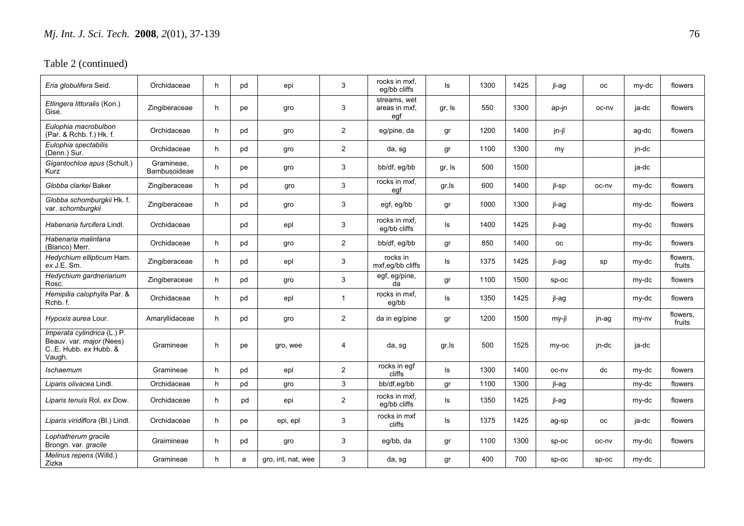| Eria globulifera Seid.                                                                     | Orchidaceae                | h. | pd | epi                | 3              | rocks in mxf.<br>eq/bb cliffs        | ls     | 1300 | 1425 | jl-ag   | <b>OC</b> | my-dc | flowers            |
|--------------------------------------------------------------------------------------------|----------------------------|----|----|--------------------|----------------|--------------------------------------|--------|------|------|---------|-----------|-------|--------------------|
| Etlingera littoralis (Kon.)<br>Gise.                                                       | Zingiberaceae              | h. | pe | gro                | 3              | streams, wet<br>areas in mxf,<br>egf | gr, Is | 550  | 1300 | ap-jn   | oc-nv     | ja-dc | flowers            |
| Eulophia macrobulbon<br>(Par. & Rchb. f.) Hk. f.                                           | Orchidaceae                | h  | pd | gro                | $\overline{2}$ | eg/pine, da                          | gr     | 1200 | 1400 | jn-jl   |           | ag-dc | flowers            |
| Eulophia spectabilis<br>(Denn.) Sur.                                                       | Orchidaceae                | h  | pd | gro                | $\overline{2}$ | da, sg                               | gr     | 1100 | 1300 | my      |           | jn-dc |                    |
| Gigantochloa apus (Schult.)<br>Kurz                                                        | Gramineae,<br>Bambusoideae | h  | pe | gro                | 3              | bb/df, eg/bb                         | gr, Is | 500  | 1500 |         |           | ja-dc |                    |
| Globba clarkei Baker                                                                       | Zingiberaceae              | h  | pd | gro                | 3              | rocks in mxf.<br>egf                 | gr, Is | 600  | 1400 | jl-sp   | oc-nv     | my-dc | flowers            |
| Globba schomburgkii Hk. f.<br>var. schomburgkii                                            | Zingiberaceae              | h. | pd | gro                | 3              | egf, eg/bb                           | gr     | 1000 | 1300 | jl-ag   |           | my-dc | flowers            |
| Habenaria furcifera Lindl.                                                                 | Orchidaceae                |    | pd | epl                | 3              | rocks in mxf.<br>eg/bb cliffs        | ls     | 1400 | 1425 | il-ag   |           | my-dc | flowers            |
| Habenaria malintana<br>(Blanco) Merr.                                                      | Orchidaceae                | h  | pd | gro                | $\overline{2}$ | bb/df, eg/bb                         | gr     | 850  | 1400 | оc      |           | my-dc | flowers            |
| Hedychium ellipticum Ham.<br>ex J.E. Sm.                                                   | Zingiberaceae              | h. | pd | epl                | 3              | rocks in<br>mxf,eg/bb cliffs         | ls     | 1375 | 1425 | jl-ag   | sp        | my-dc | flowers,<br>fruits |
| Hedychium gardnerianum<br>Rosc.                                                            | Zingiberaceae              | h  | pd | gro                | $\mathbf{3}$   | egf, eg/pine,<br>da                  | gr     | 1100 | 1500 | SD-OC   |           | my-dc | flowers            |
| Hemipilia calophylla Par. &<br>Rchb.f.                                                     | Orchidaceae                | h. | pd | epl                | $\mathbf{1}$   | rocks in mxf,<br>eg/bb               | ls     | 1350 | 1425 | jl-ag   |           | my-dc | flowers            |
| Hypoxis aurea Lour.                                                                        | Amaryllidaceae             | h. | pd | gro                | 2              | da in eg/pine                        | gr     | 1200 | 1500 | my-jl   | jn-ag     | my-ny | flowers.<br>fruits |
| Imperata cylindrica (L.) P.<br>Beauv. var. major (Nees)<br>C.E. Hubb. ex Hubb. &<br>Vaugh. | Gramineae                  | h  | pe | gro, wee           | 4              | da, sg                               | gr, Is | 500  | 1525 | my-oc   | jn-dc     | ja-dc |                    |
| Ischaemum                                                                                  | Gramineae                  | h  | pd | epl                | 2              | rocks in egf<br>cliffs               | ls     | 1300 | 1400 | oc-nv   | dc        | my-dc | flowers            |
| Liparis olivacea Lindl.                                                                    | Orchidaceae                | h  | pd | gro                | 3              | bb/df,eg/bb                          | gr     | 1100 | 1300 | jl-ag   |           | my-dc | flowers            |
| Liparis tenuis Rol. ex Dow.                                                                | Orchidaceae                | h  | pd | epi                | $\overline{2}$ | rocks in mxf,<br>eg/bb cliffs        | ls     | 1350 | 1425 | jl-ag   |           | my-dc | flowers            |
| Liparis viridiflora (Bl.) Lindl.                                                           | Orchidaceae                | h. | pe | epi, epl           | 3              | rocks in mxf<br>cliffs               | ls     | 1375 | 1425 | ag-sp   | <b>OC</b> | ja-dc | flowers            |
| Lophatherum gracile<br>Brongn. var. gracile                                                | Graimineae                 | h. | pd | gro                | 3              | eg/bb, da                            | gr     | 1100 | 1300 | $sp-oc$ | oc-nv     | my-dc | flowers            |
| Melinus repens (Willd.)<br>Zizka                                                           | Gramineae                  | h. | a  | gro, int, nat, wee | 3              | da, sg                               | gr     | 400  | 700  | $sp-oc$ | $sp-oc$   | my-dc |                    |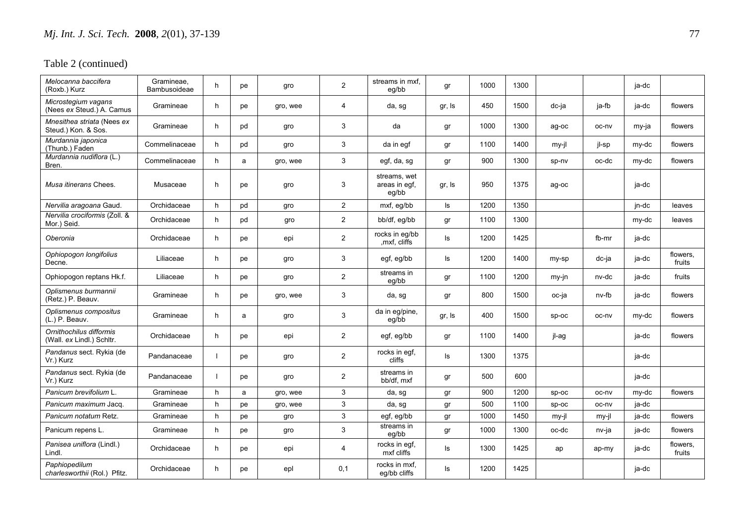| Melocanna baccifera<br>(Roxb.) Kurz                  | Gramineae,<br>Bambusoideae | h. | pe | gro      | 2                         | streams in mxf,<br>eg/bb               | gr     | 1000 | 1300 |       |       | ja-dc |                    |
|------------------------------------------------------|----------------------------|----|----|----------|---------------------------|----------------------------------------|--------|------|------|-------|-------|-------|--------------------|
| Microstegium vagans<br>(Nees ex Steud.) A. Camus     | Gramineae                  | h. | pe | gro, wee | $\overline{4}$            | da, sg                                 | gr, Is | 450  | 1500 | dc-ja | ja-fb | ja-dc | flowers            |
| Mnesithea striata (Nees ex<br>Steud.) Kon. & Sos.    | Gramineae                  | h  | pd | gro      | 3                         | da                                     | gr     | 1000 | 1300 | ag-oc | oc-nv | my-ja | flowers            |
| Murdannia japonica<br>(Thunb.) Faden                 | Commelinaceae              | h  | pd | gro      | 3                         | da in egf                              | gr     | 1100 | 1400 | my-jl | jl-sp | my-dc | flowers            |
| Murdannia nudiflora (L.)<br>Bren.                    | Commelinaceae              | h  | a  | gro, wee | 3                         | egf, da, sg                            | gr     | 900  | 1300 | sp-nv | oc-dc | my-dc | flowers            |
| Musa itinerans Chees.                                | Musaceae                   | h. | pe | gro      | 3                         | streams, wet<br>areas in egf,<br>eg/bb | gr, Is | 950  | 1375 | ag-oc |       | ja-dc |                    |
| Nervilia aragoana Gaud.                              | Orchidaceae                | h. | pd | gro      | 2                         | mxf, eq/bb                             | ls     | 1200 | 1350 |       |       | jn-dc | leaves             |
| Nervilia crociformis (Zoll. &<br>Mor.) Seid.         | Orchidaceae                | h  | pd | gro      | $\overline{2}$            | bb/df, eg/bb                           | gr     | 1100 | 1300 |       |       | my-dc | leaves             |
| Oberonia                                             | Orchidaceae                | h. | pe | epi      | $\overline{2}$            | rocks in eg/bb<br>, mxf, cliffs        | ls     | 1200 | 1425 |       | fb-mr | ja-dc |                    |
| Ophiopogon longifolius<br>Decne.                     | Liliaceae                  | h  | pe | gro      | 3                         | egf, eg/bb                             | ls     | 1200 | 1400 | my-sp | dc-ja | ja-dc | flowers,<br>fruits |
| Ophiopogon reptans Hk.f.                             | Liliaceae                  | h. | pe | gro      | $\overline{2}$            | streams in<br>eg/bb                    | gr     | 1100 | 1200 | my-jn | nv-dc | ja-dc | fruits             |
| Oplismenus burmannii<br>(Retz.) P. Beauv.            | Gramineae                  | h  | pe | gro, wee | 3                         | da, sg                                 | gr     | 800  | 1500 | oc-ja | nv-fb | ja-dc | flowers            |
| Oplismenus compositus<br>(L.) P. Beauv.              | Gramineae                  | h. | a  | gro      | 3                         | da in eg/pine,<br>eg/bb                | gr, Is | 400  | 1500 | sp-oc | oc-nv | my-dc | flowers            |
| Ornithochilus difformis<br>(Wall. ex Lindl.) Schltr. | Orchidaceae                | h. | pe | epi      | $\overline{2}$            | egf, eg/bb                             | gr     | 1100 | 1400 | jl-ag |       | ja-dc | flowers            |
| Pandanus sect. Rykia (de<br>Vr.) Kurz                | Pandanaceae                |    | pe | gro      | $\overline{2}$            | rocks in egf,<br>cliffs                | ls     | 1300 | 1375 |       |       | ja-dc |                    |
| Pandanus sect. Rykia (de<br>Vr.) Kurz                | Pandanaceae                |    | pe | gro      | $\overline{2}$            | streams in<br>bb/df, mxf               | gr     | 500  | 600  |       |       | ja-dc |                    |
| Panicum brevifolium L.                               | Gramineae                  | h  | a  | gro, wee | $\mathbf{3}$              | da, sg                                 | gr     | 900  | 1200 | sp-oc | oc-nv | my-dc | flowers            |
| Panicum maximum Jacq.                                | Gramineae                  | h  | pe | gro, wee | $\mathbf{3}$              | da, sg                                 | gr     | 500  | 1100 | Sp-oc | oc-nv | ja-dc |                    |
| Panicum notatum Retz.                                | Gramineae                  | h  | pe | gro      | $\mathbf{3}$              | egf, eg/bb                             | gr     | 1000 | 1450 | my-jl | my-jl | ja-dc | flowers            |
| Panicum repens L.                                    | Gramineae                  | h  | pe | gro      | $\ensuremath{\mathsf{3}}$ | streams in<br>eg/bb                    | gr     | 1000 | 1300 | oc-dc | nv-ja | ja-dc | flowers            |
| Panisea uniflora (Lindl.)<br>Lindl.                  | Orchidaceae                | h. | pe | epi      | 4                         | rocks in egf,<br>mxf cliffs            | ls     | 1300 | 1425 | ap    | ap-my | ja-dc | flowers,<br>fruits |
| Paphiopedilum<br>charlesworthii (Rol.) Pfitz.        | Orchidaceae                | h. | рe | epl      | 0,1                       | rocks in mxf,<br>eg/bb cliffs          | ls     | 1200 | 1425 |       |       | ja-dc |                    |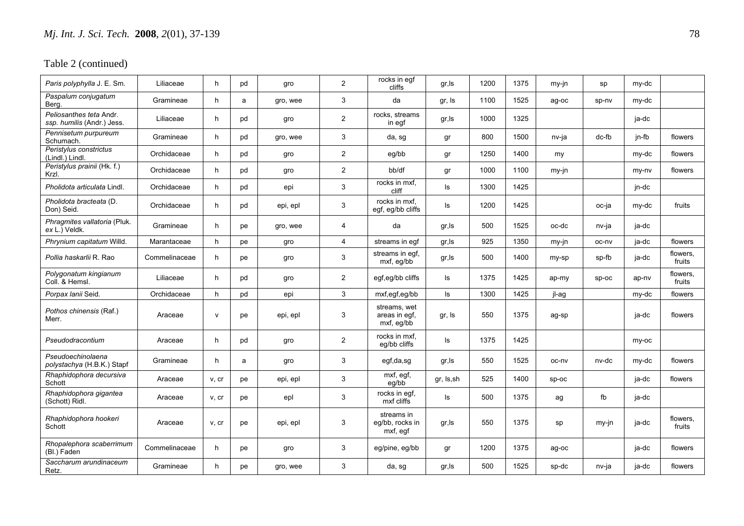| Paris polyphylla J. E. Sm.                            | Liliaceae     | h.           | pd | gro      | $\overline{2}$ | rocks in egf<br>cliffs                      | gr, Is     | 1200 | 1375 | my-jn | sp      | my-dc |                    |
|-------------------------------------------------------|---------------|--------------|----|----------|----------------|---------------------------------------------|------------|------|------|-------|---------|-------|--------------------|
| Paspalum conjugatum<br>Berg.                          | Gramineae     | h            | a  | gro, wee | $\mathfrak{S}$ | da                                          | gr, Is     | 1100 | 1525 | ag-oc | sp-nv   | my-dc |                    |
| Peliosanthes teta Andr.<br>ssp. humilis (Andr.) Jess. | Liliaceae     | h.           | pd | gro      | $\overline{2}$ | rocks, streams<br>in egf                    | gr, Is     | 1000 | 1325 |       |         | ja-dc |                    |
| Pennisetum purpureum<br>Schumach.                     | Gramineae     | h.           | pd | gro, wee | 3              | da, sg                                      | gr         | 800  | 1500 | nv-ja | dc-fb   | jn-fb | flowers            |
| Peristylus constrictus<br>(Lindl.) Lindl.             | Orchidaceae   | h            | pd | gro      | $\overline{c}$ | eg/bb                                       | gr         | 1250 | 1400 | my    |         | my-dc | flowers            |
| Peristylus prainii (Hk. f.)<br>Krzl.                  | Orchidaceae   | h            | pd | gro      | $\mathbf{2}$   | bb/df                                       | gr         | 1000 | 1100 | my-jn |         | my-ny | flowers            |
| Pholidota articulata Lindl.                           | Orchidaceae   | h            | pd | epi      | 3              | rocks in mxf,<br>cliff                      | ls         | 1300 | 1425 |       |         | jn-dc |                    |
| Pholidota bracteata (D.<br>Don) Seid.                 | Orchidaceae   | h            | pd | epi, epl | 3              | rocks in mxf.<br>egf, eg/bb cliffs          | ls         | 1200 | 1425 |       | oc-ja   | my-dc | fruits             |
| Phragmites vallatoria (Pluk.<br>ex L.) Veldk.         | Gramineae     | h.           | pe | gro, wee | 4              | da                                          | gr,ls      | 500  | 1525 | oc-dc | nv-ja   | ja-dc |                    |
| Phrynium capitatum Willd.                             | Marantaceae   | h            | pe | gro      | $\overline{4}$ | streams in egf                              | gr,ls      | 925  | 1350 | my-jn | oc-nv   | ja-dc | flowers            |
| Pollia haskarlii R. Rao                               | Commelinaceae | h            | pe | gro      | 3              | streams in egf,<br>mxf, eg/bb               | gr, Is     | 500  | 1400 | my-sp | sp-fb   | ja-dc | flowers,<br>fruits |
| Polygonatum kingianum<br>Coll. & Hemsl.               | Liliaceae     | h.           | pd | gro      | $\overline{2}$ | egf,eg/bb cliffs                            | ls         | 1375 | 1425 | ap-my | $sp-oc$ | ap-nv | flowers,<br>fruits |
| Porpax lanii Seid.                                    | Orchidaceae   | h            | pd | epi      | 3 <sup>1</sup> | mxf,egf,eg/bb                               | Is         | 1300 | 1425 | jl-ag |         | my-dc | flowers            |
| Pothos chinensis (Raf.)<br>Merr.                      | Araceae       | $\mathsf{v}$ | pe | epi, epl | 3              | streams, wet<br>areas in egf,<br>mxf, eg/bb | gr, Is     | 550  | 1375 | ag-sp |         | ja-dc | flowers            |
| Pseudodracontium                                      | Araceae       | h            | pd | gro      | $\overline{c}$ | rocks in mxf,<br>eg/bb cliffs               | ls         | 1375 | 1425 |       |         | my-oc |                    |
| Pseudoechinolaena<br>polystachya (H.B.K.) Stapf       | Gramineae     | h            | a  | gro      | 3              | egf,da,sg                                   | gr,ls      | 550  | 1525 | oc-nv | nv-dc   | my-dc | flowers            |
| Rhaphidophora decursiva<br>Schott                     | Araceae       | v, cr        | pe | epi, epl | 3              | $\overline{mx}f$ , egf,<br>eg/bb            | gr, Is, sh | 525  | 1400 | Sp-oc |         | ja-dc | flowers            |
| Rhaphidophora gigantea<br>(Schott) Ridl.              | Araceae       | v, cr        | pe | epl      | 3              | rocks in egf,<br>mxf cliffs                 | ls         | 500  | 1375 | ag    | fb      | ja-dc |                    |
| Rhaphidophora hookeri<br>Schott                       | Araceae       | v, cr        | pe | epi, epl | 3              | streams in<br>eg/bb, rocks in<br>mxf, egf   | gr, Is     | 550  | 1375 | sp    | my-jn   | ja-dc | flowers,<br>fruits |
| Rhopalephora scaberrimum<br>(Bl.) Faden               | Commelinaceae | h            | pe | gro      | 3              | eg/pine, eg/bb                              | gr         | 1200 | 1375 | ag-oc |         | ja-dc | flowers            |
| Saccharum arundinaceum<br>Retz.                       | Gramineae     | h.           | рe | gro, wee | 3              | da, sg                                      | gr, Is     | 500  | 1525 | sp-dc | nv-ja   | ja-dc | flowers            |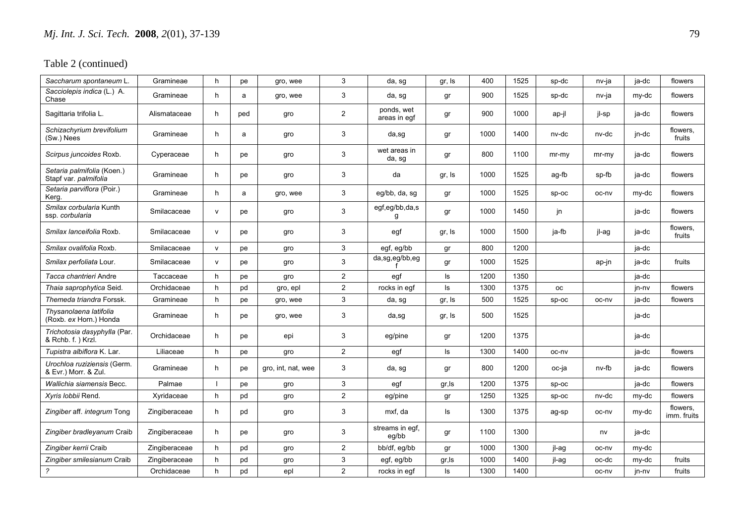| Saccharum spontaneum L.                             | Gramineae     | h.           | рe  | gro, wee           | 3              | da, sg                     | gr, Is | 400  | 1525 | sp-dc     | nv-ja   | ja-dc | flowers                 |
|-----------------------------------------------------|---------------|--------------|-----|--------------------|----------------|----------------------------|--------|------|------|-----------|---------|-------|-------------------------|
| Sacciolepis indica (L.) A.<br>Chase                 | Gramineae     | h            | a   | gro, wee           | 3              | da, sg                     | gr     | 900  | 1525 | sp-dc     | nv-ja   | my-dc | flowers                 |
| Sagittaria trifolia L.                              | Alismataceae  | h            | ped | gro                | $\overline{2}$ | ponds, wet<br>areas in egf | gr     | 900  | 1000 | ap-jl     | jl-sp   | ja-dc | flowers                 |
| Schizachyrium brevifolium<br>(Sw.) Nees             | Gramineae     | h            | a   | gro                | 3              | da,sg                      | gr     | 1000 | 1400 | nv-dc     | nv-dc   | jn-dc | flowers,<br>fruits      |
| Scirpus juncoides Roxb.                             | Cyperaceae    | h.           | рe  | gro                | 3              | wet areas in<br>da, sg     | gr     | 800  | 1100 | mr-my     | $mr-my$ | ja-dc | flowers                 |
| Setaria palmifolia (Koen.)<br>Stapf var. palmifolia | Gramineae     | h            | рe  | gro                | 3              | da                         | gr, Is | 1000 | 1525 | ag-fb     | sp-fb   | ja-dc | flowers                 |
| Setaria parviflora (Poir.)<br>Kerg.                 | Gramineae     | h.           | a   | gro, wee           | 3              | eg/bb, da, sg              | gr     | 1000 | 1525 | $sp-oc$   | oc-nv   | my-dc | flowers                 |
| Smilax corbularia Kunth<br>ssp. corbularia          | Smilacaceae   | $\mathsf{v}$ | рe  | gro                | $\mathbf{3}$   | egf,eg/bb,da,s<br>g        | gr     | 1000 | 1450 | jn        |         | ja-dc | flowers                 |
| Smilax lanceifolia Roxb.                            | Smilacaceae   | $\mathsf{v}$ | рe  | gro                | 3              | egf                        | gr, Is | 1000 | 1500 | ja-fb     | jl-ag   | ja-dc | flowers,<br>fruits      |
| Smilax ovalifolia Roxb.                             | Smilacaceae   | $\mathsf{V}$ | рe  | gro                | 3              | egf, eg/bb                 | gr     | 800  | 1200 |           |         | ja-dc |                         |
| Smilax perfoliata Lour.                             | Smilacaceae   | $\mathsf{v}$ | pe  | gro                | 3              | da,sg,eg/bb,eg             | gr     | 1000 | 1525 |           | ap-jn   | ja-dc | fruits                  |
| Tacca chantrieri Andre                              | Taccaceae     | h.           | рe  | gro                | $\overline{2}$ | egf                        | ls     | 1200 | 1350 |           |         | ja-dc |                         |
| Thaia saprophytica Seid.                            | Orchidaceae   | h            | pd  | gro, epl           | $\overline{2}$ | rocks in egf               | ls     | 1300 | 1375 | <b>OC</b> |         | jn-nv | flowers                 |
| Themeda triandra Forssk.                            | Gramineae     | h            | pe  | gro, wee           | 3              | da, sg                     | gr, Is | 500  | 1525 | Sp-oc     | oc-nv   | ja-dc | flowers                 |
| Thysanolaena latifolia<br>(Roxb. ex Horn.) Honda    | Gramineae     | h.           | рe  | gro, wee           | 3              | da,sg                      | gr, Is | 500  | 1525 |           |         | ja-dc |                         |
| Trichotosia dasyphylla (Par.<br>& Rchb. f.) Krzl.   | Orchidaceae   | h.           | рe  | epi                | 3              | eg/pine                    | gr     | 1200 | 1375 |           |         | ja-dc |                         |
| Tupistra albiflora K. Lar.                          | Liliaceae     | h.           | pe  | gro                | $\overline{2}$ | egf                        | ls     | 1300 | 1400 | oc-nv     |         | ja-dc | flowers                 |
| Urochloa ruziziensis (Germ.<br>& Evr.) Morr. & Zul. | Gramineae     | h.           | pe  | gro, int, nat, wee | 3              | da, sg                     | gr     | 800  | 1200 | oc-ja     | nv-fb   | ja-dc | flowers                 |
| Wallichia siamensis Becc.                           | Palmae        |              | pe  | gro                | 3              | egf                        | gr, Is | 1200 | 1375 | sp-oc     |         | ja-dc | flowers                 |
| Xyris lobbii Rend.                                  | Xyridaceae    | h            | pd  | gro                | $\overline{2}$ | eg/pine                    | gr     | 1250 | 1325 | Sp-oc     | nv-dc   | my-dc | flowers                 |
| Zingiber aff. integrum Tong                         | Zingiberaceae | h.           | pd  | gro                | $\mathbf{3}$   | mxf, da                    | ls     | 1300 | 1375 | ag-sp     | oc-nv   | my-dc | flowers,<br>imm. fruits |
| Zingiber bradleyanum Craib                          | Zingiberaceae | h.           | рe  | gro                | 3              | streams in egf,<br>eg/bb   | gr     | 1100 | 1300 |           | nv      | ja-dc |                         |
| Zingiber kerrii Craib                               | Zingiberaceae | h.           | pd  | gro                | $\overline{2}$ | bb/df, eg/bb               | gr     | 1000 | 1300 | jl-ag     | oc-nv   | my-dc |                         |
| Zingiber smilesianum Craib                          | Zingiberaceae | h            | pd  | gro                | $\mathfrak{S}$ | egf, eg/bb                 | gr, Is | 1000 | 1400 | jl-ag     | oc-dc   | my-dc | fruits                  |
| $\overline{?}$                                      | Orchidaceae   | h            | pd  | epl                | 2              | rocks in egf               | ls.    | 1300 | 1400 |           | oc-nv   | jn-nv | fruits                  |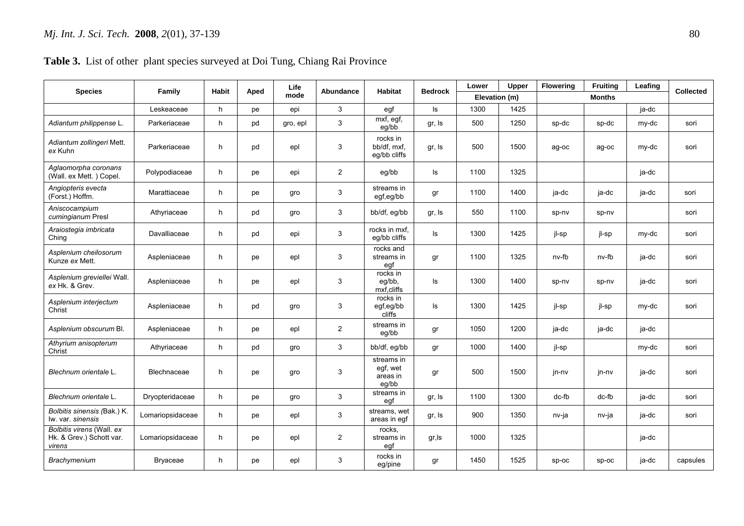## **Table 3.** List of other plant species surveyed at Doi Tung, Chiang Rai Province

| <b>Species</b>                                                  | Family           | <b>Habit</b> | Aped | Life     | Abundance      | <b>Habitat</b>                              | <b>Bedrock</b> | Lower         | Upper | <b>Flowering</b> | Fruiting      | Leafing | <b>Collected</b> |
|-----------------------------------------------------------------|------------------|--------------|------|----------|----------------|---------------------------------------------|----------------|---------------|-------|------------------|---------------|---------|------------------|
|                                                                 |                  |              |      | mode     |                |                                             |                | Elevation (m) |       |                  | <b>Months</b> |         |                  |
|                                                                 | Leskeaceae       | h            | pe   | epi      | 3              | egf                                         | ls             | 1300          | 1425  |                  |               | ja-dc   |                  |
| Adiantum philippense L.                                         | Parkeriaceae     | h            | pd   | gro, epl | $\mathbf{3}$   | mxf, egf,<br>eg/bb                          | gr, Is         | 500           | 1250  | sp-dc            | sp-dc         | my-dc   | sori             |
| Adiantum zollingeri Mett.<br>ex Kuhn                            | Parkeriaceae     | h            | pd   | epl      | 3              | rocks in<br>bb/df. mxf.<br>eg/bb cliffs     | gr, Is         | 500           | 1500  | ag-oc            | ag-oc         | my-dc   | sori             |
| Aglaomorpha coronans<br>(Wall. ex Mett.) Copel.                 | Polypodiaceae    | h            | pe   | epi      | $\overline{2}$ | eg/bb                                       | ls             | 1100          | 1325  |                  |               | ja-dc   |                  |
| Angiopteris evecta<br>(Forst.) Hoffm.                           | Marattiaceae     | h            | pe   | gro      | 3              | streams in<br>egf,eg/bb                     | gr             | 1100          | 1400  | ja-dc            | ja-dc         | ja-dc   | sori             |
| Aniscocampium<br>cumingianum Presl                              | Athyriaceae      | h            | pd   | gro      | 3              | bb/df, eg/bb                                | gr, Is         | 550           | 1100  | sp-nv            | sp-nv         |         | sori             |
| Araiostegia imbricata<br>Ching                                  | Davalliaceae     | h.           | pd   | epi      | 3              | rocks in mxf,<br>eg/bb cliffs               | Is             | 1300          | 1425  | jl-sp            | jl-sp         | my-dc   | sori             |
| Asplenium cheilosorum<br>Kunze ex Mett.                         | Aspleniaceae     | h            | pe   | epl      | 3              | rocks and<br>streams in<br>egf              | gr             | 1100          | 1325  | nv-fb            | nv-fb         | ja-dc   | sori             |
| Asplenium greviellei Wall.<br>ex Hk. & Grev.                    | Aspleniaceae     | h            | pe   | epl      | 3              | rocks in<br>eg/bb,<br>mxf,cliffs            | ls             | 1300          | 1400  | sp-nv            | sp-nv         | ja-dc   | sori             |
| Asplenium interjectum<br>Christ                                 | Aspleniaceae     | h.           | pd   | gro      | 3              | rocks in<br>egf,eg/bb<br>cliffs             | ls             | 1300          | 1425  | jl-sp            | jl-sp         | my-dc   | sori             |
| Asplenium obscurum Bl.                                          | Aspleniaceae     | h            | pe   | epl      | $\overline{2}$ | streams in<br>eg/bb                         | gr             | 1050          | 1200  | ja-dc            | ja-dc         | ja-dc   |                  |
| Athyrium anisopterum<br>Christ                                  | Athyriaceae      | h            | pd   | gro      | 3              | bb/df, eg/bb                                | gr             | 1000          | 1400  | jl-sp            |               | my-dc   | sori             |
| Blechnum orientale L.                                           | Blechnaceae      | h.           | рe   | gro      | 3              | streams in<br>egf, wet<br>areas in<br>eq/bb | gr             | 500           | 1500  | jn-nv            | jn-nv         | ja-dc   | sori             |
| Blechnum orientale L.                                           | Dryopteridaceae  | h            | pe   | gro      | 3              | streams in<br>egf                           | gr, Is         | 1100          | 1300  | $dc-fb$          | dc-fb         | ja-dc   | sori             |
| Bolbitis sinensis (Bak.) K.<br>lw. var. sinensis                | Lomariopsidaceae | h            | pe   | epl      | 3              | streams, wet<br>areas in egf                | gr, Is         | 900           | 1350  | nv-ja            | nv-ja         | ja-dc   | sori             |
| Bolbitis virens (Wall. ex<br>Hk. & Grev.) Schott var.<br>virens | Lomariopsidaceae | h.           | pe   | epl      | 2              | rocks,<br>streams in<br>egf                 | gr, ls         | 1000          | 1325  |                  |               | ja-dc   |                  |
| Brachymenium                                                    | Bryaceae         | h.           | pe   | epl      | 3              | rocks in<br>eg/pine                         | gr             | 1450          | 1525  | Sp-oc            | sp-oc         | ja-dc   | capsules         |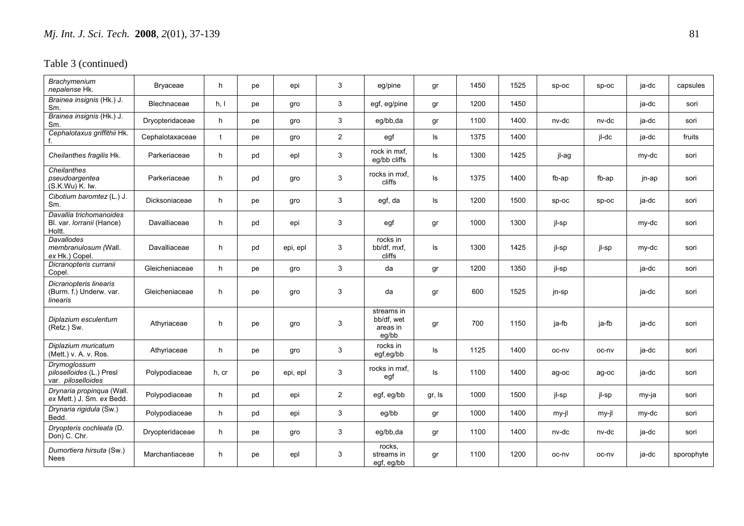| <b>Brachvmenium</b><br>nepalense Hk.                                  | Bryaceae        | h          | pe | epi      | 3              | eg/pine                                       | gr     | 1450 | 1525 | $sp-oc$ | $sp-oc$ | ja-dc | capsules   |
|-----------------------------------------------------------------------|-----------------|------------|----|----------|----------------|-----------------------------------------------|--------|------|------|---------|---------|-------|------------|
| Brainea insignis (Hk.) J.<br>Sm.                                      | Blechnaceae     | h, I       | pe | gro      | 3              | egf, eg/pine                                  | gr     | 1200 | 1450 |         |         | ja-dc | sori       |
| Brainea insignis (Hk.) J.<br>Sm.                                      | Dryopteridaceae | h          | pe | gro      | 3              | eg/bb,da                                      | gr     | 1100 | 1400 | nv-dc   | nv-dc   | ja-dc | sori       |
| Cephalotaxus griffithii Hk.<br>f.                                     | Cephalotaxaceae | $\ddagger$ | pe | gro      | $\overline{2}$ | egf                                           | Is     | 1375 | 1400 |         | jl-dc   | ja-dc | fruits     |
| Cheilanthes fragilis Hk.                                              | Parkeriaceae    | h.         | pd | epl      | $\mathbf{3}$   | rock in mxf.<br>eg/bb cliffs                  | Is     | 1300 | 1425 | jl-ag   |         | my-dc | sori       |
| Cheilanthes<br>pseudoargentea<br>(S.K.Wu) K.Wu                        | Parkeriaceae    | h          | pd | gro      | 3              | rocks in mxf.<br>cliffs                       | ls     | 1375 | 1400 | fb-ap   | fb-ap   | jn-ap | sori       |
| Cibotium baromtez (L.) J.<br>Sm.                                      | Dicksoniaceae   | h.         | pe | gro      | 3              | egf, da                                       | Is     | 1200 | 1500 | $sp-oc$ | $sp-oc$ | ja-dc | sori       |
| Davallia trichomanoides<br>Bl. var. <i>Iorranii</i> (Hance)<br>Holtt. | Davalliaceae    | h          | pd | epi      | 3              | egf                                           | gr     | 1000 | 1300 | jl-sp   |         | my-dc | sori       |
| Davallodes<br>membranulosum (Wall.<br>ex Hk.) Copel.                  | Davalliaceae    | h.         | pd | epi, epl | 3              | rocks in<br>bb/df, mxf,<br>cliffs             | ls     | 1300 | 1425 | jl-sp   | jl-sp   | my-dc | sori       |
| Dicranopteris curranii<br>Copel.                                      | Gleicheniaceae  | h          | pe | gro      | 3              | da                                            | gr     | 1200 | 1350 | jl-sp   |         | ja-dc | sori       |
| Dicranopteris linearis<br>(Burm. f.) Underw. var.<br>linearis         | Gleicheniaceae  | h          | pe | gro      | 3              | da                                            | gr     | 600  | 1525 | jn-sp   |         | ja-dc | sori       |
| Diplazium esculentum<br>(Retz.) Sw.                                   | Athyriaceae     | h          | pe | gro      | 3              | streams in<br>bb/df, wet<br>areas in<br>eg/bb | gr     | 700  | 1150 | ja-fb   | ja-fb   | ja-dc | sori       |
| Diplazium muricatum<br>(Mett.) v. A. v. Ros.                          | Athyriaceae     | h.         | pe | gro      | 3              | rocks in<br>egf,eg/bb                         | ls     | 1125 | 1400 | oc-nv   | oc-nv   | ja-dc | sori       |
| Drymoglossum<br>piloselloides (L.) Presl<br>var. piloselloides        | Polypodiaceae   | h, cr      | pe | epi, epl | 3              | rocks in mxf,<br>egf                          | ls     | 1100 | 1400 | ag-oc   | ag-oc   | ja-dc | sori       |
| Drynaria propinqua (Wall.<br>ex Mett.) J. Sm. ex Bedd.                | Polypodiaceae   | h          | pd | epi      | $\overline{2}$ | egf, eg/bb                                    | gr, Is | 1000 | 1500 | jl-sp   | jl-sp   | my-ja | sori       |
| Drynaria rigidula (Sw.)<br>Bedd.                                      | Polypodiaceae   | h          | pd | epi      | 3              | eg/bb                                         | gr     | 1000 | 1400 | my-jl   | my-jl   | my-dc | sori       |
| Dryopteris cochleata (D.<br>Don) C. Chr.                              | Dryopteridaceae | h          | pe | gro      | 3              | eg/bb,da                                      | gr     | 1100 | 1400 | nv-dc   | nv-dc   | ja-dc | sori       |
| Dumortiera hirsuta (Sw.)<br>Nees                                      | Marchantiaceae  | h          | рe | epl      | 3              | rocks,<br>streams in<br>egf, eg/bb            | gr     | 1100 | 1200 | oc-nv   | oc-nv   | ja-dc | sporophyte |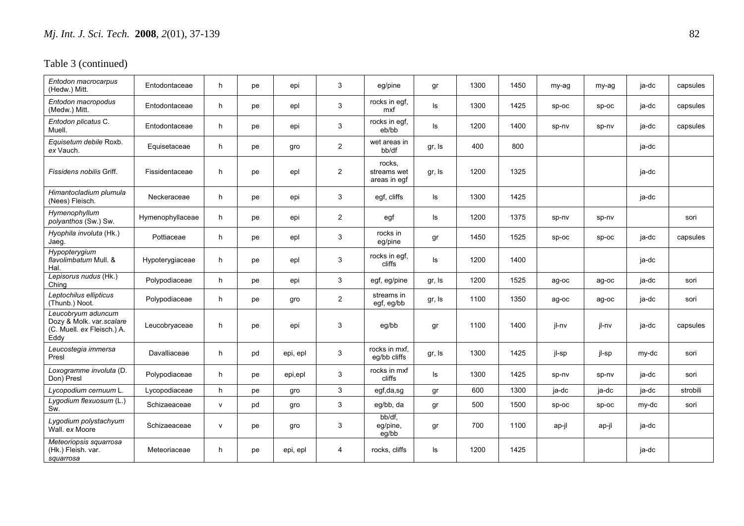| Entodon macrocarpus<br>(Hedw.) Mitt.                                                 | Entodontaceae    | h            | pe | epi      | 3              | eg/pine                               | gr     | 1300 | 1450 | my-ag   | my-ag   | ja-dc | capsules |
|--------------------------------------------------------------------------------------|------------------|--------------|----|----------|----------------|---------------------------------------|--------|------|------|---------|---------|-------|----------|
| Entodon macropodus<br>(Medw.) Mitt.                                                  | Entodontaceae    | h            | pe | epl      | 3              | rocks in egf,<br>mxf                  | ls     | 1300 | 1425 | $sp-oc$ | $sp-oc$ | ja-dc | capsules |
| Entodon plicatus C.<br>Muell.                                                        | Entodontaceae    | h.           | pe | epi      | 3              | rocks in egf,<br>eb/bb                | ls     | 1200 | 1400 | sp-nv   | sp-nv   | ja-dc | capsules |
| Equisetum debile Roxb.<br>ex Vauch.                                                  | Equisetaceae     | h            | pe | gro      | $\overline{2}$ | wet areas in<br>bb/df                 | gr, Is | 400  | 800  |         |         | ja-dc |          |
| Fissidens nobilis Griff.                                                             | Fissidentaceae   | h            | pe | epl      | $\overline{2}$ | rocks.<br>streams wet<br>areas in egf | gr, Is | 1200 | 1325 |         |         | ja-dc |          |
| Himantocladium plumula<br>(Nees) Fleisch.                                            | Neckeraceae      | h.           | pe | epi      | 3              | egf, cliffs                           | ls     | 1300 | 1425 |         |         | ja-dc |          |
| Hymenophyllum<br>polyanthos (Sw.) Sw.                                                | Hymenophyllaceae | h.           | pe | epi      | $\overline{2}$ | egf                                   | ls     | 1200 | 1375 | sp-nv   | sp-nv   |       | sori     |
| Hyophila involuta (Hk.)<br>Jaeg.                                                     | Pottiaceae       | h.           | pe | epl      | 3              | rocks in<br>eg/pine                   | gr     | 1450 | 1525 | $sp-oc$ | $sp-oc$ | ja-dc | capsules |
| Hypopterygium<br>flavolimbatum Mull, &<br>Hal.                                       | Hypoterygiaceae  | h            | pe | epl      | 3              | rocks in egf,<br>cliffs               | ls     | 1200 | 1400 |         |         | ja-dc |          |
| Lepisorus nudus (Hk.)<br>Ching                                                       | Polypodiaceae    | h            | pe | epi      | 3              | egf, eg/pine                          | gr, Is | 1200 | 1525 | ag-oc   | ag-oc   | ja-dc | sori     |
| Leptochilus ellipticus<br>(Thunb.) Noot.                                             | Polypodiaceae    | h            | pe | gro      | $\overline{2}$ | streams in<br>egf, eg/bb              | gr, Is | 1100 | 1350 | ag-oc   | ag-oc   | ja-dc | sori     |
| Leucobryum aduncum<br>Dozy & Molk. var.scalare<br>(C. Muell. ex Fleisch.) A.<br>Eddy | Leucobryaceae    | h            | pe | epi      | 3              | eg/bb                                 | gr     | 1100 | 1400 | jl-nv   | jl-nv   | ja-dc | capsules |
| Leucostegia immersa<br>Presl                                                         | Davalliaceae     | h            | pd | epi, epl | 3              | rocks in mxf,<br>eq/bb cliffs         | gr, Is | 1300 | 1425 | jl-sp   | jl-sp   | my-dc | sori     |
| Loxogramme involuta (D.<br>Don) Presl                                                | Polypodiaceae    | h.           | pe | epi,epl  | 3              | rocks in mxf<br>cliffs                | ls     | 1300 | 1425 | sp-nv   | sp-nv   | ja-dc | sori     |
| Lycopodium cernuum L.                                                                | Lycopodiaceae    | h            | pe | gro      | 3              | egf,da,sg                             | gr     | 600  | 1300 | ja-dc   | ja-dc   | ja-dc | strobili |
| Lygodium flexuosum (L.)<br>Sw.                                                       | Schizaeaceae     | $\mathsf{v}$ | pd | gro      | 3              | eg/bb, da                             | gr     | 500  | 1500 | $sp-oc$ | $sp-oc$ | my-dc | sori     |
| Lygodium polystachyum<br>Wall, ex Moore                                              | Schizaeaceae     | $\mathsf{v}$ | pe | gro      | 3              | bb/df,<br>eg/pine,<br>eg/bb           | gr     | 700  | 1100 | ap-jl   | ap-jl   | ja-dc |          |
| Meteoriopsis squarrosa<br>(Hk.) Fleish. var.<br>squarrosa                            | Meteoriaceae     | h.           | pe | epi, epl | 4              | rocks, cliffs                         | ls     | 1200 | 1425 |         |         | ja-dc |          |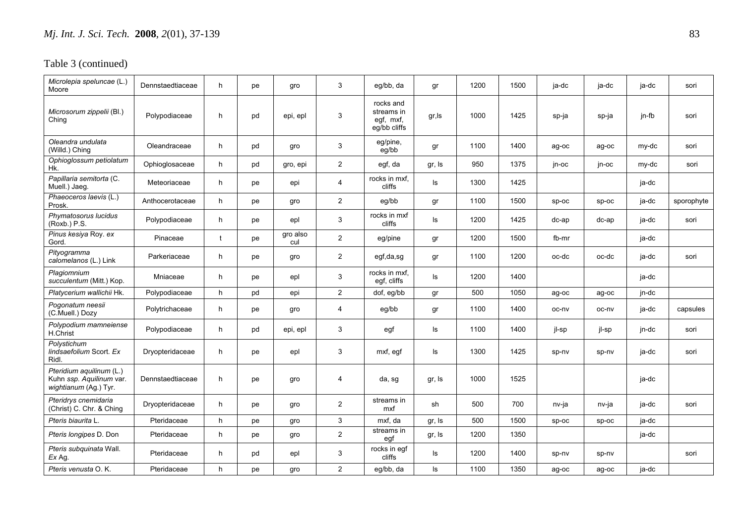| Microlepia speluncae (L.)<br>Moore                                            | Dennstaedtiaceae | h  | рe | gro             | 3              | eg/bb, da                                            | gr     | 1200 | 1500 | ja-dc | ja-dc   | ja-dc | sori       |
|-------------------------------------------------------------------------------|------------------|----|----|-----------------|----------------|------------------------------------------------------|--------|------|------|-------|---------|-------|------------|
| Microsorum zippelii (Bl.)<br>Ching                                            | Polypodiaceae    | h  | pd | epi, epl        | 3              | rocks and<br>streams in<br>egf, mxf,<br>eg/bb cliffs | gr, Is | 1000 | 1425 | sp-ja | sp-ja   | jn-fb | sori       |
| Oleandra undulata<br>(Willd.) Ching                                           | Oleandraceae     | h. | pd | gro             | 3              | eg/pine,<br>eg/bb                                    | gr     | 1100 | 1400 | ag-oc | ag-oc   | my-dc | sori       |
| Ophioglossum petiolatum<br>Hk.                                                | Ophioglosaceae   | h  | pd | gro, epi        | $\overline{2}$ | egf, da                                              | gr, Is | 950  | 1375 | jn-oc | jn-oc   | my-dc | sori       |
| Papillaria semitorta (C.<br>Muell.) Jaeg.                                     | Meteoriaceae     | h  | pe | epi             | 4              | rocks in mxf,<br>cliffs                              | ls     | 1300 | 1425 |       |         | ja-dc |            |
| Phaeoceros laevis (L.)<br>Prosk.                                              | Anthocerotaceae  | h  | pe | gro             | $\overline{2}$ | eg/bb                                                | gr     | 1100 | 1500 | sp-oc | sp-oc   | ja-dc | sporophyte |
| Phymatosorus lucidus<br>(Roxb.) P.S.                                          | Polypodiaceae    | h. | рe | epl             | 3              | rocks in mxf<br>cliffs                               | ls     | 1200 | 1425 | dc-ap | dc-ap   | ja-dc | sori       |
| Pinus kesiya Roy. ex<br>Gord.                                                 | Pinaceae         | t  | pe | gro also<br>cul | $\overline{2}$ | eg/pine                                              | gr     | 1200 | 1500 | fb-mr |         | ja-dc |            |
| Pityogramma<br>calomelanos (L.) Link                                          | Parkeriaceae     | h  | pe | gro             | $\overline{2}$ | egf,da,sg                                            | gr     | 1100 | 1200 | oc-dc | oc-dc   | ja-dc | sori       |
| Plagiomnium<br>succulentum (Mitt.) Kop.                                       | Mniaceae         | h  | pe | epl             | 3              | rocks in mxf,<br>egf, cliffs                         | ls     | 1200 | 1400 |       |         | ja-dc |            |
| Platycerium wallichii Hk.                                                     | Polypodiaceae    | h  | pd | epi             | $\overline{2}$ | dof, eg/bb                                           | gr     | 500  | 1050 | ag-oc | ag-oc   | jn-dc |            |
| Pogonatum neesii<br>(C.Muell.) Dozy                                           | Polytrichaceae   | h. | рe | gro             | 4              | eg/bb                                                | gr     | 1100 | 1400 | oc-nv | oc-nv   | ja-dc | capsules   |
| Polypodium mamneiense<br>H.Christ                                             | Polypodiaceae    | h  | pd | epi, epl        | 3              | egf                                                  | ls     | 1100 | 1400 | jl-sp | jl-sp   | jn-dc | sori       |
| Polystichum<br>lindsaefolium Scort. Ex<br>Ridl.                               | Dryopteridaceae  | h  | pe | epl             | 3              | mxf, egf                                             | ls     | 1300 | 1425 | sp-nv | sp-nv   | ja-dc | sori       |
| Pteridium aquilinum (L.)<br>Kuhn ssp. Aquilinum var.<br>wightianum (Ag.) Tyr. | Dennstaedtiaceae | h  | рe | gro             | 4              | da, sg                                               | gr, Is | 1000 | 1525 |       |         | ja-dc |            |
| Pteridrys cnemidaria<br>(Christ) C. Chr. & Ching                              | Dryopteridaceae  | h  | рe | gro             | $\overline{2}$ | streams in<br>mxf                                    | sh     | 500  | 700  | nv-ja | nv-ja   | ja-dc | sori       |
| Pteris biaurita L.                                                            | Pteridaceae      | h. | pe | gro             | $\mathbf{3}$   | mxf, da                                              | gr, Is | 500  | 1500 | sp-oc | $sp-oc$ | ja-dc |            |
| Pteris longipes D. Don                                                        | Pteridaceae      | h  | pe | gro             | $\overline{2}$ | streams in<br>egf                                    | gr, Is | 1200 | 1350 |       |         | ja-dc |            |
| Pteris subquinata Wall.<br>Ex Ag.                                             | Pteridaceae      | h  | pd | epl             | 3              | rocks in egf<br>cliffs                               | ls     | 1200 | 1400 | sp-nv | sp-nv   |       | sori       |
| Pteris venusta O.K.                                                           | Pteridaceae      | h. | рe | gro             | $\overline{2}$ | eg/bb, da                                            | ls     | 1100 | 1350 | ag-oc | ag-oc   | ja-dc |            |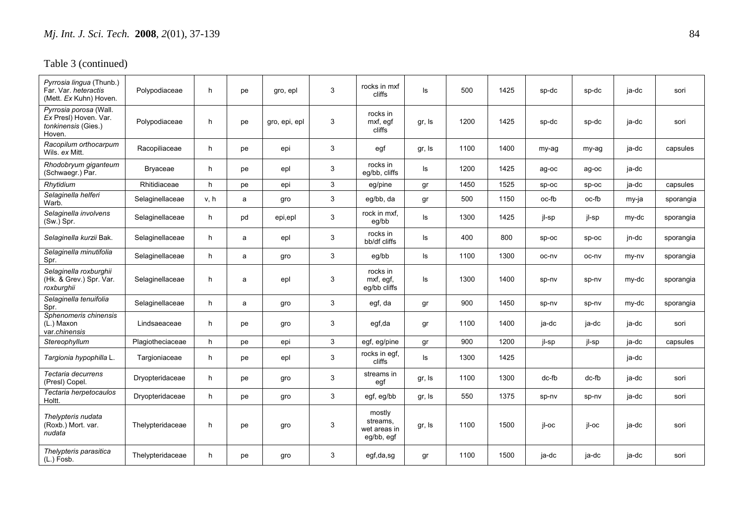| Pyrrosia lingua (Thunb.)<br>Far. Var. heteractis<br>(Mett. Ex Kuhn) Hoven.       | Polypodiaceae    | h    | pe | gro, epl      | 3 | rocks in mxf<br>cliffs                           | ls     | 500  | 1425 | sp-dc | sp-dc   | ja-dc | sori      |
|----------------------------------------------------------------------------------|------------------|------|----|---------------|---|--------------------------------------------------|--------|------|------|-------|---------|-------|-----------|
| Pyrrosia porosa (Wall.<br>Ex Presl) Hoven. Var.<br>tonkinensis (Gies.)<br>Hoven. | Polypodiaceae    | h    | рe | gro, epi, epl | 3 | rocks in<br>mxf, egf<br>cliffs                   | gr, Is | 1200 | 1425 | sp-dc | sp-dc   | ja-dc | sori      |
| Racopilum orthocarpum<br>Wils. ex Mitt.                                          | Racopiliaceae    | h    | рe | epi           | 3 | egf                                              | gr, Is | 1100 | 1400 | my-ag | my-ag   | ja-dc | capsules  |
| Rhodobryum giganteum<br>(Schwaegr.) Par.                                         | Bryaceae         | h    | рe | epl           | 3 | rocks in<br>eg/bb, cliffs                        | ls     | 1200 | 1425 | ag-oc | ag-oc   | ja-dc |           |
| Rhytidium                                                                        | Rhitidiaceae     | h    | pe | epi           | 3 | eg/pine                                          | gr     | 1450 | 1525 | Sp-oc | $sp-oc$ | ja-dc | capsules  |
| Selaginella helferi<br>Warb.                                                     | Selaginellaceae  | v, h | a  | gro           | 3 | eg/bb, da                                        | gr     | 500  | 1150 | oc-fb | oc-fb   | my-ja | sporangia |
| Selaginella involvens<br>(Sw.) Spr.                                              | Selaginellaceae  | h    | pd | epi,epl       | 3 | rock in mxf,<br>eg/bb                            | ls     | 1300 | 1425 | jl-sp | jl-sp   | my-dc | sporangia |
| Selaginella kurzii Bak.                                                          | Selaginellaceae  | h    | a  | epl           | 3 | rocks in<br>bb/df cliffs                         | ls     | 400  | 800  | sp-oc | sp-oc   | jn-dc | sporangia |
| Selaginella minutifolia<br>Spr.                                                  | Selaginellaceae  | h    | a  | gro           | 3 | eg/bb                                            | ls     | 1100 | 1300 | oc-nv | oc-nv   | my-ny | sporangia |
| Selaginella roxburghii<br>(Hk. & Grev.) Spr. Var.<br>roxburghii                  | Selaginellaceae  | h    | a  | epl           | 3 | rocks in<br>mxf, egf,<br>eq/bb cliffs            | ls     | 1300 | 1400 | sp-nv | sp-nv   | my-dc | sporangia |
| Selaginella tenuifolia<br>Spr.                                                   | Selaginellaceae  | h    | a  | gro           | 3 | egf, da                                          | gr     | 900  | 1450 | sp-nv | sp-nv   | my-dc | sporangia |
| Sphenomeris chinensis<br>(L.) Maxon<br>var.chinensis                             | Lindsaeaceae     | h    | pe | gro           | 3 | egf,da                                           | gr     | 1100 | 1400 | ja-dc | ja-dc   | ja-dc | sori      |
| Stereophyllum                                                                    | Plagiotheciaceae | h    | pe | epi           | 3 | egf, eg/pine                                     | gr     | 900  | 1200 | jl-sp | jl-sp   | ja-dc | capsules  |
| Targionia hypophilla L.                                                          | Targioniaceae    | h    | pe | epl           | 3 | rocks in egf,<br>cliffs                          | ls.    | 1300 | 1425 |       |         | ja-dc |           |
| Tectaria decurrens<br>(Presl) Copel.                                             | Dryopteridaceae  | h    | pe | gro           | 3 | streams in<br>egf                                | gr, Is | 1100 | 1300 | dc-fb | dc-fb   | ja-dc | sori      |
| Tectaria herpetocaulos<br>Holtt.                                                 | Dryopteridaceae  | h    | pe | gro           | 3 | egf, eg/bb                                       | gr, Is | 550  | 1375 | sp-nv | sp-nv   | ja-dc | sori      |
| Thelypteris nudata<br>(Roxb.) Mort. var.<br>nudata                               | Thelypteridaceae | h    | рe | gro           | 3 | mostly<br>streams,<br>wet areas in<br>eg/bb, egf | gr, Is | 1100 | 1500 | jl-oc | jl-oc   | ja-dc | sori      |
| Thelypteris parasitica<br>(L.) Fosb.                                             | Thelypteridaceae | h    | рe | gro           | 3 | egf,da,sg                                        | gr     | 1100 | 1500 | ja-dc | ja-dc   | ja-dc | sori      |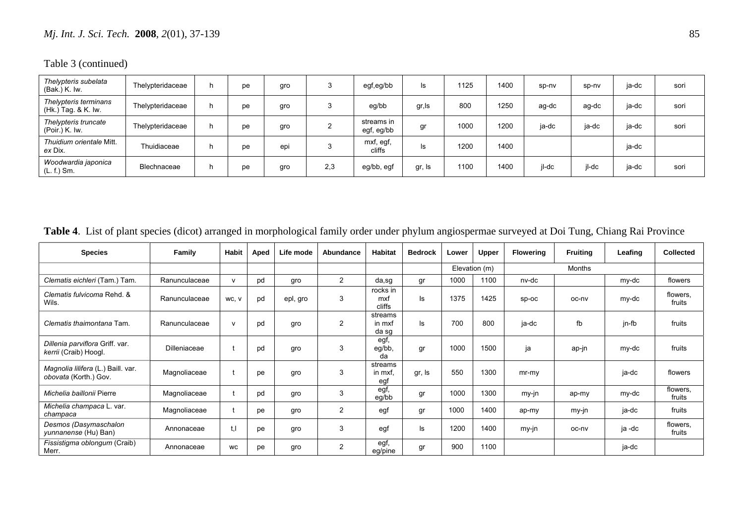Table 3 (continued)

| Thelypteris subelata<br>(Bak.) K. Iw.        | Thelypteridaceae | h. | pe | gro | 3   | egf,eg/bb                | ls.    | 1125 | 1400 | sp-nv | sp-nv | ja-dc | sori |
|----------------------------------------------|------------------|----|----|-----|-----|--------------------------|--------|------|------|-------|-------|-------|------|
| Thelypteris terminans<br>(Hk.) Tag. & K. Iw. | Thelypteridaceae | h  | рe | gro | 3   | eg/bb                    | gr,ls  | 800  | 1250 | ag-dc | ag-dc | ja-dc | sori |
| Thelypteris truncate<br>(Poir.) K. Iw.       | Thelypteridaceae | h  | рe | gro |     | streams in<br>egf, eg/bb | gr     | 1000 | 1200 | ja-dc | ja-dc | ja-dc | sori |
| Thuidium orientale Mitt.<br>ex Dix.          | Thuidiaceae      | h  | pe | epi | 3   | mxf, egf,<br>cliffs      | Is     | 1200 | 1400 |       |       | ja-dc |      |
| Woodwardia japonica<br>$(L. f.)$ Sm.         | Blechnaceae      | h  | pe | gro | 2,3 | eg/bb, egf               | gr, Is | 1100 | 1400 | jl-dc | il-dc | ja-dc | sori |

**Table 4**. List of plant species (dicot) arranged in morphological family order under phylum angiospermae surveyed at Doi Tung, Chiang Rai Province

| <b>Species</b>                                              | Family        | <b>Habit</b> | Aped | Life mode | Abundance      | <b>Habitat</b>             | <b>Bedrock</b> | Lower | Upper         | <b>Flowering</b> | <b>Fruiting</b> | Leafing | <b>Collected</b>   |
|-------------------------------------------------------------|---------------|--------------|------|-----------|----------------|----------------------------|----------------|-------|---------------|------------------|-----------------|---------|--------------------|
|                                                             |               |              |      |           |                |                            |                |       | Elevation (m) |                  | <b>Months</b>   |         |                    |
| Clematis eichleri (Tam.) Tam.                               | Ranunculaceae | $\mathbf{v}$ | pd   | gro       | $\overline{2}$ | da,sg                      | gr             | 1000  | 1100          | nv-dc            |                 | my-dc   | flowers            |
| Clematis fulvicoma Rehd. &<br>Wils.                         | Ranunculaceae | WC, V        | pd   | epl, gro  | 3              | rocks in<br>mxf<br>cliffs  | ls             | 1375  | 1425          | sp-oc            | oc-nv           | my-dc   | flowers,<br>fruits |
| Clematis thaimontana Tam.                                   | Ranunculaceae | $\mathbf{v}$ | pd   | gro       | 2              | streams<br>in mxf<br>da sq | ls             | 700   | 800           | ja-dc            | fb              | jn-fb   | fruits             |
| Dillenia parviflora Griff. var.<br>kerrii (Craib) Hoogl.    | Dilleniaceae  |              | pd   | gro       | 3              | egf,<br>eg/bb,<br>da       | gr             | 1000  | 1500          | ja               | ap-jn           | my-dc   | fruits             |
| Magnolia lilifera (L.) Baill. var.<br>obovata (Korth.) Gov. | Magnoliaceae  |              | pe   | gro       | 3              | streams<br>in mxf<br>eaf   | gr, Is         | 550   | 1300          | $mr-my$          |                 | ja-dc   | flowers            |
| Michelia baillonii Pierre                                   | Magnoliaceae  |              | pd   | gro       | 3              | egf,<br>eg/bb              | gr             | 1000  | 1300          | my-jn            | ap-my           | my-dc   | flowers,<br>fruits |
| Michelia champaca L. var.<br>champaca                       | Magnoliaceae  |              | pe   | gro       | 2              | egf                        | gr             | 1000  | 1400          | ap-my            | my-jn           | ja-dc   | fruits             |
| Desmos (Dasymaschalon<br><i>yunnanense</i> (Hu) Ban)        | Annonaceae    |              | pe   | gro       | 3              | egf                        | ls             | 1200  | 1400          | my-jn            | oc-nv           | ja -dc  | flowers,<br>fruits |
| Fissistigma oblongum (Craib)<br>Merr.                       | Annonaceae    | WC           | рe   | gro       | $\overline{2}$ | egf,<br>eg/pine            | gr             | 900   | 1100          |                  |                 | ja-dc   |                    |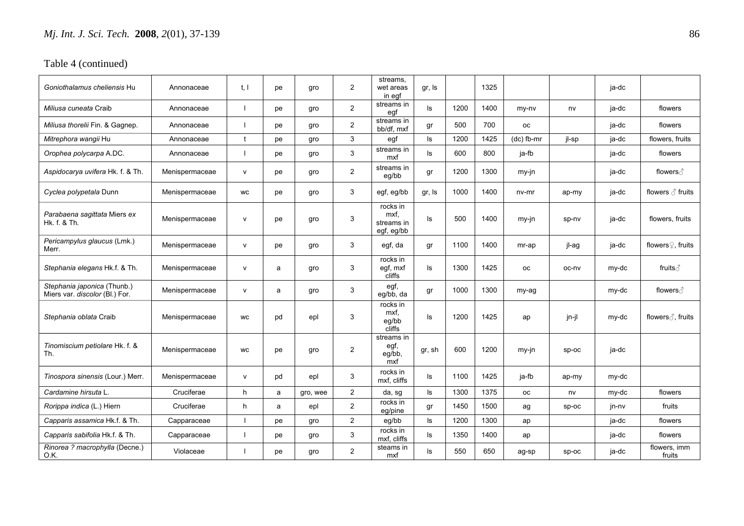| Goniothalamus cheliensis Hu                                   | Annonaceae     | t, l         | pe | gro      | $\overline{2}$ | streams,<br>wet areas<br>in egf              | gr, Is |      | 1325 |              |         | ja-dc |                               |
|---------------------------------------------------------------|----------------|--------------|----|----------|----------------|----------------------------------------------|--------|------|------|--------------|---------|-------|-------------------------------|
| Miliusa cuneata Craib                                         | Annonaceae     |              | pe | gro      | $\overline{2}$ | streams in<br>eqf                            | ls     | 1200 | 1400 | my-ny        | nv      | ja-dc | flowers                       |
| Miliusa thorelii Fin. & Gagnep.                               | Annonaceae     | $\mathbf{I}$ | pe | gro      | $\overline{2}$ | streams in<br>bb/df, mxf                     | gr     | 500  | 700  | <b>OC</b>    |         | ja-dc | flowers                       |
| Mitrephora wangii Hu                                          | Annonaceae     | t            | pe | gro      | 3              | egf                                          | ls     | 1200 | 1425 | $(dc)$ fb-mr | jl-sp   | ja-dc | flowers, fruits               |
| Orophea polycarpa A.DC.                                       | Annonaceae     |              | pe | gro      | 3              | streams in<br>mxf                            | ls     | 600  | 800  | ja-fb        |         | ja-dc | flowers                       |
| Aspidocarya uvifera Hk. f. & Th.                              | Menispermaceae | $\mathsf{v}$ | pe | gro      | $\overline{2}$ | streams in<br>eg/bb                          | gr     | 1200 | 1300 | my-jn        |         | ja-dc | flowers ∂                     |
| Cyclea polypetala Dunn                                        | Menispermaceae | <b>WC</b>    | pe | gro      | 3              | egf, eg/bb                                   | gr, Is | 1000 | 1400 | nv-mr        | ap-my   | ja-dc | flowers $\triangle$ fruits    |
| Parabaena sagittata Miers ex<br>Hk. f. & Th.                  | Menispermaceae | v            | рe | gro      | 3              | rocks in<br>mxf,<br>streams in<br>egf, eg/bb | ls     | 500  | 1400 | $my-in$      | sp-nv   | ja-dc | flowers, fruits               |
| Pericampylus glaucus (Lmk.)<br>Merr.                          | Menispermaceae | $\mathsf{v}$ | pe | gro      | 3              | egf, da                                      | gr     | 1100 | 1400 | mr-ap        | il-ag   | ja-dc | flowers <sup>2</sup> , fruits |
| Stephania elegans Hk.f. & Th.                                 | Menispermaceae | $\mathsf{v}$ | a  | gro      | 3              | rocks in<br>egf, mxf<br>cliffs               | ls     | 1300 | 1425 | <b>OC</b>    | oc-nv   | my-dc | fruits ∂                      |
| Stephania japonica (Thunb.)<br>Miers var. discolor (BI.) For. | Menispermaceae | v            | a  | gro      | 3              | egf,<br>eg/bb, da                            | gr     | 1000 | 1300 | my-ag        |         | my-dc | flowers ∂                     |
| Stephania oblata Craib                                        | Menispermaceae | <b>WC</b>    | pd | epl      | 3              | rocks in<br>mxf.<br>eg/bb<br>cliffs          | ls     | 1200 | 1425 | ap           | jn-jl   | my-dc | flowers ∂, fruits             |
| Tinomiscium petiolare Hk. f. &<br>Th.                         | Menispermaceae | <b>WC</b>    | pe | gro      | $\overline{2}$ | streams in<br>egf,<br>eg/bb,<br>mxf          | gr, sh | 600  | 1200 | my-jn        | $sp-oc$ | ja-dc |                               |
| Tinospora sinensis (Lour.) Merr.                              | Menispermaceae | $\mathsf{v}$ | pd | epl      | 3              | rocks in<br>mxf. cliffs                      | ls     | 1100 | 1425 | ja-fb        | ap-my   | my-dc |                               |
| Cardamine hirsuta L.                                          | Cruciferae     | h            | a  | gro, wee | $\overline{2}$ | da, sg                                       | ls     | 1300 | 1375 | <b>OC</b>    | nv      | my-dc | flowers                       |
| <i>Rorippa indica (L.) Hiern</i>                              | Cruciferae     | h            | a  | epl      | $\overline{2}$ | rocks in<br>eg/pine                          | gr     | 1450 | 1500 | ag           | SD-OC   | jn-nv | fruits                        |
| Capparis assamica Hk.f. & Th.                                 | Capparaceae    |              | pe | qro      | $\overline{2}$ | eg/bb                                        | ls     | 1200 | 1300 | ap           |         | ja-dc | flowers                       |
| Capparis sabifolia Hk.f. & Th.                                | Capparaceae    |              | pe | gro      | 3              | rocks in<br>mxf, cliffs                      | ls     | 1350 | 1400 | ap           |         | ja-dc | flowers                       |
| Rinorea ? macrophylla (Decne.)<br>O.K.                        | Violaceae      |              | pe | gro      | $\overline{2}$ | steams in<br>mxf                             | ls     | 550  | 650  | ag-sp        | SD-OC   | ja-dc | flowers, imm<br>fruits        |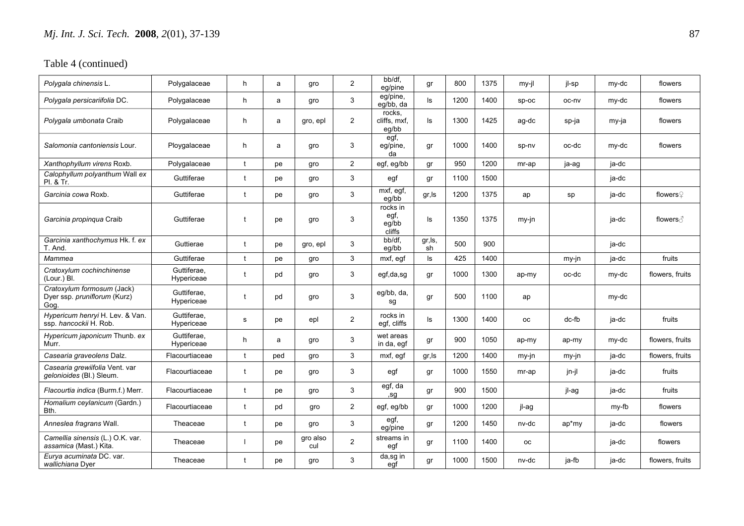| Polygala chinensis L.                                              | Polygalaceae              | h            | a   | gro             | $\overline{2}$ | bb/df.<br>eg/pine                   | gr            | 800  | 1375 | my-il     | jl-sp | my-dc | flowers         |
|--------------------------------------------------------------------|---------------------------|--------------|-----|-----------------|----------------|-------------------------------------|---------------|------|------|-----------|-------|-------|-----------------|
| Polygala persicariifolia DC.                                       | Polygalaceae              | h            | a   | gro             | 3              | eg/pine,<br>eq/bb, da               | ls            | 1200 | 1400 | SD-OC     | oc-nv | my-dc | flowers         |
| Polygala umbonata Craib                                            | Polygalaceae              | h            | a   | gro, epl        | $\overline{2}$ | rocks,<br>cliffs, mxf,<br>eg/bb     | ls            | 1300 | 1425 | ag-dc     | sp-ja | my-ja | flowers         |
| Salomonia cantoniensis Lour.                                       | Ploygalaceae              | h            | a   | gro             | 3              | egf,<br>eg/pine,<br>da              | gr            | 1000 | 1400 | sp-nv     | oc-dc | my-dc | flowers         |
| Xanthophyllum virens Roxb.                                         | Polygalaceae              | t            | pe  | gro             | $\overline{2}$ | egf, eg/bb                          | gr            | 950  | 1200 | mr-ap     | ja-ag | ja-dc |                 |
| Calophyllum polyanthum Wall ex<br>Pl. & Tr.                        | Guttiferae                | t            | pe  | gro             | 3              | egf                                 | gr            | 1100 | 1500 |           |       | ja-dc |                 |
| Garcinia cowa Roxb.                                                | Guttiferae                | $\ddagger$   | pe  | gro             | 3              | mxf, egf,<br>eq/bb                  | gr, Is        | 1200 | 1375 | ap        | sp    | ja-dc | flowers $Q$     |
| Garcinia propinqua Craib                                           | Guttiferae                | t            | pe  | gro             | 3              | rocks in<br>egf,<br>eg/bb<br>cliffs | ls            | 1350 | 1375 | my-jn     |       | ja-dc | flowers ∂       |
| Garcinia xanthochymus Hk. f. ex<br>T. And.                         | Guttierae                 | $\mathbf{f}$ | pe  | gro, epl        | 3              | bb/df,<br>eg/bb                     | gr, ls,<br>sh | 500  | 900  |           |       | ja-dc |                 |
| Mammea                                                             | Guttiferae                | $\mathbf{f}$ | pe  | gro             | 3              | mxf, egf                            | ls            | 425  | 1400 |           | my-jn | ja-dc | fruits          |
| Cratoxylum cochinchinense<br>(Lour.) Bl.                           | Guttiferae,<br>Hypericeae | t            | pd  | gro             | 3              | egf,da,sg                           | gr            | 1000 | 1300 | ap-my     | oc-dc | my-dc | flowers, fruits |
| Cratoxylum formosum (Jack)<br>Dyer ssp. pruniflorum (Kurz)<br>Gog. | Guttiferae,<br>Hypericeae | t            | pd  | gro             | 3              | eg/bb, da,<br>sg                    | gr            | 500  | 1100 | ap        |       | my-dc |                 |
| Hypericum henryi H. Lev. & Van.<br>ssp. hancockii H. Rob.          | Guttiferae.<br>Hypericeae | s            | pe  | epl             | $\overline{2}$ | rocks in<br>egf, cliffs             | ls            | 1300 | 1400 | <b>OC</b> | dc-fb | ja-dc | fruits          |
| Hypericum japonicum Thunb. ex<br>Murr.                             | Guttiferae,<br>Hypericeae | h.           | a   | gro             | 3              | wet areas<br>in da, egf             | gr            | 900  | 1050 | ap-my     | ap-my | my-dc | flowers, fruits |
| Casearia graveolens Dalz.                                          | Flacourtiaceae            | $\mathbf{f}$ | ped | gro             | 3              | mxf, egf                            | gr,ls         | 1200 | 1400 | my-jn     | my-jn | ja-dc | flowers, fruits |
| Casearia grewiifolia Vent. var<br>gelonioides (Bl.) Sleum.         | Flacourtiaceae            | $\mathbf{f}$ | pe  | gro             | 3              | egf                                 | gr            | 1000 | 1550 | mr-ap     | jn-jl | ja-dc | fruits          |
| Flacourtia indica (Burm.f.) Merr.                                  | Flacourtiaceae            | $\ddagger$   | pe  | gro             | 3              | egf, da<br>,sg                      | gr            | 900  | 1500 |           | jl-ag | ja-dc | fruits          |
| Homalium ceylanicum (Gardn.)<br>Bth.                               | Flacourtiaceae            | t            | pd  | gro             | $\overline{2}$ | egf, eg/bb                          | gr            | 1000 | 1200 | jl-ag     |       | my-fb | flowers         |
| Anneslea fragrans Wall.                                            | Theaceae                  | $\mathbf{f}$ | pe  | qro             | 3              | egf,<br>eq/pine                     | gr            | 1200 | 1450 | nv-dc     | ap*my | ja-dc | flowers         |
| Camellia sinensis (L.) O.K. var.<br>assamica (Mast.) Kita.         | Theaceae                  |              | pe  | gro also<br>cul | $\overline{2}$ | streams in<br>egf                   | gr            | 1100 | 1400 | оc        |       | ja-dc | flowers         |
| Eurya acuminata DC. var.<br>wallichiana Dyer                       | Theaceae                  | t            | pe  | gro             | 3              | da,sg in<br>egf                     | gr            | 1000 | 1500 | nv-dc     | ja-fb | ja-dc | flowers, fruits |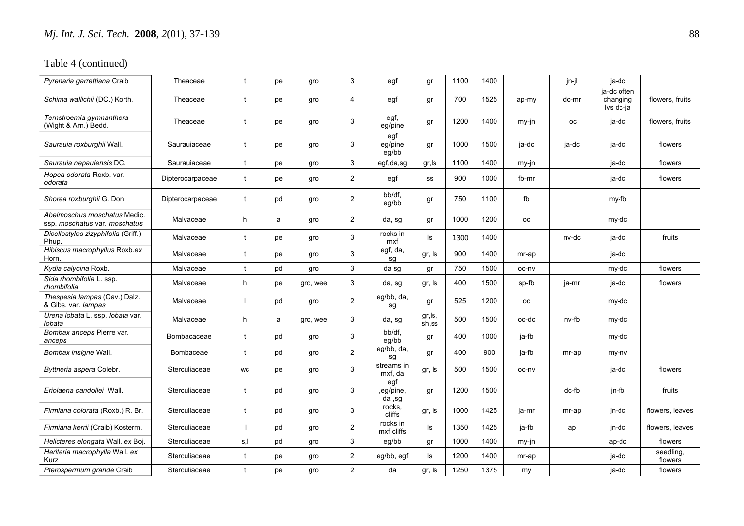| Pyrenaria garrettiana Craib                                   | Theaceae         |                          | pe | gro      | 3              | egf                        | gr              | 1100 | 1400 |           | jn-jl     | ja-dc                                |                      |
|---------------------------------------------------------------|------------------|--------------------------|----|----------|----------------|----------------------------|-----------------|------|------|-----------|-----------|--------------------------------------|----------------------|
| Schima wallichii (DC.) Korth.                                 | Theaceae         | t                        | pe | gro      | $\overline{4}$ | egf                        | gr              | 700  | 1525 | ap-my     | dc-mr     | ja-dc often<br>changing<br>Ivs dc-ja | flowers, fruits      |
| Ternstroemia gymnanthera<br>(Wight & Arn.) Bedd.              | Theaceae         | $\mathbf{f}$             | pe | gro      | 3              | egf,<br>eg/pine            | gr              | 1200 | 1400 | my-jn     | <b>OC</b> | ja-dc                                | flowers, fruits      |
| Saurauia roxburghii Wall.                                     | Saurauiaceae     | t                        | pe | gro      | 3              | egf<br>eg/pine<br>eg/bb    | gr              | 1000 | 1500 | ja-dc     | ja-dc     | ja-dc                                | flowers              |
| Saurauia nepaulensis DC.                                      | Saurauiaceae     | t                        | pe | gro      | 3              | egf,da,sg                  | gr, Is          | 1100 | 1400 | my-jn     |           | ja-dc                                | flowers              |
| Hopea odorata Roxb. var.<br>odorata                           | Dipterocarpaceae | $\mathbf{f}$             | pe | gro      | $\overline{2}$ | egf                        | SS              | 900  | 1000 | fb-mr     |           | ja-dc                                | flowers              |
| Shorea roxburghii G. Don                                      | Dipterocarpaceae | $\mathbf{f}$             | pd | gro      | $\overline{2}$ | bb/df.<br>eg/bb            | gr              | 750  | 1100 | fb        |           | my-fb                                |                      |
| Abelmoschus moschatus Medic.<br>ssp. moschatus var. moschatus | Malvaceae        | h                        | a  | gro      | $\overline{2}$ | da, sg                     | gr              | 1000 | 1200 | <b>OC</b> |           | my-dc                                |                      |
| Dicellostyles zizyphifolia (Griff.)<br>Phup.                  | Malvaceae        | $\mathbf{f}$             | pe | gro      | 3              | rocks in<br>mxf            | ls              | 1300 | 1400 |           | nv-dc     | ja-dc                                | fruits               |
| Hibiscus macrophyllus Roxb.ex<br>Horn.                        | Malvaceae        | t                        | pe | gro      | 3              | egf, da,<br>sq             | gr, Is          | 900  | 1400 | mr-ap     |           | ja-dc                                |                      |
| Kydia calycina Roxb.                                          | Malvaceae        | $\mathbf{f}$             | pd | gro      | 3              | da sg                      | gr              | 750  | 1500 | oc-ny     |           | my-dc                                | flowers              |
| Sida rhombifolia L. ssp.<br>rhombifolia                       | Malvaceae        | h                        | pe | gro, wee | 3              | da, sg                     | gr, Is          | 400  | 1500 | sp-fb     | ja-mr     | ja-dc                                | flowers              |
| Thespesia lampas (Cav.) Dalz.<br>& Gibs. var. lampas          | Malvaceae        |                          | pd | gro      | $\overline{2}$ | eg/bb, da,<br>sg           | gr              | 525  | 1200 | <b>OC</b> |           | my-dc                                |                      |
| Urena lobata L. ssp. lobata var.<br>lobata                    | Malvaceae        | h                        | a  | gro, wee | 3              | da, sg                     | gr,ls,<br>sh,ss | 500  | 1500 | oc-dc     | nv-fb     | my-dc                                |                      |
| Bombax anceps Pierre var.<br>anceps                           | Bombacaceae      | $\mathbf{f}$             | pd | gro      | 3              | bb/df.<br>eg/bb            | gr              | 400  | 1000 | ja-fb     |           | my-dc                                |                      |
| Bombax insigne Wall.                                          | Bombaceae        | t                        | pd | gro      | $\overline{2}$ | eg/bb, da,<br>sa           | gr              | 400  | 900  | ja-fb     | mr-ap     | my-ny                                |                      |
| Byttneria aspera Colebr.                                      | Sterculiaceae    | <b>WC</b>                | pe | gro      | 3              | streams in<br>mxf, da      | gr, Is          | 500  | 1500 | oc-nv     |           | ja-dc                                | flowers              |
| <i>Eriolaena candollei W</i> all.                             | Sterculiaceae    | t                        | pd | gro      | 3              | egf<br>,eg/pine,<br>da, sg | gr              | 1200 | 1500 |           | dc-fb     | jn-fb                                | fruits               |
| Firmiana colorata (Roxb.) R. Br.                              | Sterculiaceae    | t                        | pd | gro      | 3              | rocks.<br>cliffs           | gr, Is          | 1000 | 1425 | ja-mr     | mr-ap     | jn-dc                                | flowers, leaves      |
| Firmiana kerrii (Craib) Kosterm.                              | Sterculiaceae    | $\overline{\phantom{a}}$ | pd | gro      | $\overline{2}$ | rocks in<br>mxf cliffs     | ls              | 1350 | 1425 | ja-fb     | ap        | jn-dc                                | flowers, leaves      |
| Helicteres elongata Wall. ex Boj.                             | Sterculiaceae    | s,l                      | pd | gro      | 3              | eg/bb                      | gr              | 1000 | 1400 | my-jn     |           | ap-dc                                | flowers              |
| Heriteria macrophylla Wall. ex<br>Kurz                        | Sterculiaceae    | t                        | pe | gro      | $\overline{2}$ | eg/bb, egf                 | ls              | 1200 | 1400 | mr-ap     |           | ja-dc                                | seedling,<br>flowers |
| Pterospermum grande Craib                                     | Sterculiaceae    | t                        | pe | gro      | $\overline{2}$ | da                         | gr, Is          | 1250 | 1375 | my        |           | ja-dc                                | flowers              |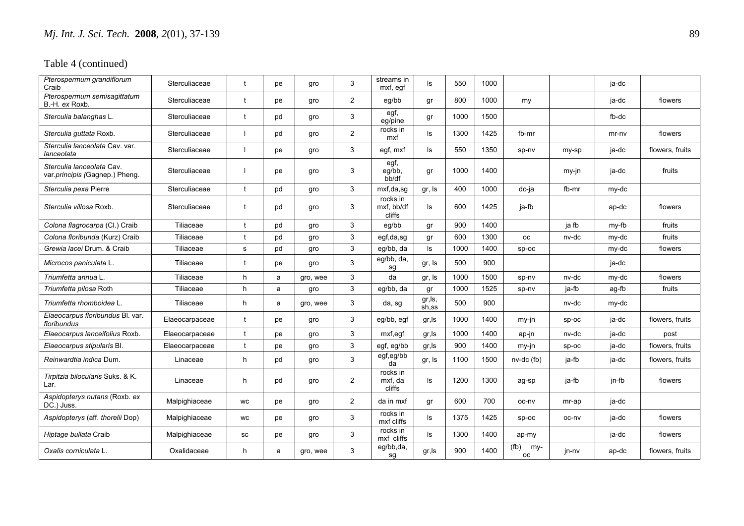| Pterospermum grandiflorum<br>Craib                          | Sterculiaceae  | $\mathbf{f}$ | рe | gro      | 3              | streams in<br>mxf, eqf           | ls               | 550  | 1000 |                          |         | ja-dc   |                 |
|-------------------------------------------------------------|----------------|--------------|----|----------|----------------|----------------------------------|------------------|------|------|--------------------------|---------|---------|-----------------|
| Pterospermum semisagittatum<br>B.-H. ex Roxb.               | Sterculiaceae  | t            | pe | gro      | $\overline{2}$ | eq/bb                            | gr               | 800  | 1000 | my                       |         | ja-dc   | flowers         |
| Sterculia balanghas L.                                      | Sterculiaceae  | t            | pd | gro      | 3              | egf,<br>eq/pine                  | gr               | 1000 | 1500 |                          |         | fb-dc   |                 |
| Sterculia guttata Roxb.                                     | Sterculiaceae  |              | pd | gro      | $\mathbf{2}$   | rocks in<br>mxf                  | ls               | 1300 | 1425 | fb-mr                    |         | $mr-nv$ | flowers         |
| Sterculia lanceolata Cav. var.<br>lanceolata                | Sterculiaceae  |              | рe | gro      | 3              | egf, mxf                         | ls               | 550  | 1350 | sp-nv                    | my-sp   | ja-dc   | flowers, fruits |
| Sterculia lanceolata Cav.<br>var.principis (Gagnep.) Pheng. | Sterculiaceae  |              | рe | gro      | 3              | egf,<br>eg/bb,<br>bb/df          | gr               | 1000 | 1400 |                          | my-jn   | ja-dc   | fruits          |
| Sterculia pexa Pierre                                       | Sterculiaceae  | t            | pd | gro      | 3              | mxf,da,sg                        | gr, Is           | 400  | 1000 | dc-ja                    | fb-mr   | my-dc   |                 |
| Sterculia villosa Roxb.                                     | Sterculiaceae  | t            | pd | gro      | 3              | rocks in<br>mxf, bb/df<br>cliffs | ls.              | 600  | 1425 | ja-fb                    |         | ap-dc   | flowers         |
| Colona flagrocarpa (Cl.) Craib                              | Tiliaceae      | t            | pd | gro      | 3              | eg/bb                            | gr               | 900  | 1400 |                          | ja fb   | my-fb   | fruits          |
| Colona floribunda (Kurz) Craib                              | Tiliaceae      | $\mathbf{t}$ | pd | gro      | 3              | egf,da,sg                        | gr               | 600  | 1300 | <b>OC</b>                | nv-dc   | my-dc   | fruits          |
| Grewia lacei Drum, & Craib                                  | Tiliaceae      | s            | pd | gro      | 3              | eg/bb, da                        | ls               | 1000 | 1400 | sp-oc                    |         | my-dc   | flowers         |
| Microcos paniculata L.                                      | Tiliaceae      | t            | рe | gro      | 3              | eg/bb, da,<br>sg                 | gr, Is           | 500  | 900  |                          |         | ja-dc   |                 |
| Triumfetta annua L.                                         | Tiliaceae      | h            | a  | gro, wee | 3              | da                               | gr, Is           | 1000 | 1500 | sp-nv                    | nv-dc   | my-dc   | flowers         |
| Triumfetta pilosa Roth                                      | Tiliaceae      | h            | a  | gro      | 3              | eg/bb, da                        | gr               | 1000 | 1525 | sp-nv                    | ja-fb   | ag-fb   | fruits          |
| Triumfetta rhomboidea L.                                    | Tiliaceae      | h            | a  | gro, wee | 3              | da, sg                           | gr, ls,<br>sh,ss | 500  | 900  |                          | nv-dc   | my-dc   |                 |
| Elaeocarpus floribundus Bl. var.<br>floribundus             | Elaeocarpaceae | t            | рe | gro      | 3              | eg/bb, egf                       | gr, Is           | 1000 | 1400 | my-jn                    | $sp-oc$ | ja-dc   | flowers, fruits |
| Elaeocarpus lanceifolius Roxb.                              | Elaeocarpaceae | $\mathbf{f}$ | рe | gro      | 3              | mxf,egf                          | gr, Is           | 1000 | 1400 | ap-jn                    | nv-dc   | ja-dc   | post            |
| Elaeocarpus stipularis Bl.                                  | Elaeocarpaceae | t            | рe | gro      | 3              | egf, eg/bb                       | gr, Is           | 900  | 1400 | my-jn                    | $sp-oc$ | ja-dc   | flowers, fruits |
| Reinwardtia indica Dum.                                     | Linaceae       | h            | pd | gro      | 3              | egf,eg/bb<br>da                  | gr, Is           | 1100 | 1500 | $nv-dc(fb)$              | ja-fb   | ja-dc   | flowers, fruits |
| Tirpitzia bilocularis Suks. & K.<br>Lar.                    | Linaceae       | h            | pd | gro      | $\overline{2}$ | rocks in<br>mxf, da<br>cliffs    | ls               | 1200 | 1300 | ag-sp                    | ja-fb   | jn-fb   | flowers         |
| Aspidopterys nutans (Roxb. ex<br>DC.) Juss.                 | Malpighiaceae  | <b>WC</b>    | рe | gro      | $\overline{2}$ | da in mxf                        | qr               | 600  | 700  | oc-nv                    | mr-ap   | ja-dc   |                 |
| Aspidopterys (aff. thorelii Dop)                            | Malpighiaceae  | <b>WC</b>    | рe | gro      | 3              | rocks in<br>mxf cliffs           | ls               | 1375 | 1425 | sp-oc                    | oc-nv   | ja-dc   | flowers         |
| Hiptage bullata Craib                                       | Malpighiaceae  | <b>SC</b>    | рe | gro      | 3              | rocks in<br>mxf cliffs           | ls               | 1300 | 1400 | ap-my                    |         | ja-dc   | flowers         |
| Oxalis corniculata L.                                       | Oxalidaceae    | h.           | a  | gro, wee | 3              | eg/bb,da,<br>sg                  | gr, Is           | 900  | 1400 | (fb)<br>my-<br><b>OC</b> | jn-nv   | ap-dc   | flowers, fruits |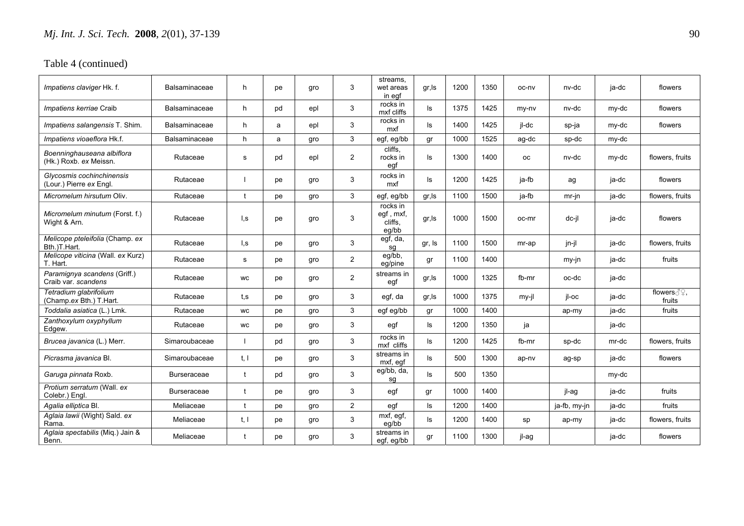| Impatiens claviger Hk. f.                            | <b>Balsaminaceae</b> | h            | рe | qro | 3              | streams.<br>wet areas<br>in egf           | gr, Is | 1200 | 1350 | oc-nv     | nv-dc        | ja-dc | flowers                            |
|------------------------------------------------------|----------------------|--------------|----|-----|----------------|-------------------------------------------|--------|------|------|-----------|--------------|-------|------------------------------------|
| Impatiens kerriae Craib                              | <b>Balsaminaceae</b> | h            | pd | epl | 3              | rocks in<br>mxf cliffs                    | ls     | 1375 | 1425 | my-ny     | nv-dc        | my-dc | flowers                            |
| Impatiens salangensis T. Shim.                       | Balsaminaceae        | h            | a  | epl | 3              | rocks in<br>mxf                           | ls     | 1400 | 1425 | jl-dc     | sp-ja        | my-dc | flowers                            |
| Impatiens vioaeflora Hk.f.                           | Balsaminaceae        | h            | a  | gro | 3              | egf, eg/bb                                | gr     | 1000 | 1525 | ag-dc     | sp-dc        | my-dc |                                    |
| Boenninghauseana albiflora<br>(Hk.) Roxb. ex Meissn. | Rutaceae             | s            | pd | epl | $\overline{2}$ | cliffs,<br>rocks in<br>egf                | ls     | 1300 | 1400 | <b>OC</b> | nv-dc        | my-dc | flowers, fruits                    |
| Glycosmis cochinchinensis<br>(Lour.) Pierre ex Engl. | Rutaceae             |              | рe | gro | 3              | rocks in<br>mxf                           | ls     | 1200 | 1425 | ja-fb     | ag           | ja-dc | flowers                            |
| Micromelum hirsutum Oliv.                            | Rutaceae             | $\mathbf{f}$ | рe | gro | 3              | egf, eg/bb                                | gr,ls  | 1100 | 1500 | ja-fb     | $mr-in$      | ja-dc | flowers, fruits                    |
| Micromelum minutum (Forst. f.)<br>Wight & Arn.       | Rutaceae             | l,s          | рe | qro | 3              | rocks in<br>egf, mxf,<br>cliffs.<br>eq/bb | gr, Is | 1000 | 1500 | oc-mr     | dc-il        | ja-dc | flowers                            |
| Melicope pteleifolia (Champ. ex<br>Bth.)T.Hart.      | Rutaceae             | l,s          | рe | gro | 3              | $\overline{egf, da}$ ,<br>sg              | gr, Is | 1100 | 1500 | mr-ap     | jn-jl        | ja-dc | flowers, fruits                    |
| Melicope viticina (Wall. ex Kurz)<br>T. Hart.        | Rutaceae             | s            | рe | gro | $\overline{2}$ | eg/bb,<br>eg/pine                         | gr     | 1100 | 1400 |           | my-jn        | ja-dc | fruits                             |
| Paramignya scandens (Griff.)<br>Craib var. scandens  | Rutaceae             | <b>WC</b>    | рe | gro | 2              | streams in<br>egf                         | gr, Is | 1000 | 1325 | fb-mr     | oc-dc        | ja-dc |                                    |
| Tetradium glabrifolium<br>(Champ.ex Bth.) T.Hart.    | Rutaceae             | t.s          | рe | gro | 3              | egf, da                                   | gr, Is | 1000 | 1375 | $my-il$   | il-oc        | ja-dc | flowers ∂ <sup>o</sup> .<br>fruits |
| Toddalia asiatica (L.) Lmk.                          | Rutaceae             | <b>WC</b>    | рe | qro | 3              | egf eg/bb                                 | gr     | 1000 | 1400 |           | ap-my        | ja-dc | fruits                             |
| Zanthoxylum oxyphyllum<br>Edgew.                     | Rutaceae             | <b>WC</b>    | рe | gro | 3              | egf                                       | ls     | 1200 | 1350 | ja        |              | ja-dc |                                    |
| Brucea javanica (L.) Merr.                           | Simaroubaceae        |              | pd | gro | 3              | rocks in<br>mxf cliffs                    | ls     | 1200 | 1425 | fb-mr     | sp-dc        | mr-dc | flowers, fruits                    |
| Picrasma javanica Bl.                                | Simaroubaceae        | t, l         | рe | gro | 3              | streams in<br>mxf, egf                    | ls     | 500  | 1300 | ap-nv     | ag-sp        | ja-dc | flowers                            |
| Garuga pinnata Roxb.                                 | <b>Burseraceae</b>   | t            | pd | qro | 3              | eg/bb, da,<br>sq                          | ls     | 500  | 1350 |           |              | my-dc |                                    |
| Protium serratum (Wall. ex<br>Colebr.) Engl.         | <b>Burseraceae</b>   | $\mathbf{f}$ | рe | gro | 3              | egf                                       | gr     | 1000 | 1400 |           | jl-ag        | ja-dc | fruits                             |
| Agalia elliptica Bl.                                 | Meliaceae            | $\mathbf{f}$ | рe | qro | $\overline{2}$ | egf                                       | ls     | 1200 | 1400 |           | ja-fb, my-jn | ja-dc | fruits                             |
| Aglaia lawii (Wight) Sald. ex<br>Rama.               | Meliaceae            | t, l         | рe | qro | 3              | $\overline{mxf}$ , egf,<br>eq/bb          | ls     | 1200 | 1400 | sp        | ap-my        | ja-dc | flowers, fruits                    |
| Aglaia spectabilis (Miq.) Jain &<br>Benn.            | Meliaceae            | t            | рe | gro | 3              | streams in<br>egf, eg/bb                  | gr     | 1100 | 1300 | jl-ag     |              | ja-dc | flowers                            |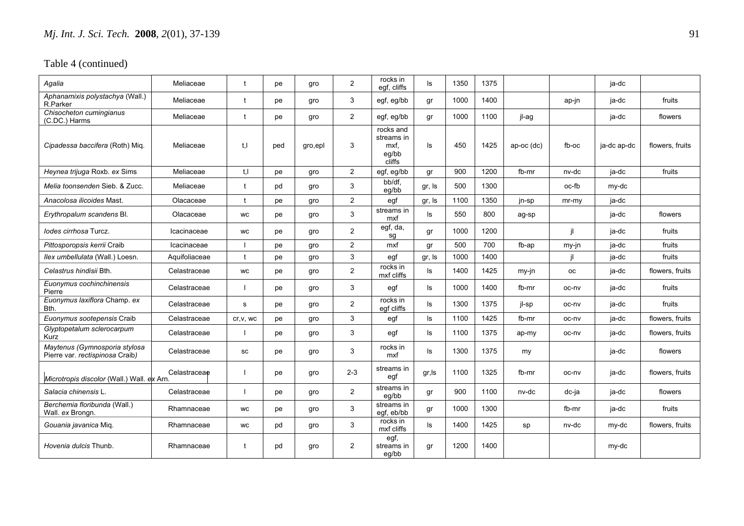| Agalia                                                           | Meliaceae     | $\mathbf{f}$ | рe  | gro     | $\overline{2}$ | rocks in<br>egf, cliffs                            | ls     | 1350 | 1375 |            |         | ja-dc       |                 |
|------------------------------------------------------------------|---------------|--------------|-----|---------|----------------|----------------------------------------------------|--------|------|------|------------|---------|-------------|-----------------|
| Aphanamixis polystachya (Wall.)<br>R.Parker                      | Meliaceae     | t            | pe  | gro     | 3              | egf, eg/bb                                         | gr     | 1000 | 1400 |            | ap-jn   | ja-dc       | fruits          |
| Chisocheton cumingianus<br>(C.DC.) Harms                         | Meliaceae     | t            | pe  | gro     | $\overline{2}$ | egf, eg/bb                                         | gr     | 1000 | 1100 | jl-ag      |         | ja-dc       | flowers         |
| Cipadessa baccifera (Roth) Mig.                                  | Meliaceae     | t.I          | ped | gro,epl | 3              | rocks and<br>streams in<br>mxf.<br>eq/bb<br>cliffs | ls     | 450  | 1425 | ap-oc (dc) | $fb-OC$ | ja-dc ap-dc | flowers, fruits |
| Heynea trijuga Roxb. ex Sims                                     | Meliaceae     | t, l         | рe  | gro     | $\overline{2}$ | egf, eg/bb                                         | gr     | 900  | 1200 | fb-mr      | nv-dc   | ja-dc       | fruits          |
| Melia toonsenden Sieb, & Zucc.                                   | Meliaceae     | $\mathbf{f}$ | pd  | gro     | 3              | bb/df,<br>eq/bb                                    | gr, Is | 500  | 1300 |            | oc-fb   | my-dc       |                 |
| Anacolosa ilicoides Mast.                                        | Olacaceae     | t            | рe  | gro     | $\overline{2}$ | egf                                                | gr, Is | 1100 | 1350 | jn-sp      | mr-my   | ja-dc       |                 |
| Erythropalum scandens Bl.                                        | Olacaceae     | <b>WC</b>    | рe  | gro     | 3              | streams in<br>mxf                                  | ls.    | 550  | 800  | ag-sp      |         | ja-dc       | flowers         |
| lodes cirrhosa Turcz.                                            | Icacinaceae   | <b>WC</b>    | рe  | gro     | $\overline{2}$ | egf, $d\overline{a}$ ,<br>sq                       | gr     | 1000 | 1200 |            | il      | ja-dc       | fruits          |
| Pittosporopsis kerrii Craib                                      | Icacinaceae   |              | рe  | gro     | $\overline{2}$ | mxf                                                | gr     | 500  | 700  | fb-ap      | my-jn   | ja-dc       | fruits          |
| Ilex umbellulata (Wall.) Loesn.                                  | Aquifoliaceae | t            | рe  | gro     | 3              | egf                                                | gr, Is | 1000 | 1400 |            | il.     | ja-dc       | fruits          |
| Celastrus hindisii Bth.                                          | Celastraceae  | WC           | рe  | gro     | $\overline{c}$ | rocks in<br>mxf cliffs                             | ls     | 1400 | 1425 | my-jn      | oс      | ja-dc       | flowers, fruits |
| Euonymus cochinchinensis<br>Pierre                               | Celastraceae  |              | рe  | gro     | 3              | egf                                                | ls     | 1000 | 1400 | fb-mr      | oc-nv   | ja-dc       | fruits          |
| Euonymus laxiflora Champ. ex<br>Bth.                             | Celastraceae  | s            | рe  | gro     | $\overline{c}$ | rocks in<br>eqf cliffs                             | ls     | 1300 | 1375 | jl-sp      | oc-nv   | ja-dc       | fruits          |
| Euonymus sootepensis Craib                                       | Celastraceae  | cr, v, wc    | рe  | gro     | 3              | egf                                                | ls     | 1100 | 1425 | fb-mr      | oc-nv   | ja-dc       | flowers, fruits |
| Glyptopetalum sclerocarpum<br><b>Kurz</b>                        | Celastraceae  |              | рe  | gro     | 3              | egf                                                | ls     | 1100 | 1375 | ap-my      | oc-nv   | ja-dc       | flowers, fruits |
| Maytenus (Gymnosporia stylosa<br>Pierre var. rectispinosa Craib) | Celastraceae  | SC           | рe  | gro     | 3              | rocks in<br>mxf                                    | ls     | 1300 | 1375 | my         |         | ja-dc       | flowers         |
| Microtropis discolor (Wall.) Wall. ex Arn.                       | Celastraceae  |              | рe  | gro     | $2 - 3$        | streams in<br>egf                                  | gr, Is | 1100 | 1325 | fb-mr      | oc-nv   | ja-dc       | flowers, fruits |
| Salacia chinensis L.                                             | Celastraceae  |              | pe  | gro     | $\overline{2}$ | streams in<br>eq/bb                                | gr     | 900  | 1100 | nv-dc      | dc-ja   | ja-dc       | flowers         |
| Berchemia floribunda (Wall.)<br>Wall. ex Brongn.                 | Rhamnaceae    | <b>WC</b>    | рe  | gro     | 3              | streams in<br>egf, eb/bb                           | gr     | 1000 | 1300 |            | fb-mr   | ja-dc       | fruits          |
| Gouania javanica Mig.                                            | Rhamnaceae    | WC           | pd  | gro     | 3              | rocks in<br>mxf cliffs                             | ls     | 1400 | 1425 | sp         | nv-dc   | my-dc       | flowers, fruits |
| Hovenia dulcis Thunb.                                            | Rhamnaceae    | t            | pd  | gro     | 2              | egf,<br>streams in<br>eq/bb                        | qr     | 1200 | 1400 |            |         | my-dc       |                 |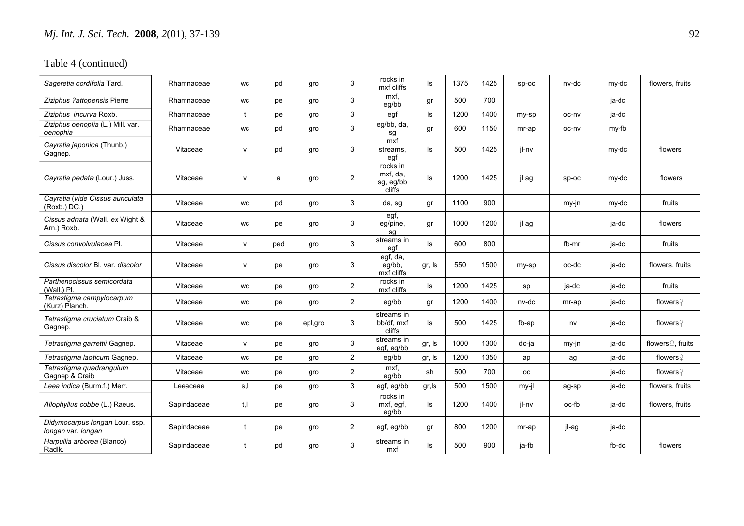| Sageretia cordifolia Tard.                           | Rhamnaceae  | <b>WC</b>      | pd  | gro     | 3              | rocks in<br>mxf cliffs                      | ls     | 1375 | 1425 | SD-OC     | nv-dc   | my-dc | flowers, fruits               |
|------------------------------------------------------|-------------|----------------|-----|---------|----------------|---------------------------------------------|--------|------|------|-----------|---------|-------|-------------------------------|
| Ziziphus ?attopensis Pierre                          | Rhamnaceae  | <b>WC</b>      | рe  | gro     | 3              | mxf.<br>eq/bb                               | gr     | 500  | 700  |           |         | ja-dc |                               |
| Ziziphus incurva Roxb.                               | Rhamnaceae  | $\ddagger$     | рe  | gro     | 3              | egf                                         | ls     | 1200 | 1400 | my-sp     | oc-nv   | ja-dc |                               |
| Ziziphus oenoplia (L.) Mill. var.<br>oenophia        | Rhamnaceae  | <b>WC</b>      | pd  | gro     | 3              | eg/bb, da,<br>sg                            | gr     | 600  | 1150 | mr-ap     | oc-nv   | my-fb |                               |
| Cayratia japonica (Thunb.)<br>Gagnep.                | Vitaceae    | $\mathsf{v}$   | pd  | gro     | 3              | mxf<br>streams,<br>egf                      | ls     | 500  | 1425 | jl-nv     |         | my-dc | flowers                       |
| Cayratia pedata (Lour.) Juss.                        | Vitaceae    | $\mathsf{v}$   | a   | gro     | 2              | rocks in<br>mxf, da,<br>sg, eg/bb<br>cliffs | ls.    | 1200 | 1425 | il ag     | $sp-oc$ | my-dc | flowers                       |
| Cayratia (vide Cissus auriculata<br>(Roxb.) DC.)     | Vitaceae    | WC             | pd  | gro     | 3              | da, sg                                      | gr     | 1100 | 900  |           | my-jn   | my-dc | fruits                        |
| Cissus adnata (Wall. ex Wight &<br>Arn.) Roxb.       | Vitaceae    | <b>WC</b>      | рe  | gro     | 3              | egf,<br>eg/pine,<br>sg                      | gr     | 1000 | 1200 | il ag     |         | ja-dc | flowers                       |
| Cissus convolvulacea Pl.                             | Vitaceae    | $\mathsf{v}$   | ped | gro     | 3              | streams in<br>egf                           | ls     | 600  | 800  |           | fb-mr   | ja-dc | fruits                        |
| Cissus discolor Bl. var. discolor                    | Vitaceae    | v              | рe  | gro     | 3              | egf, da,<br>eg/bb,<br>mxf cliffs            | gr, Is | 550  | 1500 | my-sp     | oc-dc   | ja-dc | flowers, fruits               |
| Parthenocissus semicordata<br>(Wall.) Pl.            | Vitaceae    | WC             | рe  | gro     | $\overline{2}$ | rocks in<br>mxf cliffs                      | ls     | 1200 | 1425 | sp        | ja-dc   | ja-dc | fruits                        |
| Tetrastigma campylocarpum<br>(Kurz) Planch.          | Vitaceae    | <b>WC</b>      | рe  | gro     | $\overline{2}$ | eg/bb                                       | qr     | 1200 | 1400 | nv-dc     | mr-ap   | ja-dc | flowers $\Omega$              |
| Tetrastigma cruciatum Craib &<br>Gagnep.             | Vitaceae    | <b>WC</b>      | рe  | epl,gro | 3              | streams in<br>bb/df. mxf<br>cliffs          | ls     | 500  | 1425 | fb-ap     | nv      | ja-dc | flowers $\mathcal Q$          |
| Tetrastigma garrettii Gagnep.                        | Vitaceae    | $\mathsf{v}$   | рe  | gro     | 3              | streams in<br>egf, eg/bb                    | gr, Is | 1000 | 1300 | dc-ja     | $my-in$ | ja-dc | flowers <sup>2</sup> , fruits |
| Tetrastigma laoticum Gagnep.                         | Vitaceae    | <b>WC</b>      | рe  | gro     | $\overline{2}$ | eg/bb                                       | gr, Is | 1200 | 1350 | ap        | ag      | ja-dc | flowers♀                      |
| Tetrastigma quadrangulum<br>Gagnep & Craib           | Vitaceae    | WC             | рe  | gro     | $\overline{c}$ | mxf.<br>eg/bb                               | sh     | 500  | 700  | <b>OC</b> |         | ja-dc | flowers $\mathcal Q$          |
| Leea indica (Burm.f.) Merr.                          | Leeaceae    | s,l            | рe  | gro     | 3              | egf, eg/bb                                  | gr, Is | 500  | 1500 | my-jl     | ag-sp   | ja-dc | flowers, fruits               |
| Allophyllus cobbe (L.) Raeus.                        | Sapindaceae | t <sub>1</sub> | рe  | gro     | 3              | rocks in<br>mxf, egf,<br>eg/bb              | ls     | 1200 | 1400 | jl-nv     | oc-fb   | ja-dc | flowers, fruits               |
| Didymocarpus longan Lour. ssp.<br>longan var. longan | Sapindaceae | t              | рe  | gro     | $\overline{c}$ | egf, eg/bb                                  | gr     | 800  | 1200 | mr-ap     | jl-ag   | ja-dc |                               |
| Harpullia arborea (Blanco)<br>Radlk.                 | Sapindaceae | t              | pd  | gro     | 3              | streams in<br>mxf                           | ls     | 500  | 900  | ja-fb     |         | fb-dc | flowers                       |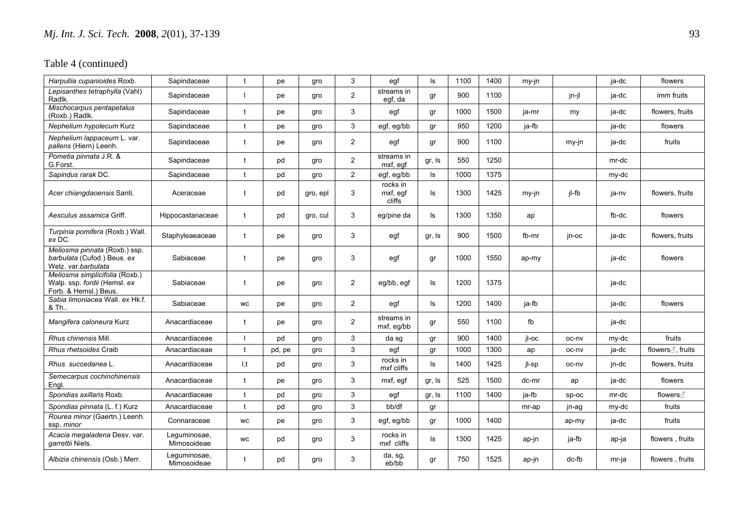| Harpullia cupanioides Roxb.                                                             | Sapindaceae                 |              | pe     | gro      | 3              | egf                            | ls.    | 1100 | 1400 | my-jn |       | ja-dc | flowers           |
|-----------------------------------------------------------------------------------------|-----------------------------|--------------|--------|----------|----------------|--------------------------------|--------|------|------|-------|-------|-------|-------------------|
| Lepisanthes tetraphylla (Vahl)<br>Radlk.                                                | Sapindaceae                 |              | pe     | gro      | $\overline{2}$ | streams in<br>egf, da          | gr     | 900  | 1100 |       | jn-jl | ja-dc | imm fruits        |
| Mischocarpus pentapetalus<br>(Roxb.) Radlk.                                             | Sapindaceae                 | $\mathbf{f}$ | pe     | gro      | 3              | egf                            | gr     | 1000 | 1500 | ja-mr | my    | ja-dc | flowers, fruits   |
| Nephelium hypolecum Kurz                                                                | Sapindaceae                 | t            | pe     | qro      | 3              | egf, eg/bb                     | gr     | 950  | 1200 | ja-fb |       | ja-dc | flowers           |
| Nephelium lappaceum L. var.<br>pallens (Hiern) Leenh.                                   | Sapindaceae                 | t            | pe     | gro      | $\overline{2}$ | egf                            | gr     | 900  | 1100 |       | my-jn | ja-dc | fruits            |
| Pometia pinnata J.R. &<br>G.Forst.                                                      | Sapindaceae                 | t            | pd     | qro      | $\overline{2}$ | streams in<br>mxf, egf         | gr, Is | 550  | 1250 |       |       | mr-dc |                   |
| Sapindus rarak DC.                                                                      | Sapindaceae                 | $\mathbf{t}$ | pd     | gro      | $\overline{2}$ | egf, eg/bb                     | ls     | 1000 | 1375 |       |       | my-dc |                   |
| Acer chiangdaoensis Santi.                                                              | Aceraceae                   | t            | pd     | gro, epl | 3              | rocks in<br>mxf, egf<br>cliffs | ls     | 1300 | 1425 | my-jn | jl-fb | ja-nv | flowers, fruits   |
| Aesculus assamica Griff.                                                                | Hippocastanaceae            | $^{\dagger}$ | pd     | gro, cul | 3              | eg/pine da                     | ls     | 1300 | 1350 | ap    |       | fb-dc | flowers           |
| Turpinia pomifera (Roxb.) Wall.<br>ex DC.                                               | Staphyleaeaceae             |              | pe     | gro      | 3              | egf                            | gr, Is | 900  | 1500 | fb-mr | jn-oc | ja-dc | flowers, fruits   |
| Meliosma pinnata (Roxb.) ssp.<br>barbulata (Cufod.) Beus. ex<br>Welz. var.barbulata     | Sabiaceae                   | t            | pe     | gro      | 3              | egf                            | gr     | 1000 | 1550 | ap-my |       | ja-dc | flowers           |
| Meliosma simplicifolia (Roxb.)<br>Walp. ssp. fordii (Hemsl. ex<br>Forb. & Hemsl.) Beus. | Sabiaceae                   | t            | pe     | gro      | $\overline{2}$ | eg/bb, egf                     | ls     | 1200 | 1375 |       |       | ja-dc |                   |
| Sabia limoniacea Wall. ex Hk.f.<br>& Th                                                 | Sabiaceae                   | <b>WC</b>    | pe     | gro      | $\overline{2}$ | egf                            | ls     | 1200 | 1400 | ja-fb |       | ja-dc | flowers           |
| Mangifera caloneura Kurz                                                                | Anacardiaceae               | t            | pe     | gro      | $\overline{2}$ | streams in<br>mxf, eg/bb       | gr     | 550  | 1100 | fb    |       | ja-dc |                   |
| Rhus chinensis Mill.                                                                    | Anacardiaceae               |              | pd     | qro      | 3              | da sg                          | gr     | 900  | 1400 | il-oc | oc-nv | my-dc | fruits            |
| Rhus rhetsoides Craib                                                                   | Anacardiaceae               | $\ddagger$   | pd, pe | qro      | 3              | egf                            | gr     | 1000 | 1300 | ap    | oc-nv | ja-dc | flowers 3, fruits |
| Rhus succedanea L.                                                                      | Anacardiaceae               | 1, t         | pd     | gro      | 3              | rocks in<br>mxf cliffs         | ls     | 1400 | 1425 | jl-sp | oc-nv | jn-dc | flowers, fruits   |
| Semecarpus cochinchinensis<br>Engl.                                                     | Anacardiaceae               | t            | pe     | gro      | 3              | mxf, egf                       | gr, Is | 525  | 1500 | dc-mr | ap    | ja-dc | flowers           |
| Spondias axillaris Roxb.                                                                | Anacardiaceae               | $\mathbf{f}$ | pd     | gro      | 3              | egf                            | gr, Is | 1100 | 1400 | ja-fb | sp-oc | mr-dc | flowers ∂         |
| Spondias pinnata (L. f.) Kurz                                                           | Anacardiaceae               | t            | pd     | gro      | 3              | bb/df                          | gr     |      |      | mr-ap | jn-ag | my-dc | fruits            |
| Rourea minor (Gaertn.) Leenh.<br>ssp. minor                                             | Connaraceae                 | <b>WC</b>    | pe     | gro      | 3              | egf, eg/bb                     | gr     | 1000 | 1400 |       | ap-my | ja-dc | fruits            |
| Acacia megaladena Desv. var.<br>garrettii Niels.                                        | Leguminosae,<br>Mimosoideae | <b>WC</b>    | pd     | gro      | 3              | rocks in<br>mxf cliffs         | ls     | 1300 | 1425 | ap-jn | ja-fb | ap-ja | flowers, fruits   |
| Albizia chinensis (Osb.) Merr.                                                          | Leguminosae,<br>Mimosoideae | t            | pd     | gro      | 3              | da, sg,<br>eb/bb               | gr     | 750  | 1525 | ap-jn | dc-fb | mr-ja | flowers, fruits   |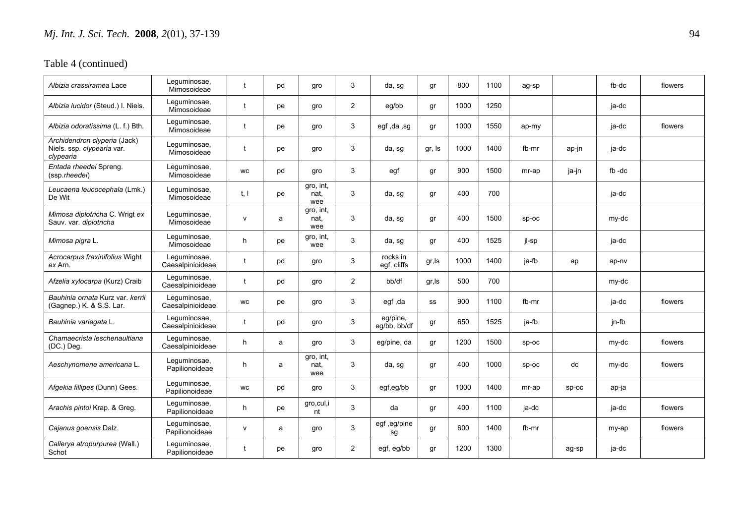| Albizia crassiramea Lace                                                | Leguminosae,<br>Mimosoideae      |              | pd | gro                      | 3              | da, sg                   | gr     | 800  | 1100 | ag-sp   |         | fb-dc     | flowers |
|-------------------------------------------------------------------------|----------------------------------|--------------|----|--------------------------|----------------|--------------------------|--------|------|------|---------|---------|-----------|---------|
| Albizia lucidor (Steud.) I. Niels.                                      | Leguminosae,<br>Mimosoideae      | t            | рe | gro                      | $\overline{2}$ | eg/bb                    | gr     | 1000 | 1250 |         |         | ja-dc     |         |
| Albizia odoratissima (L. f.) Bth.                                       | Leguminosae,<br>Mimosoideae      | $\mathbf{f}$ | рe | gro                      | 3              | egf, da, sg              | gr     | 1000 | 1550 | ap-my   |         | ja-dc     | flowers |
| Archidendron clyperia (Jack)<br>Niels. ssp. clypearia var.<br>clypearia | Lequminosae,<br>Mimosoideae      |              | рe | gro                      | 3              | da, sg                   | gr, Is | 1000 | 1400 | fb-mr   | ap-jn   | ja-dc     |         |
| Entada rheedei Spreng.<br>(ssp.rheedei)                                 | Leguminosae,<br>Mimosoideae      | <b>WC</b>    | pd | gro                      | 3              | egf                      | gr     | 900  | 1500 | mr-ap   | ja-jn   | $fb - dc$ |         |
| Leucaena leucocephala (Lmk.)<br>De Wit                                  | Leguminosae,<br>Mimosoideae      | t, l         | pe | gro, int,<br>nat.<br>wee | 3              | da, sg                   | gr     | 400  | 700  |         |         | ja-dc     |         |
| Mimosa diplotricha C. Wrigt ex<br>Sauv. var. diplotricha                | Leguminosae,<br>Mimosoideae      | $\mathsf{v}$ | a  | gro, int,<br>nat.<br>wee | 3              | da, sg                   | gr     | 400  | 1500 | SD-OC   |         | my-dc     |         |
| Mimosa pigra L.                                                         | Leguminosae,<br>Mimosoideae      | h            | pe | gro, int,<br>wee         | 3              | da, sg                   | gr     | 400  | 1525 | jl-sp   |         | ja-dc     |         |
| Acrocarpus fraxinifolius Wight<br>ex Arn.                               | Leguminosae,<br>Caesalpinioideae |              | pd | gro                      | 3              | rocks in<br>egf, cliffs  | gr, Is | 1000 | 1400 | ja-fb   | ap      | ap-nv     |         |
| Afzelia xylocarpa (Kurz) Craib                                          | Leguminosae,<br>Caesalpinioideae |              | pd | gro                      | 2              | bb/df                    | gr, Is | 500  | 700  |         |         | my-dc     |         |
| Bauhinia ornata Kurz var, kerrii<br>(Gagnep.) K & S.S. Lar.             | Leguminosae,<br>Caesalpinioideae | <b>WC</b>    | рe | gro                      | 3              | egf, da                  | SS     | 900  | 1100 | fb-mr   |         | ja-dc     | flowers |
| Bauhinia variegata L.                                                   | Leguminosae,<br>Caesalpinioideae | $\ddagger$   | pd | gro                      | 3              | eg/pine,<br>eg/bb, bb/df | gr     | 650  | 1525 | ja-fb   |         | jn-fb     |         |
| Chamaecrista leschenaultiana<br>(DC.) Deg.                              | Leguminosae,<br>Caesalpinioideae | h            | a  | gro                      | 3              | eg/pine, da              | gr     | 1200 | 1500 | $sp-oc$ |         | my-dc     | flowers |
| Aeschynomene americana L.                                               | Leguminosae,<br>Papilionoideae   | h            | a  | gro, int,<br>nat.<br>wee | 3              | da, sq                   | gr     | 400  | 1000 | $SD-OC$ | dc      | my-dc     | flowers |
| Afgekia fillipes (Dunn) Gees.                                           | Leguminosae,<br>Papilionoideae   | <b>WC</b>    | pd | gro                      | 3              | egf,eg/bb                | gr     | 1000 | 1400 | mr-ap   | $sp-oc$ | ap-ja     |         |
| Arachis pintoi Krap. & Greg.                                            | Leguminosae,<br>Papilionoideae   | h.           | рe | gro, cul, i<br>nt        | 3              | da                       | gr     | 400  | 1100 | ja-dc   |         | ja-dc     | flowers |
| Cajanus goensis Dalz.                                                   | Leguminosae,<br>Papilionoideae   | $\mathsf{V}$ | a  | gro                      | 3              | egf,eg/pine<br>sg        | gr     | 600  | 1400 | fb-mr   |         | my-ap     | flowers |
| Callerya atropurpurea (Wall.)<br>Schot                                  | Leguminosae,<br>Papilionoideae   |              | рe | gro                      | $\overline{2}$ | egf, eg/bb               | gr     | 1200 | 1300 |         | ag-sp   | ja-dc     |         |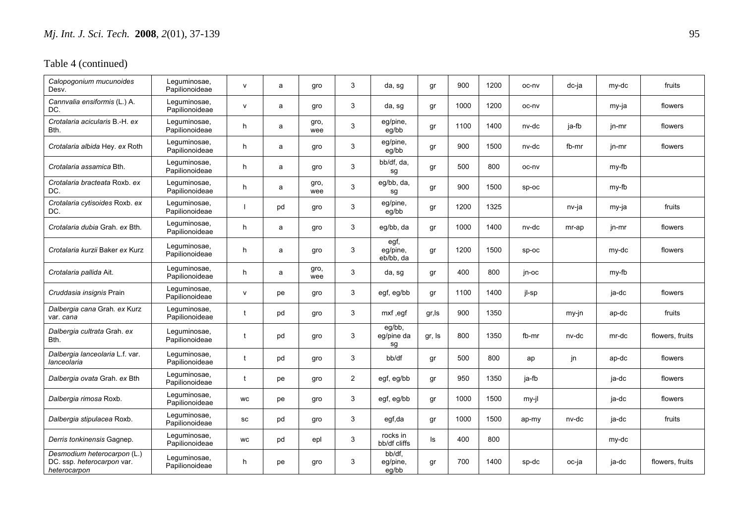| Calopogonium mucunoides<br>Desv.                                          | Leguminosae,<br>Papilionoideae | $\mathsf{v}$ | a  | gro         | 3              | da, sg                        | gr     | 900  | 1200 | oc-nv   | dc-ja | my-dc   | fruits          |
|---------------------------------------------------------------------------|--------------------------------|--------------|----|-------------|----------------|-------------------------------|--------|------|------|---------|-------|---------|-----------------|
| Cannvalia ensiformis (L.) A.<br>DC.                                       | Leguminosae,<br>Papilionoideae | $\mathsf{v}$ | a  | gro         | 3              | da, sg                        | gr     | 1000 | 1200 | oc-nv   |       | my-ja   | flowers         |
| Crotalaria acicularis B.-H. ex<br>Bth.                                    | Leguminosae,<br>Papilionoideae | h            | a  | gro,<br>wee | 3              | eg/pine,<br>eg/bb             | gr     | 1100 | 1400 | nv-dc   | ja-fb | jn-mr   | flowers         |
| Crotalaria albida Hey. ex Roth                                            | Leguminosae,<br>Papilionoideae | h            | a  | gro         | 3              | eg/pine,<br>eg/bb             | gr     | 900  | 1500 | nv-dc   | fb-mr | jn-mr   | flowers         |
| <i>Crotalaria assamica</i> Bth.                                           | Leguminosae,<br>Papilionoideae | h.           | a  | gro         | 3              | bb/df, da,<br>sg              | gr     | 500  | 800  | oc-ny   |       | my-fb   |                 |
| Crotalaria bracteata Roxb. ex<br>DC.                                      | Leguminosae,<br>Papilionoideae | h            | a  | gro,<br>wee | 3              | eg/bb, da,<br>sg              | gr     | 900  | 1500 | SD-OC   |       | my-fb   |                 |
| Crotalaria cytisoides Roxb. ex<br>DC.                                     | Leguminosae,<br>Papilionoideae |              | pd | gro         | 3              | eg/pine,<br>eg/bb             | gr     | 1200 | 1325 |         | nv-ja | my-ja   | fruits          |
| Crotalaria dubia Grah, ex Bth.                                            | Leguminosae,<br>Papilionoideae | h            | a  | gro         | 3              | eg/bb, da                     | gr     | 1000 | 1400 | nv-dc   | mr-ap | jn-mr   | flowers         |
| Crotalaria kurzii Baker ex Kurz                                           | Leguminosae,<br>Papilionoideae | h            | a  | gro         | 3              | egf,<br>eg/pine,<br>eb/bb, da | gr     | 1200 | 1500 | $sp-oc$ |       | my-dc   | flowers         |
| Crotalaria pallida Ait.                                                   | Leguminosae,<br>Papilionoideae | h            | a  | gro,<br>wee | 3              | da, sg                        | gr     | 400  | 800  | jn-oc   |       | $my-fb$ |                 |
| Cruddasia insignis Prain                                                  | Leguminosae,<br>Papilionoideae | $\mathsf{v}$ | рe | gro         | 3              | egf, eg/bb                    | gr     | 1100 | 1400 | jl-sp   |       | ja-dc   | flowers         |
| Dalbergia cana Grah. ex Kurz<br>var. cana                                 | Leguminosae,<br>Papilionoideae |              | pd | gro         | 3              | mxf, egf                      | gr, Is | 900  | 1350 |         | my-jn | ap-dc   | fruits          |
| Dalbergia cultrata Grah. ex<br>Bth.                                       | Leguminosae,<br>Papilionoideae |              | pd | gro         | 3              | $eg/bb$ ,<br>eg/pine da<br>sq | gr, Is | 800  | 1350 | fb-mr   | nv-dc | mr-dc   | flowers, fruits |
| Dalbergia lanceolaria L.f. var.<br>lanceolaria                            | Leguminosae,<br>Papilionoideae | t            | pd | gro         | 3              | bb/df                         | gr     | 500  | 800  | ap      | jn    | ap-dc   | flowers         |
| Dalbergia ovata Grah. ex Bth                                              | Leguminosae,<br>Papilionoideae |              | рe | gro         | $\overline{2}$ | egf, eg/bb                    | gr     | 950  | 1350 | ja-fb   |       | ja-dc   | flowers         |
| Dalbergia rimosa Roxb.                                                    | Leguminosae,<br>Papilionoideae | <b>WC</b>    | рe | gro         | 3              | egf, eg/bb                    | gr     | 1000 | 1500 | my-jl   |       | ja-dc   | flowers         |
| Dalbergia stipulacea Roxb.                                                | Leguminosae,<br>Papilionoideae | SC           | pd | gro         | 3              | egf,da                        | gr     | 1000 | 1500 | ap-my   | nv-dc | ja-dc   | fruits          |
| Derris tonkinensis Gagnep.                                                | Leguminosae,<br>Papilionoideae | <b>WC</b>    | pd | epl         | 3              | rocks in<br>bb/df cliffs      | ls     | 400  | 800  |         |       | my-dc   |                 |
| Desmodium heterocarpon (L.)<br>DC. ssp. heterocarpon var.<br>heterocarpon | Leguminosae,<br>Papilionoideae | h            | рe | gro         | 3              | bb/df,<br>eg/pine,<br>eg/bb   | gr     | 700  | 1400 | sp-dc   | oc-ja | ja-dc   | flowers, fruits |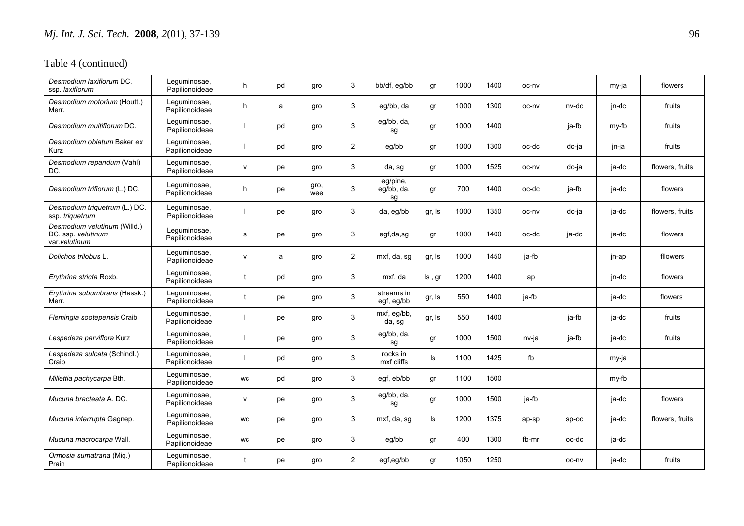| Desmodium laxiflorum DC.<br>ssp. laxiflorum                         | Leguminosae,<br>Papilionoideae | h            | pd | gro         | 3              | bb/df, eg/bb                 | gr     | 1000 | 1400 | oc-nv |         | my-ja | flowers         |
|---------------------------------------------------------------------|--------------------------------|--------------|----|-------------|----------------|------------------------------|--------|------|------|-------|---------|-------|-----------------|
| Desmodium motorium (Houtt.)<br>Merr.                                | Lequminosae,<br>Papilionoideae | h            | a  | gro         | 3              | eq/bb, da                    | gr     | 1000 | 1300 | oc-nv | nv-dc   | jn-dc | fruits          |
| Desmodium multiflorum DC.                                           | Leguminosae,<br>Papilionoideae |              | pd | gro         | 3              | eg/bb, da,<br>sg             | gr     | 1000 | 1400 |       | ja-fb   | my-fb | fruits          |
| Desmodium oblatum Baker ex<br>Kurz                                  | Leguminosae,<br>Papilionoideae |              | pd | gro         | $\overline{2}$ | eg/bb                        | gr     | 1000 | 1300 | oc-dc | dc-ja   | jn-ja | fruits          |
| Desmodium repandum (Vahl)<br>DC.                                    | Leguminosae,<br>Papilionoideae | $\mathsf{v}$ | рe | gro         | 3              | da, sg                       | gr     | 1000 | 1525 | oc-nv | dc-ja   | ja-dc | flowers, fruits |
| Desmodium triflorum (L.) DC.                                        | Leguminosae,<br>Papilionoideae | h            | pe | gro,<br>wee | 3              | eg/pine,<br>eg/bb, da,<br>sg | gr     | 700  | 1400 | oc-dc | ja-fb   | ja-dc | flowers         |
| Desmodium triquetrum (L.) DC.<br>ssp. triquetrum                    | Lequminosae,<br>Papilionoideae |              | pe | gro         | 3              | da, eg/bb                    | gr, Is | 1000 | 1350 | oc-nv | dc-ja   | ja-dc | flowers, fruits |
| Desmodium velutinum (Willd.)<br>DC. ssp. velutinum<br>var.velutinum | Leguminosae,<br>Papilionoideae | s            | pe | gro         | 3              | egf,da,sg                    | gr     | 1000 | 1400 | oc-dc | ja-dc   | ja-dc | flowers         |
| Dolichos trilobus L.                                                | Leguminosae,<br>Papilionoideae | $\mathsf{v}$ | a  | gro         | $\overline{c}$ | mxf, da, sg                  | gr, Is | 1000 | 1450 | ja-fb |         | jn-ap | fllowers        |
| Erythrina stricta Roxb.                                             | Lequminosae,<br>Papilionoideae |              | pd | gro         | 3              | mxf, da                      | ls, gr | 1200 | 1400 | ap    |         | jn-dc | flowers         |
| Erythrina subumbrans (Hassk.)<br>Merr.                              | Leguminosae,<br>Papilionoideae |              | pe | gro         | 3              | streams in<br>egf, eg/bb     | gr, Is | 550  | 1400 | ja-fb |         | ja-dc | flowers         |
| Flemingia sootepensis Craib                                         | Leguminosae,<br>Papilionoideae |              | pe | gro         | 3              | mxf, eg/bb,<br>da, sg        | gr, Is | 550  | 1400 |       | ja-fb   | ja-dc | fruits          |
| Lespedeza parviflora Kurz                                           | Leguminosae,<br>Papilionoideae |              | pe | gro         | 3              | eg/bb, da,<br>sg             | gr     | 1000 | 1500 | nv-ja | ja-fb   | ja-dc | fruits          |
| Lespedeza sulcata (Schindl.)<br>Craib                               | Lequminosae,<br>Papilionoideae |              | pd | gro         | 3              | rocks in<br>mxf cliffs       | ls     | 1100 | 1425 | fb    |         | my-ja |                 |
| Millettia pachycarpa Bth.                                           | Leguminosae,<br>Papilionoideae | <b>WC</b>    | pd | gro         | 3              | eqf, eb/bb                   | gr     | 1100 | 1500 |       |         | my-fb |                 |
| Mucuna bracteata A. DC.                                             | Leguminosae,<br>Papilionoideae | $\mathsf{v}$ | pe | gro         | 3              | eg/bb, da,<br>sg             | gr     | 1000 | 1500 | ja-fb |         | ja-dc | flowers         |
| Mucuna interrupta Gagnep.                                           | Leguminosae,<br>Papilionoideae | <b>WC</b>    | pe | gro         | 3              | mxf, da, sg                  | ls     | 1200 | 1375 | ap-sp | $sp-oc$ | ja-dc | flowers, fruits |
| Mucuna macrocarpa Wall.                                             | Leguminosae,<br>Papilionoideae | <b>WC</b>    | рe | gro         | 3              | eg/bb                        | gr     | 400  | 1300 | fb-mr | oc-dc   | ja-dc |                 |
| Ormosia sumatrana (Miq.)<br>Prain                                   | Leguminosae,<br>Papilionoideae |              | рe | gro         | $\overline{2}$ | egf,eg/bb                    | gr     | 1050 | 1250 |       | oc-ny   | ja-dc | fruits          |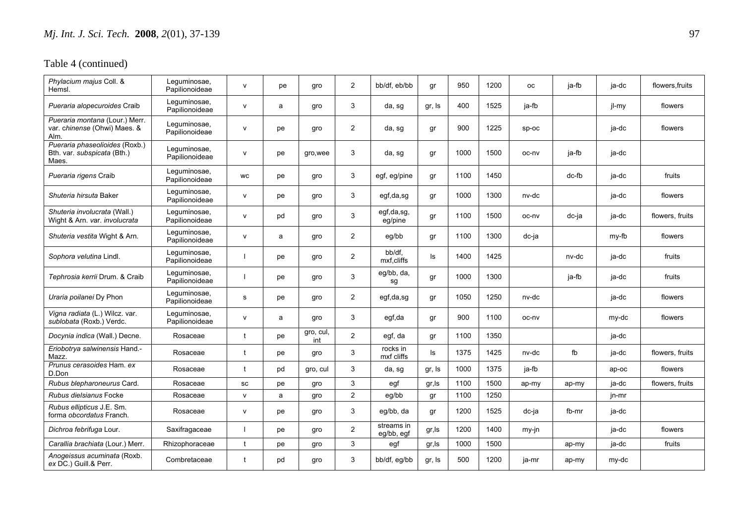| Phylacium majus Coll. &<br>Hemsl.                                      | Leguminosae,<br>Papilionoideae | $\mathsf{v}$ | pe | gro              | 2              | bb/df, eb/bb             | gr     | 950  | 1200 | <b>OC</b> | ja-fb | ja-dc | flowers.fruits  |
|------------------------------------------------------------------------|--------------------------------|--------------|----|------------------|----------------|--------------------------|--------|------|------|-----------|-------|-------|-----------------|
| Pueraria alopecuroides Craib                                           | Leguminosae,<br>Papilionoideae | v            | a  | gro              | 3              | da, sg                   | gr, Is | 400  | 1525 | ja-fb     |       | jl-my | flowers         |
| Pueraria montana (Lour.) Merr.<br>var. chinense (Ohwi) Maes. &<br>Alm. | Leguminosae,<br>Papilionoideae | $\mathsf{v}$ | pe | gro              | $\overline{2}$ | da, sg                   | gr     | 900  | 1225 | $SD-OC$   |       | ja-dc | flowers         |
| Pueraria phaseolioides (Roxb.)<br>Bth. var. subspicata (Bth.)<br>Maes. | Leguminosae,<br>Papilionoideae | $\mathsf{v}$ | pe | gro, wee         | 3              | da, sg                   | gr     | 1000 | 1500 | oc-nv     | ja-fb | ja-dc |                 |
| Pueraria rigens Craib                                                  | Leguminosae,<br>Papilionoideae | WC           | рe | gro              | 3              | egf, eg/pine             | gr     | 1100 | 1450 |           | dc-fb | ja-dc | fruits          |
| Shuteria hirsuta Baker                                                 | Leguminosae,<br>Papilionoideae | v            | pe | gro              | 3              | egf,da,sg                | gr     | 1000 | 1300 | nv-dc     |       | ja-dc | flowers         |
| Shuteria involucrata (Wall.)<br>Wight & Arn. var. involucrata          | Leguminosae,<br>Papilionoideae | $\mathsf{v}$ | pd | gro              | 3              | egf,da,sg,<br>eg/pine    | gr     | 1100 | 1500 | oc-nv     | dc-ja | ja-dc | flowers, fruits |
| Shuteria vestita Wight & Arn.                                          | Leguminosae,<br>Papilionoideae | $\mathsf{v}$ | a  | gro              | $\overline{2}$ | eg/bb                    | gr     | 1100 | 1300 | dc-ja     |       | my-fb | flowers         |
| Sophora velutina Lindl.                                                | Leguminosae,<br>Papilionoideae |              | pe | gro              | $\overline{2}$ | bb/df.<br>mxf,cliffs     | ls     | 1400 | 1425 |           | nv-dc | ja-dc | fruits          |
| Tephrosia kerrii Drum. & Craib                                         | Leguminosae,<br>Papilionoideae |              | pe | gro              | 3              | eg/bb, da,<br>sg         | gr     | 1000 | 1300 |           | ja-fb | ja-dc | fruits          |
| Uraria poilanei Dy Phon                                                | Lequminosae,<br>Papilionoideae | s            | pe | gro              | $\overline{2}$ | egf,da,sg                | gr     | 1050 | 1250 | nv-dc     |       | ja-dc | flowers         |
| Vigna radiata (L.) Wilcz. var.<br>sublobata (Roxb.) Verdc.             | Leguminosae,<br>Papilionoideae | $\mathsf{v}$ | a  | gro              | 3              | egf,da                   | gr     | 900  | 1100 | oc-ny     |       | my-dc | flowers         |
| Docynia indica (Wall.) Decne.                                          | Rosaceae                       | t            | рe | gro, cul,<br>int | $\overline{2}$ | egf, da                  | gr     | 1100 | 1350 |           |       | ja-dc |                 |
| Eriobotrya salwinensis Hand.-<br>Mazz.                                 | Rosaceae                       | t            | pe | gro              | 3              | rocks in<br>mxf cliffs   | ls     | 1375 | 1425 | nv-dc     | fb    | ja-dc | flowers, fruits |
| Prunus cerasoides Ham. ex<br>D.Don                                     | Rosaceae                       | $^{\dagger}$ | pd | gro, cul         | 3              | da, sg                   | gr, Is | 1000 | 1375 | ja-fb     |       | ap-oc | flowers         |
| Rubus blepharoneurus Card.                                             | Rosaceae                       | SC           | рe | gro              | 3              | egf                      | gr, Is | 1100 | 1500 | ap-my     | ap-my | ja-dc | flowers, fruits |
| Rubus dielsianus Focke                                                 | Rosaceae                       | $\mathsf{v}$ | a  | gro              | $\overline{2}$ | eg/bb                    | gr     | 1100 | 1250 |           |       | jn-mr |                 |
| Rubus ellipticus J.E. Sm.<br>forma obcordatus Franch.                  | Rosaceae                       | $\mathsf{v}$ | pe | gro              | 3              | eg/bb, da                | gr     | 1200 | 1525 | dc-ja     | fb-mr | ja-dc |                 |
| Dichroa febrifuga Lour.                                                | Saxifragaceae                  |              | pe | gro              | 2              | streams in<br>eg/bb, egf | gr, ls | 1200 | 1400 | my-jn     |       | ja-dc | flowers         |
| Carallia brachiata (Lour.) Merr.                                       | Rhizophoraceae                 | t            | pe | gro              | 3              | egf                      | gr, Is | 1000 | 1500 |           | ap-my | ja-dc | fruits          |
| Anogeissus acuminata (Roxb.<br>ex DC.) Guill.& Perr.                   | Combretaceae                   | t            | pd | gro              | 3              | bb/df, eg/bb             | gr, Is | 500  | 1200 | ja-mr     | ap-my | my-dc |                 |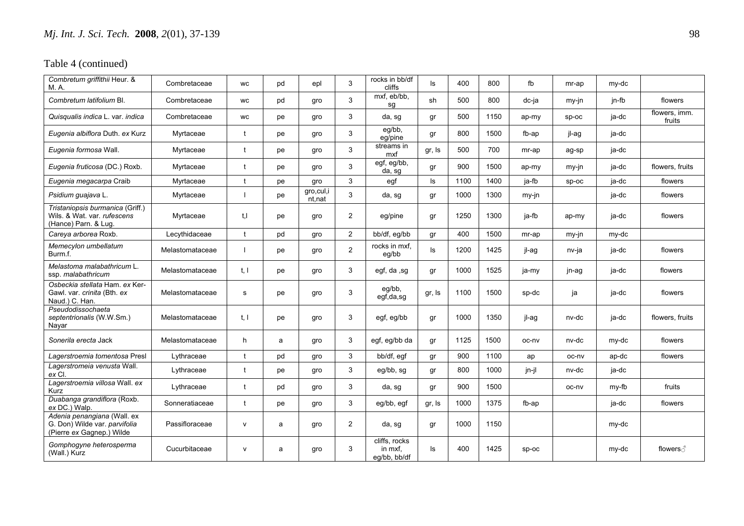| Combretum griffithii Heur. &<br>M.A.                                                      | Combretaceae    | <b>WC</b>            | pd | epl                   | 3              | rocks in bb/df<br>cliffs                 | ls     | 400  | 800  | fb    | mr-ap   | my-dc |                         |
|-------------------------------------------------------------------------------------------|-----------------|----------------------|----|-----------------------|----------------|------------------------------------------|--------|------|------|-------|---------|-------|-------------------------|
| Combretum latifolium Bl.                                                                  | Combretaceae    | WC                   | pd | gro                   | 3              | mxf, eb/bb,<br>sg                        | sh     | 500  | 800  | dc-ja | my-jn   | jn-fb | flowers                 |
| Quisqualis indica L. var. indica                                                          | Combretaceae    | WC                   | рe | gro                   | 3              | da, sg                                   | gr     | 500  | 1150 | ap-my | $SD-OC$ | ja-dc | flowers, imm.<br>fruits |
| Eugenia albiflora Duth. ex Kurz                                                           | Myrtaceae       |                      | рe | qro                   | 3              | eg/bb,<br>eg/pine                        | gr     | 800  | 1500 | fb-ap | jl-ag   | ja-dc |                         |
| Eugenia formosa Wall.                                                                     | Myrtaceae       | t                    | pe | gro                   | 3              | streams in<br>mxf                        | gr, Is | 500  | 700  | mr-ap | ag-sp   | ja-dc |                         |
| Eugenia fruticosa (DC.) Roxb.                                                             | Myrtaceae       | $\mathbf{t}$         | pe | gro                   | 3              | egf, eg/bb,<br>da, sg                    | gr     | 900  | 1500 | ap-my | my-jn   | ja-dc | flowers, fruits         |
| Eugenia megacarpa Craib                                                                   | Myrtaceae       | t                    | pe | gro                   | 3              | egf                                      | ls     | 1100 | 1400 | ja-fb | sp-oc   | ja-dc | flowers                 |
| Psidium guajava L.                                                                        | Myrtaceae       |                      | рe | gro, cul, i<br>nt,nat | 3              | da, sg                                   | gr     | 1000 | 1300 | my-jn |         | ja-dc | flowers                 |
| Tristaniopsis burmanica (Griff.)<br>Wils. & Wat. var. rufescens<br>(Hance) Parn. & Lug.   | Myrtaceae       | t.I                  | pe | gro                   | $\overline{2}$ | eg/pine                                  | gr     | 1250 | 1300 | ja-fb | ap-my   | ja-dc | flowers                 |
| Careya arborea Roxb.                                                                      | Lecythidaceae   | t                    | pd | gro                   | $\overline{2}$ | bb/df, eg/bb                             | gr     | 400  | 1500 | mr-ap | my-jn   | my-dc |                         |
| Memecylon umbellatum<br>Burm.f.                                                           | Melastomataceae |                      | pe | qro                   | $\overline{2}$ | rocks in mxf,<br>eg/bb                   | ls     | 1200 | 1425 | jl-ag | nv-ja   | ja-dc | flowers                 |
| Melastoma malabathricum L.<br>ssp. malabathricum                                          | Melastomataceae | t, l                 | pe | gro                   | 3              | egf, da, sg                              | gr     | 1000 | 1525 | ja-my | jn-ag   | ja-dc | flowers                 |
| Osbeckia stellata Ham. ex Ker-<br>Gawl. var. crinita (Bth. ex<br>Naud.) C. Han.           | Melastomataceae | s                    | pe | gro                   | 3              | eg/bb,<br>egf,da,sg                      | gr, Is | 1100 | 1500 | sp-dc | ja      | ja-dc | flowers                 |
| Pseudodissochaeta<br>septentrionalis (W.W.Sm.)<br>Navar                                   | Melastomataceae | t, l                 | pe | gro                   | 3              | egf, eg/bb                               | gr     | 1000 | 1350 | il-ag | nv-dc   | ja-dc | flowers, fruits         |
| Sonerila erecta Jack                                                                      | Melastomataceae | h                    | a  | gro                   | 3              | egf, eg/bb da                            | gr     | 1125 | 1500 | oc-ny | nv-dc   | my-dc | flowers                 |
| Lagerstroemia tomentosa Presl                                                             | Lythraceae      | $\ddot{\phantom{1}}$ | pd | gro                   | 3              | bb/df, egf                               | gr     | 900  | 1100 | ap    | oc-nv   | ap-dc | flowers                 |
| Lagerstromeia venusta Wall.<br>ex Cl.                                                     | Lythraceae      | t                    | pe | gro                   | 3              | eg/bb, sg                                | gr     | 800  | 1000 | jn-jl | nv-dc   | ja-dc |                         |
| Lagerstroemia villosa Wall. ex<br>Kurz                                                    | Lythraceae      | t                    | pd | gro                   | 3              | da, sg                                   | gr     | 900  | 1500 |       | oc-nv   | my-fb | fruits                  |
| Duabanga grandiflora (Roxb.<br>ex DC.) Walp.                                              | Sonneratiaceae  | t                    | pe | gro                   | 3              | eg/bb, egf                               | gr, Is | 1000 | 1375 | fb-ap |         | ja-dc | flowers                 |
| Adenia penangiana (Wall. ex<br>G. Don) Wilde var. parvifolia<br>(Pierre ex Gagnep.) Wilde | Passifloraceae  | v                    | a  | gro                   | $\overline{2}$ | da, sg                                   | gr     | 1000 | 1150 |       |         | my-dc |                         |
| Gomphogyne heterosperma<br>(Wall.) Kurz                                                   | Cucurbitaceae   | v                    | a  | gro                   | 3              | cliffs, rocks<br>in mxf.<br>eg/bb, bb/df | ls     | 400  | 1425 | SD-OC |         | my-dc | flowers ∂               |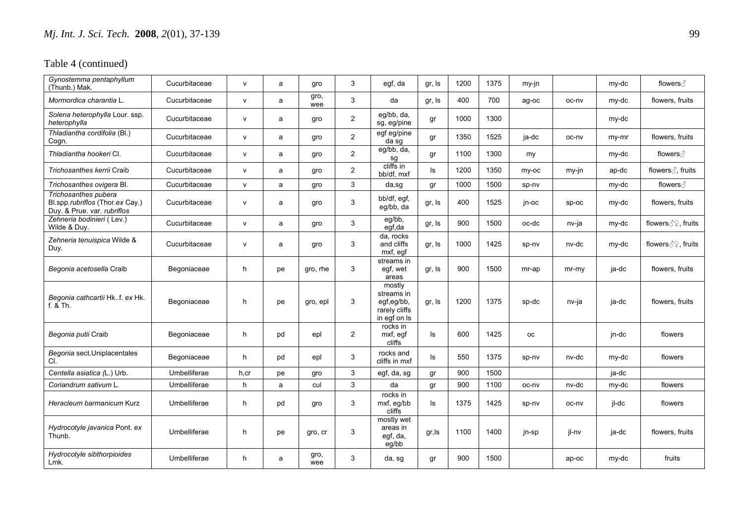| Gynostemma pentaphyllum<br>(Thunb.) Mak.                                               | Cucurbitaceae | $\mathsf{v}$ | a  | qro         | 3              | egf, da                                                             | gr, Is | 1200 | 1375 | $my-in$   |         | my-dc | flowers ∂                   |
|----------------------------------------------------------------------------------------|---------------|--------------|----|-------------|----------------|---------------------------------------------------------------------|--------|------|------|-----------|---------|-------|-----------------------------|
| Mormordica charantia L.                                                                | Cucurbitaceae | $\mathsf{v}$ | a  | gro,<br>wee | 3              | da                                                                  | gr, Is | 400  | 700  | ag-oc     | oc-nv   | my-dc | flowers, fruits             |
| Solena heterophylla Lour. ssp.<br>heterophylla                                         | Cucurbitaceae | $\mathsf{v}$ | a  | gro         | 2              | eg/bb, da,<br>sg, eg/pine                                           | gr     | 1000 | 1300 |           |         | my-dc |                             |
| Thladiantha cordifolia (Bl.)<br>Cogn.                                                  | Cucurbitaceae | $\mathsf{v}$ | a  | gro         | $\overline{2}$ | egf eg/pine<br>da sq                                                | gr     | 1350 | 1525 | ia-dc     | oc-nv   | my-mr | flowers, fruits             |
| Thladiantha hookeri Cl.                                                                | Cucurbitaceae | $\mathsf{v}$ | a  | gro         | $\overline{2}$ | eg/bb, da,<br>sg                                                    | qr     | 1100 | 1300 | my        |         | my-dc | flowers ∂                   |
| Trichosanthes kerrii Craib                                                             | Cucurbitaceae | $\mathsf{v}$ | a  | gro         | 2              | cliffs in<br>bb/df, mxf                                             | ls     | 1200 | 1350 | my-oc     | my-jn   | ap-dc | flowers $\partial$ , fruits |
| Trichosanthes ovigera Bl.                                                              | Cucurbitaceae | $\mathsf{v}$ | a  | qro         | 3              | da,sg                                                               | gr     | 1000 | 1500 | sp-nv     |         | my-dc | flowers ∂                   |
| Trichosanthes pubera<br>Bl.spp.rubriflos (Thor.ex Cay.)<br>Duy. & Prue. var. rubriflos | Cucurbitaceae | $\mathsf{v}$ | a  | gro         | 3              | bb/df, egf,<br>eg/bb, da                                            | gr, Is | 400  | 1525 | jn-oc     | sp-oc   | my-dc | flowers, fruits             |
| Zehneria bodinieri (Lev.)<br>Wilde & Duy.                                              | Cucurbitaceae | $\mathsf{v}$ | a  | gro         | 3              | eg/bb,<br>egf,da                                                    | gr, Is | 900  | 1500 | oc-dc     | nv-ja   | my-dc | flowers 39, fruits          |
| Zehneria tenuispica Wilde &<br>Duy.                                                    | Cucurbitaceae | $\mathsf{v}$ | a  | gro         | 3              | da, rocks<br>and cliffs<br>mxf, eqf                                 | gr, Is | 1000 | 1425 | sp-nv     | nv-dc   | my-dc | flowers 39, fruits          |
| Begonia acetosella Craib                                                               | Begoniaceae   | h.           | рe | gro, rhe    | 3              | streams in<br>egf, wet<br>areas                                     | gr, Is | 900  | 1500 | mr-ap     | $mr-mv$ | ja-dc | flowers, fruits             |
| Begonia cathcartii Hk. f. ex Hk.<br>$f. 8$ Th.                                         | Begoniaceae   | h            | pe | gro, epl    | 3              | mostly<br>streams in<br>egf,eg/bb,<br>rarely cliffs<br>in egf on Is | gr, Is | 1200 | 1375 | sp-dc     | nv-ja   | ja-dc | flowers, fruits             |
| Begonia putii Craib                                                                    | Begoniaceae   | h.           | pd | epl         | 2              | rocks in<br>mxf, egf<br>cliffs                                      | ls     | 600  | 1425 | <b>OC</b> |         | jn-dc | flowers                     |
| Begonia sect. Uniplacentales<br>CI.                                                    | Begoniaceae   | h.           | pd | epl         | 3              | rocks and<br>cliffs in mxf                                          | ls     | 550  | 1375 | sp-nv     | nv-dc   | my-dc | flowers                     |
| Centella asiatica (L.) Urb.                                                            | Umbelliferae  | h,cr         | pe | gro         | 3              | egf, da, sg                                                         | gr     | 900  | 1500 |           |         | ja-dc |                             |
| Coriandrum sativum L.                                                                  | Umbelliferae  | h            | a  | cul         | 3              | da                                                                  | gr     | 900  | 1100 | oc-nv     | nv-dc   | my-dc | flowers                     |
| Heracleum barmanicum Kurz                                                              | Umbelliferae  | h            | pd | gro         | 3              | rocks in<br>mxf, eg/bb<br>cliffs                                    | ls     | 1375 | 1425 | sp-nv     | oc-nv   | jl-dc | flowers                     |
| Hydrocotyle javanica Pont. ex<br>Thunb.                                                | Umbelliferae  | h            | рe | gro, cr     | 3              | mostly wet<br>areas in<br>egf, da,<br>eg/bb                         | gr,ls  | 1100 | 1400 | jn-sp     | jl-nv   | ja-dc | flowers, fruits             |
| Hydrocotyle sibthorpioides<br>Lmk.                                                     | Umbelliferae  | h.           | a  | gro,<br>wee | 3              | da, sg                                                              | gr     | 900  | 1500 |           | ap-oc   | my-dc | fruits                      |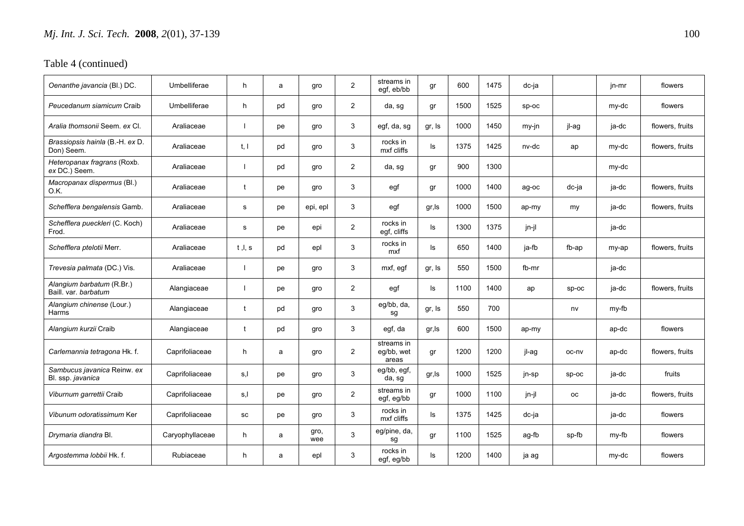| Oenanthe javancia (Bl.) DC.                       | Umbelliferae    | h.           | a  | gro         | $\overline{2}$ | streams in<br>egf, eb/bb          | gr     | 600  | 1475 | dc-ja |         | jn-mr | flowers         |
|---------------------------------------------------|-----------------|--------------|----|-------------|----------------|-----------------------------------|--------|------|------|-------|---------|-------|-----------------|
| Peucedanum siamicum Craib                         | Umbelliferae    | h            | pd | gro         | $\overline{2}$ | da, sg                            | gr     | 1500 | 1525 | sp-oc |         | my-dc | flowers         |
| Aralia thomsonii Seem. ex Cl.                     | Araliaceae      |              | pe | gro         | 3              | egf, da, sg                       | gr, Is | 1000 | 1450 | my-jn | il-ag   | ja-dc | flowers, fruits |
| Brassiopsis hainla (B.-H. ex D.<br>Don) Seem.     | Araliaceae      | t, l         | pd | qro         | 3              | rocks in<br>mxf cliffs            | ls     | 1375 | 1425 | nv-dc | ap      | my-dc | flowers, fruits |
| Heteropanax fragrans (Roxb.<br>ex DC.) Seem.      | Araliaceae      |              | pd | gro         | $\overline{2}$ | da, sg                            | gr     | 900  | 1300 |       |         | my-dc |                 |
| Macropanax dispermus (Bl.)<br>O.K.                | Araliaceae      | t            | рe | gro         | 3              | egf                               | gr     | 1000 | 1400 | ag-oc | dc-ja   | ja-dc | flowers, fruits |
| Schefflera bengalensis Gamb.                      | Araliaceae      | s            | рe | epi, epl    | 3              | egf                               | gr, Is | 1000 | 1500 | ap-my | my      | ja-dc | flowers, fruits |
| Schefflera pueckleri (C. Koch)<br>Frod.           | Araliaceae      | s            | рe | epi         | $\overline{2}$ | rocks in<br>egf, cliffs           | ls     | 1300 | 1375 | jn-jl |         | ja-dc |                 |
| Schefflera ptelotii Merr.                         | Araliaceae      | t, l, s      | pd | epl         | 3              | rocks in<br>mxf                   | ls     | 650  | 1400 | ja-fb | fb-ap   | my-ap | flowers, fruits |
| Trevesia palmata (DC.) Vis.                       | Araliaceae      |              | pe | gro         | 3              | mxf, egf                          | gr, Is | 550  | 1500 | fb-mr |         | ja-dc |                 |
| Alangium barbatum (R.Br.)<br>Baill, var, barbatum | Alangiaceae     |              | pe | gro         | $\overline{2}$ | egf                               | ls     | 1100 | 1400 | ap    | $sp-oc$ | ja-dc | flowers, fruits |
| Alangium chinense (Lour.)<br>Harms                | Alangiaceae     | $^{\dagger}$ | pd | gro         | 3              | eg/bb, da,<br>sg                  | gr, Is | 550  | 700  |       | nv      | my-fb |                 |
| Alangium kurzii Craib                             | Alangiaceae     | t            | pd | gro         | 3              | egf, da                           | gr, ls | 600  | 1500 | ap-my |         | ap-dc | flowers         |
| Carlemannia tetragona Hk. f.                      | Caprifoliaceae  | h            | a  | gro         | $\overline{2}$ | streams in<br>eg/bb, wet<br>areas | gr     | 1200 | 1200 | jl-ag | oc-nv   | ap-dc | flowers, fruits |
| Sambucus javanica Reinw. ex<br>Bl. ssp. javanica  | Caprifoliaceae  | s,l          | рe | gro         | 3              | eg/bb, egf,<br>da, sg             | gr, Is | 1000 | 1525 | jn-sp | $sp-oc$ | ja-dc | fruits          |
| Viburnum garrettii Craib                          | Caprifoliaceae  | s,l          | pe | gro         | $\overline{2}$ | streams in<br>egf, eg/bb          | gr     | 1000 | 1100 | jn-jl | oс      | ja-dc | flowers, fruits |
| Vibunum odoratissimum Ker                         | Caprifoliaceae  | SC           | pe | gro         | 3              | rocks in<br>mxf cliffs            | ls     | 1375 | 1425 | dc-ja |         | ja-dc | flowers         |
| Drymaria diandra Bl.                              | Caryophyllaceae | h.           | a  | gro,<br>wee | 3              | eg/pine, da,<br>sg                | gr     | 1100 | 1525 | ag-fb | sp-fb   | my-fb | flowers         |
| Argostemma lobbii Hk. f.                          | Rubiaceae       | h            | a  | epl         | 3              | rocks in<br>egf, eg/bb            | ls     | 1200 | 1400 | ja ag |         | my-dc | flowers         |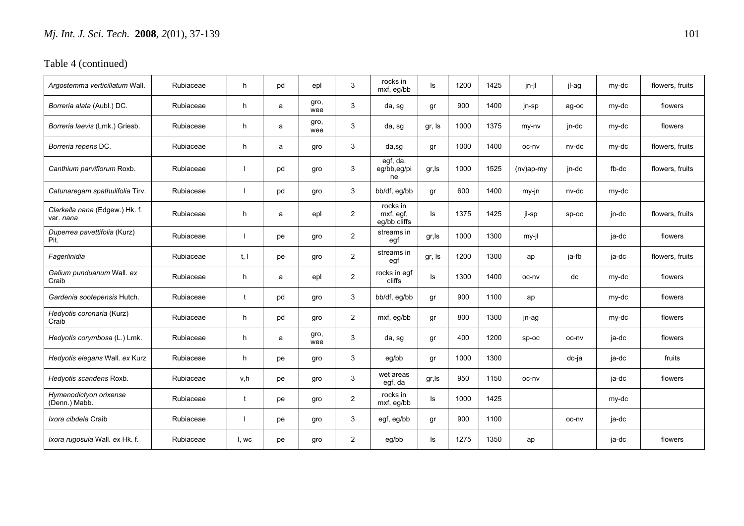| Argostemma verticillatum Wall.                     | Rubiaceae | h.    | pd | epl         | 3              | rocks in<br>mxf, eg/bb                | ls     | 1200 | 1425 | jn-jl        | jl-ag   | my-dc | flowers, fruits |
|----------------------------------------------------|-----------|-------|----|-------------|----------------|---------------------------------------|--------|------|------|--------------|---------|-------|-----------------|
| Borreria alata (Aubl.) DC.                         | Rubiaceae | h.    | a  | gro,<br>wee | 3              | da, sg                                | gr     | 900  | 1400 | jn-sp        | ag-oc   | my-dc | flowers         |
| Borreria laevis (Lmk.) Griesb.                     | Rubiaceae | h.    | a  | gro,<br>wee | 3              | da, sg                                | gr, Is | 1000 | 1375 | my-ny        | jn-dc   | my-dc | flowers         |
| Borreria repens DC.                                | Rubiaceae | h.    | a  | gro         | 3              | $da$ ,sg                              | gr     | 1000 | 1400 | oc-nv        | nv-dc   | my-dc | flowers, fruits |
| Canthium parviflorum Roxb.                         | Rubiaceae |       | pd | gro         | 3              | egf, da,<br>eg/bb,eg/pi<br>ne         | gr, Is | 1000 | 1525 | $(nv)$ ap-my | jn-dc   | fb-dc | flowers, fruits |
| Catunaregam spathulifolia Tirv.                    | Rubiaceae |       | pd | gro         | 3              | bb/df, eg/bb                          | gr     | 600  | 1400 | my-jn        | nv-dc   | my-dc |                 |
| Clarkella nana (Edgew.) Hk. f.<br>var. <i>nana</i> | Rubiaceae | h.    | a  | epl         | $\overline{2}$ | rocks in<br>mxf, eqf,<br>eg/bb cliffs | ls     | 1375 | 1425 | il-sp        | $SD-OC$ | jn-dc | flowers, fruits |
| Duperrea pavettifolia (Kurz)<br>Pit.               | Rubiaceae |       | рe | gro         | $\overline{2}$ | streams in<br>egf                     | gr, Is | 1000 | 1300 | my-jl        |         | ja-dc | flowers         |
| Fagerlinidia                                       | Rubiaceae | t. I  | рe | gro         | $\overline{2}$ | streams in<br>egf                     | gr, Is | 1200 | 1300 | ap           | ja-fb   | ja-dc | flowers, fruits |
| Galium punduanum Wall. ex<br>Craib                 | Rubiaceae | h.    | a  | epl         | $\overline{2}$ | rocks in egf<br>cliffs                | ls     | 1300 | 1400 | oc-nv        | dc      | my-dc | flowers         |
| Gardenia sootepensis Hutch.                        | Rubiaceae | t     | pd | gro         | 3              | bb/df, eg/bb                          | gr     | 900  | 1100 | ap           |         | my-dc | flowers         |
| Hedyotis coronaria (Kurz)<br>Craib                 | Rubiaceae | h.    | pd | gro         | 2              | mxf, eg/bb                            | gr     | 800  | 1300 | jn-ag        |         | my-dc | flowers         |
| Hedyotis corymbosa (L.) Lmk.                       | Rubiaceae | h     | a  | gro,<br>wee | 3              | da, sg                                | gr     | 400  | 1200 | $sp-oc$      | oc-nv   | ja-dc | flowers         |
| Hedyotis elegans Wall. ex Kurz                     | Rubiaceae | h.    | рe | gro         | 3              | eg/bb                                 | gr     | 1000 | 1300 |              | dc-ja   | ja-dc | fruits          |
| Hedyotis scandens Roxb.                            | Rubiaceae | v,h   | рe | gro         | 3              | wet areas<br>egf, da                  | gr,ls  | 950  | 1150 | oc-ny        |         | ja-dc | flowers         |
| Hymenodictyon orixense<br>(Denn.) Mabb.            | Rubiaceae |       | рe | gro         | $\overline{c}$ | rocks in<br>mxf, eg/bb                | ls     | 1000 | 1425 |              |         | my-dc |                 |
| Ixora cibdela Craib                                | Rubiaceae |       | рe | gro         | 3              | egf, eg/bb                            | gr     | 900  | 1100 |              | oc-nv   | ja-dc |                 |
| Ixora rugosula Wall. ex Hk. f.                     | Rubiaceae | l, wc | рe | gro         | $\overline{2}$ | eg/bb                                 | ls     | 1275 | 1350 | ap           |         | ja-dc | flowers         |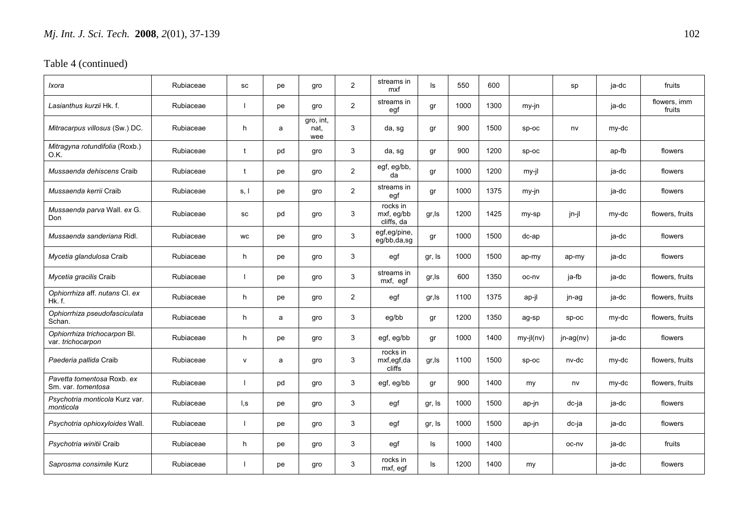| Ixora                                             | Rubiaceae | SC           | рe | gro                      | $\mathbf{2}$   | streams in<br>mxf                    | ls     | 550  | 600  |             | sp          | ja-dc | fruits                 |
|---------------------------------------------------|-----------|--------------|----|--------------------------|----------------|--------------------------------------|--------|------|------|-------------|-------------|-------|------------------------|
| Lasianthus kurzii Hk. f.                          | Rubiaceae |              | pe | gro                      | $\overline{2}$ | streams in<br>egf                    | gr     | 1000 | 1300 | $my-in$     |             | ja-dc | flowers, imm<br>fruits |
| Mitracarpus villosus (Sw.) DC.                    | Rubiaceae | h            | a  | gro, int,<br>nat,<br>wee | 3              | da, sg                               | gr     | 900  | 1500 | $sp-oc$     | nv          | my-dc |                        |
| Mitragyna rotundifolia (Roxb.)<br>O.K.            | Rubiaceae | t            | pd | gro                      | 3              | da, sg                               | gr     | 900  | 1200 | $sp-oc$     |             | ap-fb | flowers                |
| Mussaenda dehiscens Craib                         | Rubiaceae | t            | pe | gro                      | $\overline{2}$ | egf, eg/bb,<br>da                    | gr     | 1000 | 1200 | my-jl       |             | ja-dc | flowers                |
| Mussaenda kerrii Craib                            | Rubiaceae | s, I         | pe | gro                      | $\overline{2}$ | streams in<br>egf                    | gr     | 1000 | 1375 | my-jn       |             | ja-dc | flowers                |
| Mussaenda parva Wall. ex G.<br>Don                | Rubiaceae | SC           | pd | gro                      | 3              | rocks in<br>mxf, eg/bb<br>cliffs, da | gr, Is | 1200 | 1425 | my-sp       | jn-jl       | my-dc | flowers, fruits        |
| Mussaenda sanderiana Ridl.                        | Rubiaceae | <b>WC</b>    | pe | gro                      | 3              | egf,eg/pine,<br>eg/bb,da,sg          | gr     | 1000 | 1500 | $dc$ -ap    |             | ja-dc | flowers                |
| Mycetia glandulosa Craib                          | Rubiaceae | h            | pe | gro                      | 3              | egf                                  | gr, Is | 1000 | 1500 | ap-my       | ap-my       | ja-dc | flowers                |
| Mycetia gracilis Craib                            | Rubiaceae |              | pe | gro                      | 3              | streams in<br>mxf, egf               | gr, ls | 600  | 1350 | oc-nv       | ja-fb       | ja-dc | flowers, fruits        |
| Ophiorrhiza aff. nutans Cl. ex<br>Hk f            | Rubiaceae | h.           | pe | gro                      | $\overline{2}$ | egf                                  | gr, Is | 1100 | 1375 | ap-jl       | jn-ag       | ja-dc | flowers, fruits        |
| Ophiorrhiza pseudofasciculata<br>Schan.           | Rubiaceae | h            | a  | gro                      | 3              | eg/bb                                | gr     | 1200 | 1350 | ag-sp       | $sp-oc$     | my-dc | flowers, fruits        |
| Ophiorrhiza trichocarpon Bl.<br>var. trichocarpon | Rubiaceae | h            | pe | gro                      | 3              | egf, eg/bb                           | gr     | 1000 | 1400 | $my-jl(nv)$ | $jn-ag(nv)$ | ja-dc | flowers                |
| Paederia pallida Craib                            | Rubiaceae | $\mathsf{v}$ | a  | gro                      | 3              | rocks in<br>mxf,egf,da<br>cliffs     | gr, ls | 1100 | 1500 | sp-oc       | nv-dc       | my-dc | flowers, fruits        |
| Pavetta tomentosa Roxb, ex<br>Sm. var. tomentosa  | Rubiaceae |              | pd | gro                      | 3              | egf, eg/bb                           | gr     | 900  | 1400 | my          | nv          | my-dc | flowers, fruits        |
| Psychotria monticola Kurz var.<br>monticola       | Rubiaceae | l,s          | pe | gro                      | 3              | egf                                  | gr, Is | 1000 | 1500 | ap-jn       | dc-ja       | ja-dc | flowers                |
| Psychotria ophioxyloides Wall.                    | Rubiaceae |              | pe | gro                      | 3              | egf                                  | gr, Is | 1000 | 1500 | ap-jn       | dc-ja       | ja-dc | flowers                |
| Psychotria winitii Craib                          | Rubiaceae | h            | рe | gro                      | 3              | egf                                  | ls     | 1000 | 1400 |             | oc-nv       | ja-dc | fruits                 |
| Saprosma consimile Kurz                           | Rubiaceae |              | рe | qro                      | 3              | rocks in<br>mxf, egf                 | ls     | 1200 | 1400 | my          |             | ja-dc | flowers                |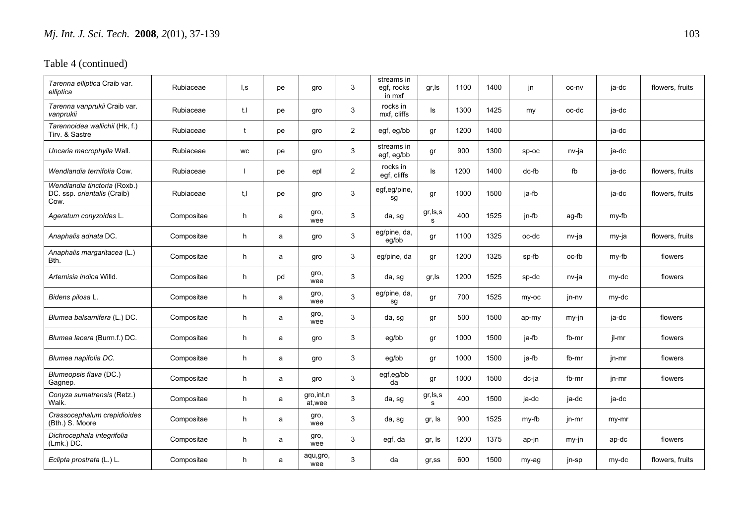| Tarenna elliptica Craib var.<br>elliptica                           | Rubiaceae  | l,s | рe | gro                   | 3              | streams in<br>egf, rocks<br>in mxf | gr, Is         | 1100 | 1400 | jn.     | oc-ny | ja-dc | flowers, fruits |
|---------------------------------------------------------------------|------------|-----|----|-----------------------|----------------|------------------------------------|----------------|------|------|---------|-------|-------|-----------------|
| Tarenna vanprukii Craib var.<br>vanprukii                           | Rubiaceae  | t.I | рe | gro                   | 3              | rocks in<br>mxf, cliffs            | ls             | 1300 | 1425 | my      | oc-dc | ja-dc |                 |
| Tarennoidea wallichii (Hk, f.)<br>Tirv. & Sastre                    | Rubiaceae  | Ť.  | pe | gro                   | $\overline{2}$ | egf, eg/bb                         | gr             | 1200 | 1400 |         |       | ja-dc |                 |
| Uncaria macrophylla Wall.                                           | Rubiaceae  | WC  | рe | gro                   | 3              | streams in<br>egf, eg/bb           | gr             | 900  | 1300 | $sp-oc$ | nv-ja | ja-dc |                 |
| Wendlandia ternifolia Cow.                                          | Rubiaceae  |     | рe | epl                   | $\overline{2}$ | rocks in<br>egf, cliffs            | ls             | 1200 | 1400 | dc-fb   | fb    | ja-dc | flowers, fruits |
| Wendlandia tinctoria (Roxb.)<br>DC. ssp. orientalis (Craib)<br>Cow. | Rubiaceae  | t.I | pe | gro                   | 3              | egf,eg/pine,<br>sg                 | gr             | 1000 | 1500 | ja-fb   |       | ja-dc | flowers, fruits |
| Ageratum conyzoides L.                                              | Compositae | h   | a  | gro,<br>wee           | 3              | da, sg                             | gr, ls, s<br>s | 400  | 1525 | jn-fb   | ag-fb | my-fb |                 |
| Anaphalis adnata DC.                                                | Compositae | h   | a  | gro                   | 3              | eg/pine, da,<br>eg/bb              | gr             | 1100 | 1325 | oc-dc   | nv-ja | my-ja | flowers, fruits |
| Anaphalis margaritacea (L.)<br>Bth.                                 | Compositae | h.  | a  | gro                   | 3              | eg/pine, da                        | gr             | 1200 | 1325 | sp-fb   | oc-fb | my-fb | flowers         |
| <i>Artemisia indica</i> Willd.                                      | Compositae | h   | pd | gro,<br>wee           | 3              | da, sg                             | gr, Is         | 1200 | 1525 | sp-dc   | nv-ja | my-dc | flowers         |
| Bidens pilosa L.                                                    | Compositae | h   | a  | gro,<br>wee           | 3              | eg/pine, da,<br>sg                 | gr             | 700  | 1525 | my-oc   | jn-nv | my-dc |                 |
| Blumea balsamifera (L.) DC.                                         | Compositae | h   | a  | gro,<br>wee           | 3              | da, sg                             | gr             | 500  | 1500 | ap-my   | my-jn | ja-dc | flowers         |
| Blumea lacera (Burm.f.) DC.                                         | Compositae | h.  | a  | gro                   | 3              | eg/bb                              | gr             | 1000 | 1500 | ja-fb   | fb-mr | jl-mr | flowers         |
| Blumea napifolia DC.                                                | Compositae | h   | a  | gro                   | 3              | eg/bb                              | gr             | 1000 | 1500 | ja-fb   | fb-mr | jn-mr | flowers         |
| Blumeopsis flava (DC.)<br>Gagnep.                                   | Compositae | h.  | a  | gro                   | 3              | egf,eg/bb<br>da                    | qr             | 1000 | 1500 | dc-ja   | fb-mr | jn-mr | flowers         |
| Conyza sumatrensis (Retz.)<br>Walk.                                 | Compositae | h   | a  | gro, int, n<br>at.wee | 3              | da, sg                             | gr, ls, s<br>s | 400  | 1500 | ja-dc   | ja-dc | ja-dc |                 |
| Crassocephalum crepidioides<br>(Bth.) S. Moore                      | Compositae | h   | a  | gro,<br>wee           | 3              | da, sg                             | gr, Is         | 900  | 1525 | my-fb   | jn-mr | my-mr |                 |
| Dichrocephala integrifolia<br>$(Lmk.)$ DC.                          | Compositae | h   | a  | gro,<br>wee           | 3              | egf, da                            | gr, Is         | 1200 | 1375 | ap-jn   | my-jn | ap-dc | flowers         |
| Eclipta prostrata (L.) L.                                           | Compositae | h.  | a  | aqu,gro,<br>wee       | 3              | da                                 | $gr$ , ss      | 600  | 1500 | my-ag   | jn-sp | my-dc | flowers, fruits |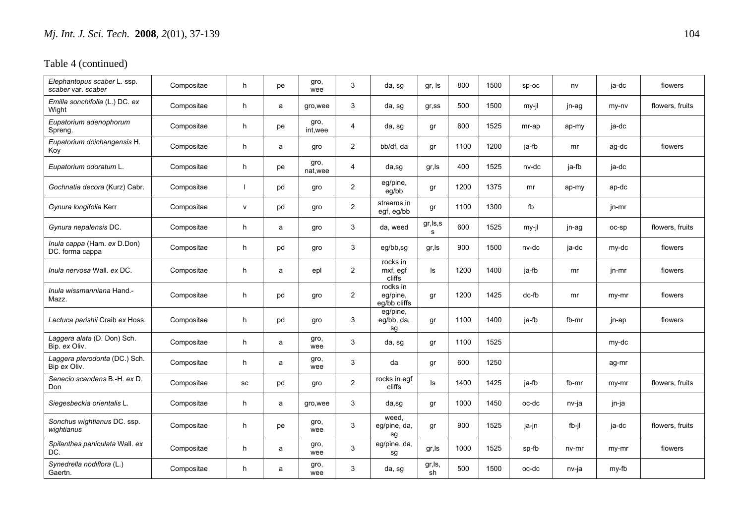| Elephantopus scaber L. ssp.<br>scaber var. scaber | Compositae | h         | pe | gro,<br>wee      | 3              | da, sg                               | gr, Is         | 800  | 1500 | $SD-OC$ | nv    | ja-dc | flowers         |
|---------------------------------------------------|------------|-----------|----|------------------|----------------|--------------------------------------|----------------|------|------|---------|-------|-------|-----------------|
| Emilla sonchifolia (L.) DC. ex<br>Wight           | Compositae | h         | a  | gro, wee         | 3              | da, sg                               | $gr$ , ss      | 500  | 1500 | my-jl   | jn-ag | my-ny | flowers, fruits |
| Eupatorium adenophorum<br>Spreng.                 | Compositae | h         | рe | gro,<br>int.wee  | $\overline{4}$ | da, sg                               | gr             | 600  | 1525 | mr-ap   | ap-my | ja-dc |                 |
| Eupatorium doichangensis H.<br>Koy                | Compositae | h.        | a  | gro              | $\overline{2}$ | bb/df, da                            | gr             | 1100 | 1200 | ja-fb   | mr    | ag-dc | flowers         |
| Eupatorium odoratum L.                            | Compositae | h         | pe | gro,<br>nat, wee | $\overline{4}$ | da,sg                                | gr, Is         | 400  | 1525 | nv-dc   | ja-fb | ja-dc |                 |
| Gochnatia decora (Kurz) Cabr.                     | Compositae |           | pd | gro              | $\overline{2}$ | eg/pine,<br>eg/bb                    | gr             | 1200 | 1375 | mr      | ap-my | ap-dc |                 |
| Gynura longifolia Kerr                            | Compositae | ${\sf V}$ | pd | gro              | $\overline{c}$ | streams in<br>egf, eg/bb             | gr             | 1100 | 1300 | fb      |       | jn-mr |                 |
| Gynura nepalensis DC.                             | Compositae | h         | a  | gro              | 3              | da, weed                             | gr, ls, s<br>s | 600  | 1525 | my-jl   | jn-ag | oc-sp | flowers, fruits |
| Inula cappa (Ham. ex D.Don)<br>DC. forma cappa    | Compositae | h         | pd | gro              | 3              | eg/bb,sg                             | gr, Is         | 900  | 1500 | nv-dc   | ja-dc | my-dc | flowers         |
| Inula nervosa Wall. ex DC.                        | Compositae | h         | a  | epl              | $\overline{2}$ | rocks in<br>mxf, egf<br>cliffs       | ls             | 1200 | 1400 | ja-fb   | mr    | jn-mr | flowers         |
| <i>Inula wissmanniana</i> Hand.-<br>Mazz.         | Compositae | h         | pd | gro              | $\overline{2}$ | rodks in<br>eg/pine,<br>eg/bb cliffs | gr             | 1200 | 1425 | dc-fb   | mr    | my-mr | flowers         |
| Lactuca parishii Craib ex Hoss.                   | Compositae | h         | pd | gro              | 3              | eg/pine,<br>eg/bb, da,<br>sg         | gr             | 1100 | 1400 | ja-fb   | fb-mr | jn-ap | flowers         |
| Laggera alata (D. Don) Sch.<br>Bip. ex Oliv.      | Compositae | h         | a  | gro,<br>wee      | 3              | da, sg                               | gr             | 1100 | 1525 |         |       | my-dc |                 |
| Laggera pterodonta (DC.) Sch.<br>Bip ex Oliv.     | Compositae | h         | a  | gro,<br>wee      | 3              | da                                   | gr             | 600  | 1250 |         |       | ag-mr |                 |
| Senecio scandens B.-H. ex D.<br>Don               | Compositae | SC        | pd | gro              | $\overline{2}$ | rocks in egf<br>cliffs               | ls             | 1400 | 1425 | ja-fb   | fb-mr | my-mr | flowers, fruits |
| Siegesbeckia orientalis L.                        | Compositae | h         | a  | gro, wee         | 3              | da,sg                                | gr             | 1000 | 1450 | oc-dc   | nv-ja | jn-ja |                 |
| Sonchus wightianus DC. ssp.<br>wightianus         | Compositae | h         | рe | gro,<br>wee      | 3              | weed,<br>eg/pine, da,<br>sg          | gr             | 900  | 1525 | ja-jn   | fb-jl | ja-dc | flowers, fruits |
| Spilanthes paniculata Wall. ex<br>DC.             | Compositae | h         | a  | gro,<br>wee      | 3              | eg/pine, da,<br>sg                   | gr, Is         | 1000 | 1525 | sp-fb   | nv-mr | my-mr | flowers         |
| Synedrella nodiflora (L.)<br>Gaertn.              | Compositae | h         | a  | gro,<br>wee      | 3              | da, sg                               | gr,ls,<br>sh   | 500  | 1500 | oc-dc   | nv-ja | my-fb |                 |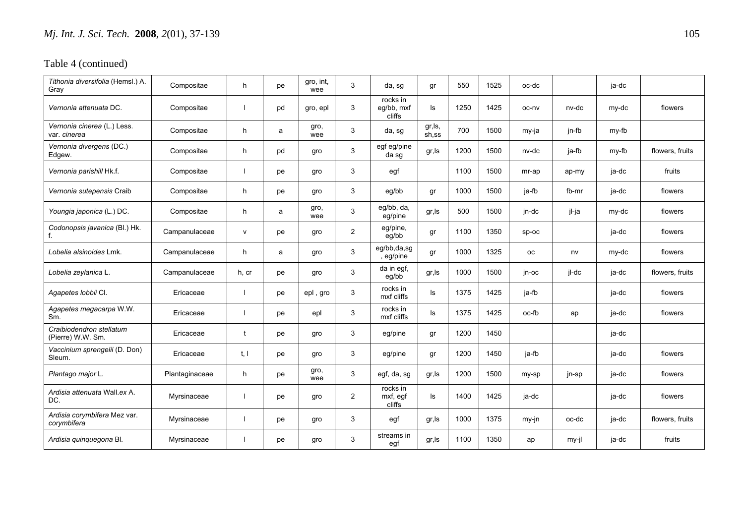| Tithonia diversifolia (Hemsl.) A.<br>Gray          | Compositae     | h            | pe | gro, int,<br>wee | 3              | da, sg                           | gr              | 550  | 1525 | oc-dc   |         | ja-dc |                 |
|----------------------------------------------------|----------------|--------------|----|------------------|----------------|----------------------------------|-----------------|------|------|---------|---------|-------|-----------------|
| Vernonia attenuata DC.                             | Compositae     |              | pd | gro, epl         | 3              | rocks in<br>eg/bb, mxf<br>cliffs | ls              | 1250 | 1425 | oc-nv   | nv-dc   | my-dc | flowers         |
| Vernonia cinerea (L.) Less.<br>var. <i>cinerea</i> | Compositae     | h            | a  | gro,<br>wee      | 3              | da, sg                           | gr,ls,<br>sh,ss | 700  | 1500 | my-ja   | jn-fb   | my-fb |                 |
| Vernonia divergens (DC.)<br>Edgew.                 | Compositae     | h            | pd | gro              | 3              | egf eg/pine<br>da sg             | gr,ls           | 1200 | 1500 | nv-dc   | ja-fb   | my-fb | flowers, fruits |
| Vernonia parishill Hk.f.                           | Compositae     |              | pe | gro              | 3              | egf                              |                 | 1100 | 1500 | mr-ap   | ap-my   | ja-dc | fruits          |
| Vernonia sutepensis Craib                          | Compositae     | h.           | pe | gro              | 3              | eg/bb                            | gr              | 1000 | 1500 | ja-fb   | fb-mr   | ja-dc | flowers         |
| Youngia japonica (L.) DC.                          | Compositae     | h.           | a  | gro,<br>wee      | 3              | eg/bb, da,<br>eg/pine            | gr,ls           | 500  | 1500 | jn-dc   | jl-ja   | my-dc | flowers         |
| Codonopsis javanica (Bl.) Hk.<br>f.                | Campanulaceae  | $\mathsf{v}$ | pe | gro              | $\overline{2}$ | eg/pine,<br>eg/bb                | gr              | 1100 | 1350 | $sp-oc$ |         | ja-dc | flowers         |
| Lobelia alsinoides Lmk.                            | Campanulaceae  | h.           | a  | gro              | 3              | eg/bb,da,sg<br>, eg/pine         | gr              | 1000 | 1325 | оc      | nv      | my-dc | flowers         |
| Lobelia zeylanica L.                               | Campanulaceae  | h, cr        | pe | gro              | 3              | da in egf,<br>eg/bb              | gr,ls           | 1000 | 1500 | jn-oc   | jl-dc   | ja-dc | flowers, fruits |
| Agapetes lobbii Cl.                                | Ericaceae      |              | pe | epl, gro         | 3              | rocks in<br>mxf cliffs           | ls              | 1375 | 1425 | ja-fb   |         | ja-dc | flowers         |
| Agapetes megacarpa W.W.<br>Sm.                     | Ericaceae      |              | pe | epl              | 3              | rocks in<br>mxf cliffs           | ls              | 1375 | 1425 | oc-fb   | ap      | ja-dc | flowers         |
| Craibiodendron stellatum<br>(Pierre) W.W. Sm.      | Ericaceae      |              | pe | gro              | 3              | eg/pine                          | gr              | 1200 | 1450 |         |         | ja-dc |                 |
| Vaccinium sprengelii (D. Don)<br>Sleum.            | Ericaceae      | t, l         | pe | gro              | 3              | eg/pine                          | gr              | 1200 | 1450 | ja-fb   |         | ja-dc | flowers         |
| Plantago major L.                                  | Plantaginaceae | h.           | pe | gro,<br>wee      | 3              | egf, da, sg                      | gr, Is          | 1200 | 1500 | my-sp   | jn-sp   | ja-dc | flowers         |
| Ardisia attenuata Wall.ex A.<br>DC.                | Myrsinaceae    |              | pe | gro              | 2              | rocks in<br>mxf, egf<br>cliffs   | ls              | 1400 | 1425 | ja-dc   |         | ja-dc | flowers         |
| Ardisia corymbifera Mez var.<br>corymbifera        | Myrsinaceae    |              | pe | gro              | 3              | egf                              | gr, Is          | 1000 | 1375 | $my-in$ | oc-dc   | ja-dc | flowers, fruits |
| Ardisia quinquegona Bl.                            | Myrsinaceae    |              | рe | gro              | 3              | streams in<br>egf                | gr,ls           | 1100 | 1350 | ap      | $my-il$ | ja-dc | fruits          |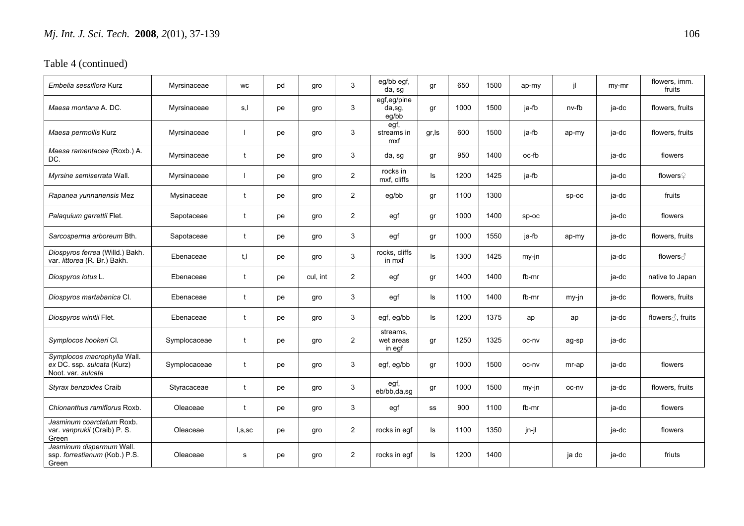| Embelia sessiflora Kurz                                                         | Myrsinaceae  | WC           | pd | gro      | 3              | eg/bb egf,<br>da, sg            | gr     | 650  | 1500 | ap-my   | jl    | my-mr | flowers, imm.<br>fruits     |
|---------------------------------------------------------------------------------|--------------|--------------|----|----------|----------------|---------------------------------|--------|------|------|---------|-------|-------|-----------------------------|
| Maesa montana A. DC.                                                            | Myrsinaceae  | s,l          | pe | gro      | 3              | egf,eg/pine<br>da,sg,<br>eg/bb  | gr     | 1000 | 1500 | ja-fb   | nv-fb | ja-dc | flowers, fruits             |
| Maesa permollis Kurz                                                            | Myrsinaceae  |              | pe | gro      | 3              | egf,<br>streams in<br>mxf       | gr, ls | 600  | 1500 | ja-fb   | ap-my | ja-dc | flowers, fruits             |
| Maesa ramentacea (Roxb.) A.<br>DC.                                              | Myrsinaceae  | t            | pe | gro      | 3              | da, sg                          | gr     | 950  | 1400 | oc-fb   |       | ja-dc | flowers                     |
| Myrsine semiserrata Wall.                                                       | Myrsinaceae  | $\mathbf{I}$ | pe | gro      | $\overline{2}$ | rocks in<br>mxf, cliffs         | ls     | 1200 | 1425 | ja-fb   |       | ja-dc | flowers $\mathcal Q$        |
| Rapanea yunnanensis Mez                                                         | Mysinaceae   | t            | pe | gro      | $\overline{2}$ | eg/bb                           | gr     | 1100 | 1300 |         | sp-oc | ja-dc | fruits                      |
| Palaquium garrettii Flet.                                                       | Sapotaceae   | t            | pe | gro      | $\overline{2}$ | egf                             | gr     | 1000 | 1400 | $SD-OC$ |       | ja-dc | flowers                     |
| Sarcosperma arboreum Bth.                                                       | Sapotaceae   | t            | pe | gro      | 3              | egf                             | gr     | 1000 | 1550 | ja-fb   | ap-my | ja-dc | flowers, fruits             |
| Diospyros ferrea (Willd.) Bakh.<br>var. littorea (R. Br.) Bakh.                 | Ebenaceae    | t.I          | pe | gro      | 3              | rocks, cliffs<br>in mxf         | ls     | 1300 | 1425 | $my-in$ |       | ja-dc | flowers ∂                   |
| Diospyros lotus L.                                                              | Ebenaceae    | $\mathbf t$  | pe | cul, int | $\overline{2}$ | egf                             | gr     | 1400 | 1400 | fb-mr   |       | ja-dc | native to Japan             |
| Diospyros martabanica Cl.                                                       | Ebenaceae    | t            | pe | gro      | 3              | egf                             | ls     | 1100 | 1400 | fb-mr   | my-jn | ja-dc | flowers, fruits             |
| Diospyros winitii Flet.                                                         | Ebenaceae    | t            | pe | gro      | 3              | egf, eg/bb                      | ls     | 1200 | 1375 | ap      | ap    | ja-dc | flowers $\partial$ , fruits |
| Symplocos hookeri CI.                                                           | Symplocaceae | $\mathbf t$  | pe | gro      | $\overline{2}$ | streams,<br>wet areas<br>in egf | gr     | 1250 | 1325 | oc-nv   | ag-sp | ja-dc |                             |
| Symplocos macrophylla Wall.<br>ex DC. ssp. sulcata (Kurz)<br>Noot. var. sulcata | Symplocaceae | t            | pe | gro      | 3              | egf, eg/bb                      | gr     | 1000 | 1500 | oc-nv   | mr-ap | ja-dc | flowers                     |
| Styrax benzoides Craib                                                          | Styracaceae  | t            | pe | gro      | 3              | egf,<br>eb/bb,da,sq             | gr     | 1000 | 1500 | my-jn   | oc-nv | ja-dc | flowers, fruits             |
| Chionanthus ramiflorus Roxb.                                                    | Oleaceae     | t            | pe | gro      | 3              | egf                             | SS     | 900  | 1100 | fb-mr   |       | ja-dc | flowers                     |
| Jasminum coarctatum Roxb.<br>var. vanprukii (Craib) P. S.<br>Green              | Oleaceae     | l.s.sc       | pe | gro      | $\overline{2}$ | rocks in eqf                    | ls     | 1100 | 1350 | jn-jl   |       | ja-dc | flowers                     |
| Jasminum dispermum Wall.<br>ssp. forrestianum (Kob.) P.S.<br>Green              | Oleaceae     | s            | рe | gro      | $\overline{2}$ | rocks in egf                    | ls     | 1200 | 1400 |         | ja dc | ja-dc | friuts                      |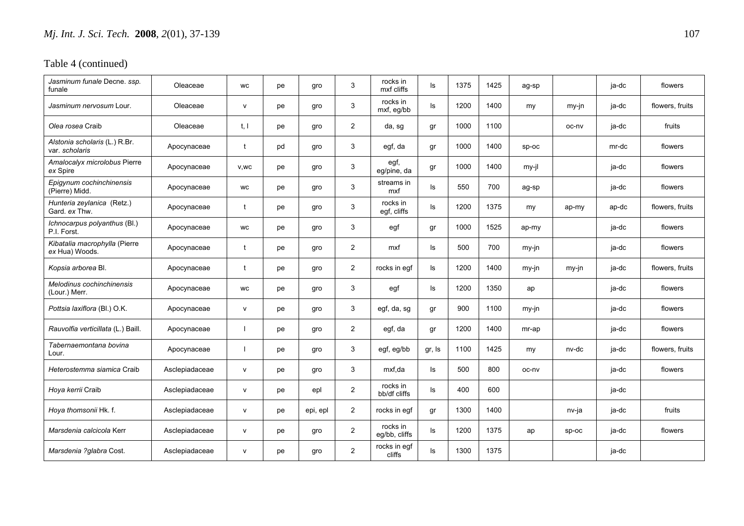| Jasminum funale Decne. ssp.<br>funale           | Oleaceae       | <b>WC</b>            | pe | gro      | 3              | rocks in<br>mxf cliffs    | ls     | 1375 | 1425 | ag-sp   |         | ja-dc | flowers         |
|-------------------------------------------------|----------------|----------------------|----|----------|----------------|---------------------------|--------|------|------|---------|---------|-------|-----------------|
| <i>Jasminum nervosum</i> Lour.                  | Oleaceae       | v                    | pe | gro      | 3              | rocks in<br>mxf, eg/bb    | ls     | 1200 | 1400 | my      | my-jn   | ja-dc | flowers, fruits |
| Olea rosea Craib                                | Oleaceae       | t. I                 | pe | gro      | $\overline{2}$ | da, sg                    | gr     | 1000 | 1100 |         | oc-nv   | ja-dc | fruits          |
| Alstonia scholaris (L.) R.Br.<br>var. scholaris | Apocynaceae    | t                    | pd | gro      | 3              | egf, da                   | gr     | 1000 | 1400 | $SD-OC$ |         | mr-dc | flowers         |
| Amalocalyx microlobus Pierre<br>ex Spire        | Apocynaceae    | V,WC                 | pe | gro      | 3              | egf,<br>eg/pine, da       | gr     | 1000 | 1400 | $my-il$ |         | ja-dc | flowers         |
| Epigynum cochinchinensis<br>(Pierre) Midd.      | Apocynaceae    | WC                   | pe | gro      | 3              | streams in<br>mxf         | ls     | 550  | 700  | ag-sp   |         | ja-dc | flowers         |
| Hunteria zeylanica (Retz.)<br>Gard. ex Thw.     | Apocynaceae    |                      | pe | gro      | 3              | rocks in<br>egf, cliffs   | ls     | 1200 | 1375 | my      | ap-my   | ap-dc | flowers, fruits |
| Ichnocarpus polyanthus (Bl.)<br>P.I. Forst.     | Apocynaceae    | <b>WC</b>            | pe | gro      | 3              | egf                       | gr     | 1000 | 1525 | ap-my   |         | ja-dc | flowers         |
| Kibatalia macrophylla (Pierre<br>ex Hua) Woods. | Apocynaceae    | $\ddot{\phantom{1}}$ | pe | gro      | $\overline{2}$ | mxf                       | ls.    | 500  | 700  | my-jn   |         | ja-dc | flowers         |
| Kopsia arborea Bl.                              | Apocynaceae    | $\mathbf{f}$         | pe | gro      | $\overline{2}$ | rocks in eqf              | ls.    | 1200 | 1400 | my-jn   | my-jn   | ja-dc | flowers, fruits |
| Melodinus cochinchinensis<br>(Lour.) Merr.      | Apocynaceae    | <b>WC</b>            | pe | gro      | 3              | egf                       | ls     | 1200 | 1350 | ap      |         | ja-dc | flowers         |
| Pottsia laxiflora (BI) O.K.                     | Apocynaceae    | v                    | pe | gro      | 3              | egf, da, sg               | gr     | 900  | 1100 | my-jn   |         | ja-dc | flowers         |
| Rauvolfia verticillata (L.) Baill.              | Apocynaceae    | -1                   | pe | gro      | $\overline{2}$ | egf, da                   | gr     | 1200 | 1400 | mr-ap   |         | ja-dc | flowers         |
| Tabernaemontana bovina<br>Lour.                 | Apocynaceae    | $\mathbf{I}$         | pe | gro      | 3              | egf, eg/bb                | gr, Is | 1100 | 1425 | my      | nv-dc   | ja-dc | flowers, fruits |
| Heterostemma siamica Craib                      | Asclepiadaceae | v                    | pe | gro      | 3              | mxf.da                    | ls.    | 500  | 800  | oc-nv   |         | ja-dc | flowers         |
| Hoya kerrii Craib                               | Asclepiadaceae | v                    | pe | epl      | $\overline{2}$ | rocks in<br>bb/df cliffs  | ls.    | 400  | 600  |         |         | ja-dc |                 |
| Hoya thomsonii Hk. f.                           | Asclepiadaceae | v                    | рe | epi, epl | $\overline{2}$ | rocks in eqf              | gr     | 1300 | 1400 |         | nv-ja   | ja-dc | fruits          |
| Marsdenia calcicola Kerr                        | Asclepiadaceae | V                    | pe | gro      | $\mathbf{2}$   | rocks in<br>eg/bb, cliffs | ls     | 1200 | 1375 | ap      | $sp-oc$ | ja-dc | flowers         |
| Marsdenia ?glabra Cost.                         | Asclepiadaceae | v                    | рe | gro      | $\overline{2}$ | rocks in egf<br>cliffs    | ls.    | 1300 | 1375 |         |         | ja-dc |                 |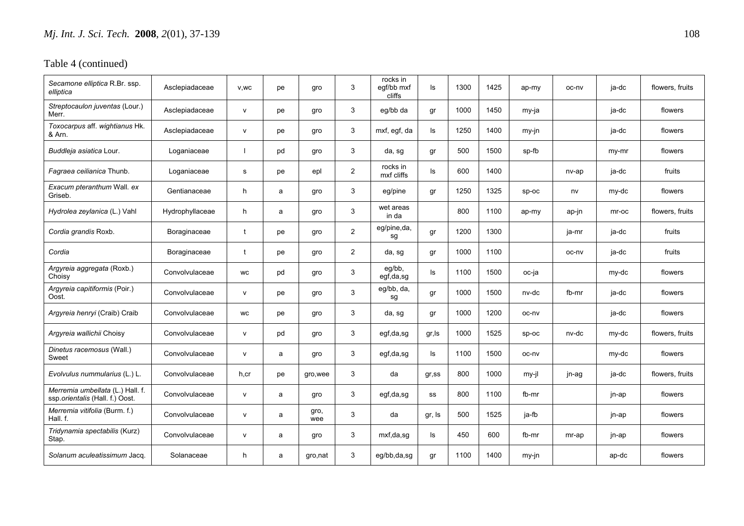| Secamone elliptica R.Br. ssp.<br>elliptica                          | Asclepiadaceae  | V, WC        | pe | gro         | 3              | rocks in<br>egf/bb mxf<br>cliffs | ls     | 1300 | 1425 | ap-my   | oc-nv | ja-dc | flowers, fruits |
|---------------------------------------------------------------------|-----------------|--------------|----|-------------|----------------|----------------------------------|--------|------|------|---------|-------|-------|-----------------|
| Streptocaulon juventas (Lour.)<br>Merr.                             | Asclepiadaceae  | $\mathsf{v}$ | pe | gro         | 3              | eg/bb da                         | gr     | 1000 | 1450 | my-ja   |       | ja-dc | flowers         |
| Toxocarpus aff. wightianus Hk.<br>& Arn.                            | Asclepiadaceae  | $\mathsf{v}$ | pe | gro         | 3              | mxf, egf, da                     | ls     | 1250 | 1400 | $my-in$ |       | ja-dc | flowers         |
| Buddleja asiatica Lour.                                             | Loganiaceae     |              | pd | gro         | 3              | da, sg                           | gr     | 500  | 1500 | sp-fb   |       | my-mr | flowers         |
| Fagraea ceilianica Thunb.                                           | Loganiaceae     | s            | pe | epl         | $\mathbf{2}$   | rocks in<br>mxf cliffs           | ls     | 600  | 1400 |         | nv-ap | ja-dc | fruits          |
| Exacum pteranthum Wall. ex<br>Griseb.                               | Gentianaceae    | h.           | a  | gro         | 3              | eg/pine                          | gr     | 1250 | 1325 | $sp-oc$ | nv    | my-dc | flowers         |
| Hydrolea zeylanica (L.) Vahl                                        | Hydrophyllaceae | h.           | a  | gro         | 3              | wet areas<br>in da               |        | 800  | 1100 | ap-my   | ap-jn | mr-oc | flowers, fruits |
| Cordia grandis Roxb.                                                | Boraginaceae    | t            | pe | gro         | $\mathbf{2}$   | eg/pine,da,<br>sg                | gr     | 1200 | 1300 |         | ja-mr | ja-dc | fruits          |
| Cordia                                                              | Boraginaceae    | t            | pe | gro         | $\overline{2}$ | da, sg                           | gr     | 1000 | 1100 |         | oc-nv | ja-dc | fruits          |
| Argyreia aggregata (Roxb.)<br>Choisy                                | Convolvulaceae  | <b>WC</b>    | pd | gro         | 3              | eg/bb,<br>egf,da,sg              | ls     | 1100 | 1500 | oc-ja   |       | my-dc | flowers         |
| Argyreia capitiformis (Poir.)<br>Oost.                              | Convolvulaceae  | $\mathsf{v}$ | pe | gro         | 3              | eg/bb, da,<br>sg                 | gr     | 1000 | 1500 | nv-dc   | fb-mr | ja-dc | flowers         |
| Argyreia henryi (Craib) Craib                                       | Convolvulaceae  | <b>WC</b>    | pe | gro         | 3              | da, sg                           | gr     | 1000 | 1200 | oc-ny   |       | ja-dc | flowers         |
| Argyreia wallichii Choisy                                           | Convolvulaceae  | $\mathsf{v}$ | pd | gro         | 3              | egf,da,sg                        | gr, ls | 1000 | 1525 | sp-oc   | nv-dc | my-dc | flowers, fruits |
| Dinetus racemosus (Wall.)<br>Sweet                                  | Convolvulaceae  | $\mathsf{v}$ | a  | gro         | 3              | egf,da,sg                        | ls.    | 1100 | 1500 | oc-nv   |       | my-dc | flowers         |
| Evolvulus nummularius (L.) L.                                       | Convolvulaceae  | h,cr         | рe | gro, wee    | 3              | da                               | gr,ss  | 800  | 1000 | my-jl   | jn-ag | ja-dc | flowers, fruits |
| Merremia umbellata (L.) Hall. f.<br>ssp.orientalis (Hall. f.) Oost. | Convolvulaceae  | $\mathsf{v}$ | a  | gro         | 3              | egf,da,sg                        | SS     | 800  | 1100 | fb-mr   |       | jn-ap | flowers         |
| Merremia vitifolia (Burm. f.)<br>Hall. f.                           | Convolvulaceae  | $\mathsf{v}$ | a  | gro,<br>wee | 3              | da                               | gr, Is | 500  | 1525 | ja-fb   |       | jn-ap | flowers         |
| Tridynamia spectabilis (Kurz)<br>Stap.                              | Convolvulaceae  | $\mathsf{v}$ | a  | gro         | 3              | mxf,da,sg                        | ls     | 450  | 600  | fb-mr   | mr-ap | jn-ap | flowers         |
| Solanum aculeatissimum Jacq.                                        | Solanaceae      | h            | a  | gro,nat     | 3              | eg/bb,da,sg                      | gr     | 1100 | 1400 | my-jn   |       | ap-dc | flowers         |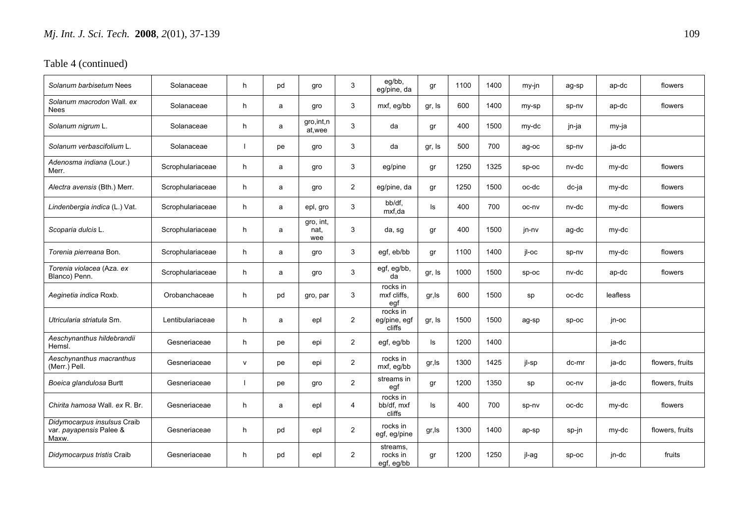| Solanum barbisetum Nees                                         | Solanaceae       | h            | pd | gro                      | 3              | eg/bb,<br>eg/pine, da              | gr     | 1100 | 1400 | my-jn   | ag-sp   | ap-dc    | flowers         |
|-----------------------------------------------------------------|------------------|--------------|----|--------------------------|----------------|------------------------------------|--------|------|------|---------|---------|----------|-----------------|
| Solanum macrodon Wall, ex<br>Nees                               | Solanaceae       | h            | a  | gro                      | 3              | mxf, eg/bb                         | gr, Is | 600  | 1400 | my-sp   | sp-nv   | ap-dc    | flowers         |
| Solanum nigrum L.                                               | Solanaceae       | h.           | a  | gro, int, n<br>at, wee   | 3              | da                                 | gr     | 400  | 1500 | my-dc   | jn-ja   | my-ja    |                 |
| Solanum verbascifolium L.                                       | Solanaceae       |              | pe | gro                      | 3              | da                                 | gr, Is | 500  | 700  | ag-oc   | sp-nv   | ja-dc    |                 |
| Adenosma indiana (Lour.)<br>Merr.                               | Scrophulariaceae | h.           | a  | gro                      | 3              | eg/pine                            | gr     | 1250 | 1325 | $sp-oc$ | nv-dc   | my-dc    | flowers         |
| Alectra avensis (Bth.) Merr.                                    | Scrophulariaceae | h            | a  | gro                      | $\overline{2}$ | eg/pine, da                        | gr     | 1250 | 1500 | oc-dc   | dc-ja   | my-dc    | flowers         |
| Lindenbergia indica (L.) Vat.                                   | Scrophulariaceae | h.           | a  | epl, gro                 | 3              | bb/df,<br>mxf.da                   | ls     | 400  | 700  | oc-nv   | nv-dc   | my-dc    | flowers         |
| Scoparia dulcis L.                                              | Scrophulariaceae | h            | a  | gro, int,<br>nat,<br>wee | 3              | da, sg                             | gr     | 400  | 1500 | jn-nv   | ag-dc   | my-dc    |                 |
| Torenia pierreana Bon.                                          | Scrophulariaceae | h.           | a  | gro                      | 3              | egf, eb/bb                         | gr     | 1100 | 1400 | il-oc   | sp-nv   | my-dc    | flowers         |
| Torenia violacea (Aza. ex<br>Blanco) Penn.                      | Scrophulariaceae | h.           | a  | gro                      | 3              | egf, eg/bb,<br>da                  | gr, Is | 1000 | 1500 | $SD-OC$ | nv-dc   | ap-dc    | flowers         |
| Aeginetia indica Roxb.                                          | Orobanchaceae    | h            | pd | gro, par                 | 3              | rocks in<br>mxf cliffs.<br>eqf     | gr, ls | 600  | 1500 | sp      | oc-dc   | leafless |                 |
| Utricularia striatula Sm.                                       | Lentibulariaceae | h            | a  | epl                      | $\overline{2}$ | rocks in<br>eg/pine, egf<br>cliffs | gr, Is | 1500 | 1500 | ag-sp   | $sp-oc$ | in-oc    |                 |
| Aeschynanthus hildebrandii<br>Hemsl.                            | Gesneriaceae     | h            | рe | epi                      | $\overline{2}$ | egf, eg/bb                         | ls     | 1200 | 1400 |         |         | ja-dc    |                 |
| Aeschynanthus macranthus<br>(Merr.) Pell.                       | Gesneriaceae     | $\mathsf{v}$ | pe | epi                      | $\overline{2}$ | rocks in<br>mxf, eg/bb             | gr, Is | 1300 | 1425 | jl-sp   | dc-mr   | ja-dc    | flowers, fruits |
| Boeica glandulosa Burtt                                         | Gesneriaceae     |              | pe | gro                      | $\overline{2}$ | streams in<br>egf                  | gr     | 1200 | 1350 | sp      | oc-nv   | ja-dc    | flowers, fruits |
| Chirita hamosa Wall, ex R. Br.                                  | Gesneriaceae     | h            | a  | epl                      | 4              | rocks in<br>bb/df. mxf<br>cliffs   | ls     | 400  | 700  | sp-nv   | oc-dc   | my-dc    | flowers         |
| Didymocarpus insulsus Craib<br>var. payapensis Palee &<br>Maxw. | Gesneriaceae     | h            | pd | epl                      | $\overline{2}$ | rocks in<br>egf, eg/pine           | gr, Is | 1300 | 1400 | ap-sp   | sp-jn   | my-dc    | flowers, fruits |
| Didymocarpus tristis Craib                                      | Gesneriaceae     | h            | pd | epl                      | $\overline{2}$ | streams,<br>rocks in<br>egf, eg/bb | gr     | 1200 | 1250 | jl-ag   | $sp-oc$ | jn-dc    | fruits          |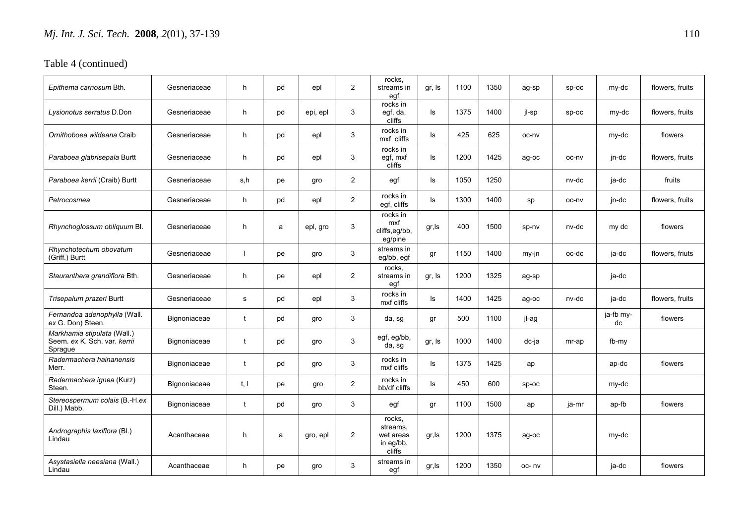| Epithema carnosum Bth.                                                 | Gesneriaceae | h.   | pd | epl      | 2              | rocks,<br>streams in<br>egf                            | gr, Is | 1100 | 1350 | ag-sp   | $SD-OC$ | my-dc           | flowers, fruits |
|------------------------------------------------------------------------|--------------|------|----|----------|----------------|--------------------------------------------------------|--------|------|------|---------|---------|-----------------|-----------------|
| Lysionotus serratus D.Don                                              | Gesneriaceae | h    | pd | epi, epl | 3              | rocks in<br>egf, da,<br>cliffs                         | ls     | 1375 | 1400 | jl-sp   | $sp-oc$ | my-dc           | flowers, fruits |
| Ornithoboea wildeana Craib                                             | Gesneriaceae | h    | pd | epl      | 3              | rocks in<br>mxf cliffs                                 | ls     | 425  | 625  | oc-nv   |         | my-dc           | flowers         |
| Paraboea glabrisepala Burtt                                            | Gesneriaceae | h    | pd | epl      | 3              | rocks in<br>egf, mxf<br>cliffs                         | ls     | 1200 | 1425 | ag-oc   | oc-nv   | jn-dc           | flowers, fruits |
| Paraboea kerrii (Craib) Burtt                                          | Gesneriaceae | s.h  | рe | gro      | $\overline{2}$ | egf                                                    | ls     | 1050 | 1250 |         | nv-dc   | ja-dc           | fruits          |
| Petrocosmea                                                            | Gesneriaceae | h.   | pd | epl      | $\overline{2}$ | rocks in<br>egf, cliffs                                | ls     | 1300 | 1400 | sp      | oc-nv   | jn-dc           | flowers, fruits |
| Rhynchoglossum obliquum Bl.                                            | Gesneriaceae | h    | a  | epl, gro | 3              | rocks in<br>mxf<br>cliffs,eg/bb,<br>eg/pine            | gr, Is | 400  | 1500 | sp-nv   | nv-dc   | my dc           | flowers         |
| Rhynchotechum obovatum<br>(Griff.) Burtt                               | Gesneriaceae |      | рe | gro      | 3              | streams in<br>eg/bb, egf                               | gr     | 1150 | 1400 | my-jn   | oc-dc   | ja-dc           | flowers, friuts |
| Stauranthera grandiflora Bth.                                          | Gesneriaceae | h.   | рe | epl      | 2              | rocks.<br>streams in<br>egf                            | gr, Is | 1200 | 1325 | ag-sp   |         | ja-dc           |                 |
| Trisepalum prazeri Burtt                                               | Gesneriaceae | s    | pd | epl      | 3              | rocks in<br>mxf cliffs                                 | ls     | 1400 | 1425 | ag-oc   | nv-dc   | ja-dc           | flowers, fruits |
| Fernandoa adenophylla (Wall.<br>ex G. Don) Steen.                      | Bignoniaceae | t    | pd | gro      | 3              | da, sg                                                 | gr     | 500  | 1100 | jl-ag   |         | ja-fb my-<br>dc | flowers         |
| Markhamia stipulata (Wall.)<br>Seem. ex K. Sch. var. kerrii<br>Spraque | Bignoniaceae | t    | pd | gro      | 3              | egf, eg/bb,<br>da, sg                                  | gr, Is | 1000 | 1400 | dc-ja   | mr-ap   | fb-my           |                 |
| Radermachera hainanensis<br>Merr.                                      | Bignoniaceae | t    | pd | gro      | 3              | rocks in<br>mxf cliffs                                 | ls     | 1375 | 1425 | ap      |         | ap-dc           | flowers         |
| Radermachera ignea (Kurz)<br>Steen.                                    | Bignoniaceae | t, l | рe | gro      | $\overline{2}$ | rocks in<br>bb/df cliffs                               | ls     | 450  | 600  | $SD-OC$ |         | my-dc           |                 |
| Stereospermum colais (B.-H.ex<br>Dill.) Mabb.                          | Bignoniaceae |      | pd | gro      | 3              | egf                                                    | gr     | 1100 | 1500 | ap      | ja-mr   | ap-fb           | flowers         |
| Andrographis laxiflora (Bl.)<br>Lindau                                 | Acanthaceae  | h    | a  | gro, epl | 2              | rocks.<br>streams.<br>wet areas<br>in eg/bb,<br>cliffs | gr, Is | 1200 | 1375 | ag-oc   |         | my-dc           |                 |
| Asystasiella neesiana (Wall.)<br>Lindau                                | Acanthaceae  | h.   | рe | gro      | 3              | streams in<br>egf                                      | gr, Is | 1200 | 1350 | oc-nv   |         | ja-dc           | flowers         |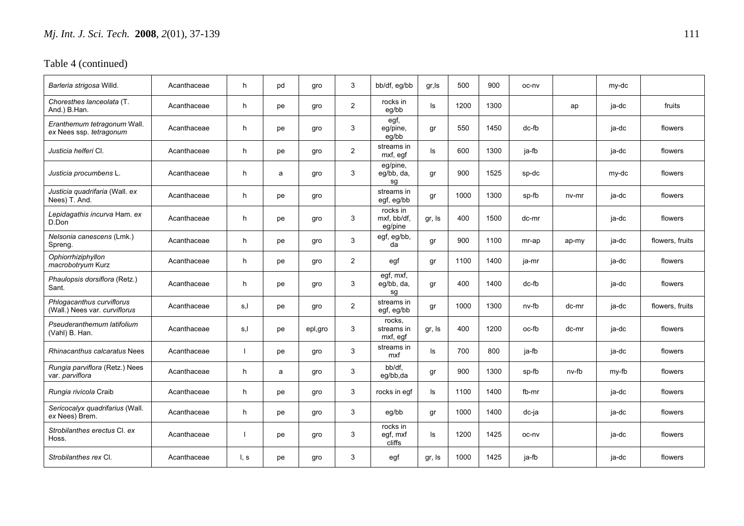| Barleria strigosa Willd.                                   | Acanthaceae | h    | pd | gro     | 3              | bb/df, eg/bb                       | gr, Is | 500  | 900  | oc-ny |         | my-dc |                 |
|------------------------------------------------------------|-------------|------|----|---------|----------------|------------------------------------|--------|------|------|-------|---------|-------|-----------------|
| Choresthes lanceolata (T.<br>And.) B.Han.                  | Acanthaceae | h    | рe | gro     | 2              | rocks in<br>eg/bb                  | ls     | 1200 | 1300 |       | ap      | ja-dc | fruits          |
| Eranthemum tetragonum Wall.<br>ex Nees ssp. tetragonum     | Acanthaceae | h    | pe | gro     | 3              | egf,<br>eg/pine,<br>eg/bb          | gr     | 550  | 1450 | dc-fb |         | ja-dc | flowers         |
| Justicia helferi CI.                                       | Acanthaceae | h    | pe | gro     | $\overline{2}$ | streams in<br>mxf, egf             | ls     | 600  | 1300 | ja-fb |         | ja-dc | flowers         |
| Justicia procumbens L.                                     | Acanthaceae | h    | a  | gro     | 3              | eg/pine,<br>eg/bb, da,<br>sg       | gr     | 900  | 1525 | sp-dc |         | my-dc | flowers         |
| Justicia quadrifaria (Wall. ex<br>Nees) T. And.            | Acanthaceae | h.   | pe | gro     |                | streams in<br>egf, eg/bb           | gr     | 1000 | 1300 | sp-fb | $nv-mr$ | ja-dc | flowers         |
| Lepidagathis incurva Ham. ex<br>D.Don                      | Acanthaceae | h    | pe | gro     | 3              | rocks in<br>mxf, bb/df,<br>eg/pine | gr, Is | 400  | 1500 | dc-mr |         | ja-dc | flowers         |
| Nelsonia canescens (Lmk.)<br>Spreng.                       | Acanthaceae | h    | pe | gro     | 3              | egf, eg/bb,<br>da                  | gr     | 900  | 1100 | mr-ap | ap-my   | ja-dc | flowers, fruits |
| Ophiorrhiziphyllon<br>macrobotryum Kurz                    | Acanthaceae | h.   | pe | gro     | 2              | egf                                | gr     | 1100 | 1400 | ja-mr |         | ja-dc | flowers         |
| Phaulopsis dorsiflora (Retz.)<br>Sant.                     | Acanthaceae | h.   | pe | gro     | 3              | egf, mxf,<br>eg/bb, da,<br>sq      | gr     | 400  | 1400 | dc-fb |         | ja-dc | flowers         |
| Phlogacanthus curviflorus<br>(Wall.) Nees var. curviflorus | Acanthaceae | s,l  | pe | gro     | $\overline{a}$ | streams in<br>egf, eg/bb           | gr     | 1000 | 1300 | nv-fb | dc-mr   | ja-dc | flowers, fruits |
| Pseuderanthemum latifolium<br>(Vahl) B. Han.               | Acanthaceae | s,l  | pe | epl,gro | 3              | rocks.<br>streams in<br>mxf, egf   | gr, Is | 400  | 1200 | oc-fb | dc-mr   | ja-dc | flowers         |
| Rhinacanthus calcaratus Nees                               | Acanthaceae |      | pe | gro     | 3              | streams in<br>mxf                  | ls     | 700  | 800  | ja-fb |         | ja-dc | flowers         |
| Rungia parviflora (Retz.) Nees<br>var. parviflora          | Acanthaceae | h.   | a  | gro     | 3              | bb/df,<br>eq/bb,da                 | gr     | 900  | 1300 | sp-fb | nv-fb   | my-fb | flowers         |
| Rungia rivicola Craib                                      | Acanthaceae | h.   | pe | gro     | 3              | rocks in egf                       | ls     | 1100 | 1400 | fb-mr |         | ja-dc | flowers         |
| Sericocalyx quadrifarius (Wall.<br>ex Nees) Brem.          | Acanthaceae | h    | pe | gro     | 3              | eg/bb                              | gr     | 1000 | 1400 | dc-ja |         | ja-dc | flowers         |
| Strobilanthes erectus CI. ex<br>Hoss.                      | Acanthaceae |      | pe | gro     | 3              | rocks in<br>egf, mxf<br>cliffs     | ls     | 1200 | 1425 | oc-nv |         | ja-dc | flowers         |
| Strobilanthes rex Cl.                                      | Acanthaceae | l, s | рe | gro     | 3              | egf                                | gr, Is | 1000 | 1425 | ja-fb |         | ja-dc | flowers         |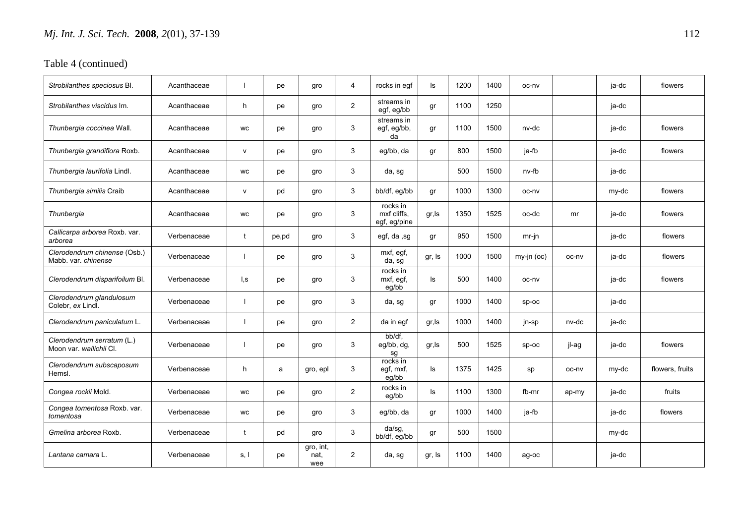| Strobilanthes speciosus Bl.                           | Acanthaceae |                  | рe    | gro                      | 4              | rocks in egf                            | ls     | 1200 | 1400 | oc-nv         |       | ja-dc | flowers         |
|-------------------------------------------------------|-------------|------------------|-------|--------------------------|----------------|-----------------------------------------|--------|------|------|---------------|-------|-------|-----------------|
| Strobilanthes viscidus Im.                            | Acanthaceae | h.               | рe    | gro                      | $\overline{2}$ | streams in<br>egf, eg/bb                | gr     | 1100 | 1250 |               |       | ja-dc |                 |
| Thunbergia coccinea Wall.                             | Acanthaceae | <b>WC</b>        | pe    | gro                      | 3              | streams in<br>egf, eg/bb,<br>da         | gr     | 1100 | 1500 | nv-dc         |       | ja-dc | flowers         |
| Thunbergia grandiflora Roxb.                          | Acanthaceae | $\mathsf{v}$     | рe    | gro                      | 3              | eg/bb, da                               | gr     | 800  | 1500 | ja-fb         |       | ja-dc | flowers         |
| Thunbergia laurifolia Lindl.                          | Acanthaceae | WC               | рe    | gro                      | 3              | da, sg                                  |        | 500  | 1500 | nv-fb         |       | ja-dc |                 |
| Thunbergia similis Craib                              | Acanthaceae | $\mathsf{v}$     | pd    | gro                      | 3              | bb/df, eq/bb                            | gr     | 1000 | 1300 | oc-nv         |       | my-dc | flowers         |
| Thunbergia                                            | Acanthaceae | WC               | рe    | gro                      | 3              | rocks in<br>mxf cliffs.<br>egf, eg/pine | gr, Is | 1350 | 1525 | oc-dc         | mr    | ja-dc | flowers         |
| Callicarpa arborea Roxb. var.<br>arborea              | Verbenaceae | t                | pe,pd | gro                      | 3              | egf, da, sg                             | gr     | 950  | 1500 | $mr$ -jn      |       | ja-dc | flowers         |
| Clerodendrum chinense (Osb.)<br>Mabb. var. chinense   | Verbenaceae |                  | рe    | gro                      | 3              | mxf, egf,<br>da, sg                     | gr, Is | 1000 | 1500 | $my$ -jn (oc) | oc-nv | ja-dc | flowers         |
| Clerodendrum disparifoilum Bl.                        | Verbenaceae | $\mathsf{I}$ , s | pe    | gro                      | 3              | rocks in<br>mxf, egf,<br>eg/bb          | ls     | 500  | 1400 | oc-nv         |       | ja-dc | flowers         |
| Clerodendrum glandulosum<br>Colebr, ex Lindl.         | Verbenaceae |                  | pe    | gro                      | 3              | da, sg                                  | gr     | 1000 | 1400 | $sp-oc$       |       | ja-dc |                 |
| Clerodendrum paniculatum L.                           | Verbenaceae |                  | рe    | gro                      | $\overline{2}$ | da in eqf                               | gr, Is | 1000 | 1400 | jn-sp         | nv-dc | ja-dc |                 |
| Clerodendrum serratum (L.)<br>Moon var. wallichii Cl. | Verbenaceae |                  | рe    | gro                      | 3              | bb/df,<br>eg/bb, dg,<br>sg              | gr, Is | 500  | 1525 | $sp-oc$       | jl-ag | ja-dc | flowers         |
| Clerodendrum subscaposum<br>Hemsl.                    | Verbenaceae | h                | a     | gro, epl                 | 3              | rocks in<br>egf, mxf,<br>eg/bb          | ls     | 1375 | 1425 | sp            | oc-nv | my-dc | flowers, fruits |
| Congea rockii Mold.                                   | Verbenaceae | WC               | рe    | gro                      | $\overline{2}$ | rocks in<br>eg/bb                       | ls     | 1100 | 1300 | fb-mr         | ap-my | ja-dc | fruits          |
| Congea tomentosa Roxb. var.<br>tomentosa              | Verbenaceae | WC               | pe    | gro                      | 3              | eg/bb, da                               | gr     | 1000 | 1400 | ja-fb         |       | ja-dc | flowers         |
| Gmelina arborea Roxb.                                 | Verbenaceae | t                | pd    | gro                      | 3              | da/sg,<br>bb/df, eg/bb                  | gr     | 500  | 1500 |               |       | my-dc |                 |
| Lantana camara L.                                     | Verbenaceae | s, l             | рe    | gro, int,<br>nat,<br>wee | $\overline{2}$ | da, sg                                  | gr, Is | 1100 | 1400 | ag-oc         |       | ja-dc |                 |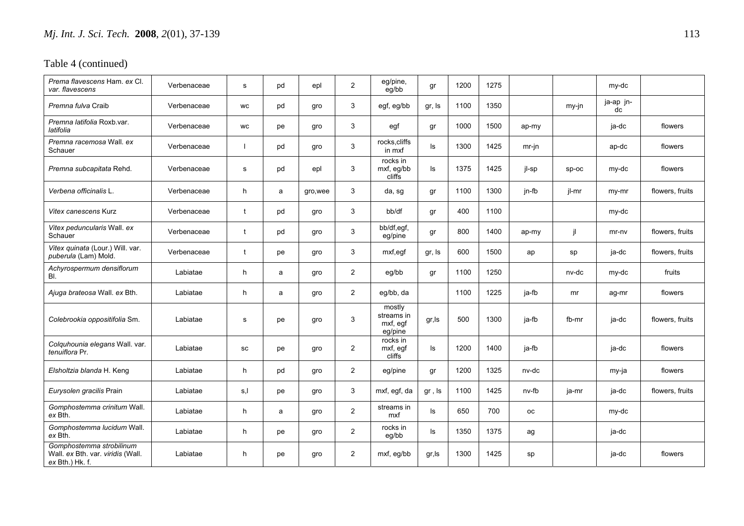| Prema flavescens Ham. ex Cl.<br>var. flavescens                                       | Verbenaceae | s         | pd | epl      | $\overline{2}$ | eg/pine,<br>eg/bb                           | gr     | 1200 | 1275 |           |         | my-dc           |                 |
|---------------------------------------------------------------------------------------|-------------|-----------|----|----------|----------------|---------------------------------------------|--------|------|------|-----------|---------|-----------------|-----------------|
| <i>Premna fulva</i> Craib                                                             | Verbenaceae | <b>WC</b> | pd | gro      | 3              | egf, eg/bb                                  | gr, Is | 1100 | 1350 |           | my-jn   | ja-ap jn-<br>dc |                 |
| Premna latifolia Roxb.var.<br>latifolia                                               | Verbenaceae | WC        | рe | gro      | 3              | egf                                         | gr     | 1000 | 1500 | ap-my     |         | ja-dc           | flowers         |
| <i>Premna racemosa</i> Wall, ex<br>Schauer                                            | Verbenaceae |           | pd | gro      | 3              | rocks, cliffs<br>in mxf                     | ls     | 1300 | 1425 | $mr-in$   |         | ap-dc           | flowers         |
| Premna subcapitata Rehd.                                                              | Verbenaceae | s         | pd | epl      | 3              | rocks in<br>mxf, eg/bb<br>cliffs            | ls     | 1375 | 1425 | jl-sp     | $sp-oc$ | my-dc           | flowers         |
| Verbena officinalis L.                                                                | Verbenaceae | h         | a  | gro, wee | 3              | da, sg                                      | gr     | 1100 | 1300 | jn-fb     | jl-mr   | my-mr           | flowers, fruits |
| Vitex canescens Kurz                                                                  | Verbenaceae | t         | pd | gro      | 3              | bb/df                                       | gr     | 400  | 1100 |           |         | my-dc           |                 |
| Vitex peduncularis Wall. ex<br>Schauer                                                | Verbenaceae | t         | pd | gro      | 3              | bb/df,egf,<br>eg/pine                       | gr     | 800  | 1400 | ap-my     | jl      | mr-nv           | flowers, fruits |
| Vitex quinata (Lour.) Will. var.<br>puberula (Lam) Mold.                              | Verbenaceae | t         | рe | gro      | 3              | mxf,egf                                     | gr, Is | 600  | 1500 | ap        | sp      | ja-dc           | flowers, fruits |
| Achyrospermum densiflorum<br>BI.                                                      | Labiatae    | h.        | a  | gro      | $\overline{2}$ | eg/bb                                       | gr     | 1100 | 1250 |           | nv-dc   | my-dc           | fruits          |
| Ajuga brateosa Wall. ex Bth.                                                          | Labiatae    | h         | a  | gro      | $\overline{2}$ | eg/bb, da                                   |        | 1100 | 1225 | ja-fb     | mr      | ag-mr           | flowers         |
| Colebrookia oppositifolia Sm.                                                         | Labiatae    | s         | pe | gro      | 3              | mostly<br>streams in<br>mxf, egf<br>eg/pine | gr, Is | 500  | 1300 | ja-fb     | fb-mr   | ja-dc           | flowers, fruits |
| Colquhounia elegans Wall. var.<br><i>tenuiflora</i> Pr.                               | Labiatae    | SC        | pe | gro      | $\overline{2}$ | rocks in<br>mxf, egf<br>cliffs              | ls     | 1200 | 1400 | ja-fb     |         | ja-dc           | flowers         |
| Elsholtzia blanda H. Keng                                                             | Labiatae    | h.        | pd | gro      | $\overline{2}$ | eg/pine                                     | gr     | 1200 | 1325 | nv-dc     |         | my-ja           | flowers         |
| Eurysolen gracilis Prain                                                              | Labiatae    | s,l       | рe | gro      | 3              | mxf, egf, da                                | gr, Is | 1100 | 1425 | nv-fb     | ja-mr   | ja-dc           | flowers, fruits |
| Gomphostemma crinitum Wall.<br>ex Bth.                                                | Labiatae    | h         | a  | gro      | $\overline{2}$ | streams in<br>mxf                           | ls     | 650  | 700  | <b>OC</b> |         | my-dc           |                 |
| Gomphostemma lucidum Wall.<br>ex Bth.                                                 | Labiatae    | h         | рe | gro      | $\overline{c}$ | rocks in<br>eg/bb                           | ls     | 1350 | 1375 | ag        |         | ja-dc           |                 |
| Gomphostemma strobilinum<br>Wall. ex Bth. var. viridis (Wall.<br>$ex$ Bth.) Hk. $f$ . | Labiatae    | h         | рe | gro      | $\overline{2}$ | mxf, eg/bb                                  | gr, Is | 1300 | 1425 | sp        |         | ja-dc           | flowers         |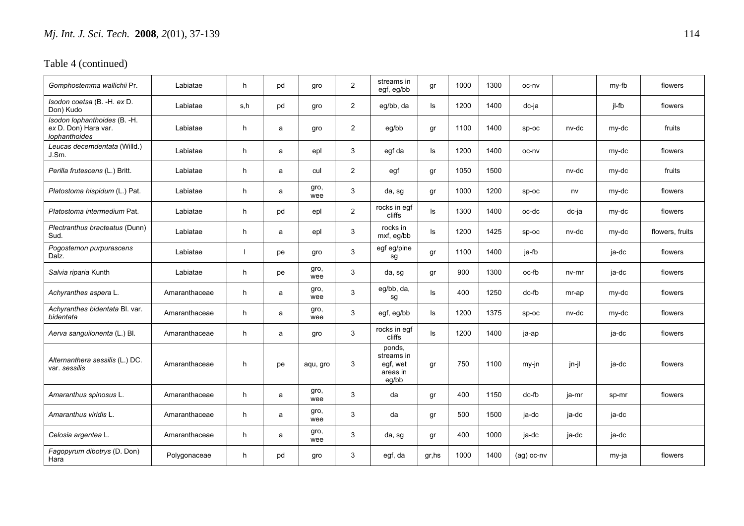| Gomphostemma wallichii Pr.                                            | Labiatae      | h.  | pd | gro         | $\overline{2}$ | streams in<br>egf, eg/bb                              | gr    | 1000 | 1300 | oc-nv        |         | my-fb | flowers         |
|-----------------------------------------------------------------------|---------------|-----|----|-------------|----------------|-------------------------------------------------------|-------|------|------|--------------|---------|-------|-----------------|
| Isodon coetsa (B. -H. ex D.<br>Don) Kudo                              | Labiatae      | s,h | pd | gro         | $\overline{2}$ | eg/bb, da                                             | ls    | 1200 | 1400 | dc-ja        |         | jl-fb | flowers         |
| Isodon lophanthoides (B. -H.<br>ex D. Don) Hara var.<br>lophanthoides | Labiatae      | h   | a  | gro         | $\overline{2}$ | eg/bb                                                 | gr    | 1100 | 1400 | $SD-OC$      | nv-dc   | my-dc | fruits          |
| Leucas decemdentata (Willd.)<br>J.Sm.                                 | Labiatae      | h   | a  | epl         | 3              | egf da                                                | ls    | 1200 | 1400 | oc-nv        |         | my-dc | flowers         |
| Perilla frutescens (L.) Britt.                                        | Labiatae      | h   | a  | cul         | $\overline{2}$ | egf                                                   | gr    | 1050 | 1500 |              | nv-dc   | my-dc | fruits          |
| Platostoma hispidum (L.) Pat.                                         | Labiatae      | h   | a  | gro,<br>wee | 3              | da, sg                                                | gr    | 1000 | 1200 | $SD-OC$      | nv      | my-dc | flowers         |
| Platostoma intermedium Pat.                                           | Labiatae      | h   | pd | epl         | $\overline{2}$ | rocks in egf<br>cliffs                                | ls    | 1300 | 1400 | oc-dc        | dc-ja   | my-dc | flowers         |
| Plectranthus bracteatus (Dunn)<br>Sud.                                | Labiatae      | h   | a  | epl         | 3              | rocks in<br>mxf, eg/bb                                | ls    | 1200 | 1425 | $sp-oc$      | nv-dc   | my-dc | flowers, fruits |
| Pogostemon purpurascens<br>Dalz.                                      | Labiatae      |     | pe | gro         | 3              | egf eg/pine<br>sg                                     | gr    | 1100 | 1400 | ja-fb        |         | ja-dc | flowers         |
| Salvia riparia Kunth                                                  | Labiatae      | h.  | рe | gro,<br>wee | 3              | da, sg                                                | gr    | 900  | 1300 | oc-fb        | $nv-mr$ | ja-dc | flowers         |
| Achyranthes aspera L.                                                 | Amaranthaceae | h.  | a  | gro,<br>wee | 3              | eg/bb, da,<br>sg                                      | ls    | 400  | 1250 | dc-fb        | mr-ap   | my-dc | flowers         |
| Achyranthes bidentata Bl. var.<br>bidentata                           | Amaranthaceae | h.  | a  | gro,<br>wee | 3              | egf, eg/bb                                            | ls    | 1200 | 1375 | $sp-oc$      | nv-dc   | my-dc | flowers         |
| Aerva sanguilonenta (L.) Bl.                                          | Amaranthaceae | h   | a  | gro         | 3              | rocks in eqf<br>cliffs                                | ls    | 1200 | 1400 | ja-ap        |         | ja-dc | flowers         |
| Alternanthera sessilis (L.) DC.<br>var. sessilis                      | Amaranthaceae | h   | pe | aqu, gro    | 3              | ponds,<br>streams in<br>egf, wet<br>areas in<br>eg/bb | gr    | 750  | 1100 | my-jn        | jn-jl   | ja-dc | flowers         |
| Amaranthus spinosus L.                                                | Amaranthaceae | h.  | a  | gro,<br>wee | 3              | da                                                    | gr    | 400  | 1150 | $dc-fb$      | ja-mr   | sp-mr | flowers         |
| Amaranthus viridis L.                                                 | Amaranthaceae | h   | a  | gro,<br>wee | 3              | da                                                    | gr    | 500  | 1500 | ja-dc        | ja-dc   | ja-dc |                 |
| Celosia argentea L.                                                   | Amaranthaceae | h.  | a  | gro,<br>wee | 3              | da, sg                                                | gr    | 400  | 1000 | ja-dc        | ja-dc   | ja-dc |                 |
| Fagopyrum dibotrys (D. Don)<br>Hara                                   | Polygonaceae  | h   | pd | gro         | 3              | egf, da                                               | gr,hs | 1000 | 1400 | $(ag)$ oc-nv |         | my-ja | flowers         |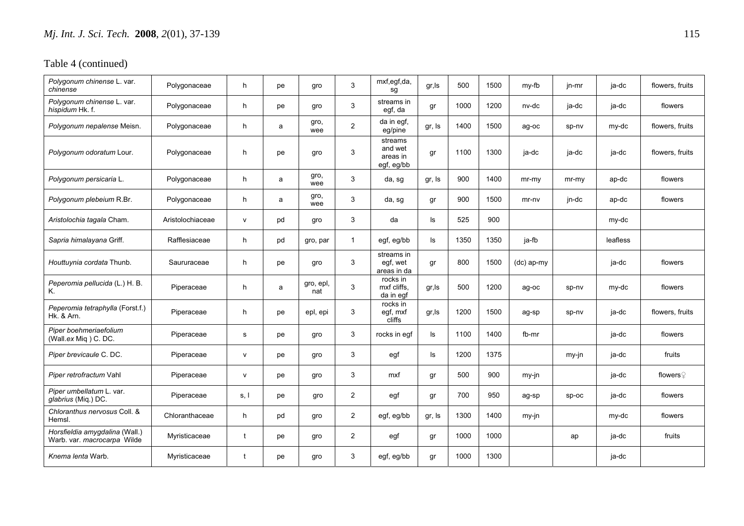| Polygonum chinense L. var.<br>chinense                        | Polygonaceae     | h            | pe | gro              | 3              | mxf,egf,da,<br>sg                            | gr, Is | 500  | 1500 | my-fb        | jn-mr   | ja-dc    | flowers, fruits      |
|---------------------------------------------------------------|------------------|--------------|----|------------------|----------------|----------------------------------------------|--------|------|------|--------------|---------|----------|----------------------|
| Polygonum chinense L. var.<br>hispidum Hk. f.                 | Polygonaceae     | h.           | рe | gro              | 3              | streams in<br>egf, da                        | gr     | 1000 | 1200 | nv-dc        | ja-dc   | ja-dc    | flowers              |
| Polygonum nepalense Meisn.                                    | Polygonaceae     | h            | a  | gro,<br>wee      | $\overline{2}$ | da in egf,<br>eg/pine                        | gr, Is | 1400 | 1500 | ag-oc        | sp-nv   | my-dc    | flowers, fruits      |
| Polygonum odoratum Lour.                                      | Polygonaceae     | h            | pe | gro              | 3              | streams<br>and wet<br>areas in<br>egf, eg/bb | gr     | 1100 | 1300 | ja-dc        | ja-dc   | ja-dc    | flowers, fruits      |
| Polygonum persicaria L.                                       | Polygonaceae     | h            | a  | gro,<br>wee      | 3              | da, sg                                       | gr, Is | 900  | 1400 | $mr-mv$      | $mr-mv$ | ap-dc    | flowers              |
| Polygonum plebeium R.Br.                                      | Polygonaceae     | h            | a  | gro,<br>wee      | 3              | da, sg                                       | gr     | 900  | 1500 | mr-nv        | jn-dc   | ap-dc    | flowers              |
| Aristolochia tagala Cham.                                     | Aristolochiaceae | $\mathsf{v}$ | pd | gro              | 3              | da                                           | ls     | 525  | 900  |              |         | my-dc    |                      |
| Sapria himalayana Griff.                                      | Rafflesiaceae    | h.           | pd | gro, par         | $\mathbf{1}$   | egf, eg/bb                                   | ls.    | 1350 | 1350 | ja-fb        |         | leafless |                      |
| Houttuynia cordata Thunb.                                     | Saururaceae      | h.           | pe | gro              | 3              | streams in<br>egf, wet<br>areas in da        | gr     | 800  | 1500 | $(dc)$ ap-my |         | ja-dc    | flowers              |
| Peperomia pellucida (L.) H. B.<br>Κ.                          | Piperaceae       | h.           | a  | gro, epl,<br>nat | 3              | rocks in<br>mxf cliffs.<br>da in egf         | gr, Is | 500  | 1200 | ag-oc        | sp-nv   | my-dc    | flowers              |
| Peperomia tetraphylla (Forst.f.)<br>Hk. & Arn.                | Piperaceae       | h            | рe | epl, epi         | 3              | rocks in<br>egf, mxf<br>cliffs               | gr, Is | 1200 | 1500 | ag-sp        | sp-nv   | ja-dc    | flowers, fruits      |
| Piper boehmeriaefolium<br>(Wall.ex Miq) C. DC.                | Piperaceae       | s            | рe | qro              | 3              | rocks in eqf                                 | ls.    | 1100 | 1400 | fb-mr        |         | ja-dc    | flowers              |
| Piper brevicaule C. DC.                                       | Piperaceae       | $\mathsf{v}$ | pe | gro              | 3              | egf                                          | ls     | 1200 | 1375 |              | my-jn   | ja-dc    | fruits               |
| Piper retrofractum Vahl                                       | Piperaceae       | $\mathsf{v}$ | pe | gro              | 3              | mxf                                          | gr     | 500  | 900  | my-jn        |         | ja-dc    | flowers $\mathcal Q$ |
| Piper umbellatum L. var.<br>glabrius (Miq.) DC.               | Piperaceae       | s, l         | pe | gro              | $\overline{2}$ | egf                                          | gr     | 700  | 950  | ag-sp        | sp-oc   | ja-dc    | flowers              |
| Chloranthus nervosus Coll. &<br>Hemsl.                        | Chloranthaceae   | h.           | pd | gro              | $\overline{2}$ | egf, eg/bb                                   | gr, Is | 1300 | 1400 | my-jn        |         | my-dc    | flowers              |
| Horsfieldia amygdalina (Wall.)<br>Warb. var. macrocarpa Wilde | Myristicaceae    | t            | рe | gro              | $\overline{2}$ | egf                                          | gr     | 1000 | 1000 |              | ap      | ja-dc    | fruits               |
| Knema lenta Warb.                                             | Myristicaceae    | t            | рe | gro              | 3              | egf, eg/bb                                   | gr     | 1000 | 1300 |              |         | ja-dc    |                      |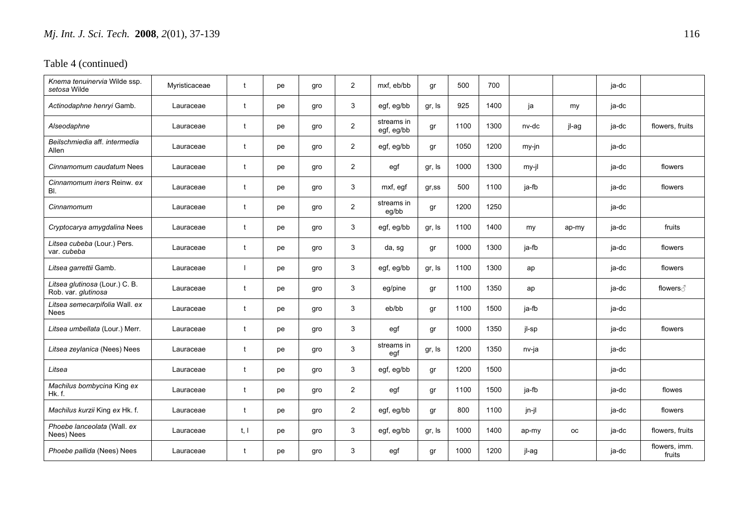| Knema tenuinervia Wilde ssp.<br>setosa Wilde          | Myristicaceae | $\mathbf{t}$ | pe | gro | $\overline{2}$ | mxf, eb/bb               | gr        | 500  | 700  |       |       | ja-dc |                         |
|-------------------------------------------------------|---------------|--------------|----|-----|----------------|--------------------------|-----------|------|------|-------|-------|-------|-------------------------|
| Actinodaphne henryi Gamb.                             | Lauraceae     | t            | pe | gro | 3              | egf, eg/bb               | gr, Is    | 925  | 1400 | ja    | my    | ja-dc |                         |
| Alseodaphne                                           | Lauraceae     | t            | pe | gro | $\overline{2}$ | streams in<br>egf, eg/bb | gr        | 1100 | 1300 | nv-dc | jl-ag | ja-dc | flowers, fruits         |
| Beilschmiedia aff. intermedia<br>Allen                | Lauraceae     | t            | pe | gro | $\overline{2}$ | egf, eg/bb               | gr        | 1050 | 1200 | my-jn |       | ja-dc |                         |
| Cinnamomum caudatum Nees                              | Lauraceae     | t            | pe | gro | $\overline{2}$ | egf                      | gr, Is    | 1000 | 1300 | my-jl |       | ja-dc | flowers                 |
| Cinnamomum iners Reinw. ex<br>BI.                     | Lauraceae     | t            | pe | gro | 3              | mxf, egf                 | $gr$ , ss | 500  | 1100 | ja-fb |       | ja-dc | flowers                 |
| Cinnamomum                                            | Lauraceae     |              | рe | gro | $\overline{2}$ | streams in<br>eg/bb      | gr        | 1200 | 1250 |       |       | ja-dc |                         |
| Cryptocarya amygdalina Nees                           | Lauraceae     |              | рe | gro | 3              | egf, eg/bb               | gr, Is    | 1100 | 1400 | my    | ap-my | ja-dc | fruits                  |
| Litsea cubeba (Lour.) Pers.<br>var. cubeba            | Lauraceae     | t            | pe | gro | 3              | da, sg                   | gr        | 1000 | 1300 | ja-fb |       | ja-dc | flowers                 |
| Litsea garrettii Gamb.                                | Lauraceae     |              | рe | gro | 3              | egf, eg/bb               | gr, Is    | 1100 | 1300 | ap    |       | ja-dc | flowers                 |
| Litsea glutinosa (Lour.) C. B.<br>Rob. var. glutinosa | Lauraceae     | t            | pe | gro | 3              | eg/pine                  | gr        | 1100 | 1350 | ap    |       | ja-dc | flowers ∂               |
| Litsea semecarpifolia Wall. ex<br>Nees                | Lauraceae     | t            | pe | gro | 3              | eb/bb                    | gr        | 1100 | 1500 | ja-fb |       | ja-dc |                         |
| Litsea umbellata (Lour.) Merr.                        | Lauraceae     | t            | pe | gro | 3              | egf                      | gr        | 1000 | 1350 | jl-sp |       | ja-dc | flowers                 |
| Litsea zeylanica (Nees) Nees                          | Lauraceae     | t            | pe | gro | 3              | streams in<br>egf        | gr, Is    | 1200 | 1350 | nv-ja |       | ja-dc |                         |
| Litsea                                                | Lauraceae     | t            | рe | gro | 3              | egf, eg/bb               | gr        | 1200 | 1500 |       |       | ja-dc |                         |
| Machilus bombycina King ex<br>Hk.f.                   | Lauraceae     | t            | pe | gro | $\overline{2}$ | egf                      | gr        | 1100 | 1500 | ja-fb |       | ja-dc | flowes                  |
| Machilus kurzii King ex Hk. f.                        | Lauraceae     | $\mathbf{t}$ | рe | gro | $\overline{2}$ | egf, eg/bb               | gr        | 800  | 1100 | jn-jl |       | ja-dc | flowers                 |
| Phoebe lanceolata (Wall. ex<br>Nees) Nees             | Lauraceae     | t, l         | pe | gro | 3              | egf, eg/bb               | gr, Is    | 1000 | 1400 | ap-my | оc    | ja-dc | flowers, fruits         |
| Phoebe pallida (Nees) Nees                            | Lauraceae     | t            | рe | gro | 3              | egf                      | gr        | 1000 | 1200 | jl-ag |       | ja-dc | flowers, imm.<br>fruits |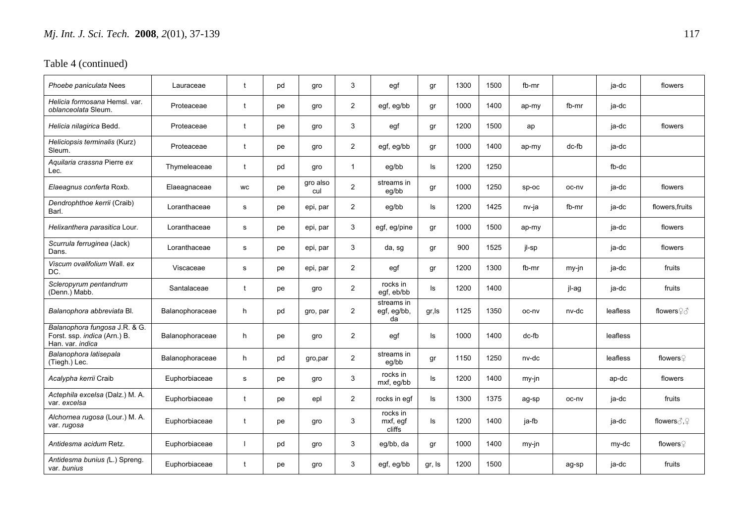| Phoebe paniculata Nees                                                            | Lauraceae       | t                    | pd | gro             | 3              | egf                             | gr     | 1300 | 1500 | fb-mr   |       | ja-dc    | flowers                           |
|-----------------------------------------------------------------------------------|-----------------|----------------------|----|-----------------|----------------|---------------------------------|--------|------|------|---------|-------|----------|-----------------------------------|
| Helicia formosana Hemsl. var.<br>oblanceolata Sleum.                              | Proteaceae      | t                    | pe | qro             | $\overline{2}$ | egf, eg/bb                      | gr     | 1000 | 1400 | ap-my   | fb-mr | ja-dc    |                                   |
| Helicia nilagirica Bedd.                                                          | Proteaceae      |                      | pe | gro             | 3              | egf                             | gr     | 1200 | 1500 | ap      |       | ja-dc    | flowers                           |
| Heliciopsis terminalis (Kurz)<br>Sleum.                                           | Proteaceae      | t                    | pe | gro             | $\overline{2}$ | egf, eg/bb                      | gr     | 1000 | 1400 | ap-my   | dc-fb | ja-dc    |                                   |
| Aquilaria crassna Pierre ex<br>Lec.                                               | Thymeleaceae    | t                    | pd | gro             | $\mathbf{1}$   | eg/bb                           | ls     | 1200 | 1250 |         |       | fb-dc    |                                   |
| Elaeagnus conferta Roxb.                                                          | Elaeagnaceae    | <b>WC</b>            | pe | gro also<br>cul | $\overline{2}$ | streams in<br>eg/bb             | gr     | 1000 | 1250 | $sp-oc$ | oc-nv | ja-dc    | flowers                           |
| Dendrophthoe kerrii (Craib)<br>Barl.                                              | Loranthaceae    | s                    | pe | epi, par        | $\overline{2}$ | eg/bb                           | ls     | 1200 | 1425 | nv-ja   | fb-mr | ja-dc    | flowers.fruits                    |
| Helixanthera parasitica Lour.                                                     | Loranthaceae    | s                    | рe | epi, par        | 3              | egf, eg/pine                    | gr     | 1000 | 1500 | ap-my   |       | ja-dc    | flowers                           |
| Scurrula ferruginea (Jack)<br>Dans.                                               | Loranthaceae    | s                    | pe | epi, par        | 3              | da, sg                          | gr     | 900  | 1525 | jl-sp   |       | ja-dc    | flowers                           |
| Viscum ovalifolium Wall, ex<br>DC.                                                | Viscaceae       | s                    | pe | epi, par        | $\overline{2}$ | egf                             | gr     | 1200 | 1300 | fb-mr   | my-jn | ja-dc    | fruits                            |
| Scleropyrum pentandrum<br>(Denn.) Mabb.                                           | Santalaceae     | $\mathbf{t}$         | pe | gro             | $\overline{2}$ | rocks in<br>egf, eb/bb          | ls.    | 1200 | 1400 |         | jl-ag | ja-dc    | fruits                            |
| Balanophora abbreviata Bl.                                                        | Balanophoraceae | h                    | pd | gro, par        | $\overline{2}$ | streams in<br>egf, eg/bb,<br>da | gr, ls | 1125 | 1350 | oc-ny   | nv-dc | leafless | flowers $\mathcal{Q} \mathcal{Z}$ |
| Balanophora fungosa J.R. & G.<br>Forst. ssp. indica (Arn.) B.<br>Han. var. indica | Balanophoraceae | h                    | pe | gro             | $\overline{2}$ | egf                             | ls     | 1000 | 1400 | dc-fb   |       | leafless |                                   |
| Balanophora latisepala<br>(Tiegh.) Lec.                                           | Balanophoraceae | h                    | pd | gro, par        | $\overline{2}$ | streams in<br>eg/bb             | gr     | 1150 | 1250 | nv-dc   |       | leafless | flowers $\Omega$                  |
| Acalypha kerrii Craib                                                             | Euphorbiaceae   | s                    | pe | gro             | 3              | rocks in<br>mxf, eg/bb          | ls     | 1200 | 1400 | my-jn   |       | ap-dc    | flowers                           |
| Actephila excelsa (Dalz.) M. A.<br>var. excelsa                                   | Euphorbiaceae   | $\ddot{\phantom{1}}$ | pe | epl             | 2              | rocks in eqf                    | ls     | 1300 | 1375 | ag-sp   | oc-nv | ja-dc    | fruits                            |
| Alchornea rugosa (Lour.) M. A.<br>var. rugosa                                     | Euphorbiaceae   | t                    | pe | qro             | 3              | rocks in<br>mxf, egf<br>cliffs  | ls     | 1200 | 1400 | ja-fb   |       | ja-dc    | flowers $\Diamond$ .              |
| Antidesma acidum Retz.                                                            | Euphorbiaceae   | $\mathbf{I}$         | pd | gro             | 3              | eg/bb, da                       | gr     | 1000 | 1400 | my-jn   |       | my-dc    | flowers♀                          |
| Antidesma bunius (L.) Spreng.<br>var. bunius                                      | Euphorbiaceae   | t                    | pe | qro             | 3              | egf, eg/bb                      | gr, Is | 1200 | 1500 |         | ag-sp | ja-dc    | fruits                            |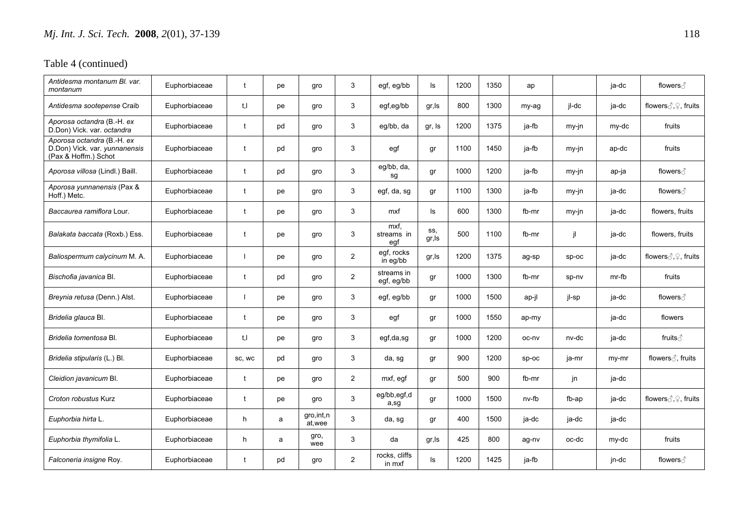| Antidesma montanum Bl. var.<br>montanum                                             | Euphorbiaceae | $\mathbf{f}$ | рe | gro                    | 3              | egf, eg/bb                | ls            | 1200 | 1350 | ap      |       | ja-dc |                                       |
|-------------------------------------------------------------------------------------|---------------|--------------|----|------------------------|----------------|---------------------------|---------------|------|------|---------|-------|-------|---------------------------------------|
| Antidesma sootepense Craib                                                          | Euphorbiaceae | t.I          | pe | gro                    | 3              | egf,eg/bb                 | gr, Is        | 800  | 1300 | my-ag   | jl-dc | ja-dc | flowers 3, 9, fruits                  |
| Aporosa octandra (B.-H. ex<br>D.Don) Vick. var. octandra                            | Euphorbiaceae | $\mathbf t$  | pd | gro                    | 3              | eg/bb, da                 | gr, Is        | 1200 | 1375 | ja-fb   | my-jn | my-dc | fruits                                |
| Aporosa octandra (B.-H. ex<br>D.Don) Vick. var. yunnanensis<br>(Pax & Hoffm.) Schot | Euphorbiaceae | $\mathbf t$  | pd | gro                    | 3              | egf                       | gr            | 1100 | 1450 | ja-fb   | my-jn | ap-dc | fruits                                |
| Aporosa villosa (Lindl.) Baill.                                                     | Euphorbiaceae | t            | pd | gro                    | 3              | eg/bb, da,<br>sg          | gr            | 1000 | 1200 | ja-fb   | my-jn | ар-ја | flowers ∂                             |
| Aporosa yunnanensis (Pax &<br>Hoff.) Metc.                                          | Euphorbiaceae | t            | рe | gro                    | 3              | egf, da, sg               | gr            | 1100 | 1300 | ja-fb   | my-jn | ja-dc | flowers ∂                             |
| Baccaurea ramiflora Lour.                                                           | Euphorbiaceae | $\mathbf t$  | рe | gro                    | 3              | mxf                       | ls            | 600  | 1300 | fb-mr   | my-jn | ja-dc | flowers, fruits                       |
| Balakata baccata (Roxb.) Ess.                                                       | Euphorbiaceae | $\mathbf t$  | рe | gro                    | 3              | mxf.<br>streams in<br>egf | SS,<br>gr, Is | 500  | 1100 | fb-mr   | il.   | ja-dc | flowers, fruits                       |
| Baliospermum calycinum M. A.                                                        | Euphorbiaceae |              | рe | gro                    | $\overline{2}$ | egf, rocks<br>in eg/bb    | gr, Is        | 1200 | 1375 | ag-sp   | sp-oc | ja-dc | flowers $\text{C}, \text{C}$ , fruits |
| Bischofia javanica Bl.                                                              | Euphorbiaceae | t            | pd | gro                    | $\overline{2}$ | streams in<br>egf, eg/bb  | gr            | 1000 | 1300 | fb-mr   | sp-nv | mr-fb | fruits                                |
| Breynia retusa (Denn.) Alst.                                                        | Euphorbiaceae |              | pe | gro                    | 3              | egf, eg/bb                | gr            | 1000 | 1500 | ap-jl   | jl-sp | ja-dc | flowers ∂                             |
| Bridelia glauca Bl.                                                                 | Euphorbiaceae | t            | pe | gro                    | 3              | egf                       | gr            | 1000 | 1550 | ap-my   |       | ja-dc | flowers                               |
| Bridelia tomentosa Bl.                                                              | Euphorbiaceae | t.I          | рe | gro                    | 3              | egf,da,sg                 | gr            | 1000 | 1200 | oc-nv   | nv-dc | ja-dc | fruits ∂                              |
| Bridelia stipularis (L.) Bl.                                                        | Euphorbiaceae | SC, WC       | pd | gro                    | 3              | da, sg                    | gr            | 900  | 1200 | $SD-OC$ | ja-mr | my-mr | flowers ∂, fruits                     |
| Cleidion javanicum Bl.                                                              | Euphorbiaceae | t            | рe | qro                    | $\overline{2}$ | mxf, egf                  | gr            | 500  | 900  | fb-mr   | jn    | ja-dc |                                       |
| Croton robustus Kurz                                                                | Euphorbiaceae | $\mathbf t$  | рe | gro                    | 3              | eg/bb,egf,d<br>a,sg       | gr            | 1000 | 1500 | nv-fb   | fb-ap | ja-dc | flowers 3, 9, fruits                  |
| Euphorbia hirta L.                                                                  | Euphorbiaceae | h            | a  | gro, int, n<br>at, wee | 3              | da, sg                    | gr            | 400  | 1500 | ja-dc   | ja-dc | ja-dc |                                       |
| Euphorbia thymifolia L.                                                             | Euphorbiaceae | h            | a  | gro,<br>wee            | 3              | da                        | gr, Is        | 425  | 800  | ag-nv   | oc-dc | my-dc | fruits                                |
| Falconeria insigne Roy.                                                             | Euphorbiaceae | t            | pd | gro                    | $\overline{2}$ | rocks, cliffs<br>in mxf   | ls            | 1200 | 1425 | ja-fb   |       | jn-dc | flowers ∂                             |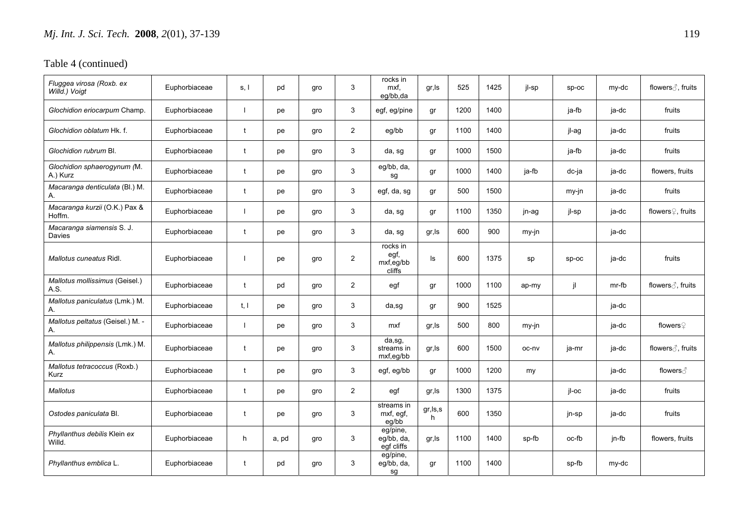| Fluggea virosa (Roxb. ex<br>Willd.) Voigt | Euphorbiaceae | s, l         | pd    | gro | 3              | rocks in<br>mxf,<br>eq/bb.da                     | gr, Is         | 525  | 1425 | il-sp | $sp-oc$ | my-dc | flowers ∂, fruits             |
|-------------------------------------------|---------------|--------------|-------|-----|----------------|--------------------------------------------------|----------------|------|------|-------|---------|-------|-------------------------------|
| Glochidion eriocarpum Champ.              | Euphorbiaceae |              | pe    | gro | 3              | egf, eg/pine                                     | gr             | 1200 | 1400 |       | ja-fb   | ja-dc | fruits                        |
| Glochidion oblatum Hk. f.                 | Euphorbiaceae | t            | pe    | gro | $\overline{2}$ | eg/bb                                            | gr             | 1100 | 1400 |       | jl-ag   | ja-dc | fruits                        |
| Glochidion rubrum Bl.                     | Euphorbiaceae | $\mathbf{t}$ | pe    | gro | 3              | da, sg                                           | gr             | 1000 | 1500 |       | ja-fb   | ja-dc | fruits                        |
| Glochidion sphaerogynum (M.<br>A.) Kurz   | Euphorbiaceae | t            | pe    | gro | 3              | eg/bb, da,<br>sg                                 | gr             | 1000 | 1400 | ja-fb | dc-ja   | ja-dc | flowers, fruits               |
| Macaranga denticulata (Bl.) M.<br>Α.      | Euphorbiaceae | t            | pe    | gro | 3              | egf, da, sg                                      | gr             | 500  | 1500 |       | my-jn   | ja-dc | fruits                        |
| Macaranga kurzii (O.K.) Pax &<br>Hoffm.   | Euphorbiaceae |              | pe    | gro | 3              | da, sg                                           | gr             | 1100 | 1350 | jn-ag | jl-sp   | ja-dc | flowers <sup>2</sup> , fruits |
| Macaranga siamensis S. J.<br>Davies       | Euphorbiaceae | t            | pe    | gro | 3              | da, sg                                           | gr, Is         | 600  | 900  | my-jn |         | ja-dc |                               |
| Mallotus cuneatus Ridl.                   | Euphorbiaceae | -1           | pe    | gro | $\overline{2}$ | rocks in<br>egf,<br>mxf,eg/bb<br>cliffs          | ls             | 600  | 1375 | sp    | sp-oc   | ja-dc | fruits                        |
| Mallotus mollissimus (Geisel.)<br>A.S.    | Euphorbiaceae | t            | pd    | qro | $\overline{2}$ | egf                                              | gr             | 1000 | 1100 | ap-my | jl      | mr-fb | flowers ∂, fruits             |
| Mallotus paniculatus (Lmk.) M.<br>Α.      | Euphorbiaceae | t, l         | pe    | gro | 3              | da,sg                                            | gr             | 900  | 1525 |       |         | ja-dc |                               |
| Mallotus peltatus (Geisel.) M. -<br>Α.    | Euphorbiaceae | -1           | pe    | gro | 3              | mxf                                              | gr, Is         | 500  | 800  | my-jn |         | ja-dc | flowers♀                      |
| Mallotus philippensis (Lmk.) M.<br>А.     | Euphorbiaceae | t            | pe    | gro | 3              | $\overline{da}$ , sg,<br>streams in<br>mxf,eg/bb | gr, ls         | 600  | 1500 | oc-ny | ja-mr   | ja-dc | flowers ∂, fruits             |
| Mallotus tetracoccus (Roxb.)<br>Kurz      | Euphorbiaceae | t            | pe    | gro | 3              | egf, eg/bb                                       | gr             | 1000 | 1200 | my    |         | ja-dc | flowers ∂                     |
| <b>Mallotus</b>                           | Euphorbiaceae | t            | pe    | gro | $\overline{2}$ | egf                                              | gr, Is         | 1300 | 1375 |       | il-oc   | ja-dc | fruits                        |
| Ostodes paniculata Bl.                    | Euphorbiaceae | t            | pe    | qro | 3              | streams in<br>mxf, egf,<br>eg/bb                 | gr, ls, s<br>h | 600  | 1350 |       | jn-sp   | ja-dc | fruits                        |
| Phyllanthus debilis Klein ex<br>Willd.    | Euphorbiaceae | h            | a, pd | gro | 3              | eg/pine,<br>eg/bb, da,<br>egf cliffs             | gr, Is         | 1100 | 1400 | sp-fb | oc-fb   | jn-fb | flowers, fruits               |
| Phyllanthus emblica L.                    | Euphorbiaceae | t            | pd    | gro | 3              | eg/pine,<br>eg/bb, da,<br>sg                     | gr             | 1100 | 1400 |       | sp-fb   | my-dc |                               |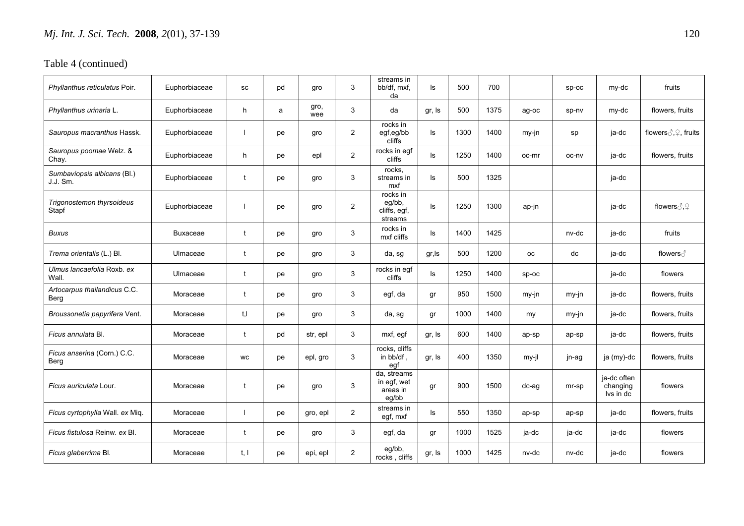| Phyllanthus reticulatus Poir.           | Euphorbiaceae   | SC        | pd | gro         | 3              | streams in<br>bb/df, mxf,<br>da                 | ls     | 500  | 700  |          | $sp-oc$ | my-dc                                | fruits                                   |
|-----------------------------------------|-----------------|-----------|----|-------------|----------------|-------------------------------------------------|--------|------|------|----------|---------|--------------------------------------|------------------------------------------|
| Phyllanthus urinaria L.                 | Euphorbiaceae   | h.        | a  | gro,<br>wee | 3              | da                                              | gr, Is | 500  | 1375 | ag-oc    | sp-nv   | my-dc                                | flowers, fruits                          |
| Sauropus macranthus Hassk.              | Euphorbiaceae   |           | рe | gro         | $\overline{2}$ | rocks in<br>egf,eg/bb<br>cliffs                 | ls     | 1300 | 1400 | my-jn    | sp      | ja-dc                                | flowers $\Diamond$ , $\Diamond$ , fruits |
| Sauropus poomae Welz. &<br>Chav.        | Euphorbiaceae   | h.        | pe | epl         | $\overline{2}$ | rocks in egf<br>cliffs                          | ls     | 1250 | 1400 | oc-mr    | oc-nv   | ja-dc                                | flowers, fruits                          |
| Sumbaviopsis albicans (Bl.)<br>J.J. Sm. | Euphorbiaceae   | t         | рe | gro         | 3              | rocks,<br>streams in<br>mxf                     | ls     | 500  | 1325 |          |         | ja-dc                                |                                          |
| Trigonostemon thyrsoideus<br>Stapf      | Euphorbiaceae   |           | рe | gro         | 2              | rocks in<br>eg/bb,<br>cliffs, egf,<br>streams   | ls     | 1250 | 1300 | ap-jn    |         | ja-dc                                | flowers $\beta$ , $\Omega$               |
| <b>Buxus</b>                            | <b>Buxaceae</b> |           | рe | gro         | 3              | rocks in<br>mxf cliffs                          | ls     | 1400 | 1425 |          | nv-dc   | ja-dc                                | fruits                                   |
| Trema orientalis (L.) Bl.               | Ulmaceae        | t         | рe | gro         | 3              | da, sg                                          | gr, Is | 500  | 1200 | ОC       | dc      | ja-dc                                | flowers ∂                                |
| Ulmus lancaefolia Roxb. ex<br>Wall.     | Ulmaceae        | t         | рe | gro         | 3              | rocks in egf<br>cliffs                          | ls     | 1250 | 1400 | sp-oc    |         | ja-dc                                | flowers                                  |
| Artocarpus thailandicus C.C.<br>Berg    | Moraceae        | t         | рe | gro         | 3              | egf, da                                         | gr     | 950  | 1500 | my-jn    | my-jn   | ja-dc                                | flowers, fruits                          |
| Broussonetia papyrifera Vent.           | Moraceae        | t,I       | рe | gro         | 3              | da, sg                                          | gr     | 1000 | 1400 | my       | my-jn   | ja-dc                                | flowers, fruits                          |
| Ficus annulata Bl.                      | Moraceae        | t         | pd | str, epl    | 3              | mxf, egf                                        | gr, Is | 600  | 1400 | ap-sp    | ap-sp   | ja-dc                                | flowers, fruits                          |
| Ficus anserina (Corn.) C.C.<br>Berg     | Moraceae        | <b>WC</b> | pe | epl, gro    | 3              | rocks, cliffs<br>in bb/df,<br>egf               | gr, Is | 400  | 1350 | my-jl    | jn-ag   | ja (my)-dc                           | flowers, fruits                          |
| <i>Ficus auriculata</i> Lour.           | Moraceae        | t         | рe | gro         | 3              | da, streams<br>in egf, wet<br>areas in<br>eg/bb | gr     | 900  | 1500 | $dc$ -ag | mr-sp   | ja-dc often<br>changing<br>Ivs in dc | flowers                                  |
| Ficus cyrtophylla Wall. ex Miq.         | Moraceae        |           | pe | gro, epl    | $\overline{2}$ | streams in<br>egf, mxf                          | ls     | 550  | 1350 | ap-sp    | ap-sp   | ja-dc                                | flowers, fruits                          |
| Ficus fistulosa Reinw, ex Bl.           | Moraceae        | t         | рe | gro         | 3              | egf, da                                         | gr     | 1000 | 1525 | ja-dc    | ja-dc   | ja-dc                                | flowers                                  |
| Ficus glaberrima Bl.                    | Moraceae        | t, l      | рe | epi, epl    | $\overline{2}$ | eg/bb,<br>rocks, cliffs                         | gr, Is | 1000 | 1425 | nv-dc    | nv-dc   | ja-dc                                | flowers                                  |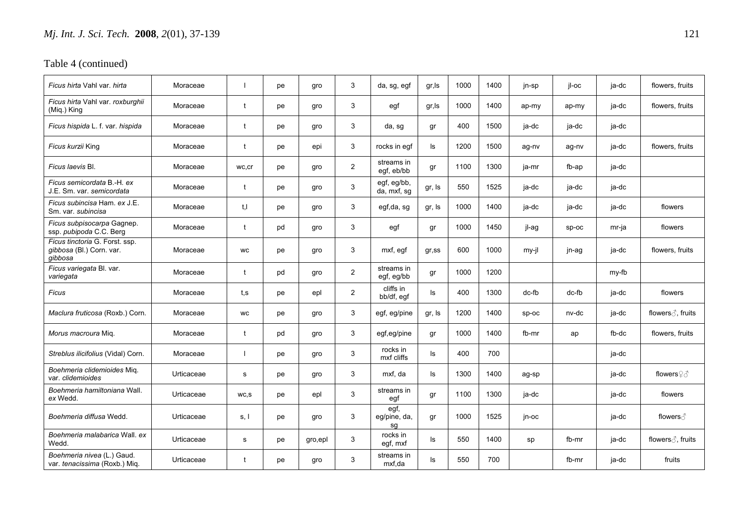| Ficus hirta Vahl var. <i>hirta</i>                                    | Moraceae   |              | рe | gro     | 3              | da, sg, egf                | gr, Is | 1000 | 1400 | jn-sp   | il-oc   | ja-dc | flowers, fruits                   |
|-----------------------------------------------------------------------|------------|--------------|----|---------|----------------|----------------------------|--------|------|------|---------|---------|-------|-----------------------------------|
| Ficus hirta Vahl var. roxburghii<br>(Mig.) King                       | Moraceae   | $\mathbf{f}$ | рe | gro     | 3              | egf                        | gr, Is | 1000 | 1400 | ap-my   | ap-my   | ja-dc | flowers, fruits                   |
| Ficus hispida L. f. var. hispida                                      | Moraceae   | $\mathbf{f}$ | рe | gro     | 3              | da, sg                     | gr     | 400  | 1500 | ja-dc   | ja-dc   | ja-dc |                                   |
| Ficus kurzii King                                                     | Moraceae   |              | pe | epi     | 3              | rocks in egf               | ls     | 1200 | 1500 | ag-nv   | ag-nv   | ja-dc | flowers, fruits                   |
| Ficus Iaevis Bl.                                                      | Moraceae   | wc,cr        | рe | gro     | $\overline{2}$ | streams in<br>egf, eb/bb   | gr     | 1100 | 1300 | ja-mr   | fb-ap   | ja-dc |                                   |
| Ficus semicordata B.-H. ex<br>J.E. Sm. var. semicordata               | Moraceae   | t            | pe | gro     | 3              | egf, eg/bb,<br>da, mxf, sg | gr, Is | 550  | 1525 | ja-dc   | ja-dc   | ja-dc |                                   |
| Ficus subincisa Ham, ex J.E.<br>Sm. var. subincisa                    | Moraceae   | t.I          | рe | qro     | 3              | egf,da, sg                 | gr, Is | 1000 | 1400 | ja-dc   | ja-dc   | ja-dc | flowers                           |
| Ficus subpisocarpa Gagnep.<br>ssp. pubipoda C.C. Berg                 | Moraceae   | $\mathbf t$  | pd | gro     | 3              | egf                        | gr     | 1000 | 1450 | jl-ag   | $sp-oc$ | mr-ja | flowers                           |
| Ficus tinctoria G. Forst. ssp.<br>gibbosa (Bl.) Corn. var.<br>qibbosa | Moraceae   | <b>WC</b>    | рe | gro     | 3              | mxf, egf                   | gr,ss  | 600  | 1000 | my-jl   | jn-ag   | ja-dc | flowers, fruits                   |
| Ficus variegata Bl. var.<br>variegata                                 | Moraceae   |              | pd | qro     | $\overline{2}$ | streams in<br>egf, eg/bb   | gr     | 1000 | 1200 |         |         | my-fb |                                   |
| Ficus                                                                 | Moraceae   | t.s          | рe | epl     | $\overline{2}$ | cliffs in<br>bb/df, egf    | ls     | 400  | 1300 | dc-fb   | dc-fb   | ja-dc | flowers                           |
| Maclura fruticosa (Roxb.) Corn.                                       | Moraceae   | <b>WC</b>    | рe | gro     | 3              | egf, eg/pine               | gr, Is | 1200 | 1400 | $SD-OC$ | nv-dc   | ja-dc | flowers ∂, fruits                 |
| Morus macroura Miq.                                                   | Moraceae   | t            | pd | gro     | 3              | egf,eg/pine                | gr     | 1000 | 1400 | fb-mr   | ap      | fb-dc | flowers, fruits                   |
| Streblus ilicifolius (Vidal) Corn.                                    | Moraceae   |              | pe | gro     | 3              | rocks in<br>mxf cliffs     | ls     | 400  | 700  |         |         | ja-dc |                                   |
| <i>Boehmeria clidemioides M</i> ia.<br>var, clidemioides              | Urticaceae | s            | рe | gro     | 3              | mxf. da                    | ls     | 1300 | 1400 | ag-sp   |         | ja-dc | flowers $\mathcal{Q} \mathcal{S}$ |
| Boehmeria hamiltoniana Wall.<br>ex Wedd.                              | Urticaceae | WC,S         | рe | epl     | 3              | streams in<br>egf          | gr     | 1100 | 1300 | ja-dc   |         | ja-dc | flowers                           |
| Boehmeria diffusa Wedd.                                               | Urticaceae | s, l         | рe | gro     | 3              | egf,<br>eg/pine, da,<br>sg | gr     | 1000 | 1525 | jn-oc   |         | ja-dc | flowers ∂                         |
| Boehmeria malabarica Wall, ex<br>Wedd.                                | Urticaceae | s            | pe | gro,epl | 3              | rocks in<br>egf, mxf       | ls     | 550  | 1400 | sp      | fb-mr   | ja-dc | flowers ∂, fruits                 |
| Boehmeria nivea (L.) Gaud.<br>var. tenacissima (Roxb.) Miq.           | Urticaceae | t            | рe | gro     | 3              | streams in<br>mxf,da       | ls     | 550  | 700  |         | fb-mr   | ja-dc | fruits                            |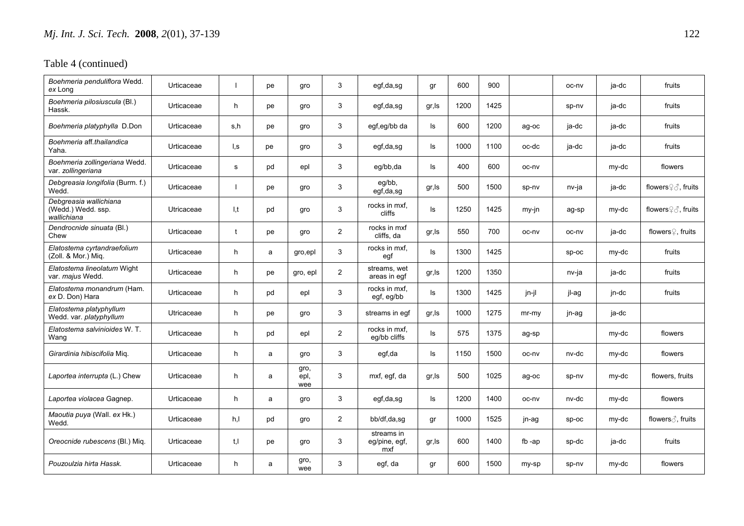| Boehmeria penduliflora Wedd.<br>ex Long                     | Urticaceae |     | pe | gro                 | 3              | egf,da,sg                          | gr     | 600  | 900  |          | oc-nv   | ja-dc | fruits                        |
|-------------------------------------------------------------|------------|-----|----|---------------------|----------------|------------------------------------|--------|------|------|----------|---------|-------|-------------------------------|
| Boehmeria pilosiuscula (Bl.)<br>Hassk.                      | Urticaceae | h   | pe | gro                 | 3              | egf,da,sg                          | gr, Is | 1200 | 1425 |          | sp-nv   | ja-dc | fruits                        |
| Boehmeria platyphylla D.Don                                 | Urticaceae | s,h | pe | gro                 | 3              | egf,eg/bb da                       | ls     | 600  | 1200 | ag-oc    | ja-dc   | ja-dc | fruits                        |
| Boehmeria aff.thailandica<br>Yaha.                          | Urticaceae | l,s | pe | gro                 | 3              | egf,da,sg                          | ls     | 1000 | 1100 | oc-dc    | ja-dc   | ja-dc | fruits                        |
| Boehmeria zollingeriana Wedd.<br>var. zollingeriana         | Urticaceae | s   | pd | epl                 | 3              | eg/bb,da                           | ls     | 400  | 600  | oc-nv    |         | my-dc | flowers                       |
| Debgreasia longifolia (Burm. f.)<br>Wedd.                   | Urticaceae |     | pe | gro                 | 3              | eg/bb,<br>egf,da,sg                | gr, ls | 500  | 1500 | sp-nv    | nv-ja   | ja-dc | flowers♀ 3, fruits            |
| Debgreasia wallichiana<br>(Wedd.) Wedd. ssp.<br>wallichiana | Utricaceae | I,t | pd | gro                 | 3              | rocks in mxf,<br>cliffs            | ls     | 1250 | 1425 | my-jn    | ag-sp   | my-dc | flowers <b>2</b> ∂, fruits    |
| Dendrocnide sinuata (Bl.)<br>Chew                           | Urticaceae | t   | pe | gro                 | $\overline{c}$ | rocks in mxf<br>cliffs, da         | gr, Is | 550  | 700  | oc-nv    | oc-nv   | ja-dc | flowers <sup>2</sup> , fruits |
| Elatostema cyrtandraefolium<br>(Zoll. & Mor.) Mig.          | Urticaceae | h   | a  | gro, epl            | 3              | rocks in mxf.<br>egf               | ls     | 1300 | 1425 |          | SD-OC   | my-dc | fruits                        |
| Elatostema lineolatum Wight<br>var. majus Wedd.             | Urticaceae | h   | pe | gro, epl            | 2              | streams, wet<br>areas in egf       | gr, ls | 1200 | 1350 |          | nv-ja   | ja-dc | fruits                        |
| Elatostema monandrum (Ham.<br>ex D. Don) Hara               | Urticaceae | h   | pd | epl                 | 3              | rocks in mxf,<br>egf, eg/bb        | ls     | 1300 | 1425 | jn-jl    | jl-ag   | jn-dc | fruits                        |
| Elatostema platyphyllum<br>Wedd. var. platyphyllum          | Utricaceae | h   | pe | gro                 | 3              | streams in eqf                     | gr, Is | 1000 | 1275 | $mr-mv$  | jn-ag   | ja-dc |                               |
| Elatostema salvinioides W.T.<br>Wang                        | Urticaceae | h.  | pd | epl                 | $\overline{c}$ | rocks in mxf,<br>eq/bb cliffs      | ls     | 575  | 1375 | ag-sp    |         | my-dc | flowers                       |
| Girardinia hibiscifolia Miq.                                | Urticaceae | h   | a  | gro                 | 3              | egf,da                             | ls     | 1150 | 1500 | oc-nv    | nv-dc   | my-dc | flowers                       |
| Laportea interrupta (L.) Chew                               | Urticaceae | h   | a  | gro,<br>epl,<br>wee | 3              | mxf, egf, da                       | gr, Is | 500  | 1025 | ag-oc    | sp-nv   | my-dc | flowers, fruits               |
| Laportea violacea Gagnep.                                   | Urticaceae | h.  | a  | gro                 | 3              | egf,da,sg                          | ls     | 1200 | 1400 | oc-nv    | nv-dc   | my-dc | flowers                       |
| Maoutia puya (Wall. ex Hk.)<br>Wedd.                        | Urticaceae | h,l | pd | gro                 | 2              | bb/df,da,sg                        | gr     | 1000 | 1525 | jn-ag    | $sp-oc$ | my-dc | flowers $\beta$ , fruits      |
| Oreocnide rubescens (Bl.) Mig.                              | Urticaceae | t.I | pe | gro                 | 3              | streams in<br>eg/pine, egf,<br>mxf | gr, Is | 600  | 1400 | fb $-ap$ | sp-dc   | ja-dc | fruits                        |
| Pouzoulzia hirta Hassk.                                     | Urticaceae | h.  | a  | gro,<br>wee         | 3              | egf, da                            | gr     | 600  | 1500 | my-sp    | sp-nv   | my-dc | flowers                       |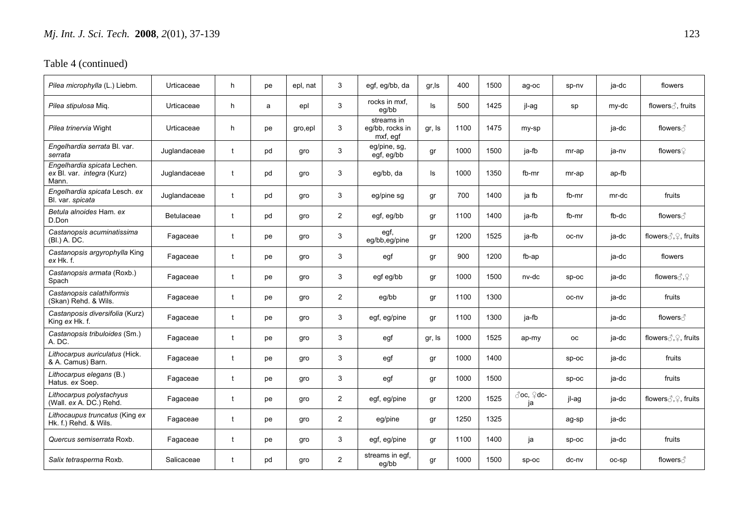| Pilea microphylla (L.) Liebm.                                      | Urticaceae        | h            | pe | epl, nat | 3              | egf, eg/bb, da                            | gr, Is | 400  | 1500 | ag-oc           | sp-nv     | ja-dc | flowers                               |
|--------------------------------------------------------------------|-------------------|--------------|----|----------|----------------|-------------------------------------------|--------|------|------|-----------------|-----------|-------|---------------------------------------|
| Pilea stipulosa Miq.                                               | Urticaceae        | h            | a  | epl      | 3              | rocks in mxf.<br>eg/bb                    | ls.    | 500  | 1425 | jl-ag           | sp        | my-dc | flowers ∂, fruits                     |
| Pilea trinervia Wight                                              | Urticaceae        | h            | pe | gro, epl | 3              | streams in<br>eq/bb, rocks in<br>mxf, egf | gr, Is | 1100 | 1475 | my-sp           |           | ja-dc | flowers ∂                             |
| Engelhardia serrata Bl. var.<br>serrata                            | Juglandaceae      | t            | pd | gro      | 3              | eg/pine, sg,<br>egf, eg/bb                | gr     | 1000 | 1500 | ja-fb           | mr-ap     | ja-nv | flowers♀                              |
| Engelhardia spicata Lechen.<br>ex Bl. var. integra (Kurz)<br>Mann. | Juglandaceae      | t            | pd | gro      | 3              | eg/bb, da                                 | ls     | 1000 | 1350 | fb-mr           | mr-ap     | ap-fb |                                       |
| Engelhardia spicata Lesch. ex<br>Bl. var. spicata                  | Juglandaceae      | $\mathbf{f}$ | pd | gro      | 3              | eg/pine sg                                | gr     | 700  | 1400 | ja fb           | fb-mr     | mr-dc | fruits                                |
| Betula alnoides Ham. ex<br>D.Don                                   | <b>Betulaceae</b> | t            | pd | gro      | $\overline{2}$ | egf, eg/bb                                | gr     | 1100 | 1400 | ja-fb           | fb-mr     | fb-dc | flowers ∂                             |
| Castanopsis acuminatissima<br>(BI.) A. DC.                         | Fagaceae          | t            | pe | qro      | 3              | egf,<br>eg/bb,eg/pine                     | gr     | 1200 | 1525 | ia-fb           | oc-nv     | ja-dc | flowers $\text{C}, \text{C}$ , fruits |
| Castanopsis argyrophylla King<br>ex Hk. f.                         | Fagaceae          |              | pe | gro      | 3              | egf                                       | gr     | 900  | 1200 | fb-ap           |           | ja-dc | flowers                               |
| Castanopsis armata (Roxb.)<br>Spach                                | Fagaceae          | $\mathbf t$  | pe | gro      | 3              | egf eg/bb                                 | gr     | 1000 | 1500 | nv-dc           | $sp-oc$   | ja-dc | flowers $\text{C}, \text{C}$          |
| Castanopsis calathiformis<br>(Skan) Rehd. & Wils.                  | Fagaceae          | t            | pe | gro      | $\overline{2}$ | eg/bb                                     | gr     | 1100 | 1300 |                 | oc-nv     | ja-dc | fruits                                |
| Castanposis diversifolia (Kurz)<br>King ex Hk. f.                  | Fagaceae          | $\mathbf{f}$ | pe | qro      | 3              | egf, eg/pine                              | gr     | 1100 | 1300 | ja-fb           |           | ja-dc | flowers ∂                             |
| Castanopsis tribuloides (Sm.)<br>A.DC.                             | Fagaceae          | $\mathbf{f}$ | pe | gro      | 3              | egf                                       | gr, Is | 1000 | 1525 | ap-my           | <b>OC</b> | ja-dc | flowers 3, 9, fruits                  |
| Lithocarpus auriculatus (Hick.<br>& A. Camus) Barn.                | Fagaceae          | $\mathbf t$  | pe | gro      | 3              | egf                                       | gr     | 1000 | 1400 |                 | $SD-OC$   | ja-dc | fruits                                |
| Lithocarpus elegans (B.)<br>Hatus. ex Soep.                        | Fagaceae          | t            | pe | gro      | 3              | egf                                       | gr     | 1000 | 1500 |                 | $sp-oc$   | ja-dc | fruits                                |
| Lithocarpus polystachyus<br>(Wall. ex A. DC.) Rehd.                | Fagaceae          | $\mathbf{f}$ | pe | qro      | 2              | egf, eg/pine                              | gr     | 1200 | 1525 | ♂oc, ♀dc-<br>ja | jl-ag     | ja-dc | flowers 3, 9, fruits                  |
| Lithocaupus truncatus (King ex<br>Hk. f.) Rehd. & Wils.            | Fagaceae          | t            | pe | gro      | 2              | eg/pine                                   | gr     | 1250 | 1325 |                 | ag-sp     | ja-dc |                                       |
| Quercus semiserrata Roxb.                                          | Fagaceae          | t            | pe | gro      | 3              | egf, eg/pine                              | gr     | 1100 | 1400 | ja              | $SD-OC$   | ja-dc | fruits                                |
| Salix tetrasperma Roxb.                                            | Salicaceae        | t            | pd | gro      | $\overline{2}$ | streams in egf,<br>eg/bb                  | gr     | 1000 | 1500 | $sp-oc$         | dc-nv     | oc-sp | flowers ∂                             |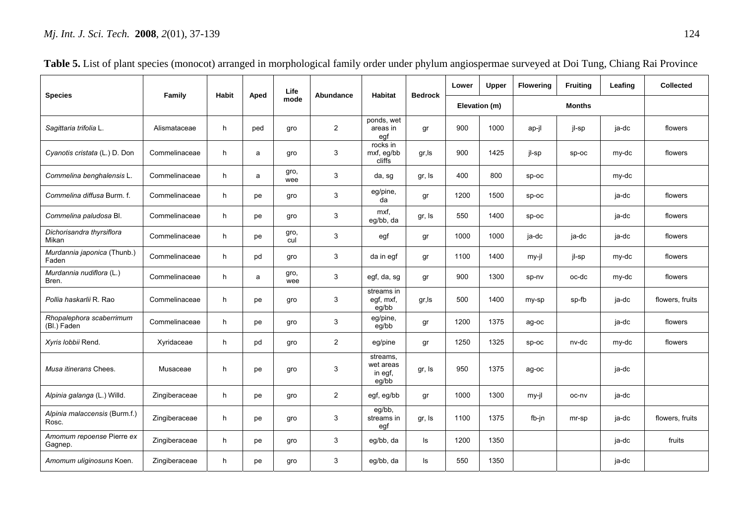|                                         | Family        | <b>Habit</b> | Aped | Life        | Abundance      | <b>Habitat</b>                            | <b>Bedrock</b> | Lower | <b>Upper</b>  | <b>Flowering</b> | <b>Fruiting</b> | Leafing | <b>Collected</b> |
|-----------------------------------------|---------------|--------------|------|-------------|----------------|-------------------------------------------|----------------|-------|---------------|------------------|-----------------|---------|------------------|
| <b>Species</b>                          |               |              |      | mode        |                |                                           |                |       | Elevation (m) |                  | <b>Months</b>   |         |                  |
| Sagittaria trifolia L.                  | Alismataceae  | h            | ped  | gro         | $\overline{2}$ | ponds, wet<br>areas in<br>egf             | gr             | 900   | 1000          | ap-jl            | jl-sp           | ja-dc   | flowers          |
| Cyanotis cristata (L.) D. Don           | Commelinaceae | h            | a    | gro         | 3              | rocks in<br>mxf, eg/bb<br>cliffs          | gr, Is         | 900   | 1425          | jl-sp            | $sp-oc$         | my-dc   | flowers          |
| Commelina benghalensis L.               | Commelinaceae | h            | a    | gro,<br>wee | 3              | da, sg                                    | gr, Is         | 400   | 800           | $sp-oc$          |                 | my-dc   |                  |
| Commelina diffusa Burm, f.              | Commelinaceae | h            | pe   | gro         | 3              | eg/pine,<br>da                            | gr             | 1200  | 1500          | sp-oc            |                 | ja-dc   | flowers          |
| Commelina paludosa Bl.                  | Commelinaceae | h            | pe   | gro         | 3              | mxf,<br>eg/bb, da                         | gr, Is         | 550   | 1400          | $sp-oc$          |                 | ja-dc   | flowers          |
| Dichorisandra thyrsiflora<br>Mikan      | Commelinaceae | h            | pe   | gro,<br>cul | 3              | egf                                       | gr             | 1000  | 1000          | ja-dc            | ja-dc           | ja-dc   | flowers          |
| Murdannia japonica (Thunb.)<br>Faden    | Commelinaceae | h            | pd   | gro         | 3              | da in egf                                 | gr             | 1100  | 1400          | my-jl            | jl-sp           | my-dc   | flowers          |
| Murdannia nudiflora (L.)<br>Bren.       | Commelinaceae | h            | a    | gro,<br>wee | 3              | egf, da, sg                               | gr             | 900   | 1300          | sp-nv            | oc-dc           | my-dc   | flowers          |
| Pollia haskarlii R. Rao                 | Commelinaceae | h            | pe   | gro         | 3              | streams in<br>egf, mxf,<br>eq/bb          | gr, Is         | 500   | 1400          | my-sp            | sp-fb           | ja-dc   | flowers, fruits  |
| Rhopalephora scaberrimum<br>(Bl.) Faden | Commelinaceae | h            | pe   | gro         | 3              | eg/pine,<br>eg/bb                         | gr             | 1200  | 1375          | ag-oc            |                 | ja-dc   | flowers          |
| Xyris lobbii Rend.                      | Xyridaceae    | h            | pd   | gro         | $\overline{2}$ | eg/pine                                   | gr             | 1250  | 1325          | $sp-oc$          | nv-dc           | my-dc   | flowers          |
| Musa itinerans Chees.                   | Musaceae      | h            | pe   | gro         | 3              | streams,<br>wet areas<br>in egf,<br>eg/bb | gr, Is         | 950   | 1375          | ag-oc            |                 | ja-dc   |                  |
| Alpinia galanga (L.) Willd.             | Zingiberaceae | h            | pe   | gro         | $\overline{2}$ | egf, eg/bb                                | gr             | 1000  | 1300          | my-jl            | oc-nv           | ja-dc   |                  |
| Alpinia malaccensis (Burm.f.)<br>Rosc.  | Zingiberaceae | h            | pe   | gro         | 3              | eg/bb,<br>streams in<br>egf               | gr, Is         | 1100  | 1375          | fb-jn            | mr-sp           | ja-dc   | flowers, fruits  |
| Amomum repoense Pierre ex<br>Gagnep.    | Zingiberaceae | h            | pe   | gro         | 3              | eg/bb, da                                 | ls.            | 1200  | 1350          |                  |                 | ja-dc   | fruits           |
| Amomum uliginosuns Koen.                | Zingiberaceae | h            | pe   | qro         | 3              | eq/bb, da                                 | ls.            | 550   | 1350          |                  |                 | ja-dc   |                  |

| Table 5. List of plant species (monocot) arranged in morphological family order under phylum angiospermae surveyed at Doi Tung, Chiang Rai Province |  |  |  |  |  |
|-----------------------------------------------------------------------------------------------------------------------------------------------------|--|--|--|--|--|
|-----------------------------------------------------------------------------------------------------------------------------------------------------|--|--|--|--|--|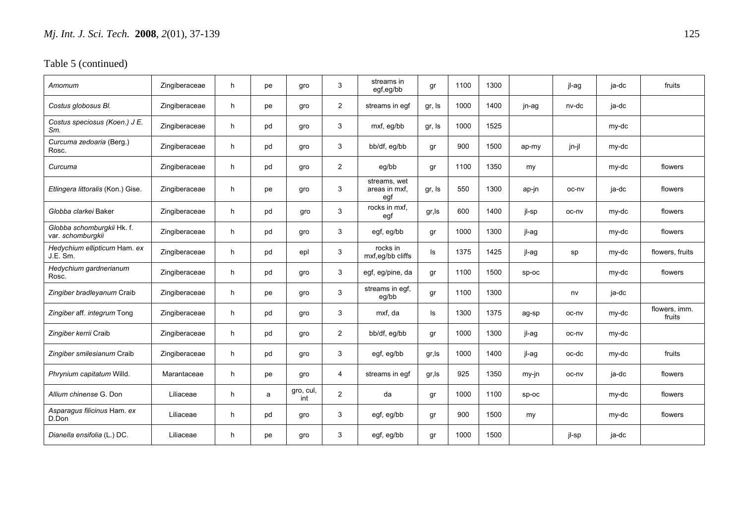| Amomum                                          | Zingiberaceae | h  | pe | gro              | 3              | streams in<br>egf,eg/bb              | gr     | 1100 | 1300 |         | jl-ag | ja-dc | fruits                  |
|-------------------------------------------------|---------------|----|----|------------------|----------------|--------------------------------------|--------|------|------|---------|-------|-------|-------------------------|
| Costus globosus Bl.                             | Zingiberaceae | h  | pe | gro              | $\overline{2}$ | streams in eqf                       | gr, Is | 1000 | 1400 | jn-ag   | nv-dc | ja-dc |                         |
| Costus speciosus (Koen.) J E.<br>Sm.            | Zingiberaceae | h  | pd | gro              | 3              | mxf, eg/bb                           | gr, Is | 1000 | 1525 |         |       | my-dc |                         |
| Curcuma zedoaria (Berg.)<br>Rosc.               | Zingiberaceae | h  | pd | gro              | 3              | bb/df, eg/bb                         | gr     | 900  | 1500 | ap-my   | jn-jl | my-dc |                         |
| Curcuma                                         | Zingiberaceae | h  | pd | gro              | 2              | eg/bb                                | gr     | 1100 | 1350 | my      |       | my-dc | flowers                 |
| Etlingera littoralis (Kon.) Gise.               | Zingiberaceae | h. | pe | gro              | 3              | streams, wet<br>areas in mxf,<br>egf | gr, Is | 550  | 1300 | ap-jn   | oc-nv | ja-dc | flowers                 |
| Globba clarkei Baker                            | Zingiberaceae | h  | pd | gro              | 3              | rocks in mxf,<br>egf                 | gr, Is | 600  | 1400 | jl-sp   | oc-nv | my-dc | flowers                 |
| Globba schomburgkii Hk. f.<br>var. schomburgkii | Zingiberaceae | h  | pd | gro              | 3              | egf, eg/bb                           | gr     | 1000 | 1300 | jl-ag   |       | my-dc | flowers                 |
| Hedychium ellipticum Ham. ex<br>J.E. Sm.        | Zingiberaceae | h  | pd | epl              | 3              | rocks in<br>mxf,eg/bb cliffs         | ls     | 1375 | 1425 | jl-ag   | sp    | my-dc | flowers, fruits         |
| Hedychium gardnerianum<br>Rosc.                 | Zingiberaceae | h  | pd | gro              | 3              | egf, eg/pine, da                     | gr     | 1100 | 1500 | $sp-oc$ |       | my-dc | flowers                 |
| Zingiber bradleyanum Craib                      | Zingiberaceae | h  | pe | gro              | 3              | streams in egf,<br>eg/bb             | gr     | 1100 | 1300 |         | nv    | ja-dc |                         |
| Zingiber aff. integrum Tong                     | Zingiberaceae | h  | pd | gro              | 3              | mxf, da                              | ls     | 1300 | 1375 | ag-sp   | oc-nv | my-dc | flowers, imm.<br>fruits |
| Zingiber kerrii Craib                           | Zingiberaceae | h  | pd | gro              | $\overline{2}$ | bb/df, eg/bb                         | gr     | 1000 | 1300 | jl-ag   | oc-nv | my-dc |                         |
| Zingiber smilesianum Craib                      | Zingiberaceae | h  | pd | gro              | 3              | egf, eg/bb                           | gr, Is | 1000 | 1400 | jl-ag   | oc-dc | my-dc | fruits                  |
| Phrynium capitatum Willd.                       | Marantaceae   | h  | pe | gro              | $\overline{4}$ | streams in egf                       | gr,Is  | 925  | 1350 | my-jn   | oc-nv | ja-dc | flowers                 |
| Allium chinense G. Don                          | Liliaceae     | h  | a  | gro, cul,<br>int | $\overline{2}$ | da                                   | gr     | 1000 | 1100 | $sp-oc$ |       | my-dc | flowers                 |
| Asparagus filicinus Ham. ex<br>D.Don            | Liliaceae     | h. | pd | qro              | 3              | egf, eg/bb                           | gr     | 900  | 1500 | my      |       | my-dc | flowers                 |
| Dianella ensifolia (L.) DC.                     | Liliaceae     | h  | pe | gro              | 3              | egf, eg/bb                           | gr     | 1000 | 1500 |         | jl-sp | ja-dc |                         |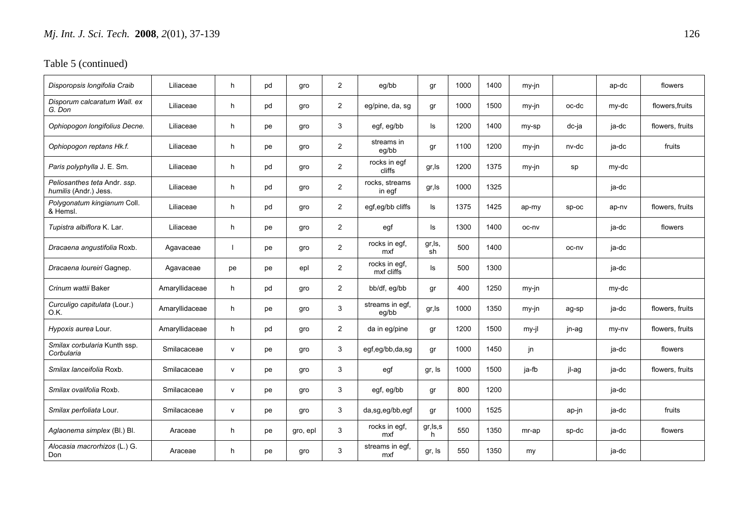| Disporopsis longifolia Craib                          | Liliaceae      | h            | pd | gro      | $\overline{2}$ | eg/bb                       | gr              | 1000 | 1400 | my-jn |       | ap-dc | flowers         |
|-------------------------------------------------------|----------------|--------------|----|----------|----------------|-----------------------------|-----------------|------|------|-------|-------|-------|-----------------|
| Disporum calcaratum Wall, ex<br>G. Don                | Liliaceae      | h            | pd | gro      | $\overline{2}$ | eg/pine, da, sg             | gr              | 1000 | 1500 | my-jn | oc-dc | my-dc | flowers, fruits |
| Ophiopogon longifolius Decne.                         | Liliaceae      | h            | pe | gro      | 3              | egf, eg/bb                  | ls              | 1200 | 1400 | my-sp | dc-ja | ja-dc | flowers, fruits |
| Ophiopogon reptans Hk.f.                              | Liliaceae      | h            | pe | gro      | $\overline{2}$ | streams in<br>eg/bb         | gr              | 1100 | 1200 | my-jn | nv-dc | ja-dc | fruits          |
| Paris polyphylla J. E. Sm.                            | Liliaceae      | h            | pd | gro      | $\overline{2}$ | rocks in egf<br>cliffs      | gr, Is          | 1200 | 1375 | my-jn | sp    | my-dc |                 |
| Peliosanthes teta Andr. ssp.<br>humilis (Andr.) Jess. | Liliaceae      | h            | pd | gro      | $\overline{2}$ | rocks, streams<br>in egf    | gr, Is          | 1000 | 1325 |       |       | ja-dc |                 |
| Polygonatum kingianum Coll.<br>& Hemsl.               | Liliaceae      | h            | pd | gro      | 2              | egf,eg/bb cliffs            | ls              | 1375 | 1425 | ap-my | sp-oc | ap-nv | flowers, fruits |
| Tupistra albiflora K. Lar.                            | Liliaceae      | h            | pe | gro      | $\overline{2}$ | egf                         | ls              | 1300 | 1400 | oc-nv |       | ja-dc | flowers         |
| Dracaena angustifolia Roxb.                           | Agavaceae      |              | pe | gro      | 2              | rocks in egf,<br>mxf        | gr, ls,<br>sh   | 500  | 1400 |       | oc-nv | ja-dc |                 |
| Dracaena loureiri Gagnep.                             | Agavaceae      | pe           | pe | epl      | 2              | rocks in egf,<br>mxf cliffs | ls              | 500  | 1300 |       |       | ja-dc |                 |
| Crinum wattii Baker                                   | Amaryllidaceae | h            | pd | gro      | $\overline{2}$ | bb/df, eg/bb                | gr              | 400  | 1250 | my-jn |       | my-dc |                 |
| Curculigo capitulata (Lour.)<br>0.K.                  | Amaryllidaceae | h            | pe | gro      | 3              | streams in egf,<br>eg/bb    | gr, Is          | 1000 | 1350 | my-jn | ag-sp | ja-dc | flowers, fruits |
| Hypoxis aurea Lour.                                   | Amaryllidaceae | h            | pd | gro      | $\overline{2}$ | da in eg/pine               | gr              | 1200 | 1500 | my-jl | jn-ag | my-ny | flowers, fruits |
| Smilax corbularia Kunth ssp.<br>Corbularia            | Smilacaceae    | $\mathsf{v}$ | pe | gro      | 3              | egf,eg/bb,da,sg             | gr              | 1000 | 1450 | jn.   |       | ja-dc | flowers         |
| Smilax lanceifolia Roxb.                              | Smilacaceae    | $\mathsf{v}$ | pe | gro      | 3              | egf                         | gr, Is          | 1000 | 1500 | ja-fb | jl-ag | ja-dc | flowers, fruits |
| Smilax ovalifolia Roxb.                               | Smilacaceae    | $\mathsf{v}$ | pe | gro      | 3              | egf, eg/bb                  | gr              | 800  | 1200 |       |       | ja-dc |                 |
| Smilax perfoliata Lour.                               | Smilacaceae    | $\mathsf{v}$ | pe | qro      | 3              | da,sg,eg/bb,egf             | gr              | 1000 | 1525 |       | ap-jn | ja-dc | fruits          |
| Aglaonema simplex (Bl.) Bl.                           | Araceae        | h            | pe | gro, epl | 3              | rocks in egf,<br>mxf        | gr, ls, s<br>h. | 550  | 1350 | mr-ap | sp-dc | ja-dc | flowers         |
| Alocasia macrorhizos (L.) G.<br>Don                   | Araceae        | h            | pe | gro      | 3              | streams in egf,<br>mxf      | gr, Is          | 550  | 1350 | my    |       | ja-dc |                 |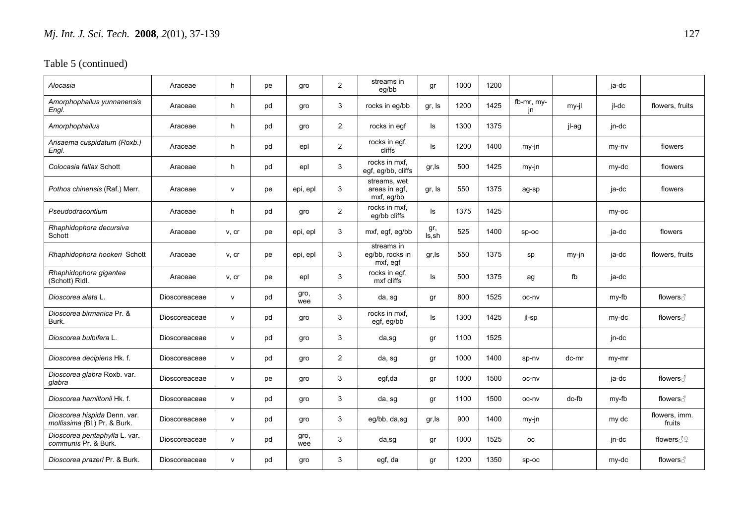| Alocasia                                                     | Araceae       | h            | pe | gro         | 2              | streams in<br>eg/bb                         | gr           | 1000 | 1200 |                  |         | ja-dc |                         |
|--------------------------------------------------------------|---------------|--------------|----|-------------|----------------|---------------------------------------------|--------------|------|------|------------------|---------|-------|-------------------------|
| Amorphophallus yunnanensis<br>Engl.                          | Araceae       | h            | pd | gro         | 3              | rocks in eg/bb                              | gr, Is       | 1200 | 1425 | fb-mr, my-<br>jn | $my-il$ | il-dc | flowers, fruits         |
| Amorphophallus                                               | Araceae       | h            | pd | gro         | $\overline{2}$ | rocks in egf                                | ls           | 1300 | 1375 |                  | jl-ag   | jn-dc |                         |
| Arisaema cuspidatum (Roxb.)<br>Engl.                         | Araceae       | h            | pd | epl         | 2              | rocks in egf,<br>cliffs                     | ls           | 1200 | 1400 | my-jn            |         | my-ny | flowers                 |
| Colocasia fallax Schott                                      | Araceae       | h            | pd | epl         | 3              | rocks in mxf.<br>egf, eg/bb, cliffs         | gr, Is       | 500  | 1425 | $my-in$          |         | my-dc | flowers                 |
| Pothos chinensis (Raf.) Merr.                                | Araceae       | $\mathsf{v}$ | pe | epi, epl    | 3              | streams, wet<br>areas in egf,<br>mxf, eg/bb | gr, Is       | 550  | 1375 | ag-sp            |         | ja-dc | flowers                 |
| Pseudodracontium                                             | Araceae       | h            | pd | gro         | $\overline{2}$ | rocks in mxf,<br>eg/bb cliffs               | ls           | 1375 | 1425 |                  |         | my-oc |                         |
| Rhaphidophora decursiva<br>Schott                            | Araceae       | v, cr        | pe | epi, epl    | 3              | mxf, egf, eg/bb                             | gr,<br>Is.sh | 525  | 1400 | $SD-OC$          |         | ja-dc | flowers                 |
| Rhaphidophora hookeri Schott                                 | Araceae       | v, cr        | pe | epi, epl    | 3              | streams in<br>eq/bb, rocks in<br>mxf, egf   | gr, Is       | 550  | 1375 | sp               | my-jn   | ja-dc | flowers, fruits         |
| Rhaphidophora gigantea<br>(Schott) Ridl.                     | Araceae       | v, cr        | pe | epl         | 3              | rocks in egf,<br>mxf cliffs                 | ls           | 500  | 1375 | ag               | fb      | ja-dc |                         |
| Dioscorea alata L.                                           | Dioscoreaceae | $\mathsf{v}$ | pd | gro,<br>wee | 3              | da, sg                                      | gr           | 800  | 1525 | oc-nv            |         | my-fb | flowers ∂               |
| Dioscorea birmanica Pr. &<br>Burk.                           | Dioscoreaceae | $\mathsf{v}$ | pd | gro         | 3              | rocks in mxf,<br>egf, eg/bb                 | ls           | 1300 | 1425 | jl-sp            |         | my-dc | flowers ∂               |
| Dioscorea bulbifera L.                                       | Dioscoreaceae | $\mathsf{v}$ | pd | gro         | 3              | da,sg                                       | gr           | 1100 | 1525 |                  |         | jn-dc |                         |
| Dioscorea decipiens Hk. f.                                   | Dioscoreaceae | $\mathsf{v}$ | pd | gro         | $\overline{2}$ | da, sg                                      | gr           | 1000 | 1400 | sp-nv            | dc-mr   | my-mr |                         |
| Dioscorea glabra Roxb. var.<br>glabra                        | Dioscoreaceae | $\mathsf{v}$ | pe | gro         | 3              | egf,da                                      | gr           | 1000 | 1500 | oc-nv            |         | ja-dc | flowers ∂               |
| Dioscorea hamiltonii Hk. f.                                  | Dioscoreaceae | $\mathsf{v}$ | pd | gro         | 3              | da, sg                                      | gr           | 1100 | 1500 | oc-nv            | dc-fb   | my-fb |                         |
| Dioscorea hispida Denn. var.<br>mollissima (Bl.) Pr. & Burk. | Dioscoreaceae | $\mathsf{v}$ | pd | gro         | 3              | eg/bb, da,sg                                | gr, Is       | 900  | 1400 | my-in            |         | my dc | flowers, imm.<br>fruits |
| Dioscorea pentaphylla L. var.<br>communis Pr. & Burk.        | Dioscoreaceae | $\mathsf{v}$ | pd | gro,<br>wee | 3              | da,sg                                       | gr           | 1000 | 1525 | <b>OC</b>        |         | jn-dc | flowers $\Im$ $\Im$     |
| Dioscorea prazeri Pr. & Burk.                                | Dioscoreaceae | $\mathsf{v}$ | pd | gro         | 3              | egf, da                                     | gr           | 1200 | 1350 | $sp-oc$          |         | my-dc | flowers ∂               |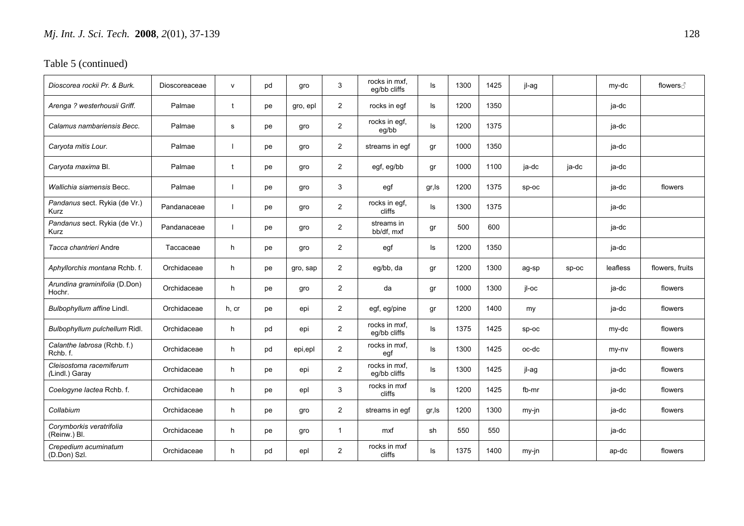| Dioscorea rockii Pr. & Burk.                 | Dioscoreaceae | $\mathsf{v}$ | pd | gro      | 3              | rocks in mxf,<br>eq/bb cliffs | ls     | 1300 | 1425 | jl-ag   |         | my-dc    | flowers ∂       |
|----------------------------------------------|---------------|--------------|----|----------|----------------|-------------------------------|--------|------|------|---------|---------|----------|-----------------|
| Arenga ? westerhousii Griff.                 | Palmae        | $\mathbf t$  | pe | gro, epl | $\overline{2}$ | rocks in egf                  | ls     | 1200 | 1350 |         |         | ja-dc    |                 |
| Calamus nambariensis Becc.                   | Palmae        | s            | pe | gro      | $\overline{2}$ | rocks in egf,<br>eg/bb        | ls     | 1200 | 1375 |         |         | ja-dc    |                 |
| Caryota mitis Lour.                          | Palmae        | ı            | pe | gro      | $\overline{2}$ | streams in eqf                | gr     | 1000 | 1350 |         |         | ja-dc    |                 |
| Caryota maxima Bl.                           | Palmae        | t            | pe | gro      | 2              | egf, eg/bb                    | gr     | 1000 | 1100 | ja-dc   | ja-dc   | ja-dc    |                 |
| Wallichia siamensis Becc.                    | Palmae        |              | pe | gro      | 3              | egf                           | gr, Is | 1200 | 1375 | $sp-oc$ |         | ja-dc    | flowers         |
| Pandanus sect. Rykia (de Vr.)<br><b>Kurz</b> | Pandanaceae   |              | pe | gro      | 2              | rocks in egf,<br>cliffs       | ls     | 1300 | 1375 |         |         | ja-dc    |                 |
| Pandanus sect. Rykia (de Vr.)<br>Kurz        | Pandanaceae   |              | pe | gro      | 2              | streams in<br>bb/df, mxf      | gr     | 500  | 600  |         |         | ja-dc    |                 |
| Tacca chantrieri Andre                       | Taccaceae     | h.           | pe | gro      | $\overline{2}$ | egf                           | ls     | 1200 | 1350 |         |         | ja-dc    |                 |
| Aphyllorchis montana Rchb. f.                | Orchidaceae   | h            | pe | gro, sap | $\overline{2}$ | eg/bb, da                     | gr     | 1200 | 1300 | ag-sp   | $sp-oc$ | leafless | flowers, fruits |
| Arundina graminifolia (D.Don)<br>Hochr.      | Orchidaceae   | h.           | pe | gro      | $\overline{2}$ | da                            | gr     | 1000 | 1300 | il-oc   |         | ja-dc    | flowers         |
| Bulbophyllum affine Lindl.                   | Orchidaceae   | h, cr        | pe | epi      | $\overline{2}$ | egf, eg/pine                  | gr     | 1200 | 1400 | my      |         | ja-dc    | flowers         |
| Bulbophyllum pulchellum Ridl.                | Orchidaceae   | h            | pd | epi      | 2              | rocks in mxf,<br>eg/bb cliffs | ls     | 1375 | 1425 | $sp-oc$ |         | my-dc    | flowers         |
| Calanthe labrosa (Rchb. f.)<br>Rchb. f.      | Orchidaceae   | h            | pd | epi,epl  | $\overline{2}$ | rocks in mxf,<br>egf          | ls     | 1300 | 1425 | oc-dc   |         | my-ny    | flowers         |
| Cleisostoma racemiferum<br>(Lindl.) Garay    | Orchidaceae   | h            | pe | epi      | $\overline{2}$ | rocks in mxf.<br>eg/bb cliffs | ls     | 1300 | 1425 | il-ag   |         | ja-dc    | flowers         |
| Coelogyne lactea Rchb. f.                    | Orchidaceae   | h            | pe | epl      | 3              | rocks in mxf<br>cliffs        | ls     | 1200 | 1425 | fb-mr   |         | ja-dc    | flowers         |
| Collabium                                    | Orchidaceae   | h            | pe | gro      | $\overline{2}$ | streams in egf                | gr, Is | 1200 | 1300 | my-jn   |         | ja-dc    | flowers         |
| Corymborkis veratrifolia<br>(Reinw.) Bl.     | Orchidaceae   | h            | pe | gro      | $\mathbf{1}$   | mxf                           | sh     | 550  | 550  |         |         | ja-dc    |                 |
| Crepedium acuminatum<br>(D.Don) Szl.         | Orchidaceae   | h.           | pd | epl      | $\overline{2}$ | rocks in mxf<br>cliffs        | ls     | 1375 | 1400 | my-jn   |         | ap-dc    | flowers         |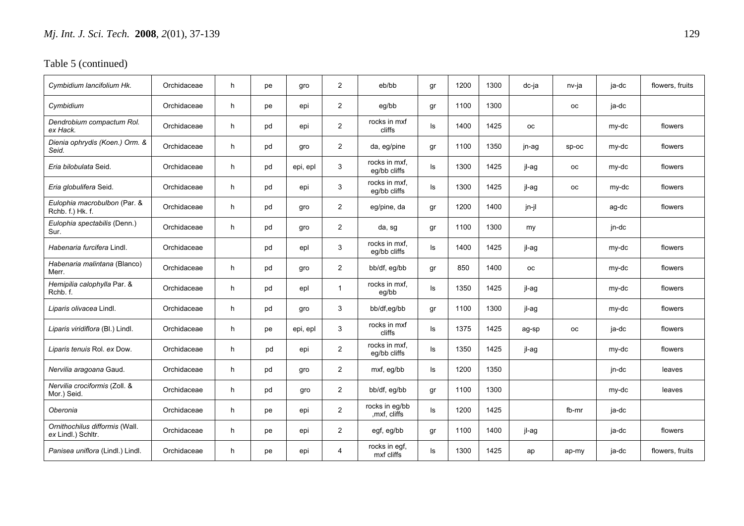| Cymbidium Iancifolium Hk.                            | Orchidaceae | h | pe | gro      | 2              | eb/bb                           | gr  | 1200 | 1300 | dc-ja     | nv-ja     | ja-dc | flowers, fruits |
|------------------------------------------------------|-------------|---|----|----------|----------------|---------------------------------|-----|------|------|-----------|-----------|-------|-----------------|
| Cymbidium                                            | Orchidaceae | h | pe | epi      | $\overline{2}$ | eg/bb                           | gr  | 1100 | 1300 |           | <b>OC</b> | ja-dc |                 |
| Dendrobium compactum Rol.<br>ex Hack.                | Orchidaceae | h | pd | epi      | $\overline{2}$ | rocks in mxf<br>cliffs          | ls. | 1400 | 1425 | <b>OC</b> |           | my-dc | flowers         |
| Dienia ophrydis (Koen.) Orm. &<br>Seid.              | Orchidaceae | h | pd | gro      | $\overline{2}$ | da, eg/pine                     | gr  | 1100 | 1350 | jn-ag     | $sp-oc$   | my-dc | flowers         |
| Eria bilobulata Seid.                                | Orchidaceae | h | pd | epi, epl | 3              | rocks in mxf,<br>eg/bb cliffs   | ls. | 1300 | 1425 | jl-ag     | <b>OC</b> | my-dc | flowers         |
| Eria globulifera Seid.                               | Orchidaceae | h | pd | epi      | 3              | rocks in mxf,<br>eg/bb cliffs   | ls  | 1300 | 1425 | jl-ag     | <b>OC</b> | my-dc | flowers         |
| Eulophia macrobulbon (Par. &<br>Rchb. f.) Hk. f.     | Orchidaceae | h | pd | gro      | 2              | eg/pine, da                     | gr  | 1200 | 1400 | jn-jl     |           | ag-dc | flowers         |
| Eulophia spectabilis (Denn.)<br>Sur.                 | Orchidaceae | h | pd | gro      | $\overline{2}$ | da, sq                          | qr  | 1100 | 1300 | my        |           | jn-dc |                 |
| Habenaria furcifera Lindl.                           | Orchidaceae |   | pd | epl      | 3              | rocks in mxf,<br>eg/bb cliffs   | ls  | 1400 | 1425 | jl-ag     |           | my-dc | flowers         |
| Habenaria malintana (Blanco)<br>Merr.                | Orchidaceae | h | pd | gro      | $\overline{2}$ | bb/df, eg/bb                    | gr  | 850  | 1400 | <b>OC</b> |           | my-dc | flowers         |
| Hemipilia calophylla Par. &<br>Rchb. f.              | Orchidaceae | h | pd | epl      | $\mathbf{1}$   | rocks in mxf.<br>eg/bb          | ls. | 1350 | 1425 | jl-ag     |           | my-dc | flowers         |
| Liparis olivacea Lindl.                              | Orchidaceae | h | pd | gro      | 3              | bb/df,eg/bb                     | gr  | 1100 | 1300 | jl-ag     |           | my-dc | flowers         |
| Liparis viridiflora (Bl.) Lindl.                     | Orchidaceae | h | pe | epi, epl | 3              | rocks in mxf<br>cliffs          | ls  | 1375 | 1425 | ag-sp     | <b>OC</b> | ja-dc | flowers         |
| Liparis tenuis Rol. ex Dow.                          | Orchidaceae | h | pd | epi      | $\overline{2}$ | rocks in mxf.<br>eg/bb cliffs   | ls  | 1350 | 1425 | jl-ag     |           | my-dc | flowers         |
| Nervilia aragoana Gaud.                              | Orchidaceae | h | pd | gro      | $\overline{2}$ | mxf, eg/bb                      | ls. | 1200 | 1350 |           |           | jn-dc | leaves          |
| Nervilia crociformis (Zoll. &<br>Mor.) Seid.         | Orchidaceae | h | pd | gro      | $\overline{2}$ | bb/df, eg/bb                    | gr  | 1100 | 1300 |           |           | my-dc | leaves          |
| Oberonia                                             | Orchidaceae | h | рe | epi      | $\overline{2}$ | rocks in eg/bb<br>, mxf, cliffs | ls  | 1200 | 1425 |           | fb-mr     | ja-dc |                 |
| Ornithochilus difformis (Wall.<br>ex Lindl.) Schltr. | Orchidaceae | h | pe | epi      | 2              | egf, eg/bb                      | gr  | 1100 | 1400 | jl-ag     |           | ja-dc | flowers         |
| Panisea uniflora (Lindl.) Lindl.                     | Orchidaceae | h | pe | epi      | $\overline{4}$ | rocks in egf,<br>mxf cliffs     | ls. | 1300 | 1425 | ap        | ap-my     | ja-dc | flowers, fruits |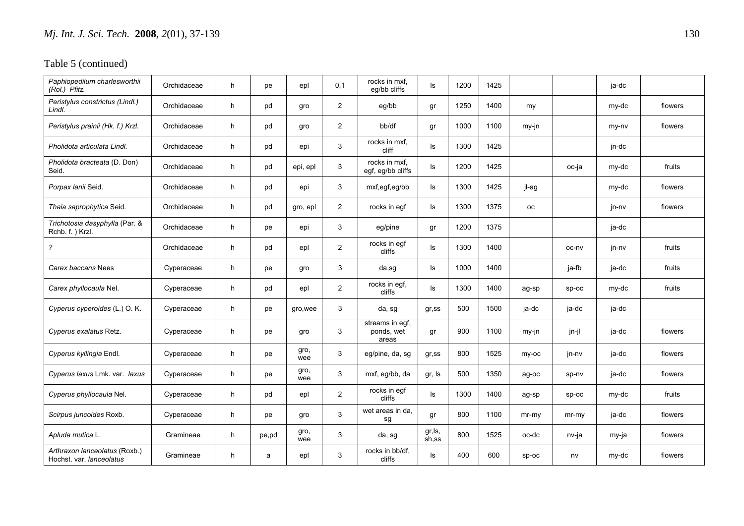| Paphiopedilum charlesworthii<br>(Rol.) Pfitz.             | Orchidaceae | h | pe    | epl         | 0,1            | rocks in mxf,<br>eq/bb cliffs          | ls               | 1200 | 1425 |         |         | ja-dc |         |
|-----------------------------------------------------------|-------------|---|-------|-------------|----------------|----------------------------------------|------------------|------|------|---------|---------|-------|---------|
| Peristylus constrictus (Lindl.)<br>Lindl.                 | Orchidaceae | h | pd    | gro         | 2              | eg/bb                                  | gr               | 1250 | 1400 | my      |         | my-dc | flowers |
| Peristylus prainii (Hk. f.) Krzl.                         | Orchidaceae | h | pd    | gro         | 2              | bb/df                                  | gr               | 1000 | 1100 | my-jn   |         | my-ny | flowers |
| Pholidota articulata Lindl.                               | Orchidaceae | h | pd    | epi         | 3              | rocks in mxf,<br>cliff                 | ls.              | 1300 | 1425 |         |         | jn-dc |         |
| Pholidota bracteata (D. Don)<br>Seid.                     | Orchidaceae | h | pd    | epi, epl    | 3              | rocks in mxf,<br>egf, eg/bb cliffs     | ls.              | 1200 | 1425 |         | oc-ja   | my-dc | fruits  |
| Porpax lanii Seid.                                        | Orchidaceae | h | pd    | epi         | 3              | mxf,egf,eg/bb                          | ls.              | 1300 | 1425 | il-ag   |         | my-dc | flowers |
| Thaia saprophytica Seid.                                  | Orchidaceae | h | pd    | gro, epl    | $\overline{2}$ | rocks in egf                           | ls               | 1300 | 1375 | оc      |         | jn-nv | flowers |
| Trichotosia dasyphylla (Par. &<br>Rchb. f.) Krzl.         | Orchidaceae | h | pe    | epi         | 3              | eg/pine                                | gr               | 1200 | 1375 |         |         | ja-dc |         |
| $\overline{\mathcal{E}}$                                  | Orchidaceae | h | pd    | epl         | $\overline{2}$ | rocks in egf<br>cliffs                 | ls               | 1300 | 1400 |         | oc-nv   | jn-nv | fruits  |
| Carex baccans Nees                                        | Cyperaceae  | h | pe    | gro         | 3              | da,sg                                  | ls               | 1000 | 1400 |         | ja-fb   | ja-dc | fruits  |
| Carex phyllocaula Nel.                                    | Cyperaceae  | h | pd    | epl         | $\overline{2}$ | rocks in egf,<br>cliffs                | ls               | 1300 | 1400 | ag-sp   | sp-oc   | my-dc | fruits  |
| Cyperus cyperoides (L.) O. K.                             | Cyperaceae  | h | pe    | gro, wee    | 3              | da, sg                                 | $gr$ , ss        | 500  | 1500 | ja-dc   | ja-dc   | ja-dc |         |
| Cyperus exalatus Retz.                                    | Cyperaceae  | h | pe    | qro         | 3              | streams in egf,<br>ponds, wet<br>areas | gr               | 900  | 1100 | my-in   | jn-jl   | ja-dc | flowers |
| Cyperus kyllingia Endl.                                   | Cyperaceae  | h | pe    | gro,<br>wee | 3              | eg/pine, da, sg                        | gr,ss            | 800  | 1525 | my-oc   | jn-nv   | ja-dc | flowers |
| Cyperus laxus Lmk. var. laxus                             | Cyperaceae  | h | pe    | gro,<br>wee | 3              | mxf, eg/bb, da                         | gr, Is           | 500  | 1350 | ag-oc   | sp-nv   | ja-dc | flowers |
| Cyperus phyllocaula Nel.                                  | Cyperaceae  | h | pd    | epl         | $\overline{2}$ | rocks in egf<br>cliffs                 | ls.              | 1300 | 1400 | ag-sp   | $SD-OC$ | my-dc | fruits  |
| Scirpus juncoides Roxb.                                   | Cyperaceae  | h | pe    | gro         | 3              | wet areas in da.<br>sg                 | gr               | 800  | 1100 | mr-my   | $mr-my$ | ja-dc | flowers |
| Apluda mutica L.                                          | Gramineae   | h | pe,pd | gro,<br>wee | 3              | da, sg                                 | gr, ls,<br>sh,ss | 800  | 1525 | oc-dc   | nv-ja   | my-ja | flowers |
| Arthraxon lanceolatus (Roxb.)<br>Hochst, var, lanceolatus | Gramineae   | h | a     | epl         | 3              | rocks in bb/df,<br>cliffs              | ls.              | 400  | 600  | $sp-oc$ | nv      | my-dc | flowers |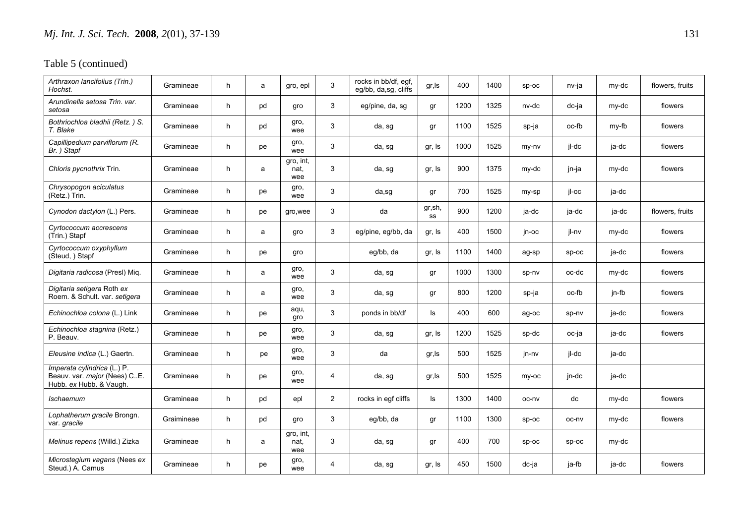| Arthraxon lancifolius (Trin.)<br>Hochst.                                               | Gramineae  | h | a  | gro, epl                 | 3              | rocks in bb/df, egf,<br>eg/bb, da,sg, cliffs | gr,ls         | 400  | 1400 | $SD-OC$ | nv-ja   | my-dc | flowers, fruits |
|----------------------------------------------------------------------------------------|------------|---|----|--------------------------|----------------|----------------------------------------------|---------------|------|------|---------|---------|-------|-----------------|
| Arundinella setosa Trin, var.<br>setosa                                                | Gramineae  | h | pd | gro                      | 3              | eg/pine, da, sg                              | gr            | 1200 | 1325 | nv-dc   | dc-ja   | my-dc | flowers         |
| Bothriochloa bladhii (Retz.) S.<br>T. Blake                                            | Gramineae  | h | pd | gro,<br>wee              | 3              | da, sg                                       | gr            | 1100 | 1525 | sp-ja   | oc-fb   | my-fb | flowers         |
| Capillipedium parviflorum (R.<br>Br. ) Stapf                                           | Gramineae  | h | pe | gro,<br>wee              | 3              | da, sg                                       | gr, Is        | 1000 | 1525 | my-ny   | jl-dc   | ja-dc | flowers         |
| Chloris pycnothrix Trin.                                                               | Gramineae  | h | a  | gro, int,<br>nat.<br>wee | 3              | da, sg                                       | gr, Is        | 900  | 1375 | my-dc   | jn-ja   | my-dc | flowers         |
| Chrysopogon aciculatus<br>(Retz.) Trin.                                                | Gramineae  | h | рe | gro,<br>wee              | 3              | da,sg                                        | gr            | 700  | 1525 | my-sp   | jl-oc   | ja-dc |                 |
| Cynodon dactylon (L.) Pers.                                                            | Gramineae  | h | pe | gro, wee                 | 3              | da                                           | gr, sh,<br>SS | 900  | 1200 | ja-dc   | ja-dc   | ja-dc | flowers, fruits |
| Cyrtococcum accrescens<br>(Trin.) Stapf                                                | Gramineae  | h | a  | gro                      | 3              | eg/pine, eg/bb, da                           | gr, Is        | 400  | 1500 | jn-oc   | jl-nv   | my-dc | flowers         |
| Cyrtococcum oxyphyllum<br>(Steud, ) Stapf                                              | Gramineae  | h | рe | gro                      |                | eg/bb, da                                    | gr, Is        | 1100 | 1400 | ag-sp   | $sp-oc$ | ja-dc | flowers         |
| Digitaria radicosa (Presl) Miq.                                                        | Gramineae  | h | a  | gro,<br>wee              | 3              | da, sg                                       | gr            | 1000 | 1300 | sp-nv   | oc-dc   | my-dc | flowers         |
| Digitaria setigera Roth ex<br>Roem. & Schult. var. setigera                            | Gramineae  | h | a  | gro,<br>wee              | 3              | da, sg                                       | gr            | 800  | 1200 | sp-ja   | oc-fb   | jn-fb | flowers         |
| Echinochloa colona (L.) Link                                                           | Gramineae  | h | рe | aqu,<br>gro              | 3              | ponds in bb/df                               | ls            | 400  | 600  | ag-oc   | sp-nv   | ja-dc | flowers         |
| Echinochloa stagnina (Retz.)<br>P. Beauv.                                              | Gramineae  | h | рe | gro,<br>wee              | 3              | da, sg                                       | gr, Is        | 1200 | 1525 | sp-dc   | oc-ja   | ja-dc | flowers         |
| Eleusine indica (L.) Gaertn.                                                           | Gramineae  | h | pe | gro,<br>wee              | 3              | da                                           | gr, Is        | 500  | 1525 | jn-nv   | jl-dc   | ja-dc |                 |
| Imperata cylindrica (L.) P.<br>Beauv. var. major (Nees) CE.<br>Hubb. ex Hubb. & Vaugh. | Gramineae  | h | рe | gro,<br>wee              | 4              | da, sg                                       | gr, Is        | 500  | 1525 | my-oc   | jn-dc   | ja-dc |                 |
| Ischaemum                                                                              | Gramineae  | h | pd | epl                      | $\overline{2}$ | rocks in egf cliffs                          | ls            | 1300 | 1400 | oc-nv   | dc      | my-dc | flowers         |
| Lophatherum gracile Brongn.<br>var. gracile                                            | Graimineae | h | pd | gro                      | 3              | eg/bb, da                                    | gr            | 1100 | 1300 | sp-oc   | oc-nv   | my-dc | flowers         |
| Melinus repens (Willd.) Zizka                                                          | Gramineae  | h | a  | gro, int,<br>nat.<br>wee | 3              | da, sg                                       | gr            | 400  | 700  | $sp-oc$ | $sp-oc$ | my-dc |                 |
| Microstegium vagans (Nees ex<br>Steud.) A. Camus                                       | Gramineae  | h | pe | gro,<br>wee              | 4              | da, sg                                       | gr, Is        | 450  | 1500 | dc-ja   | ja-fb   | ja-dc | flowers         |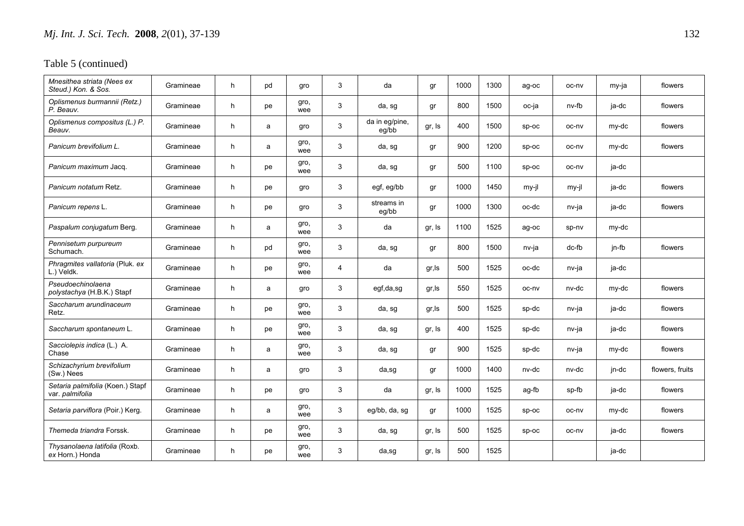| Mnesithea striata (Nees ex<br>Steud.) Kon. & Sos.   | Gramineae | h  | pd | qro         | 3 | da                      | gr     | 1000 | 1300 | ag-oc   | oc-nv | my-ja | flowers         |
|-----------------------------------------------------|-----------|----|----|-------------|---|-------------------------|--------|------|------|---------|-------|-------|-----------------|
| Oplismenus burmannii (Retz.)<br>P. Beauv.           | Gramineae | h  | pe | gro,<br>wee | 3 | da, sg                  | gr     | 800  | 1500 | oc-ja   | nv-fb | ja-dc | flowers         |
| Oplismenus compositus (L.) P.<br>Beauv.             | Gramineae | h. | a  | gro         | 3 | da in eg/pine,<br>eg/bb | gr, Is | 400  | 1500 | $SD-OC$ | oc-nv | my-dc | flowers         |
| Panicum brevifolium L.                              | Gramineae | h  | a  | gro,<br>wee | 3 | da, sg                  | gr     | 900  | 1200 | $sp-oc$ | oc-nv | my-dc | flowers         |
| Panicum maximum Jacq.                               | Gramineae | h. | pe | gro,<br>wee | 3 | da, sg                  | gr     | 500  | 1100 | $SD-OC$ | oc-nv | ja-dc |                 |
| Panicum notatum Retz.                               | Gramineae | h  | pe | gro         | 3 | egf, eg/bb              | gr     | 1000 | 1450 | my-jl   | my-jl | ja-dc | flowers         |
| Panicum repens L.                                   | Gramineae | h. | pe | gro         | 3 | streams in<br>eg/bb     | gr     | 1000 | 1300 | oc-dc   | nv-ja | ja-dc | flowers         |
| Paspalum conjugatum Berg.                           | Gramineae | h. | a  | gro,<br>wee | 3 | da                      | gr, Is | 1100 | 1525 | ag-oc   | sp-nv | my-dc |                 |
| Pennisetum purpureum<br>Schumach.                   | Gramineae | h  | pd | gro,<br>wee | 3 | da, sg                  | gr     | 800  | 1500 | nv-ja   | dc-fb | jn-fb | flowers         |
| Phragmites vallatoria (Pluk. ex<br>L.) Veldk.       | Gramineae | h  | pe | gro,<br>wee | 4 | da                      | gr, Is | 500  | 1525 | oc-dc   | nv-ja | ja-dc |                 |
| Pseudoechinolaena<br>polystachya (H.B.K.) Stapf     | Gramineae | h  | a  | gro         | 3 | egf,da,sg               | gr, ls | 550  | 1525 | oc-nv   | nv-dc | my-dc | flowers         |
| Saccharum arundinaceum<br>Retz.                     | Gramineae | h  | pe | gro,<br>wee | 3 | da, sg                  | gr, Is | 500  | 1525 | sp-dc   | nv-ja | ja-dc | flowers         |
| Saccharum spontaneum L.                             | Gramineae | h  | pe | gro,<br>wee | 3 | da, sg                  | gr, Is | 400  | 1525 | sp-dc   | nv-ja | ja-dc | flowers         |
| Sacciolepis indica (L.) A.<br>Chase                 | Gramineae | h  | a  | gro,<br>wee | 3 | da, sg                  | gr     | 900  | 1525 | sp-dc   | nv-ja | my-dc | flowers         |
| Schizachyrium brevifolium<br>(Sw.) Nees             | Gramineae | h  | a  | gro         | 3 | da,sg                   | gr     | 1000 | 1400 | nv-dc   | nv-dc | jn-dc | flowers, fruits |
| Setaria palmifolia (Koen.) Stapf<br>var. palmifolia | Gramineae | h  | pe | gro         | 3 | da                      | gr, Is | 1000 | 1525 | ag-fb   | sp-fb | ja-dc | flowers         |
| Setaria parviflora (Poir.) Kerg.                    | Gramineae | h  | a  | gro,<br>wee | 3 | eg/bb, da, sg           | gr     | 1000 | 1525 | $SD-OC$ | oc-nv | my-dc | flowers         |
| Themeda triandra Forssk.                            | Gramineae | h  | pe | gro,<br>wee | 3 | da, sg                  | gr, Is | 500  | 1525 | $sp-oc$ | oc-nv | ja-dc | flowers         |
| Thysanolaena latifolia (Roxb.<br>ex Horn.) Honda    | Gramineae | h. | pe | gro,<br>wee | 3 | da,sg                   | gr, Is | 500  | 1525 |         |       | ja-dc |                 |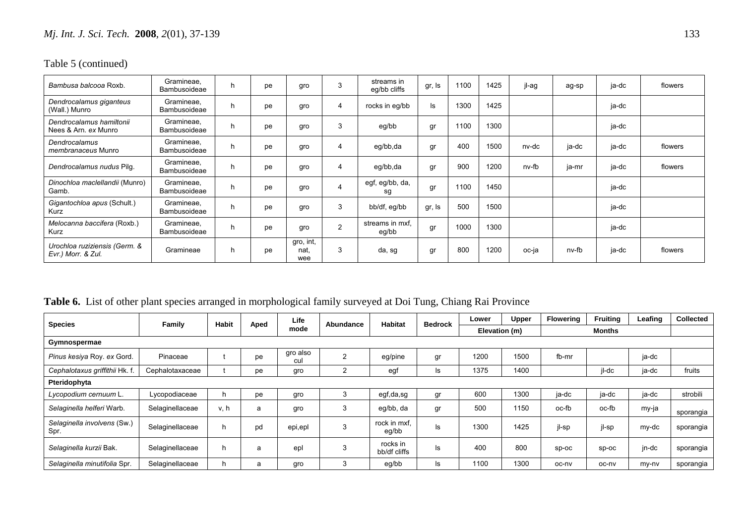| Bambusa balcooa Roxb.                               | Gramineae.<br>Bambusoideae        | n. | pe | gro                      | 3              | streams in<br>eq/bb cliffs | gr, Is | 1100 | 1425 | jl-ag | ag-sp | ja-dc | flowers |
|-----------------------------------------------------|-----------------------------------|----|----|--------------------------|----------------|----------------------------|--------|------|------|-------|-------|-------|---------|
| Dendrocalamus giganteus<br>(Wall.) Munro            | Gramineae.<br><b>Bambusoideae</b> |    | pe | gro                      | $\overline{4}$ | rocks in eq/bb             | ls     | 1300 | 1425 |       |       | ja-dc |         |
| Dendrocalamus hamiltonii<br>Nees & Arn. ex Munro    | Gramineae,<br><b>Bambusoideae</b> | h. | рe | gro                      | 3              | eg/bb                      | gr     | 1100 | 1300 |       |       | ja-dc |         |
| Dendrocalamus<br>membranaceus Munro                 | Gramineae,<br><b>Bambusoideae</b> | n. | pe | gro                      | 4              | eg/bb,da                   | gr     | 400  | 1500 | nv-dc | ja-dc | ja-dc | flowers |
| Dendrocalamus nudus Pilg.                           | Gramineae,<br><b>Bambusoideae</b> |    | рe | gro                      | 4              | eg/bb,da                   | gr     | 900  | 1200 | nv-fb | ja-mr | ja-dc | flowers |
| Dinochloa maclellandii (Munro)<br>Gamb.             | Gramineae,<br>Bambusoideae        | h. | pe | gro                      | $\overline{4}$ | egf, eg/bb, da,<br>sg      | gr     | 1100 | 1450 |       |       | ja-dc |         |
| Gigantochloa apus (Schult.)<br><b>Kurz</b>          | Gramineae,<br>Bambusoideae        |    | pe | gro                      | 3              | bb/df, eg/bb               | gr, Is | 500  | 1500 |       |       | ja-dc |         |
| Melocanna baccifera (Roxb.)<br><b>Kurz</b>          | Gramineae,<br><b>Bambusoideae</b> | n. | рe | gro                      | $\overline{2}$ | streams in mxf.<br>eg/bb   | gr     | 1000 | 1300 |       |       | ja-dc |         |
| Urochloa ruziziensis (Germ. &<br>Evr.) Morr. & Zul. | Gramineae                         | h. | рe | gro, int,<br>nat.<br>wee | 3              | da, sg                     | gr     | 800  | 1200 | oc-ja | nv-fb | ja-dc | flowers |

**Table 6.** List of other plant species arranged in morphological family surveyed at Doi Tung, Chiang Rai Province

| <b>Species</b>                      | Family          | <b>Habit</b> |      | Life            | Abundance      | <b>Habitat</b>           | <b>Bedrock</b> | Lower         | Upper | <b>Flowering</b> | <b>Fruiting</b> | Leafing | <b>Collected</b> |
|-------------------------------------|-----------------|--------------|------|-----------------|----------------|--------------------------|----------------|---------------|-------|------------------|-----------------|---------|------------------|
|                                     |                 |              | Aped | mode            |                |                          |                | Elevation (m) |       |                  | <b>Months</b>   |         |                  |
| Gymnospermae                        |                 |              |      |                 |                |                          |                |               |       |                  |                 |         |                  |
| Pinus kesiya Roy, ex Gord.          | Pinaceae        |              | рe   | gro also<br>cul | $\overline{2}$ | eg/pine                  | gr             | 1200          | 1500  | fb-mr            |                 | ja-dc   |                  |
| Cephalotaxus griffithii Hk. f.      | Cephalotaxaceae |              | рe   | gro             | $\overline{2}$ | egf                      | ls             | 1375          | 1400  |                  | il-dc           | ja-dc   | fruits           |
| Pteridophyta                        |                 |              |      |                 |                |                          |                |               |       |                  |                 |         |                  |
| Lycopodium cernuum L.               | Lycopodiaceae   |              | рe   | gro             | 3              | egf,da,sg                | gr             | 600           | 1300  | ja-dc            | ja-dc           | ja-dc   | strobili         |
| Selaginella helferi Warb.           | Selaginellaceae | v, h         | a    | gro             | 3              | eg/bb, da                | gr             | 500           | 1150  | oc-fb            | oc-fb           | my-ja   | sporangia        |
| Selaginella involvens (Sw.)<br>Spr. | Selaginellaceae | h.           | pd   | epi,epl         | 3              | rock in mxf,<br>eg/bb    | ls             | 1300          | 1425  | jl-sp            | jl-sp           | my-dc   | sporangia        |
| Selaginella kurzii Bak.             | Selaginellaceae | h            | a    | epl             | 3              | rocks in<br>bb/df cliffs | ls             | 400           | 800   | sp-oc            | sp-oc           | jn-dc   | sporangia        |
| Selaginella minutifolia Spr.        | Selaginellaceae |              | a    | gro             | 3              | eg/bb                    | ls             | 1100          | 1300  | oc-nv            | oc-nv           | my-ny   | sporangia        |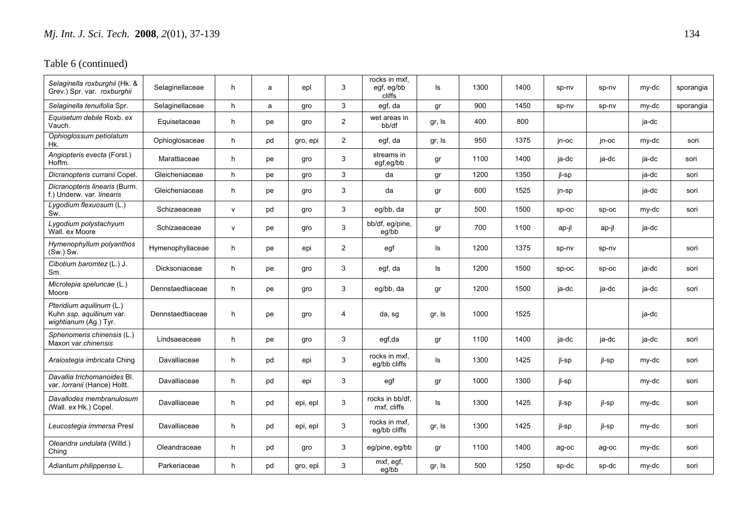| Selaginella roxburghii (Hk. &<br>Grev.) Spr. var. roxburghii                  | Selaginellaceae  | h | a  | epl      | 3              | rocks in mxf,<br>egf, eg/bb<br>cliffs | ls     | 1300 | 1400 | sp-nv | sp-nv | my-dc | sporangia |
|-------------------------------------------------------------------------------|------------------|---|----|----------|----------------|---------------------------------------|--------|------|------|-------|-------|-------|-----------|
| Selaginella tenuifolia Spr.                                                   | Selaginellaceae  | h | a  | gro      | 3              | egf, da                               | gr     | 900  | 1450 | sp-nv | sp-nv | my-dc | sporangia |
| Equisetum debile Roxb. ex<br>Vauch.                                           | Equisetaceae     | h | рe | gro      | $\overline{c}$ | wet areas in<br>bb/df                 | gr, Is | 400  | 800  |       |       | ja-dc |           |
| Ophioglossum petiolatum<br>Hk.                                                | Ophioglosaceae   | h | pd | gro, epi | 2              | egf, da                               | gr, Is | 950  | 1375 | jn-oc | jn-oc | my-dc | sori      |
| Angiopteris evecta (Forst.)<br>Hoffm.                                         | Marattiaceae     | h | pe | gro      | 3              | streams in<br>egf,eg/bb               | gr     | 1100 | 1400 | ja-dc | ja-dc | ja-dc | sori      |
| Dicranopteris curranii Copel.                                                 | Gleicheniaceae   | h | pe | gro      | 3              | da                                    | gr     | 1200 | 1350 | jl-sp |       | ja-dc | sori      |
| Dicranopteris linearis (Burm.<br>f.) Underw. var. linearis                    | Gleicheniaceae   | h | pe | gro      | 3              | da                                    | gr     | 600  | 1525 | jn-sp |       | ja-dc | sori      |
| Lygodium flexuosum (L.)<br>Sw.                                                | Schizaeaceae     | v | pd | gro      | 3              | eg/bb, da                             | gr     | 500  | 1500 | sp-oc | sp-oc | my-dc | sori      |
| Lygodium polystachyum<br>Wall. ex Moore                                       | Schizaeaceae     | v | pe | gro      | 3              | bb/df, eg/pine,<br>eg/bb              | gr     | 700  | 1100 | ap-jl | ap-jl | ja-dc |           |
| Hymenophyllum polyanthos<br>$(Sw)$ Sw.                                        | Hymenophyllaceae | h | pe | epi      | 2              | egf                                   | ls     | 1200 | 1375 | sp-nv | sp-nv |       | sori      |
| Cibotium baromtez (L.) J.<br>Sm.                                              | Dicksoniaceae    | h | pe | gro      | 3              | egf, da                               | ls     | 1200 | 1500 | sp-oc | sp-oc | ja-dc | sori      |
| Microlepia speluncae (L.)<br>Moore                                            | Dennstaedtiaceae | h | pe | gro      | 3              | eg/bb, da                             | gr     | 1200 | 1500 | ja-dc | ja-dc | ja-dc | sori      |
| Pteridium aquilinum (L.)<br>Kuhn ssp. aquilinum var.<br>wightianum (Ag.) Tyr. | Dennstaedtiaceae | h | pe | gro      | $\overline{4}$ | da, sg                                | gr, Is | 1000 | 1525 |       |       | ja-dc |           |
| Sphenomeris chinensis (L.)<br>Maxon var.chinensis                             | Lindsaeaceae     | h | pe | gro      | 3              | egf,da                                | gr     | 1100 | 1400 | ja-dc | ja-dc | ja-dc | sori      |
| Araiostegia imbricata Ching                                                   | Davalliaceae     | h | pd | epi      | 3              | rocks in mxf.<br>eg/bb cliffs         | ls     | 1300 | 1425 | jl-sp | jl-sp | my-dc | sori      |
| Davallia trichomanoides Bl.<br>var. <i>Iorranii</i> (Hance) Holtt.            | Davalliaceae     | h | pd | epi      | 3              | egf                                   | gr     | 1000 | 1300 | jl-sp |       | my-dc | sori      |
| Davallodes membranulosum<br>(Wall. ex Hk.) Copel.                             | Davalliaceae     | h | pd | epi, epl | 3              | rocks in bb/df.<br>mxf, cliffs        | ls     | 1300 | 1425 | jl-sp | jl-sp | my-dc | sori      |
| Leucostegia immersa Presl                                                     | Davalliaceae     | h | pd | epi, epl | 3              | rocks in mxf.<br>eq/bb cliffs         | gr, Is | 1300 | 1425 | jl-sp | jl-sp | my-dc | sori      |
| Oleandra undulata (Willd.)<br>Ching                                           | Oleandraceae     | h | pd | gro      | 3              | eg/pine, eg/bb                        | gr     | 1100 | 1400 | ag-oc | ag-oc | my-dc | sori      |
| Adiantum philippense L.                                                       | Parkeriaceae     | h | pd | gro, epl | 3              | $\overline{mx}f$ , egf,<br>eg/bb      | gr, Is | 500  | 1250 | sp-dc | sp-dc | my-dc | sori      |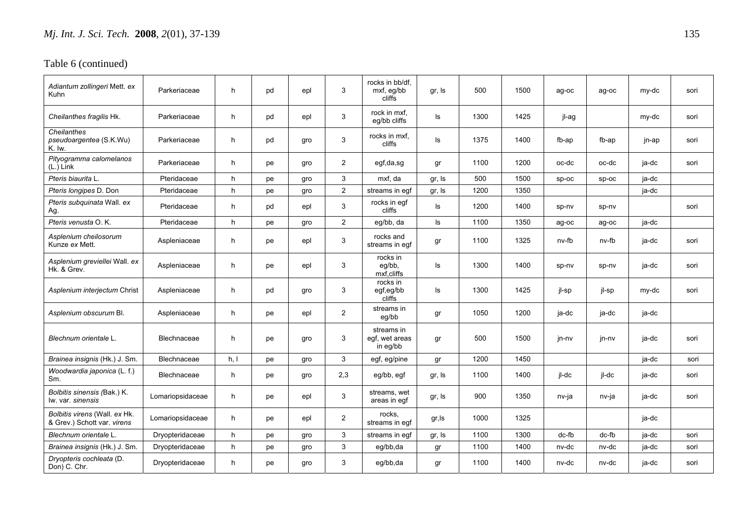| Adiantum zollingeri Mett. ex<br>Kuhn                         | Parkeriaceae     | h    | pd | epl | 3                       | rocks in bb/df.<br>mxf, eg/bb<br>cliffs  | gr, Is | 500  | 1500 | ag-oc | ag-oc | my-dc | sori |
|--------------------------------------------------------------|------------------|------|----|-----|-------------------------|------------------------------------------|--------|------|------|-------|-------|-------|------|
| Cheilanthes fragilis Hk.                                     | Parkeriaceae     | h    | pd | epl | 3                       | rock in mxf,<br>eq/bb cliffs             | ls     | 1300 | 1425 | jl-ag |       | my-dc | sori |
| Cheilanthes<br>pseudoargentea (S.K.Wu)<br>K. Iw.             | Parkeriaceae     | h    | pd | gro | 3                       | rocks in mxf.<br>cliffs                  | ls     | 1375 | 1400 | fb-ap | fb-ap | jn-ap | sori |
| Pityogramma calomelanos<br>$(L.)$ Link                       | Parkeriaceae     | h    | pe | gro | 2                       | egf,da,sg                                | gr     | 1100 | 1200 | oc-dc | oc-dc | ja-dc | sori |
| Pteris biaurita L.                                           | Pteridaceae      | h    | pe | gro | 3                       | mxf. da                                  | gr, Is | 500  | 1500 | sp-oc | SD-OC | ja-dc |      |
| Pteris longipes D. Don                                       | Pteridaceae      | h    | pe | gro | $\overline{c}$          | streams in egf                           | gr, Is | 1200 | 1350 |       |       | ja-dc |      |
| Pteris subquinata Wall. ex<br>Ag.                            | Pteridaceae      | h    | pd | epl | 3                       | rocks in egf<br>cliffs                   | ls     | 1200 | 1400 | sp-nv | sp-nv |       | sori |
| Pteris venusta O.K.                                          | Pteridaceae      | h    | pe | gro | $\overline{2}$          | eg/bb, da                                | ls     | 1100 | 1350 | ag-oc | ag-oc | ja-dc |      |
| Asplenium cheilosorum<br>Kunze ex Mett.                      | Aspleniaceae     | h    | pe | epl | 3                       | rocks and<br>streams in egf              | gr     | 1100 | 1325 | nv-fb | nv-fb | ja-dc | sori |
| Asplenium greviellei Wall. ex<br>Hk. & Grev.                 | Aspleniaceae     | h    | pe | epl | 3                       | rocks in<br>eg/bb,<br>mxf,cliffs         | ls     | 1300 | 1400 | sp-nv | sp-nv | ja-dc | sori |
| Asplenium interjectum Christ                                 | Aspleniaceae     | h    | pd | gro | 3                       | rocks in<br>egf,eg/bb<br>cliffs          | ls     | 1300 | 1425 | jl-sp | jl-sp | my-dc | sori |
| Asplenium obscurum Bl.                                       | Aspleniaceae     | h    | pe | epl | $\overline{2}$          | streams in<br>eg/bb                      | gr     | 1050 | 1200 | ja-dc | ja-dc | ja-dc |      |
| Blechnum orientale L.                                        | Blechnaceae      | h    | pe | gro | 3                       | streams in<br>egf, wet areas<br>in eg/bb | gr     | 500  | 1500 | jn-nv | jn-nv | ja-dc | sori |
| Brainea insignis (Hk.) J. Sm.                                | Blechnaceae      | h, l | pe | gro | 3                       | egf, eg/pine                             | gr     | 1200 | 1450 |       |       | ja-dc | sori |
| Woodwardia japonica (L. f.)<br>Sm.                           | Blechnaceae      | h    | рe | gro | 2,3                     | eg/bb, egf                               | gr, Is | 1100 | 1400 | jl-dc | jl-dc | ja-dc | sori |
| Bolbitis sinensis (Bak.) K.<br>lw. var. sinensis             | Lomariopsidaceae | h    | pe | epl | 3                       | streams, wet<br>areas in egf             | gr, Is | 900  | 1350 | nv-ja | nv-ja | ja-dc | sori |
| Bolbitis virens (Wall. ex Hk.<br>& Grev.) Schott var. virens | Lomariopsidaceae | h    | pe | epl | $\overline{\mathbf{c}}$ | rocks,<br>streams in egf                 | gr,ls  | 1000 | 1325 |       |       | ja-dc |      |
| Blechnum orientale L.                                        | Dryopteridaceae  | h    | pe | gro | 3                       | streams in egf                           | gr, Is | 1100 | 1300 | dc-fb | dc-fb | ja-dc | sori |
| Brainea insignis (Hk.) J. Sm.                                | Dryopteridaceae  | h    | pe | gro | 3                       | eg/bb,da                                 | gr     | 1100 | 1400 | nv-dc | nv-dc | ja-dc | sori |
| Dryopteris cochleata (D.<br>Don) C. Chr.                     | Dryopteridaceae  | h    | pe | gro | 3                       | eg/bb,da                                 | gr     | 1100 | 1400 | nv-dc | nv-dc | ja-dc | sori |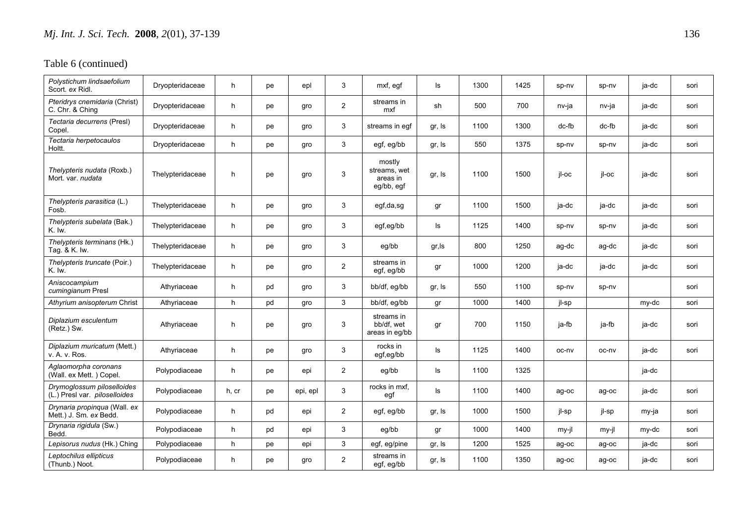| Polystichum lindsaefolium<br>Scort. ex Ridl.                | Dryopteridaceae  | h     | pe | epl      | 3                       | mxf, egf                                         | ls     | 1300 | 1425 | sp-nv   | sp-nv | ja-dc | sori |
|-------------------------------------------------------------|------------------|-------|----|----------|-------------------------|--------------------------------------------------|--------|------|------|---------|-------|-------|------|
| Pteridrys cnemidaria (Christ)<br>C. Chr. & Ching            | Dryopteridaceae  | h     | pe | gro      | $\overline{2}$          | streams in<br>mxf                                | sh     | 500  | 700  | nv-ja   | nv-ja | ja-dc | sori |
| Tectaria decurrens (Presl)<br>Copel.                        | Dryopteridaceae  | h     | pe | gro      | 3                       | streams in eqf                                   | gr, Is | 1100 | 1300 | $dc-fb$ | dc-fb | ja-dc | sori |
| Tectaria herpetocaulos<br>Holtt.                            | Dryopteridaceae  | h     | pe | gro      | 3                       | egf, eg/bb                                       | gr, Is | 550  | 1375 | sp-nv   | sp-nv | ja-dc | sori |
| Thelypteris nudata (Roxb.)<br>Mort, var, nudata             | Thelypteridaceae | h     | pe | gro      | 3                       | mostly<br>streams, wet<br>areas in<br>eg/bb, egf | gr, Is | 1100 | 1500 | il-oc   | jl-oc | ja-dc | sori |
| Thelypteris parasitica (L.)<br>Fosb.                        | Thelypteridaceae | h     | pe | gro      | 3                       | egf,da,sg                                        | gr     | 1100 | 1500 | ja-dc   | ja-dc | ja-dc | sori |
| Thelypteris subelata (Bak.)<br>K. lw.                       | Thelypteridaceae | h     | pe | gro      | 3                       | egf,eg/bb                                        | ls     | 1125 | 1400 | sp-nv   | sp-nv | ja-dc | sori |
| Thelypteris terminans (Hk.)<br>Tag. & K. Iw.                | Thelypteridaceae | h     | pe | gro      | 3                       | eg/bb                                            | gr,ls  | 800  | 1250 | ag-dc   | ag-dc | ja-dc | sori |
| Thelypteris truncate (Poir.)<br>K. Iw.                      | Thelypteridaceae | h     | pe | gro      | $\overline{\mathbf{c}}$ | streams in<br>egf, eg/bb                         | gr     | 1000 | 1200 | ja-dc   | ja-dc | ja-dc | sori |
| Aniscocampium<br>cumingianum Presl                          | Athyriaceae      | h     | pd | gro      | 3                       | bb/df, eg/bb                                     | gr, Is | 550  | 1100 | sp-nv   | sp-nv |       | sori |
| Athyrium anisopterum Christ                                 | Athyriaceae      | h     | pd | gro      | 3                       | bb/df, eg/bb                                     | gr     | 1000 | 1400 | jl-sp   |       | my-dc | sori |
| Diplazium esculentum<br>(Retz.) Sw.                         | Athyriaceae      | h     | pe | gro      | 3                       | streams in<br>bb/df, wet<br>areas in eg/bb       | gr     | 700  | 1150 | ja-fb   | ja-fb | ja-dc | sori |
| Diplazium muricatum (Mett.)<br>v. A. v. Ros.                | Athyriaceae      | h     | pe | gro      | 3                       | rocks in<br>egf,eg/bb                            | ls     | 1125 | 1400 | oc-nv   | oc-nv | ja-dc | sori |
| Aglaomorpha coronans<br>(Wall. ex Mett.) Copel.             | Polypodiaceae    | h     | pe | epi      | $\overline{c}$          | eg/bb                                            | ls     | 1100 | 1325 |         |       | ja-dc |      |
| Drymoglossum piloselloides<br>(L.) Presl var. piloselloides | Polypodiaceae    | h, cr | pe | epi, epl | 3                       | rocks in mxf,<br>egf                             | ls     | 1100 | 1400 | ag-oc   | ag-oc | ja-dc | sori |
| Drynaria propinqua (Wall. ex<br>Mett.) J. Sm. ex Bedd.      | Polypodiaceae    | h     | pd | epi      | $\overline{2}$          | egf, eg/bb                                       | gr, Is | 1000 | 1500 | jl-sp   | jl-sp | my-ja | sori |
| Drynaria rigidula (Sw.)<br>Bedd.                            | Polypodiaceae    | h     | pd | epi      | 3                       | eg/bb                                            | gr     | 1000 | 1400 | my-jl   | my-jl | my-dc | sori |
| Lepisorus nudus (Hk.) Ching                                 | Polypodiaceae    | h     | pe | epi      | 3                       | egf, eg/pine                                     | gr, Is | 1200 | 1525 | ag-oc   | ag-oc | ja-dc | sori |
| Leptochilus ellipticus<br>(Thunb.) Noot.                    | Polypodiaceae    | h     | рe | gro      | 2                       | streams in<br>egf, eg/bb                         | gr, Is | 1100 | 1350 | ag-oc   | ag-oc | ja-dc | sori |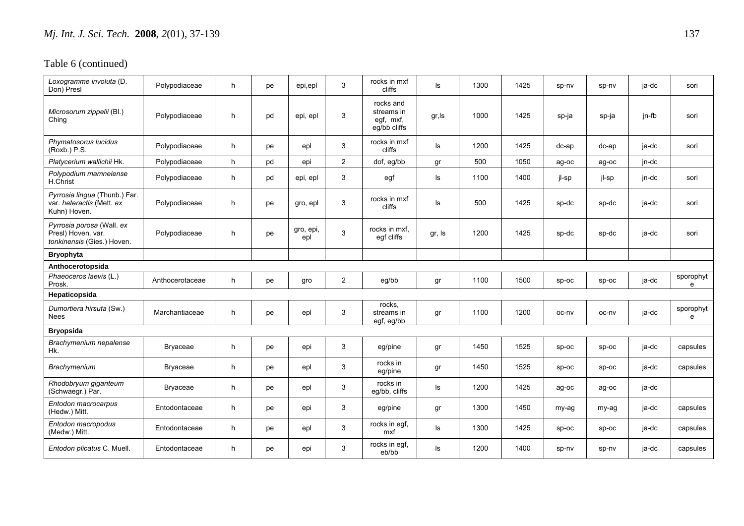| Loxogramme involuta (D.<br>Don) Presl                                         | Polypodiaceae   | h  | рe | epi,epl          | 3              | rocks in mxf<br>cliffs                               | ls     | 1300 | 1425 | sp-nv    | sp-nv    | ja-dc | sori           |
|-------------------------------------------------------------------------------|-----------------|----|----|------------------|----------------|------------------------------------------------------|--------|------|------|----------|----------|-------|----------------|
| Microsorum zippelii (Bl.)<br>Ching                                            | Polypodiaceae   | h  | pd | epi, epl         | 3              | rocks and<br>streams in<br>egf, mxf,<br>eg/bb cliffs | gr, ls | 1000 | 1425 | sp-ja    | sp-ja    | jn-fb | sori           |
| Phymatosorus lucidus<br>(Roxb.) P.S.                                          | Polypodiaceae   | h  | pe | epl              | 3              | rocks in mxf<br>cliffs                               | Is     | 1200 | 1425 | $dc$ -ap | $dc$ -ap | ja-dc | sori           |
| Platycerium wallichii Hk.                                                     | Polypodiaceae   | h  | pd | epi              | $\overline{2}$ | dof, eg/bb                                           | gr     | 500  | 1050 | ag-oc    | ag-oc    | jn-dc |                |
| Polypodium mamneiense<br>H.Christ                                             | Polypodiaceae   | h  | pd | epi, epl         | 3              | egf                                                  | ls     | 1100 | 1400 | jl-sp    | jl-sp    | jn-dc | sori           |
| Pyrrosia lingua (Thunb.) Far.<br>var. heteractis (Mett. ex<br>Kuhn) Hoven.    | Polypodiaceae   | h  | pe | gro, epl         | 3              | rocks in mxf<br>cliffs                               | ls     | 500  | 1425 | sp-dc    | sp-dc    | ja-dc | sori           |
| Pyrrosia porosa (Wall. ex<br>Presl) Hoven. var.<br>tonkinensis (Gies.) Hoven. | Polypodiaceae   | h. | pe | gro, epi,<br>epl | $\mathsf 3$    | rocks in mxf,<br>egf cliffs                          | gr, Is | 1200 | 1425 | sp-dc    | sp-dc    | ja-dc | sori           |
| <b>Bryophyta</b>                                                              |                 |    |    |                  |                |                                                      |        |      |      |          |          |       |                |
| Anthocerotopsida                                                              |                 |    |    |                  |                |                                                      |        |      |      |          |          |       |                |
| Phaeoceros laevis (L.)<br>Prosk.                                              | Anthocerotaceae | h  | рe | gro              | $\overline{2}$ | eg/bb                                                | gr     | 1100 | 1500 | $sp-oc$  | $sp-oc$  | ja-dc | sporophyt<br>e |
| Hepaticopsida                                                                 |                 |    |    |                  |                |                                                      |        |      |      |          |          |       |                |
| Dumortiera hirsuta (Sw.)<br>Nees                                              | Marchantiaceae  | h  | pe | epl              | 3              | rocks,<br>streams in<br>egf, eg/bb                   | gr     | 1100 | 1200 | oc-nv    | oc-nv    | ja-dc | sporophyt<br>e |
| <b>Bryopsida</b>                                                              |                 |    |    |                  |                |                                                      |        |      |      |          |          |       |                |
| Brachymenium nepalense<br>Hk.                                                 | <b>Bryaceae</b> | h  | pe | epi              | 3              | eg/pine                                              | gr     | 1450 | 1525 | $sp-oc$  | sp-oc    | ja-dc | capsules       |
| <b>Brachymenium</b>                                                           | Bryaceae        | h  | pe | epl              | 3              | rocks in<br>eg/pine                                  | gr     | 1450 | 1525 | $sp-oc$  | $sp-oc$  | ja-dc | capsules       |
| Rhodobryum giganteum<br>(Schwaegr.) Par.                                      | Bryaceae        | h  | pe | epl              | 3              | rocks in<br>eg/bb, cliffs                            | ls     | 1200 | 1425 | ag-oc    | ag-oc    | ja-dc |                |
| Entodon macrocarpus<br>(Hedw.) Mitt.                                          | Entodontaceae   | h  | pe | epi              | 3              | eg/pine                                              | gr     | 1300 | 1450 | my-ag    | my-ag    | ja-dc | capsules       |
| Entodon macropodus<br>(Medw.) Mitt.                                           | Entodontaceae   | h  | pe | epl              | 3              | rocks in egf,<br>mxf                                 | ls     | 1300 | 1425 | $sp-oc$  | sp-oc    | ja-dc | capsules       |
| Entodon plicatus C. Muell.                                                    | Entodontaceae   | h  | pe | epi              | 3              | rocks in egf,<br>eb/bb                               | ls     | 1200 | 1400 | sp-nv    | sp-nv    | ja-dc | capsules       |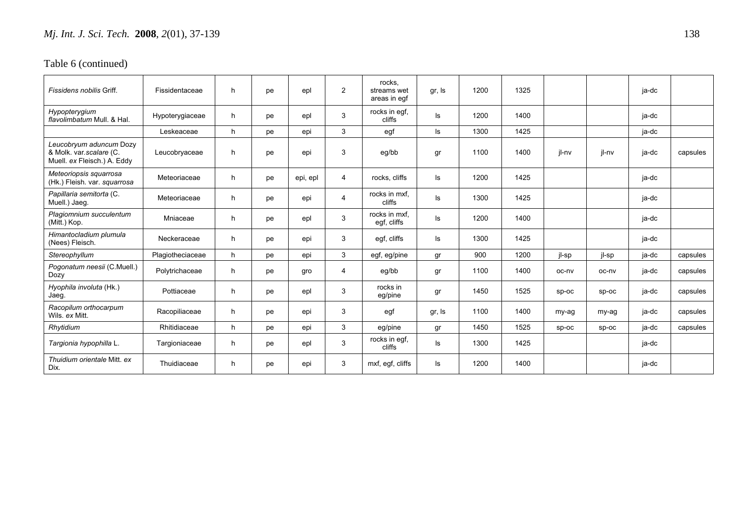| Fissidens nobilis Griff.                                                          | Fissidentaceae   | h | pe | epl      | 2              | rocks.<br>streams wet<br>areas in egf | gr, Is | 1200 | 1325 |         |         | ja-dc |          |
|-----------------------------------------------------------------------------------|------------------|---|----|----------|----------------|---------------------------------------|--------|------|------|---------|---------|-------|----------|
| Hypopterygium<br>flavolimbatum Mull, & Hal.                                       | Hypoterygiaceae  | h | pe | epl      | 3              | rocks in egf,<br>cliffs               | ls     | 1200 | 1400 |         |         | ja-dc |          |
|                                                                                   | Leskeaceae       | h | pe | epi      | 3              | egf                                   | ls     | 1300 | 1425 |         |         | ja-dc |          |
| Leucobryum aduncum Dozy<br>& Molk. var.scalare (C.<br>Muell. ex Fleisch.) A. Eddy | Leucobryaceae    | h | pe | epi      | 3              | eg/bb                                 | gr     | 1100 | 1400 | jl-nv   | jl-nv   | ja-dc | capsules |
| Meteoriopsis squarrosa<br>(Hk.) Fleish. var. squarrosa                            | Meteoriaceae     | h | pe | epi, epl | $\overline{4}$ | rocks, cliffs                         | ls     | 1200 | 1425 |         |         | ja-dc |          |
| Papillaria semitorta (C.<br>Muell.) Jaeg.                                         | Meteoriaceae     | h | pe | epi      | 4              | rocks in mxf.<br>cliffs               | ls     | 1300 | 1425 |         |         | ja-dc |          |
| Plagiomnium succulentum<br>(Mitt.) Kop.                                           | Mniaceae         | h | pe | epl      | 3              | rocks in mxf,<br>egf, cliffs          | ls     | 1200 | 1400 |         |         | ja-dc |          |
| Himantocladium plumula<br>(Nees) Fleisch.                                         | Neckeraceae      | h | pe | epi      | 3              | egf, cliffs                           | ls     | 1300 | 1425 |         |         | ja-dc |          |
| Stereophyllum                                                                     | Plagiotheciaceae | h | pe | epi      | 3              | egf, eg/pine                          | gr     | 900  | 1200 | jl-sp   | jl-sp   | ja-dc | capsules |
| Pogonatum neesii (C.Muell.)<br>Dozy                                               | Polytrichaceae   | h | pe | gro      | 4              | eg/bb                                 | gr     | 1100 | 1400 | oc-nv   | oc-ny   | ja-dc | capsules |
| Hyophila involuta (Hk.)<br>Jaeg.                                                  | Pottiaceae       | h | pe | epl      | 3              | rocks in<br>eg/pine                   | gr     | 1450 | 1525 | $sp-oc$ | $sp-oc$ | ja-dc | capsules |
| Racopilum orthocarpum<br>Wils. ex Mitt.                                           | Racopiliaceae    | h | pe | epi      | 3              | egf                                   | gr, Is | 1100 | 1400 | my-ag   | my-ag   | ja-dc | capsules |
| Rhytidium                                                                         | Rhitidiaceae     | h | pe | epi      | 3              | eg/pine                               | gr     | 1450 | 1525 | $sp-oc$ | $SD-OC$ | ja-dc | capsules |
| Targionia hypophilla L.                                                           | Targioniaceae    | h | pe | epl      | 3              | rocks in egf,<br>cliffs               | ls     | 1300 | 1425 |         |         | ja-dc |          |
| Thuidium orientale Mitt. ex<br>Dix.                                               | Thuidiaceae      | h | pe | epi      | 3              | mxf, egf, cliffs                      | ls     | 1200 | 1400 |         |         | ja-dc |          |